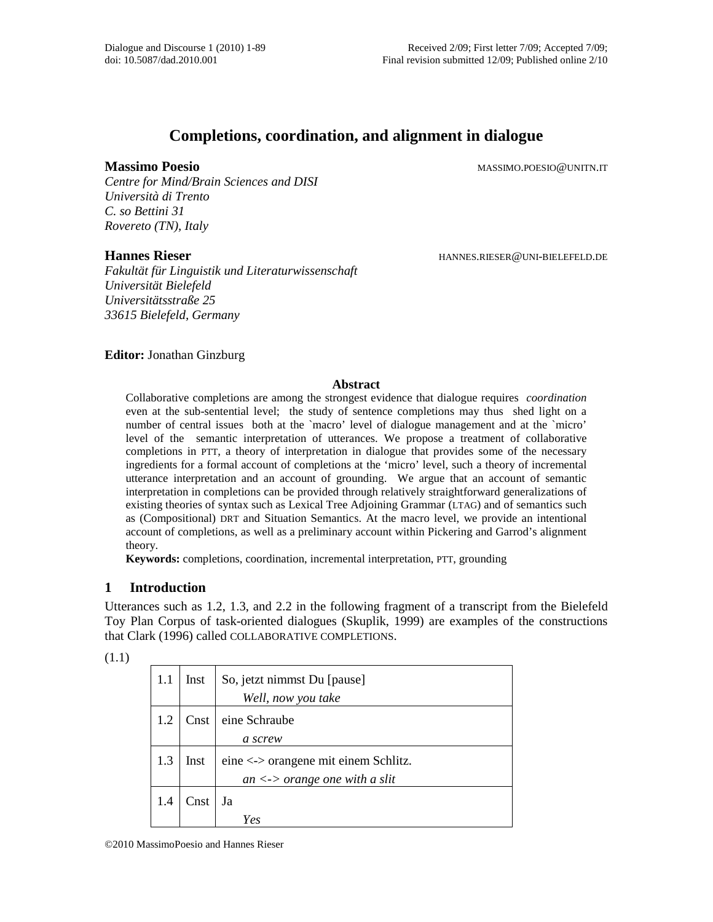# **Completions, coordination, and alignment in dialogue**

*Centre for Mind/Brain Sciences and DISI Università di Trento C. so Bettini 31 Rovereto (TN), Italy* 

*Fakultät für Linguistik und Literaturwissenschaft Universität Bielefeld Universitätsstraße 25 33615 Bielefeld, Germany* 

**Massimo Poesio** MASSIMO.POESIO@UNITN.IT

**Hannes Rieser HANNES.RIESER@UNI-BIELEFELD.DE** 

**Editor:** Jonathan Ginzburg

#### **Abstract**

Collaborative completions are among the strongest evidence that dialogue requires *coordination* even at the sub-sentential level; the study of sentence completions may thus shed light on a number of central issues both at the `macro' level of dialogue management and at the `micro' level of the semantic interpretation of utterances. We propose a treatment of collaborative completions in PTT, a theory of interpretation in dialogue that provides some of the necessary ingredients for a formal account of completions at the 'micro' level, such a theory of incremental utterance interpretation and an account of grounding. We argue that an account of semantic interpretation in completions can be provided through relatively straightforward generalizations of existing theories of syntax such as Lexical Tree Adjoining Grammar (LTAG) and of semantics such as (Compositional) DRT and Situation Semantics. At the macro level, we provide an intentional account of completions, as well as a preliminary account within Pickering and Garrod's alignment theory.

**Keywords:** completions, coordination, incremental interpretation, PTT, grounding

## **1 Introduction**

Utterances such as 1.2, 1.3, and 2.2 in the following fragment of a transcript from the Bielefeld Toy Plan Corpus of task-oriented dialogues (Skuplik, 1999) are examples of the constructions that Clark (1996) called COLLABORATIVE COMPLETIONS.

| ٦ |
|---|
|   |

| 1.1 | Inst | So, jetzt nimmst Du [pause]<br>Well, now you take                                   |
|-----|------|-------------------------------------------------------------------------------------|
| 1.2 | Cnst | eine Schraube<br>a screw                                                            |
| 1.3 | Inst | eine <-> orangene mit einem Schlitz.<br>an $\langle \rangle$ orange one with a slit |
| 1.4 | Cnst | Ja<br>Yes                                                                           |

©2010 MassimoPoesio and Hannes Rieser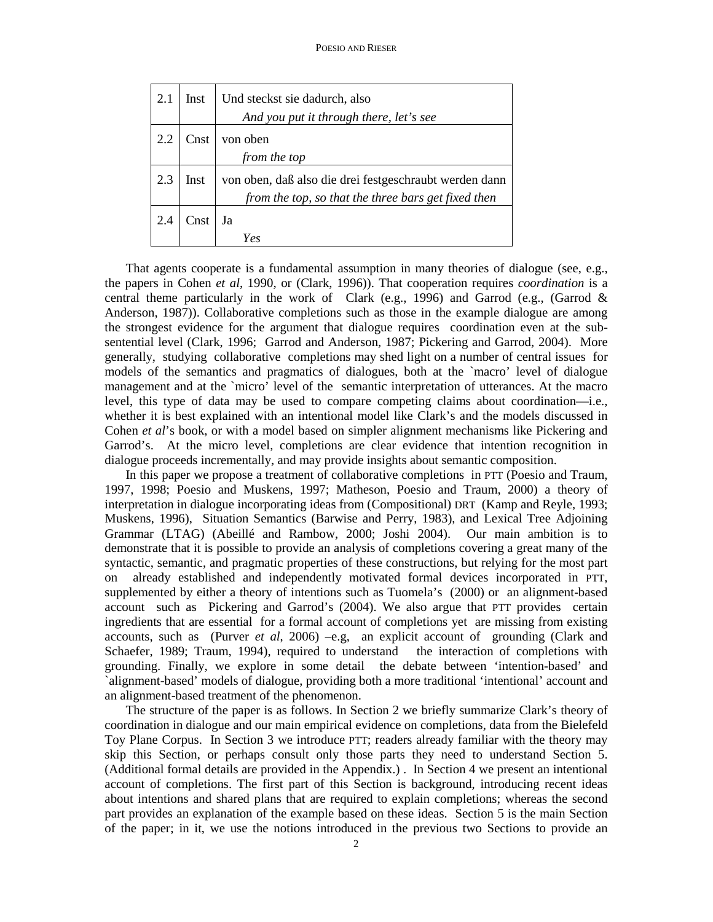| 2.1 | Inst | Und steckst sie dadurch, also                          |
|-----|------|--------------------------------------------------------|
|     |      | And you put it through there, let's see                |
|     | Cnst | von oben                                               |
|     |      | from the top                                           |
| 2.3 | Inst | von oben, daß also die drei festgeschraubt werden dann |
|     |      | from the top, so that the three bars get fixed then    |
| 2.4 | Cnst | Ja                                                     |
|     |      | Yes                                                    |

 That agents cooperate is a fundamental assumption in many theories of dialogue (see, e.g., the papers in Cohen *et al*, 1990, or (Clark, 1996)). That cooperation requires *coordination* is a central theme particularly in the work of Clark (e.g., 1996) and Garrod (e.g., (Garrod  $\&$ Anderson, 1987)). Collaborative completions such as those in the example dialogue are among the strongest evidence for the argument that dialogue requires coordination even at the subsentential level (Clark, 1996; Garrod and Anderson, 1987; Pickering and Garrod, 2004). More generally, studying collaborative completions may shed light on a number of central issues for models of the semantics and pragmatics of dialogues, both at the `macro' level of dialogue management and at the `micro' level of the semantic interpretation of utterances. At the macro level, this type of data may be used to compare competing claims about coordination—i.e., whether it is best explained with an intentional model like Clark's and the models discussed in Cohen *et al*'s book, or with a model based on simpler alignment mechanisms like Pickering and Garrod's. At the micro level, completions are clear evidence that intention recognition in dialogue proceeds incrementally, and may provide insights about semantic composition.

 In this paper we propose a treatment of collaborative completions in PTT (Poesio and Traum, 1997, 1998; Poesio and Muskens, 1997; Matheson, Poesio and Traum, 2000) a theory of interpretation in dialogue incorporating ideas from (Compositional) DRT (Kamp and Reyle, 1993; Muskens, 1996), Situation Semantics (Barwise and Perry, 1983), and Lexical Tree Adjoining Grammar (LTAG) (Abeillé and Rambow, 2000; Joshi 2004). Our main ambition is to demonstrate that it is possible to provide an analysis of completions covering a great many of the syntactic, semantic, and pragmatic properties of these constructions, but relying for the most part on already established and independently motivated formal devices incorporated in PTT, supplemented by either a theory of intentions such as Tuomela's (2000) or an alignment-based account such as Pickering and Garrod's (2004). We also argue that PTT provides certain ingredients that are essential for a formal account of completions yet are missing from existing accounts, such as (Purver *et al*, 2006) –e.g, an explicit account of grounding (Clark and Schaefer, 1989; Traum, 1994), required to understand the interaction of completions with grounding. Finally, we explore in some detail the debate between 'intention-based' and `alignment-based' models of dialogue, providing both a more traditional 'intentional' account and an alignment-based treatment of the phenomenon.

 The structure of the paper is as follows. In Section 2 we briefly summarize Clark's theory of coordination in dialogue and our main empirical evidence on completions, data from the Bielefeld Toy Plane Corpus. In Section 3 we introduce PTT; readers already familiar with the theory may skip this Section, or perhaps consult only those parts they need to understand Section 5. (Additional formal details are provided in the Appendix.) . In Section 4 we present an intentional account of completions. The first part of this Section is background, introducing recent ideas about intentions and shared plans that are required to explain completions; whereas the second part provides an explanation of the example based on these ideas. Section 5 is the main Section of the paper; in it, we use the notions introduced in the previous two Sections to provide an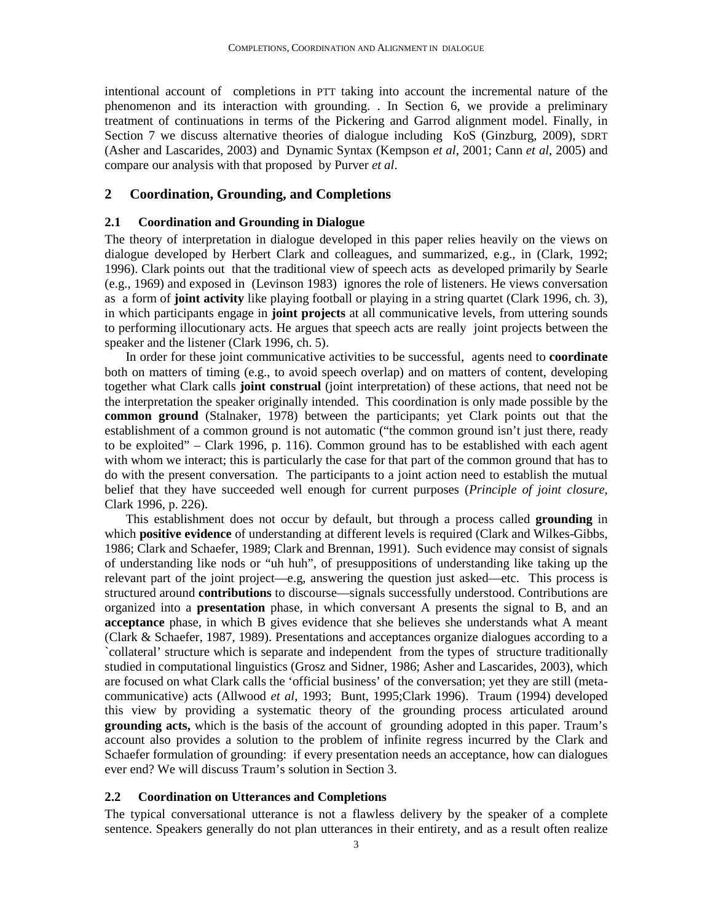intentional account of completions in PTT taking into account the incremental nature of the phenomenon and its interaction with grounding. . In Section 6, we provide a preliminary treatment of continuations in terms of the Pickering and Garrod alignment model. Finally, in Section 7 we discuss alternative theories of dialogue including KoS (Ginzburg, 2009), SDRT (Asher and Lascarides, 2003) and Dynamic Syntax (Kempson *et al*, 2001; Cann *et al*, 2005) and compare our analysis with that proposed by Purver *et al*.

#### **2 Coordination, Grounding, and Completions**

#### **2.1 Coordination and Grounding in Dialogue**

The theory of interpretation in dialogue developed in this paper relies heavily on the views on dialogue developed by Herbert Clark and colleagues, and summarized, e.g., in (Clark, 1992; 1996). Clark points out that the traditional view of speech acts as developed primarily by Searle (e.g., 1969) and exposed in (Levinson 1983) ignores the role of listeners. He views conversation as a form of **joint activity** like playing football or playing in a string quartet (Clark 1996, ch. 3), in which participants engage in **joint projects** at all communicative levels, from uttering sounds to performing illocutionary acts. He argues that speech acts are really joint projects between the speaker and the listener (Clark 1996, ch. 5).

In order for these joint communicative activities to be successful, agents need to **coordinate** both on matters of timing (e.g., to avoid speech overlap) and on matters of content, developing together what Clark calls **joint construal** (joint interpretation) of these actions, that need not be the interpretation the speaker originally intended. This coordination is only made possible by the **common ground** (Stalnaker, 1978) between the participants; yet Clark points out that the establishment of a common ground is not automatic ("the common ground isn't just there, ready to be exploited" – Clark 1996, p. 116). Common ground has to be established with each agent with whom we interact; this is particularly the case for that part of the common ground that has to do with the present conversation. The participants to a joint action need to establish the mutual belief that they have succeeded well enough for current purposes (*Principle of joint closure*, Clark 1996, p. 226).

This establishment does not occur by default, but through a process called **grounding** in which **positive evidence** of understanding at different levels is required (Clark and Wilkes-Gibbs, 1986; Clark and Schaefer, 1989; Clark and Brennan, 1991). Such evidence may consist of signals of understanding like nods or "uh huh", of presuppositions of understanding like taking up the relevant part of the joint project—e.g, answering the question just asked—etc. This process is structured around **contributions** to discourse—signals successfully understood. Contributions are organized into a **presentation** phase, in which conversant A presents the signal to B, and an **acceptance** phase, in which B gives evidence that she believes she understands what A meant (Clark & Schaefer, 1987, 1989). Presentations and acceptances organize dialogues according to a `collateral' structure which is separate and independent from the types of structure traditionally studied in computational linguistics (Grosz and Sidner, 1986; Asher and Lascarides, 2003), which are focused on what Clark calls the 'official business' of the conversation; yet they are still (metacommunicative) acts (Allwood *et al*, 1993; Bunt, 1995;Clark 1996). Traum (1994) developed this view by providing a systematic theory of the grounding process articulated around **grounding acts,** which is the basis of the account of grounding adopted in this paper. Traum's account also provides a solution to the problem of infinite regress incurred by the Clark and Schaefer formulation of grounding: if every presentation needs an acceptance, how can dialogues ever end? We will discuss Traum's solution in Section 3.

#### **2.2 Coordination on Utterances and Completions**

The typical conversational utterance is not a flawless delivery by the speaker of a complete sentence. Speakers generally do not plan utterances in their entirety, and as a result often realize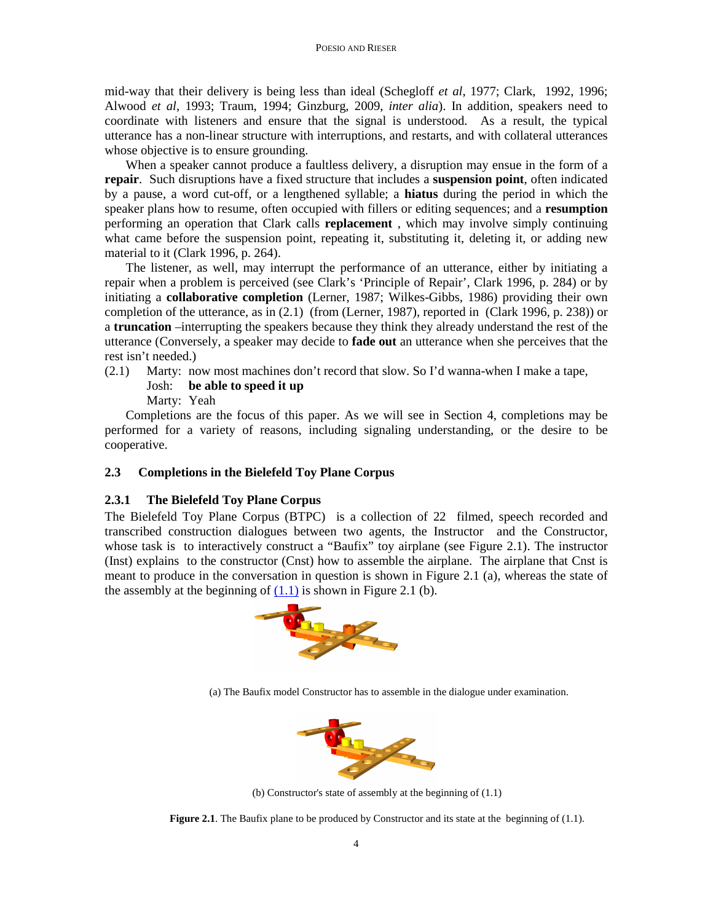mid-way that their delivery is being less than ideal (Schegloff *et al*, 1977; Clark, 1992, 1996; Alwood *et al*, 1993; Traum, 1994; Ginzburg, 2009, *inter alia*). In addition, speakers need to coordinate with listeners and ensure that the signal is understood. As a result, the typical utterance has a non-linear structure with interruptions, and restarts, and with collateral utterances whose objective is to ensure grounding.

When a speaker cannot produce a faultless delivery, a disruption may ensue in the form of a **repair**. Such disruptions have a fixed structure that includes a **suspension point**, often indicated by a pause, a word cut-off, or a lengthened syllable; a **hiatus** during the period in which the speaker plans how to resume, often occupied with fillers or editing sequences; and a **resumption** performing an operation that Clark calls **replacement** , which may involve simply continuing what came before the suspension point, repeating it, substituting it, deleting it, or adding new material to it (Clark 1996, p. 264).

The listener, as well, may interrupt the performance of an utterance, either by initiating a repair when a problem is perceived (see Clark's 'Principle of Repair', Clark 1996, p. 284) or by initiating a **collaborative completion** (Lerner, 1987; Wilkes-Gibbs, 1986) providing their own completion of the utterance, as in (2.1) (from (Lerner, 1987), reported in (Clark 1996, p. 238)) or a **truncation** –interrupting the speakers because they think they already understand the rest of the utterance (Conversely, a speaker may decide to **fade out** an utterance when she perceives that the rest isn't needed.)

(2.1) Marty: now most machines don't record that slow. So I'd wanna-when I make a tape, Josh: **be able to speed it up**

Marty: Yeah

Completions are the focus of this paper. As we will see in Section 4, completions may be performed for a variety of reasons, including signaling understanding, or the desire to be cooperative.

#### **2.3 Completions in the Bielefeld Toy Plane Corpus**

#### **2.3.1 The Bielefeld Toy Plane Corpus**

The Bielefeld Toy Plane Corpus (BTPC) is a collection of 22 filmed, speech recorded and transcribed construction dialogues between two agents, the Instructor and the Constructor, whose task is to interactively construct a "Baufix" toy airplane (see Figure 2.1). The instructor (Inst) explains to the constructor (Cnst) how to assemble the airplane. The airplane that Cnst is meant to produce in the conversation in question is shown in Figure 2.1 (a), whereas the state of the assembly at the beginning of  $(1.1)$  is shown in Figure 2.1 (b).



(a) The Baufix model Constructor has to assemble in the dialogue under examination.



(b) Constructor's state of assembly at the beginning of (1.1)

**Figure 2.1**. The Baufix plane to be produced by Constructor and its state at the beginning of (1.1).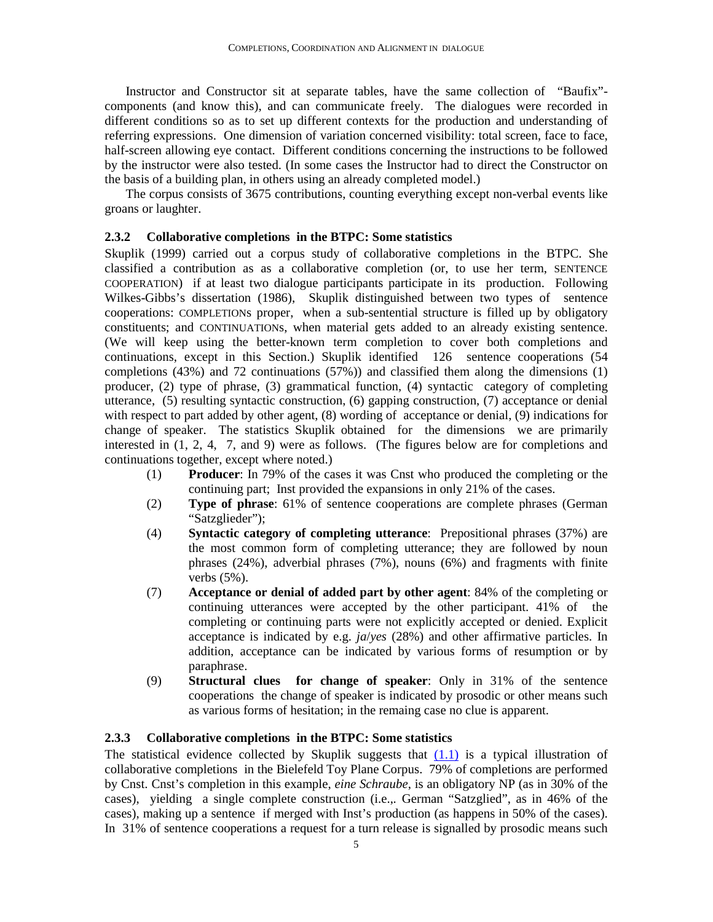Instructor and Constructor sit at separate tables, have the same collection of "Baufix" components (and know this), and can communicate freely. The dialogues were recorded in different conditions so as to set up different contexts for the production and understanding of referring expressions. One dimension of variation concerned visibility: total screen, face to face, half-screen allowing eye contact. Different conditions concerning the instructions to be followed by the instructor were also tested. (In some cases the Instructor had to direct the Constructor on the basis of a building plan, in others using an already completed model.)

The corpus consists of 3675 contributions, counting everything except non-verbal events like groans or laughter.

#### **2.3.2 Collaborative completions in the BTPC: Some statistics**

Skuplik (1999) carried out a corpus study of collaborative completions in the BTPC. She classified a contribution as as a collaborative completion (or, to use her term, SENTENCE COOPERATION) if at least two dialogue participants participate in its production. Following Wilkes-Gibbs's dissertation (1986), Skuplik distinguished between two types of sentence cooperations: COMPLETIONs proper, when a sub-sentential structure is filled up by obligatory constituents; and CONTINUATIONs, when material gets added to an already existing sentence. (We will keep using the better-known term completion to cover both completions and continuations, except in this Section.) Skuplik identified 126 sentence cooperations (54 completions (43%) and 72 continuations (57%)) and classified them along the dimensions (1) producer, (2) type of phrase, (3) grammatical function, (4) syntactic category of completing utterance, (5) resulting syntactic construction, (6) gapping construction, (7) acceptance or denial with respect to part added by other agent, (8) wording of acceptance or denial, (9) indications for change of speaker. The statistics Skuplik obtained for the dimensions we are primarily interested in (1, 2, 4, 7, and 9) were as follows. (The figures below are for completions and continuations together, except where noted.)

- (1) **Producer**: In 79% of the cases it was Cnst who produced the completing or the continuing part; Inst provided the expansions in only 21% of the cases.
- (2) **Type of phrase**: 61% of sentence cooperations are complete phrases (German "Satzglieder");
- (4) **Syntactic category of completing utterance**: Prepositional phrases (37%) are the most common form of completing utterance; they are followed by noun phrases (24%), adverbial phrases (7%), nouns (6%) and fragments with finite verbs (5%).
- (7) **Acceptance or denial of added part by other agent**: 84% of the completing or continuing utterances were accepted by the other participant. 41% of the completing or continuing parts were not explicitly accepted or denied. Explicit acceptance is indicated by e.g. *ja*/*yes* (28%) and other affirmative particles. In addition, acceptance can be indicated by various forms of resumption or by paraphrase.
- (9) **Structural clues for change of speaker**: Only in 31% of the sentence cooperations the change of speaker is indicated by prosodic or other means such as various forms of hesitation; in the remaing case no clue is apparent.

#### **2.3.3 Collaborative completions in the BTPC: Some statistics**

The statistical evidence collected by Skuplik suggests that  $(1.1)$  is a typical illustration of collaborative completions in the Bielefeld Toy Plane Corpus. 79% of completions are performed by Cnst. Cnst's completion in this example, *eine Schraube*, is an obligatory NP (as in 30% of the cases), yielding a single complete construction (i.e.,*.* German "Satzglied", as in 46% of the cases), making up a sentence if merged with Inst's production (as happens in 50% of the cases). In 31% of sentence cooperations a request for a turn release is signalled by prosodic means such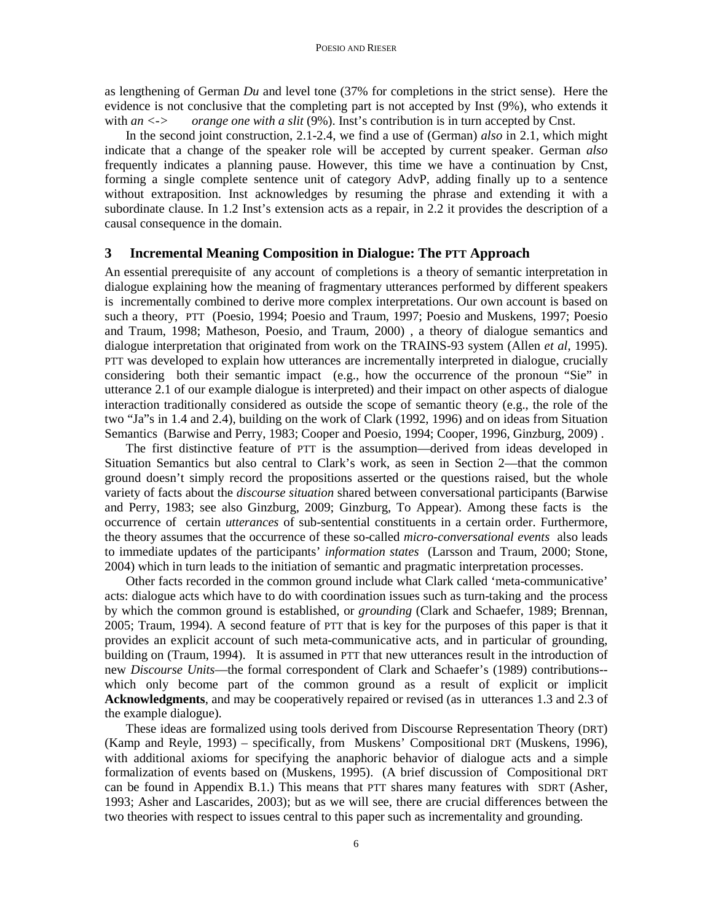as lengthening of German *Du* and level tone (37% for completions in the strict sense). Here the evidence is not conclusive that the completing part is not accepted by Inst (9%), who extends it with *an*  $\langle \cdot \rangle$  *orange one with a slit* (9%). Inst's contribution is in turn accepted by Cnst.

In the second joint construction, 2.1-2.4, we find a use of (German) *also* in 2.1, which might indicate that a change of the speaker role will be accepted by current speaker. German *also* frequently indicates a planning pause. However, this time we have a continuation by Cnst, forming a single complete sentence unit of category AdvP, adding finally up to a sentence without extraposition. Inst acknowledges by resuming the phrase and extending it with a subordinate clause. In 1.2 Inst's extension acts as a repair, in 2.2 it provides the description of a causal consequence in the domain.

#### **3 Incremental Meaning Composition in Dialogue: The PTT Approach**

An essential prerequisite of any account of completions is a theory of semantic interpretation in dialogue explaining how the meaning of fragmentary utterances performed by different speakers is incrementally combined to derive more complex interpretations. Our own account is based on such a theory, PTT (Poesio, 1994; Poesio and Traum, 1997; Poesio and Muskens, 1997; Poesio and Traum, 1998; Matheson, Poesio, and Traum, 2000) , a theory of dialogue semantics and dialogue interpretation that originated from work on the TRAINS-93 system (Allen *et al*, 1995). PTT was developed to explain how utterances are incrementally interpreted in dialogue, crucially considering both their semantic impact (e.g., how the occurrence of the pronoun "Sie" in utterance 2.1 of our example dialogue is interpreted) and their impact on other aspects of dialogue interaction traditionally considered as outside the scope of semantic theory (e.g., the role of the two "Ja"s in 1.4 and 2.4), building on the work of Clark (1992, 1996) and on ideas from Situation Semantics (Barwise and Perry, 1983; Cooper and Poesio, 1994; Cooper, 1996, Ginzburg, 2009) .

The first distinctive feature of PTT is the assumption—derived from ideas developed in Situation Semantics but also central to Clark's work, as seen in Section 2—that the common ground doesn't simply record the propositions asserted or the questions raised, but the whole variety of facts about the *discourse situation* shared between conversational participants (Barwise and Perry, 1983; see also Ginzburg, 2009; Ginzburg, To Appear). Among these facts is the occurrence of certain *utterances* of sub-sentential constituents in a certain order. Furthermore, the theory assumes that the occurrence of these so-called *micro-conversational events* also leads to immediate updates of the participants' *information states* (Larsson and Traum, 2000; Stone, 2004) which in turn leads to the initiation of semantic and pragmatic interpretation processes.

Other facts recorded in the common ground include what Clark called 'meta-communicative' acts: dialogue acts which have to do with coordination issues such as turn-taking and the process by which the common ground is established, or *grounding* (Clark and Schaefer, 1989; Brennan, 2005; Traum, 1994). A second feature of PTT that is key for the purposes of this paper is that it provides an explicit account of such meta-communicative acts, and in particular of grounding, building on (Traum, 1994). It is assumed in PTT that new utterances result in the introduction of new *Discourse Units*—the formal correspondent of Clark and Schaefer's (1989) contributions- which only become part of the common ground as a result of explicit or implicit **Acknowledgments**, and may be cooperatively repaired or revised (as in utterances 1.3 and 2.3 of the example dialogue).

These ideas are formalized using tools derived from Discourse Representation Theory (DRT) (Kamp and Reyle, 1993) – specifically, from Muskens' Compositional DRT (Muskens, 1996), with additional axioms for specifying the anaphoric behavior of dialogue acts and a simple formalization of events based on (Muskens, 1995). (A brief discussion of Compositional DRT can be found in Appendix B.1.) This means that PTT shares many features with SDRT (Asher, 1993; Asher and Lascarides, 2003); but as we will see, there are crucial differences between the two theories with respect to issues central to this paper such as incrementality and grounding.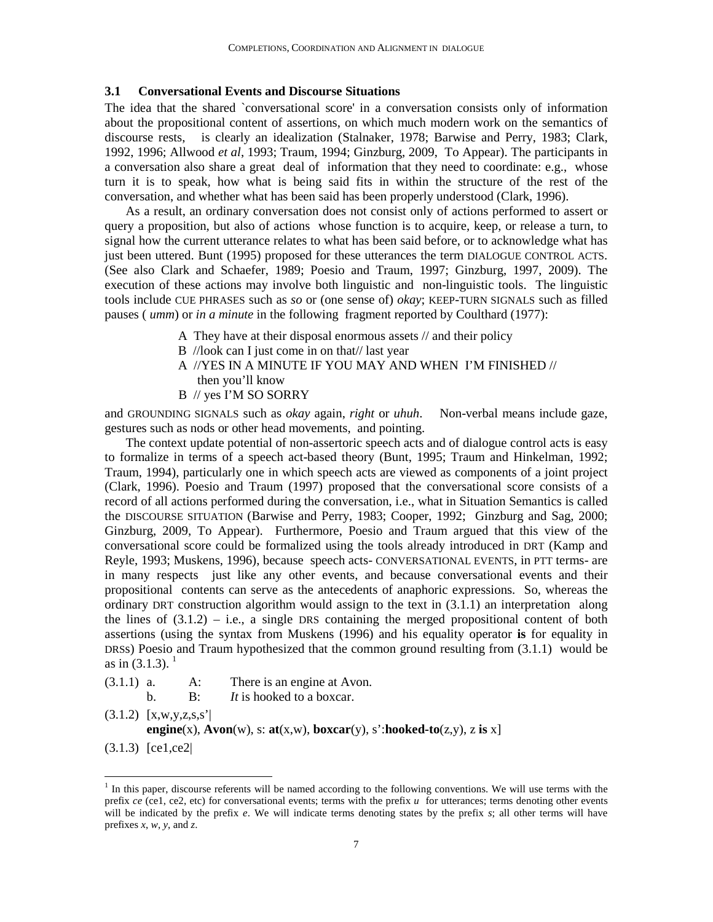#### **3.1 Conversational Events and Discourse Situations**

The idea that the shared `conversational score' in a conversation consists only of information about the propositional content of assertions, on which much modern work on the semantics of discourse rests, is clearly an idealization (Stalnaker, 1978; Barwise and Perry, 1983; Clark, 1992, 1996; Allwood *et al*, 1993; Traum, 1994; Ginzburg, 2009, To Appear). The participants in a conversation also share a great deal of information that they need to coordinate: e.g., whose turn it is to speak, how what is being said fits in within the structure of the rest of the conversation, and whether what has been said has been properly understood (Clark, 1996).

As a result, an ordinary conversation does not consist only of actions performed to assert or query a proposition, but also of actions whose function is to acquire, keep, or release a turn, to signal how the current utterance relates to what has been said before, or to acknowledge what has just been uttered. Bunt (1995) proposed for these utterances the term DIALOGUE CONTROL ACTS. (See also Clark and Schaefer, 1989; Poesio and Traum, 1997; Ginzburg, 1997, 2009). The execution of these actions may involve both linguistic and non-linguistic tools. The linguistic tools include CUE PHRASES such as *so* or (one sense of) *okay*; KEEP-TURN SIGNALS such as filled pauses ( *umm*) or *in a minute* in the following fragment reported by Coulthard (1977):

- A They have at their disposal enormous assets // and their policy
- B //look can I just come in on that// last year
- A //YES IN A MINUTE IF YOU MAY AND WHEN I'M FINISHED // then you'll know
- B // yes I'M SO SORRY

and GROUNDING SIGNALS such as *okay* again, *right* or *uhuh*. Non-verbal means include gaze, gestures such as nods or other head movements, and pointing.

The context update potential of non-assertoric speech acts and of dialogue control acts is easy to formalize in terms of a speech act-based theory (Bunt, 1995; Traum and Hinkelman, 1992; Traum, 1994), particularly one in which speech acts are viewed as components of a joint project (Clark, 1996). Poesio and Traum (1997) proposed that the conversational score consists of a record of all actions performed during the conversation, i.e., what in Situation Semantics is called the DISCOURSE SITUATION (Barwise and Perry, 1983; Cooper, 1992; Ginzburg and Sag, 2000; Ginzburg, 2009, To Appear). Furthermore, Poesio and Traum argued that this view of the conversational score could be formalized using the tools already introduced in DRT (Kamp and Reyle, 1993; Muskens, 1996), because speech acts- CONVERSATIONAL EVENTS, in PTT terms- are in many respects just like any other events, and because conversational events and their propositional contents can serve as the antecedents of anaphoric expressions. So, whereas the ordinary DRT construction algorithm would assign to the text in (3.1.1) an interpretation along the lines of  $(3.1.2)$  – i.e., a single DRS containing the merged propositional content of both assertions (using the syntax from Muskens (1996) and his equality operator **is** for equality in DRSs) Poesio and Traum hypothesized that the common ground resulting from (3.1.1) would be as in  $(3.1.3)$ .<sup>1</sup>

 $(3.1.1)$  a. A: There is an engine at Avon.

b. B: *It* is hooked to a boxcar.

 $(3.1.2)$  [x,w,y,z,s,s<sup>2</sup>] **engine**(x),  $\text{Avon}(w)$ , s:  $\text{at}(x, w)$ ,  $\text{boxcar}(y)$ , s':**hooked-to**(z,y), z **is** x]

(3.1.3) [ce1,ce2|

 $\overline{a}$ 

<sup>&</sup>lt;sup>1</sup> In this paper, discourse referents will be named according to the following conventions. We will use terms with the prefix *ce* (ce1, ce2, etc) for conversational events; terms with the prefix *u* for utterances; terms denoting other events will be indicated by the prefix *e*. We will indicate terms denoting states by the prefix *s*; all other terms will have prefixes *x*, *w*, *y*, and *z*.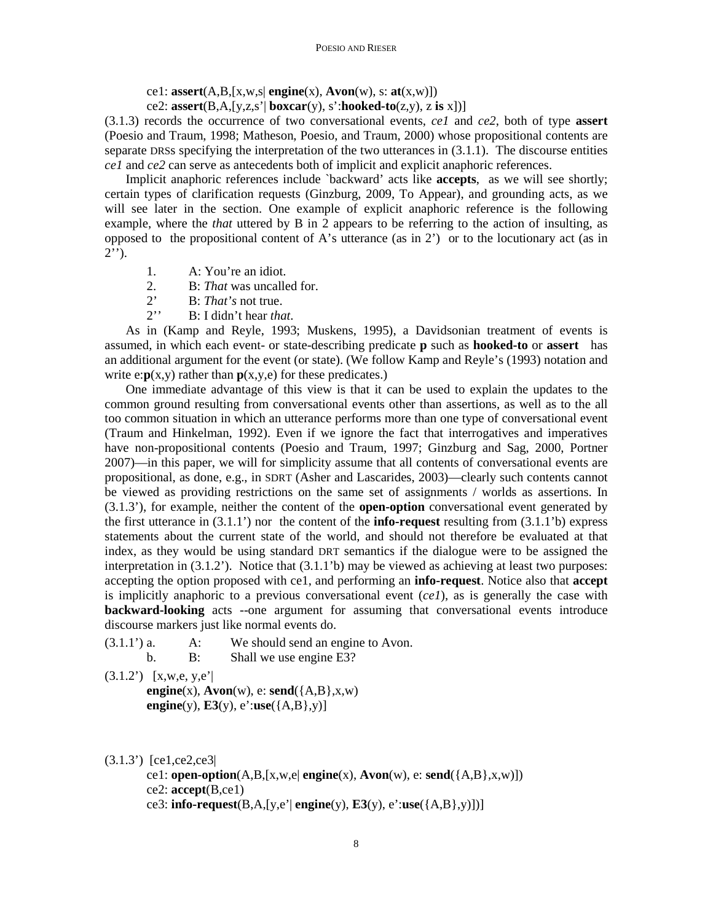ce1: **assert**(A,B,[x,w,s| **engine**(x), **Avon**(w), s: **at**(x,w)])

ce2:  $\text{assert}(B,A,[y,z,s'] \text{ boxcar}(y), s': \text{hook}(z,y), z \text{ is } x])$ 

(3.1.3) records the occurrence of two conversational events, *ce1* and *ce2*, both of type **assert** (Poesio and Traum, 1998; Matheson, Poesio, and Traum, 2000) whose propositional contents are separate DRSs specifying the interpretation of the two utterances in (3.1.1). The discourse entities *ce1* and *ce2* can serve as antecedents both of implicit and explicit anaphoric references.

Implicit anaphoric references include `backward' acts like **accepts**, as we will see shortly; certain types of clarification requests (Ginzburg, 2009, To Appear), and grounding acts, as we will see later in the section. One example of explicit anaphoric reference is the following example, where the *that* uttered by B in 2 appears to be referring to the action of insulting, as opposed to the propositional content of A's utterance (as in  $2'$ ) or to the locutionary act (as in  $2'$ <sup>'</sup>).

- 1. A: You're an idiot.
- 2. B: *That* was uncalled for.
- 2' B: *That's* not true.<br>
2'' B: I didn't hear the
- B: I didn't hear *that*.

As in (Kamp and Reyle, 1993; Muskens, 1995), a Davidsonian treatment of events is assumed, in which each event- or state-describing predicate **p** such as **hooked-to** or **assert** has an additional argument for the event (or state). (We follow Kamp and Reyle's (1993) notation and write  $e: p(x,y)$  rather than  $p(x,y,e)$  for these predicates.)

One immediate advantage of this view is that it can be used to explain the updates to the common ground resulting from conversational events other than assertions, as well as to the all too common situation in which an utterance performs more than one type of conversational event (Traum and Hinkelman, 1992). Even if we ignore the fact that interrogatives and imperatives have non-propositional contents (Poesio and Traum, 1997; Ginzburg and Sag, 2000, Portner 2007)—in this paper, we will for simplicity assume that all contents of conversational events are propositional, as done, e.g., in SDRT (Asher and Lascarides, 2003)—clearly such contents cannot be viewed as providing restrictions on the same set of assignments / worlds as assertions. In (3.1.3'), for example, neither the content of the **open-option** conversational event generated by the first utterance in (3.1.1') nor the content of the **info-request** resulting from (3.1.1'b) express statements about the current state of the world, and should not therefore be evaluated at that index, as they would be using standard DRT semantics if the dialogue were to be assigned the interpretation in (3.1.2'). Notice that (3.1.1'b) may be viewed as achieving at least two purposes: accepting the option proposed with ce1, and performing an **info-request**. Notice also that **accept** is implicitly anaphoric to a previous conversational event (*ce1*), as is generally the case with **backward-looking** acts --one argument for assuming that conversational events introduce discourse markers just like normal events do.

- $(3.1.1')$  a. A: We should send an engine to Avon.
	- b. B: Shall we use engine E3?
- $(3.1.2')$  [x,w,e, y,e']  $\mathbf{engine}(x)$ ,  $\mathbf{Avon}(w)$ ,  $e: \mathbf{send}(\{A,B\}, x, w)$

**engine**(y),  $\mathbf{E3}(y)$ ,  $e' : \mathbf{use}(\{A, B\}, y)$ 

(3.1.3') [ce1,ce2,ce3|

ce1: **open-option**(A,B,[x,w,e| **engine**(x), **Avon**(w), e: **send**({A,B},x,w)]) ce2: **accept**(B,ce1) ce3: **info-request**(B,A,[y,e'| **engine**(y), **E3**(y), e':**use**({A,B},y)])]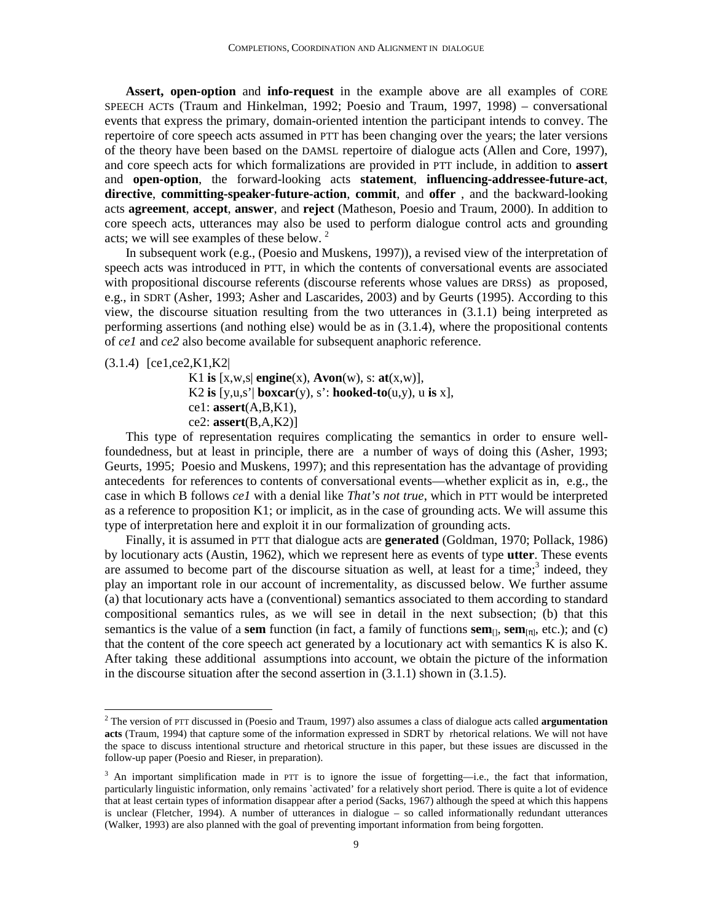**Assert, open-option** and **info-request** in the example above are all examples of CORE SPEECH ACTs (Traum and Hinkelman, 1992; Poesio and Traum, 1997, 1998) – conversational events that express the primary, domain-oriented intention the participant intends to convey. The repertoire of core speech acts assumed in PTT has been changing over the years; the later versions of the theory have been based on the DAMSL repertoire of dialogue acts (Allen and Core, 1997), and core speech acts for which formalizations are provided in PTT include, in addition to **assert** and **open-option**, the forward-looking acts **statement**, **influencing-addressee-future-act**, **directive**, **committing-speaker-future-action**, **commit**, and **offer** , and the backward-looking acts **agreement**, **accept**, **answer**, and **reject** (Matheson, Poesio and Traum, 2000). In addition to core speech acts, utterances may also be used to perform dialogue control acts and grounding acts; we will see examples of these below.  $2^{\circ}$ 

In subsequent work (e.g., (Poesio and Muskens, 1997)), a revised view of the interpretation of speech acts was introduced in PTT, in which the contents of conversational events are associated with propositional discourse referents (discourse referents whose values are DRSs) as proposed, e.g., in SDRT (Asher, 1993; Asher and Lascarides, 2003) and by Geurts (1995). According to this view, the discourse situation resulting from the two utterances in (3.1.1) being interpreted as performing assertions (and nothing else) would be as in (3.1.4), where the propositional contents of *ce1* and *ce2* also become available for subsequent anaphoric reference.

(3.1.4) [ce1,ce2,K1,K2|

<u>.</u>

K1 is  $[x, w, s]$  **engine** $(x)$ , **Avon** $(w)$ ,  $s:$  **at** $(x, w)$ ], K2 **is**  $[y, u, s']$  **boxcar** $(y)$ , s': **hooked-to** $(u, y)$ , u **is** x], ce1: **assert**(A,B,K1), ce2: **assert**(B,A,K2)]

This type of representation requires complicating the semantics in order to ensure wellfoundedness, but at least in principle, there are a number of ways of doing this (Asher, 1993; Geurts, 1995; Poesio and Muskens, 1997); and this representation has the advantage of providing antecedents for references to contents of conversational events—whether explicit as in, e.g., the case in which B follows *ce1* with a denial like *That's not true*, which in PTT would be interpreted as a reference to proposition K1; or implicit, as in the case of grounding acts. We will assume this type of interpretation here and exploit it in our formalization of grounding acts.

Finally, it is assumed in PTT that dialogue acts are **generated** (Goldman, 1970; Pollack, 1986) by locutionary acts (Austin, 1962), which we represent here as events of type **utter**. These events are assumed to become part of the discourse situation as well, at least for a time; $3$  indeed, they play an important role in our account of incrementality, as discussed below. We further assume (a) that locutionary acts have a (conventional) semantics associated to them according to standard compositional semantics rules, as we will see in detail in the next subsection; (b) that this semantics is the value of a **sem** function (in fact, a family of functions **sem**<sub>[*n*</sub>, **sem**<sub>[*π*]</sub>, etc.); and (c) that the content of the core speech act generated by a locutionary act with semantics K is also K. After taking these additional assumptions into account, we obtain the picture of the information in the discourse situation after the second assertion in (3.1.1) shown in (3.1.5).

<sup>2</sup> The version of PTT discussed in (Poesio and Traum, 1997) also assumes a class of dialogue acts called **argumentation acts** (Traum, 1994) that capture some of the information expressed in SDRT by rhetorical relations. We will not have the space to discuss intentional structure and rhetorical structure in this paper, but these issues are discussed in the follow-up paper (Poesio and Rieser, in preparation).

 $3$  An important simplification made in PTT is to ignore the issue of forgetting—i.e., the fact that information, particularly linguistic information, only remains `activated' for a relatively short period. There is quite a lot of evidence that at least certain types of information disappear after a period (Sacks, 1967) although the speed at which this happens is unclear (Fletcher, 1994). A number of utterances in dialogue – so called informationally redundant utterances (Walker, 1993) are also planned with the goal of preventing important information from being forgotten.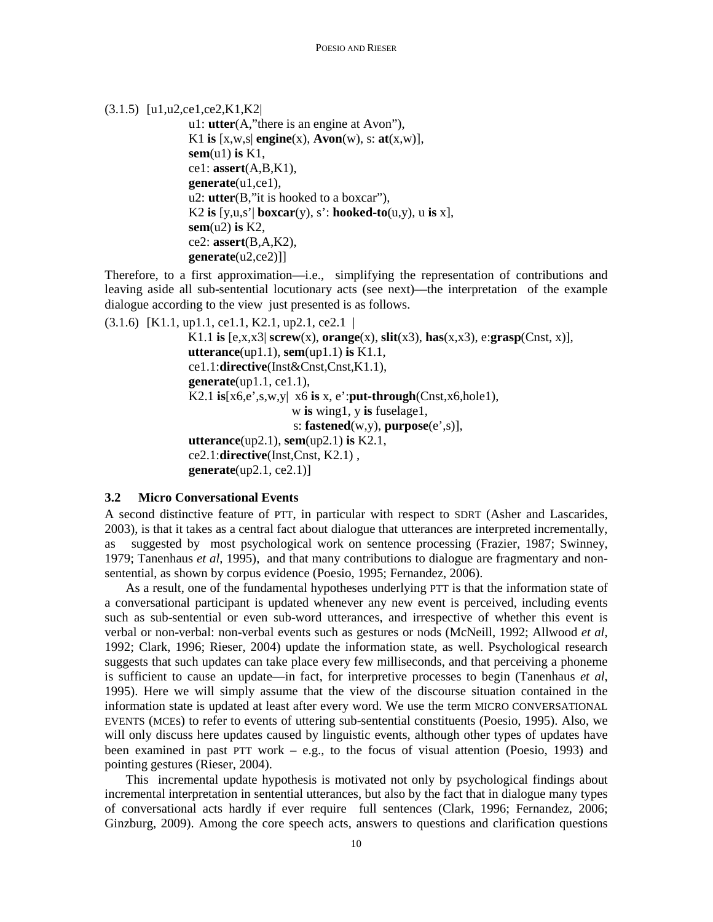(3.1.5) [u1,u2,ce1,ce2,K1,K2|

```
u1: utter(A,"there is an engine at Avon"), 
K1 is [x, w, s] engine(x), Avon(w), s: at(x, w)],
sem(u1) is K1, 
ce1: assert(A,B,K1), 
generate(u1,ce1), 
u2: utter(B,"it is hooked to a boxcar"), 
K2 is [y, u, s'] boxcar(y), s': hooked-to(u, y), u is x],
sem(u2) is K2, 
ce2: assert(B,A,K2), 
generate(u2,ce2)]]
```
Therefore, to a first approximation—i.e., simplifying the representation of contributions and leaving aside all sub-sentential locutionary acts (see next)—the interpretation of the example dialogue according to the view just presented is as follows.

```
(3.1.6) [K1.1, up1.1, ce1.1, K2.1, up2.1, ce2.1 | 
                 K1.1 is [e,x,x3| screw(x), orange(x), slit(x3), has(x,x3), e:grasp(Cnst, x)], 
                 utterance(up1.1), sem(up1.1) is K1.1, 
                 ce1.1:directive(Inst&Cnst,Cnst,K1.1), 
                 generate(up1.1, ce1.1), 
                 K2.1 is[x6,e',s,w,y| x6 is x, e':put-through(Cnst,x6,hole1), 
                                       w is wing1, y is fuselage1, 
                                       s: fastened(w,y), purpose(e',s)], 
                 utterance(up2.1), sem(up2.1) is K2.1, 
                 ce2.1:directive(Inst,Cnst, K2.1) , 
                 generate(up2.1, ce2.1)]
```
#### **3.2 Micro Conversational Events**

A second distinctive feature of PTT, in particular with respect to SDRT (Asher and Lascarides, 2003), is that it takes as a central fact about dialogue that utterances are interpreted incrementally, as suggested by most psychological work on sentence processing (Frazier, 1987; Swinney, 1979; Tanenhaus *et al*, 1995), and that many contributions to dialogue are fragmentary and nonsentential, as shown by corpus evidence (Poesio, 1995; Fernandez, 2006).

As a result, one of the fundamental hypotheses underlying PTT is that the information state of a conversational participant is updated whenever any new event is perceived, including events such as sub-sentential or even sub-word utterances, and irrespective of whether this event is verbal or non-verbal: non-verbal events such as gestures or nods (McNeill, 1992; Allwood *et al*, 1992; Clark, 1996; Rieser, 2004) update the information state, as well. Psychological research suggests that such updates can take place every few milliseconds, and that perceiving a phoneme is sufficient to cause an update—in fact, for interpretive processes to begin (Tanenhaus *et al*, 1995). Here we will simply assume that the view of the discourse situation contained in the information state is updated at least after every word. We use the term MICRO CONVERSATIONAL EVENTS (MCEs) to refer to events of uttering sub-sentential constituents (Poesio, 1995). Also, we will only discuss here updates caused by linguistic events, although other types of updates have been examined in past PTT work – e.g., to the focus of visual attention (Poesio, 1993) and pointing gestures (Rieser, 2004).

This incremental update hypothesis is motivated not only by psychological findings about incremental interpretation in sentential utterances, but also by the fact that in dialogue many types of conversational acts hardly if ever require full sentences (Clark, 1996; Fernandez, 2006; Ginzburg, 2009). Among the core speech acts, answers to questions and clarification questions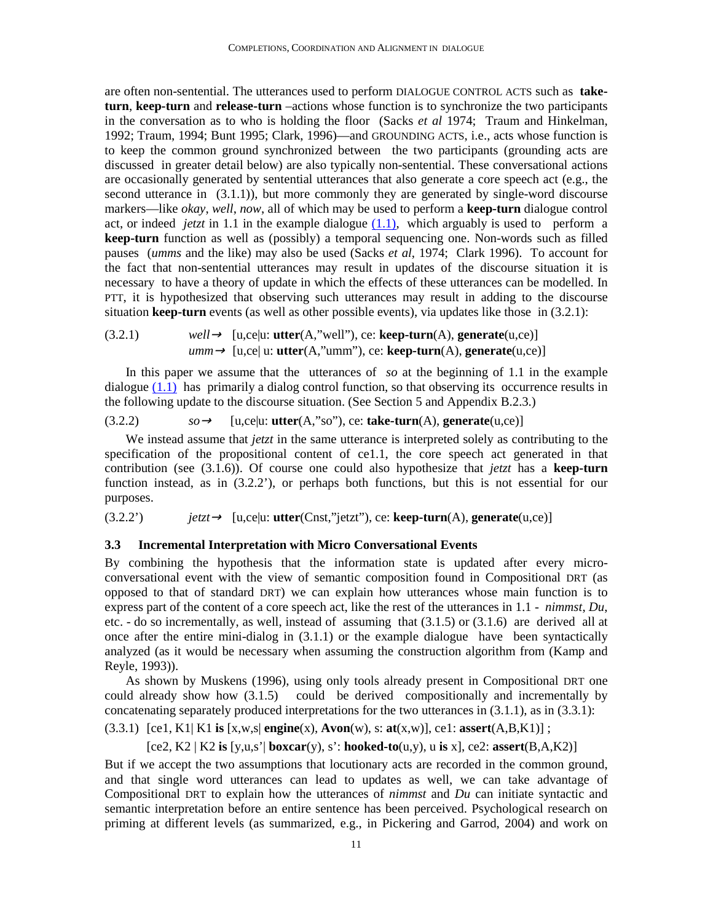are often non-sentential. The utterances used to perform DIALOGUE CONTROL ACTS such as **taketurn**, **keep-turn** and **release-turn** –actions whose function is to synchronize the two participants in the conversation as to who is holding the floor (Sacks *et al* 1974; Traum and Hinkelman, 1992; Traum, 1994; Bunt 1995; Clark, 1996)—and GROUNDING ACTS, i.e., acts whose function is to keep the common ground synchronized between the two participants (grounding acts are discussed in greater detail below) are also typically non-sentential. These conversational actions are occasionally generated by sentential utterances that also generate a core speech act (e.g., the second utterance in (3.1.1)), but more commonly they are generated by single-word discourse markers—like *okay*, *well*, *now*, all of which may be used to perform a **keep-turn** dialogue control act, or indeed *jetzt* in 1.1 in the example dialogue (1.1), which arguably is used to perform a **keep-turn** function as well as (possibly) a temporal sequencing one. Non-words such as filled pauses (*umms* and the like) may also be used (Sacks *et al*, 1974; Clark 1996). To account for the fact that non-sentential utterances may result in updates of the discourse situation it is necessary to have a theory of update in which the effects of these utterances can be modelled. In PTT, it is hypothesized that observing such utterances may result in adding to the discourse situation **keep-turn** events (as well as other possible events), via updates like those in (3.2.1):

(3.2.1) 
$$
well \rightarrow [u, ce|u:utter(A,"well"), ce: keep-turn(A), generate(u, ce)]
$$
  
\n $umm \rightarrow [u, ce|u:utter(A,"umm"), ce: keep-turn(A), generate(u, ce)]$ 

In this paper we assume that the utterances of *so* at the beginning of 1.1 in the example dialogue  $(1.1)$  has primarily a dialog control function, so that observing its occurrence results in the following update to the discourse situation. (See Section 5 and Appendix B.2.3.)

 $so \rightarrow \quad [u, ce]u: \text{utter}(A," so''), \text{ce: take-turn}(A), \text{generate}(u, ce)]$ 

We instead assume that *jetzt* in the same utterance is interpreted solely as contributing to the specification of the propositional content of ce1.1, the core speech act generated in that contribution (see (3.1.6)). Of course one could also hypothesize that *jetzt* has a **keep-turn** function instead, as in (3.2.2'), or perhaps both functions, but this is not essential for our purposes.

 $j$ (3.2.2')  $j$  *jetzt* $\rightarrow$  [u,ce|u: **utter**(Cnst,"jetzt"), ce: **keep-turn**(A), **generate**(u,ce)]

#### **3.3 Incremental Interpretation with Micro Conversational Events**

By combining the hypothesis that the information state is updated after every microconversational event with the view of semantic composition found in Compositional DRT (as opposed to that of standard DRT) we can explain how utterances whose main function is to express part of the content of a core speech act, like the rest of the utterances in 1.1 - *nimmst*, *Du*, etc. - do so incrementally, as well, instead of assuming that (3.1.5) or (3.1.6) are derived all at once after the entire mini-dialog in (3.1.1) or the example dialogue have been syntactically analyzed (as it would be necessary when assuming the construction algorithm from (Kamp and Reyle, 1993)).

As shown by Muskens (1996), using only tools already present in Compositional DRT one could already show how (3.1.5) could be derived compositionally and incrementally by concatenating separately produced interpretations for the two utterances in (3.1.1), as in (3.3.1):

(3.3.1) [ce1, K1| K1 **is** [x,w,s| **engine**(x), **Avon**(w), s: **at**(x,w)], ce1: **assert**(A,B,K1)] ;

[ce2, K2 | K2 **is** [y,u,s'| **boxcar**(y), s': **hooked-to**(u,y), u **is** x], ce2: **assert**(B,A,K2)]

But if we accept the two assumptions that locutionary acts are recorded in the common ground, and that single word utterances can lead to updates as well, we can take advantage of Compositional DRT to explain how the utterances of *nimmst* and *Du* can initiate syntactic and semantic interpretation before an entire sentence has been perceived. Psychological research on priming at different levels (as summarized, e.g., in Pickering and Garrod, 2004) and work on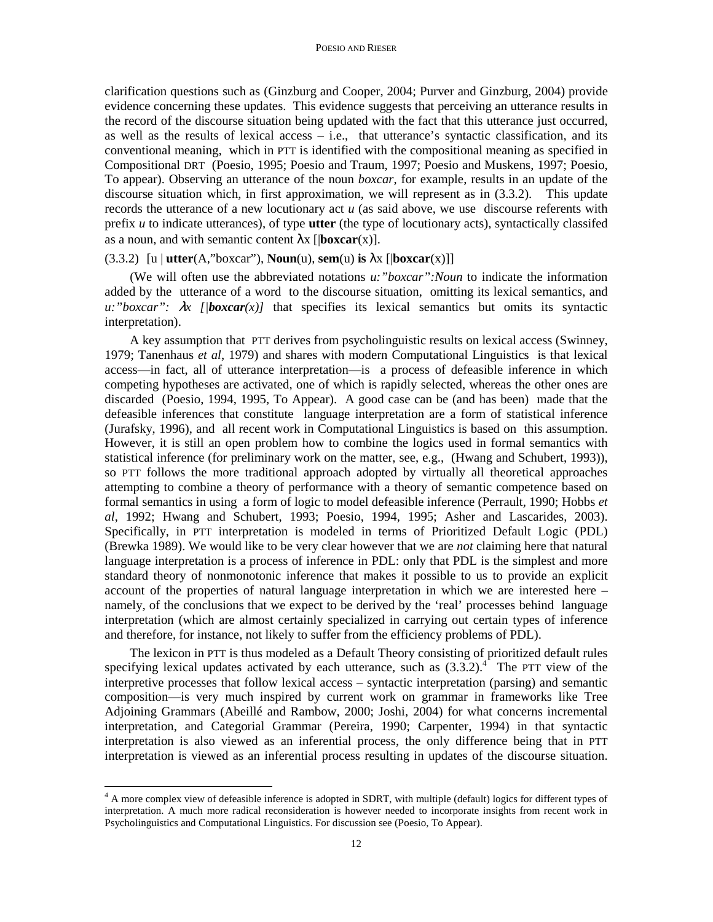clarification questions such as (Ginzburg and Cooper, 2004; Purver and Ginzburg, 2004) provide evidence concerning these updates. This evidence suggests that perceiving an utterance results in the record of the discourse situation being updated with the fact that this utterance just occurred, as well as the results of lexical access  $-$  i.e., that utterance's syntactic classification, and its conventional meaning, which in PTT is identified with the compositional meaning as specified in Compositional DRT (Poesio, 1995; Poesio and Traum, 1997; Poesio and Muskens, 1997; Poesio, To appear). Observing an utterance of the noun *boxcar*, for example, results in an update of the discourse situation which, in first approximation, we will represent as in (3.3.2). This update records the utterance of a new locutionary act *u* (as said above, we use discourse referents with prefix *u* to indicate utterances), of type **utter** (the type of locutionary acts), syntactically classifed as a noun, and with semantic content  $\lambda x$  [ $\beta$ **boxcar**(x)].

#### (3.3.2)  $\lceil u \rceil$  **utter**(A,"boxcar"), **Noun**(u), **sem**(u) **is**  $\lambda$ x  $\lceil |$ **boxcar**(x) $\rceil$ ]

(We will often use the abbreviated notations *u:"boxcar":Noun* to indicate the information added by the utterance of a word to the discourse situation, omitting its lexical semantics, and  $u: "boxcar": \lambda x$  [*|boxcar*(x)] that specifies its lexical semantics but omits its syntactic interpretation).

A key assumption that PTT derives from psycholinguistic results on lexical access (Swinney, 1979; Tanenhaus *et al*, 1979) and shares with modern Computational Linguistics is that lexical access—in fact, all of utterance interpretation—is a process of defeasible inference in which competing hypotheses are activated, one of which is rapidly selected, whereas the other ones are discarded (Poesio, 1994, 1995, To Appear). A good case can be (and has been) made that the defeasible inferences that constitute language interpretation are a form of statistical inference (Jurafsky, 1996), and all recent work in Computational Linguistics is based on this assumption. However, it is still an open problem how to combine the logics used in formal semantics with statistical inference (for preliminary work on the matter, see, e.g., (Hwang and Schubert, 1993)), so PTT follows the more traditional approach adopted by virtually all theoretical approaches attempting to combine a theory of performance with a theory of semantic competence based on formal semantics in using a form of logic to model defeasible inference (Perrault, 1990; Hobbs *et al*, 1992; Hwang and Schubert, 1993; Poesio, 1994, 1995; Asher and Lascarides, 2003). Specifically, in PTT interpretation is modeled in terms of Prioritized Default Logic (PDL) (Brewka 1989). We would like to be very clear however that we are *not* claiming here that natural language interpretation is a process of inference in PDL: only that PDL is the simplest and more standard theory of nonmonotonic inference that makes it possible to us to provide an explicit account of the properties of natural language interpretation in which we are interested here – namely, of the conclusions that we expect to be derived by the 'real' processes behind language interpretation (which are almost certainly specialized in carrying out certain types of inference and therefore, for instance, not likely to suffer from the efficiency problems of PDL).

The lexicon in PTT is thus modeled as a Default Theory consisting of prioritized default rules specifying lexical updates activated by each utterance, such as  $(3.3.2).$ <sup>4</sup> The PTT view of the interpretive processes that follow lexical access – syntactic interpretation (parsing) and semantic composition—is very much inspired by current work on grammar in frameworks like Tree Adjoining Grammars (Abeillé and Rambow, 2000; Joshi, 2004) for what concerns incremental interpretation, and Categorial Grammar (Pereira, 1990; Carpenter, 1994) in that syntactic interpretation is also viewed as an inferential process, the only difference being that in PTT interpretation is viewed as an inferential process resulting in updates of the discourse situation.

 $\overline{a}$ 

<sup>&</sup>lt;sup>4</sup> A more complex view of defeasible inference is adopted in SDRT, with multiple (default) logics for different types of interpretation. A much more radical reconsideration is however needed to incorporate insights from recent work in Psycholinguistics and Computational Linguistics. For discussion see (Poesio, To Appear).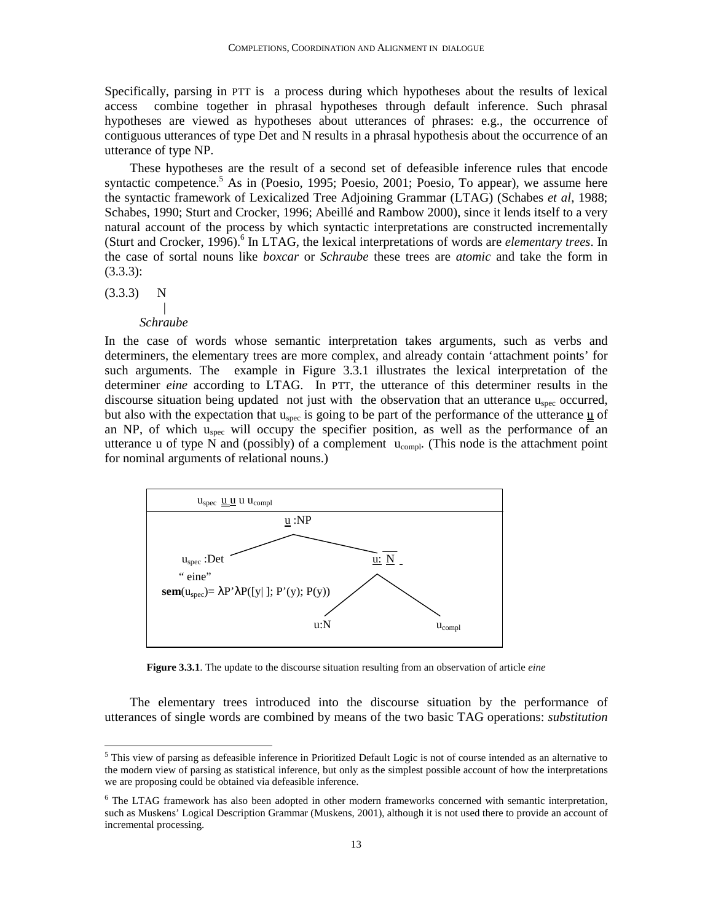Specifically, parsing in PTT is a process during which hypotheses about the results of lexical access combine together in phrasal hypotheses through default inference. Such phrasal hypotheses are viewed as hypotheses about utterances of phrases: e.g., the occurrence of contiguous utterances of type Det and N results in a phrasal hypothesis about the occurrence of an utterance of type NP.

These hypotheses are the result of a second set of defeasible inference rules that encode syntactic competence.<sup>5</sup> As in (Poesio, 1995; Poesio, 2001; Poesio, To appear), we assume here the syntactic framework of Lexicalized Tree Adjoining Grammar (LTAG) (Schabes *et al*, 1988; Schabes, 1990; Sturt and Crocker, 1996; Abeillé and Rambow 2000), since it lends itself to a very natural account of the process by which syntactic interpretations are constructed incrementally (Sturt and Crocker, 1996).<sup>6</sup> In LTAG, the lexical interpretations of words are *elementary trees*. In the case of sortal nouns like *boxcar* or *Schraube* these trees are *atomic* and take the form in (3.3.3):

 $(3.3.3)$  N

#### |  *Schraube*

In the case of words whose semantic interpretation takes arguments, such as verbs and determiners, the elementary trees are more complex, and already contain 'attachment points' for such arguments. The example in Figure 3.3.1 illustrates the lexical interpretation of the determiner *eine* according to LTAG. In PTT, the utterance of this determiner results in the discourse situation being updated not just with the observation that an utterance u<sub>spec</sub> occurred, but also with the expectation that  $u_{spec}$  is going to be part of the performance of the utterance  $\underline{u}$  of an NP, of which  $u_{\text{spec}}$  will occupy the specifier position, as well as the performance of an utterance u of type N and (possibly) of a complement  $u_{compl}$ . (This node is the attachment point for nominal arguments of relational nouns.)



**Figure 3.3.1**. The update to the discourse situation resulting from an observation of article *eine*

The elementary trees introduced into the discourse situation by the performance of utterances of single words are combined by means of the two basic TAG operations: *substitution*

This view of parsing as defeasible inference in Prioritized Default Logic is not of course intended as an alternative to<br><sup>5</sup> This view of parsing as defeasible inference in Prioritized Default Logic is not of course intend the modern view of parsing as statistical inference, but only as the simplest possible account of how the interpretations we are proposing could be obtained via defeasible inference.

<sup>&</sup>lt;sup>6</sup> The LTAG framework has also been adopted in other modern frameworks concerned with semantic interpretation, such as Muskens' Logical Description Grammar (Muskens, 2001), although it is not used there to provide an account of incremental processing.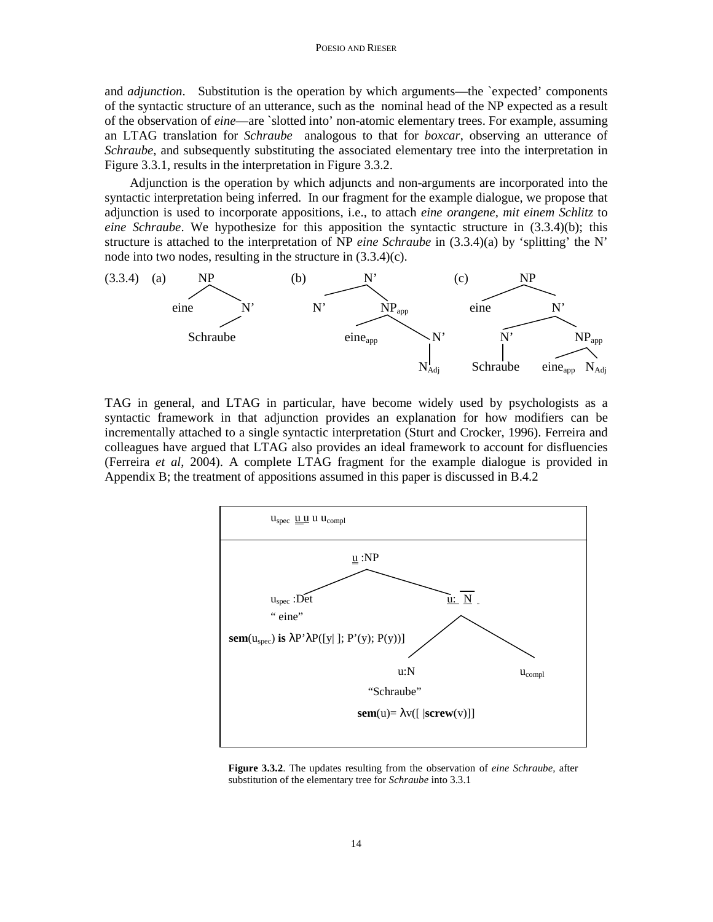#### POESIO AND RIESER

and *adjunction*. Substitution is the operation by which arguments—the `expected' components of the syntactic structure of an utterance, such as the nominal head of the NP expected as a result of the observation of *eine*—are `slotted into' non-atomic elementary trees. For example, assuming an LTAG translation for *Schraube* analogous to that for *boxcar*, observing an utterance of *Schraube*, and subsequently substituting the associated elementary tree into the interpretation in Figure 3.3.1, results in the interpretation in Figure 3.3.2.

Adjunction is the operation by which adjuncts and non-arguments are incorporated into the syntactic interpretation being inferred. In our fragment for the example dialogue, we propose that adjunction is used to incorporate appositions, i.e., to attach *eine orangene, mit einem Schlitz* to *eine Schraube*. We hypothesize for this apposition the syntactic structure in (3.3.4)(b); this structure is attached to the interpretation of NP *eine Schraube* in (3.3.4)(a) by 'splitting' the N' node into two nodes, resulting in the structure in (3.3.4)(c).



TAG in general, and LTAG in particular, have become widely used by psychologists as a syntactic framework in that adjunction provides an explanation for how modifiers can be incrementally attached to a single syntactic interpretation (Sturt and Crocker, 1996). Ferreira and colleagues have argued that LTAG also provides an ideal framework to account for disfluencies (Ferreira *et al*, 2004). A complete LTAG fragment for the example dialogue is provided in Appendix B; the treatment of appositions assumed in this paper is discussed in B.4.2



**Figure 3.3.2**. The updates resulting from the observation of *eine Schraube,* after substitution of the elementary tree for *Schraube* into 3.3.1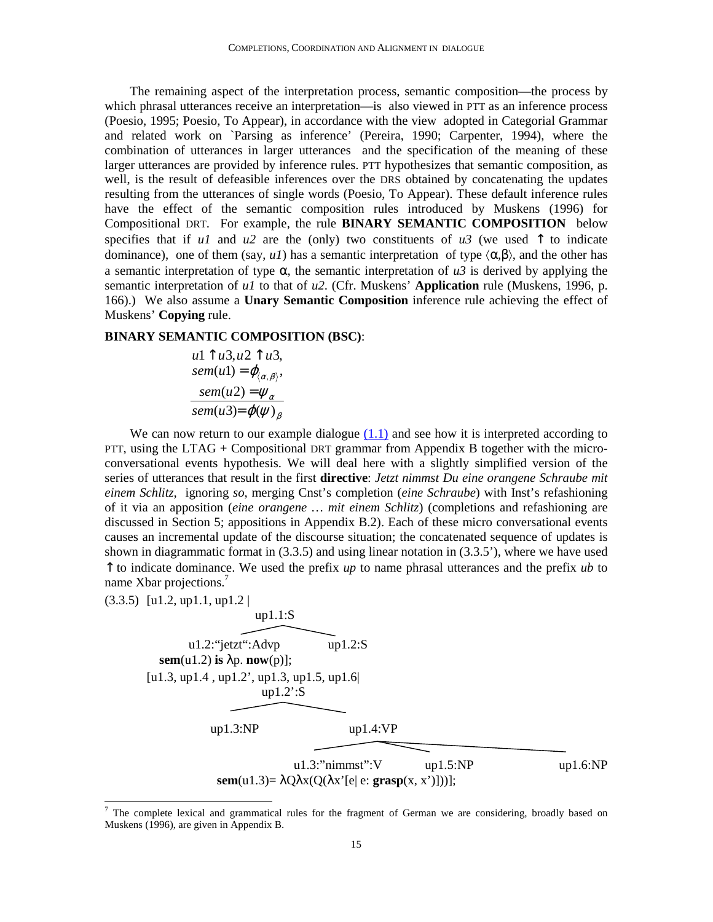The remaining aspect of the interpretation process, semantic composition—the process by which phrasal utterances receive an interpretation—is also viewed in PTT as an inference process (Poesio, 1995; Poesio, To Appear), in accordance with the view adopted in Categorial Grammar and related work on `Parsing as inference' (Pereira, 1990; Carpenter, 1994), where the combination of utterances in larger utterances and the specification of the meaning of these larger utterances are provided by inference rules. PTT hypothesizes that semantic composition, as well, is the result of defeasible inferences over the DRS obtained by concatenating the updates resulting from the utterances of single words (Poesio, To Appear). These default inference rules have the effect of the semantic composition rules introduced by Muskens (1996) for Compositional DRT. For example, the rule **BINARY SEMANTIC COMPOSITION** below specifies that if  $uI$  and  $u2$  are the (only) two constituents of  $u3$  (we used  $\uparrow$  to indicate dominance), one of them (say,  $uI$ ) has a semantic interpretation of type  $\langle \alpha, \beta \rangle$ , and the other has a semantic interpretation of type  $\alpha$ , the semantic interpretation of  $u^3$  is derived by applying the semantic interpretation of *u1* to that of *u2*. (Cfr. Muskens' **Application** rule (Muskens, 1996, p. 166).) We also assume a **Unary Semantic Composition** inference rule achieving the effect of Muskens' **Copying** rule.

### **BINARY SEMANTIC COMPOSITION (BSC)**:

$$
u1 \uparrow u3, u2 \uparrow u3,sem(u1) = \varphi_{\langle \alpha, \beta \rangle},sem(u2) = \psi_{\alpha}sem(u3) = \varphi(\psi)_{\beta}
$$

We can now return to our example dialogue  $(1.1)$  and see how it is interpreted according to PTT, using the LTAG + Compositional DRT grammar from Appendix B together with the microconversational events hypothesis. We will deal here with a slightly simplified version of the series of utterances that result in the first **directive**: *Jetzt nimmst Du eine orangene Schraube mit einem Schlitz,* ignoring *so*, merging Cnst's completion (*eine Schraube*) with Inst's refashioning of it via an apposition (*eine orangene … mit einem Schlitz*) (completions and refashioning are discussed in Section 5; appositions in Appendix B.2). Each of these micro conversational events causes an incremental update of the discourse situation; the concatenated sequence of updates is shown in diagrammatic format in (3.3.5) and using linear notation in (3.3.5'), where we have used ↑ to indicate dominance. We used the prefix *up* to name phrasal utterances and the prefix *ub* to name Xbar projections.<sup>7</sup>

(3.3.5) [u1.2, up1.1, up1.2 |

up1.1:S  
\nu1.2:°jetzt":Advp  
\nup1.2:8  
\nsem(u1.2) is 
$$
\lambda p
$$
. now(p)];  
\n[u1.3, up1.4, up1.2', up1.3, up1.5, up1.6]  
\nup1.2:S  
\nup1.3:NP  
\nup1.3:7nimmst":V  
\nup1.5:NP  
\nsem(u1.3) =  $\lambda Q \lambda x (Q(\lambda x'[e] e: \text{grasp}(x, x')]))]$ ;

The complete lexical and grammatical rules for the fragment of German we are considering, broadly based on Muskens (1996), are given in Appendix B.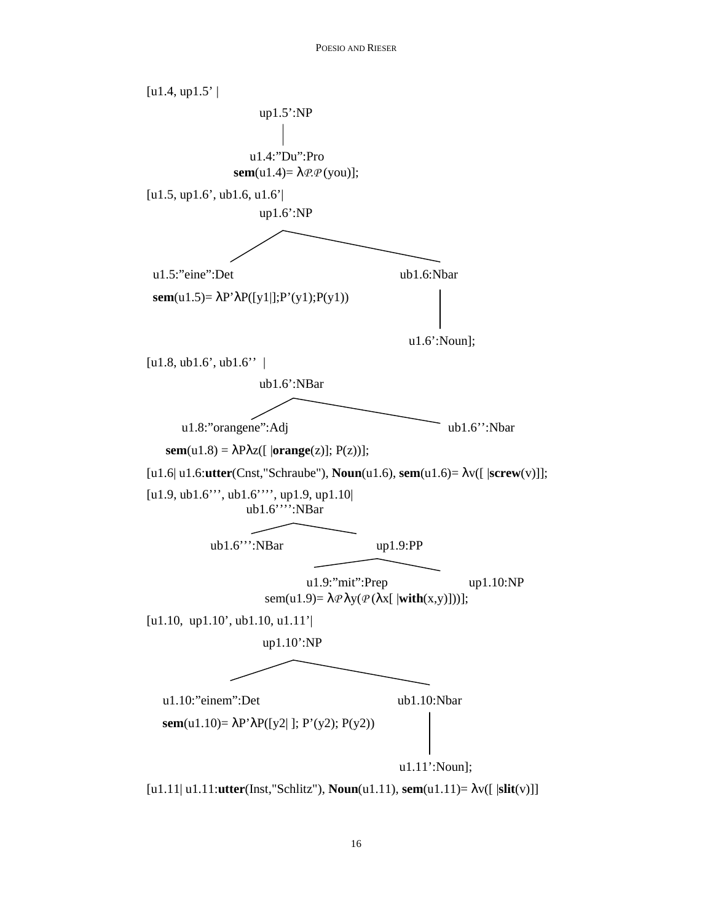

[u1.11| u1.11:**utter**(Inst,"Schlitz"), **Noun**(u1.11), **sem**(u1.11)= λv([ |**slit**(v)]]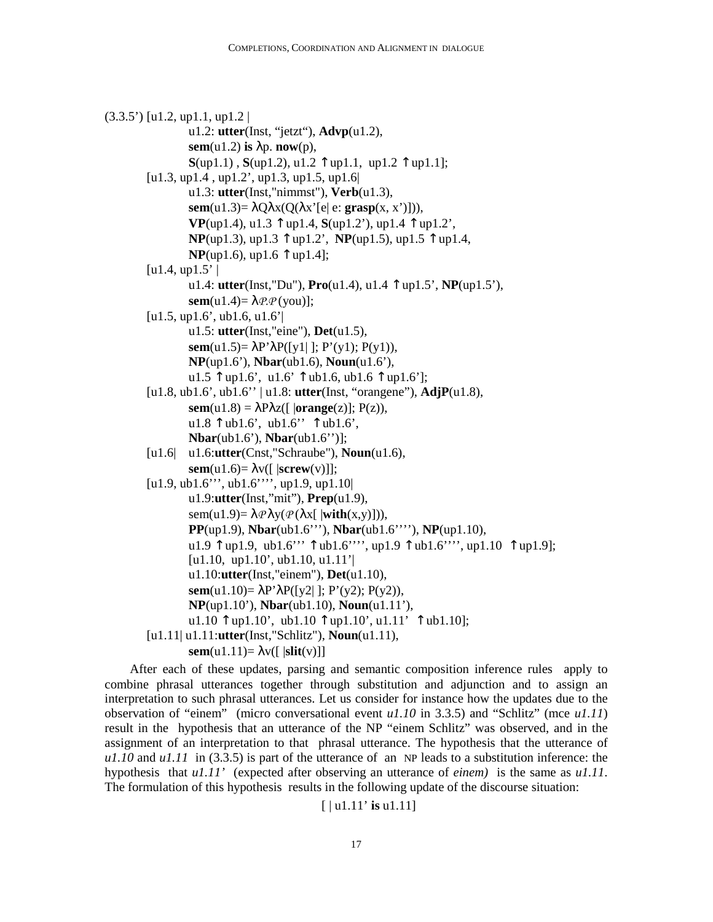```
(3.3.5') [u1.2, up1.1, up1.2 |
                   u1.2: utter(Inst, "jetzt"), Advp(u1.2), 
                   sem(u1.2) is \lambdap. now(p),
                   \mathbf{S}(\text{up1.1}), \mathbf{S}(\text{up1.2}), u1.2 \uparrow up1.1, up1.2 \uparrow up1.1];
          [u1.3, up1.4 , up1.2', up1.3, up1.5, up1.6| 
                   u1.3: utter(Inst,"nimmst"), Verb(u1.3), 
                   sem(u1.3)= \lambda Q \lambda x (Q(\lambda x^{\prime} [e] e: \mathbf{grasp}(x, x^{\prime})])),
                   VP(up1.4), u1.3 ↑ up1.4, S(up1.2'), up1.4 ↑ up1.2', 
                   NP(up1.3), up1.3 ↑ up1.2', NP(up1.5), up1.5 ↑ up1.4, 
                   NP(up1.6), up1.6 \uparrow up1.4];
         [u1.4, up1.5'] u1.4: utter(Inst,"Du"), Pro(u1.4), u1.4 ↑ up1.5', NP(up1.5'), 
                   sem(u1.4)= \lambdaP.P (you)];
         [u1.5, up1.6', ub1.6, u1.6'] u1.5: utter(Inst,"eine"), Det(u1.5), 
                   sem(u1.5)= \lambdaP'\lambdaP([y1] ]; P'(y1); P(y1)),
                   NP(up1.6'), Nbar(ub1.6), Noun(u1.6'), 
                   u1.5 \text{ }\uparrow up1.6', u1.6' \uparrow ub1.6, ub1.6 \uparrow up1.6'];
         [u1.8, ub1.6', ub1.6'' | u1.8: utter(Inst, "orangene"), AdjP(u1.8), 
                   sem(u1.8) = \lambda P \lambda z ([ |orange(z)]; P(z)),
                   u1.8 \uparrow ub1.6', ub1.6', \uparrow ub1.6',
                   Nbar(ub1.6'), Nbar(ub1.6'')]; 
         [u1.6| u1.6:utter(Cnst,"Schraube"), Noun(u1.6), 
                   sem(u1.6)= \lambda v([ \vert screw(v)]);[u1.9, ub1.6''', ub1.6'''', up1.9, up1.10| 
                   u1.9:utter(Inst,"mit"), Prep(u1.9), 
                   sem(u1.9)= \lambda \mathcal{P} \lambda y(\mathcal{P}(\lambda x[|\textbf{with}(x,y)])),PP(up1.9), Nbar(ub1.6'''), Nbar(ub1.6''''), NP(up1.10), 
                   u1.9 \uparrow up1.9, ub1.6''' \uparrow ub1.6''', up1.9 \uparrow ub1.6'''', up1.10 \uparrow up1.9];
                   [u1.10, up1.10', ub1.10, u1.11']
                   u1.10:utter(Inst,"einem"), Det(u1.10), 
                   sem(u1.10)= λP'λP([y2| ]; P'(y2); P(y2)), 
                   NP(up1.10'), Nbar(ub1.10), Noun(u1.11'), 
                   u1.10 \uparrow up1.10', ub1.10 \uparrow up1.10', u1.11' \uparrow ub1.10];
         [u1.11| u1.11:utter(Inst,"Schlitz"), Noun(u1.11), 
                   \textbf{sem}(u1.11)= \lambda v(\begin{bmatrix} |\textbf{slit}(v)| \end{bmatrix})
```
After each of these updates, parsing and semantic composition inference rules apply to combine phrasal utterances together through substitution and adjunction and to assign an interpretation to such phrasal utterances. Let us consider for instance how the updates due to the observation of "einem" (micro conversational event *u1.10* in 3.3.5) and "Schlitz" (mce *u1.11*) result in the hypothesis that an utterance of the NP "einem Schlitz" was observed, and in the assignment of an interpretation to that phrasal utterance. The hypothesis that the utterance of *u1.10* and *u1.11* in (3.3.5) is part of the utterance of an NP leads to a substitution inference: the hypothesis that *u1.11'* (expected after observing an utterance of *einem)* is the same as *u1.11*. The formulation of this hypothesis results in the following update of the discourse situation:

```
[ | u1.11' is u1.11]
```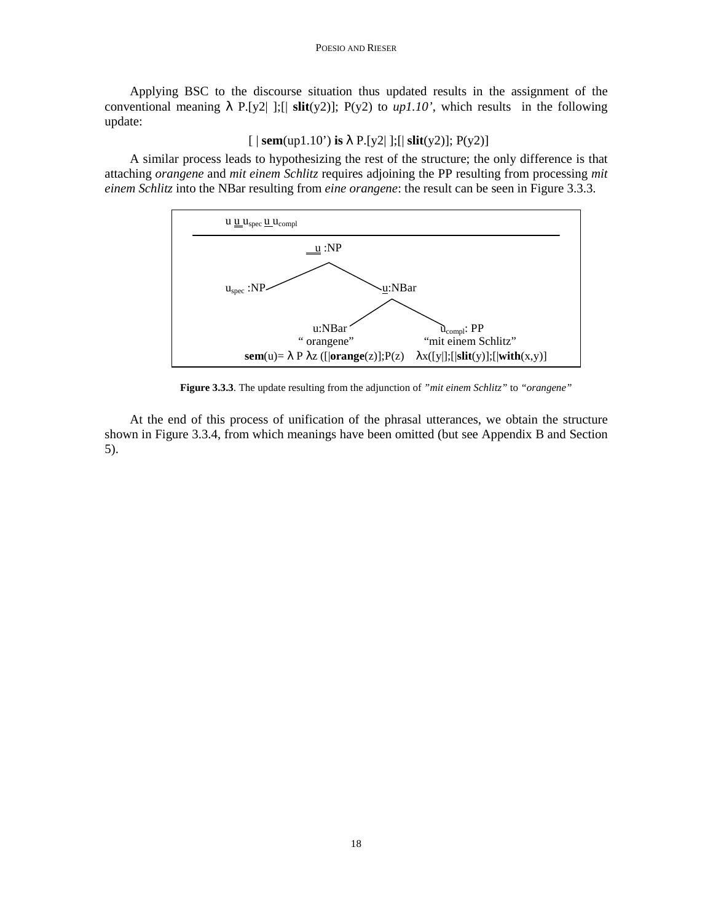Applying BSC to the discourse situation thus updated results in the assignment of the conventional meaning  $\lambda$  P.[y2] ];[| slit(y2)]; P(y2) to *up1.10'*, which results in the following update:

 $[$  | **sem**(up1.10') **is**  $\lambda$  P.[y2|];[| **slit**(y2)]; P(y2)]

A similar process leads to hypothesizing the rest of the structure; the only difference is that attaching *orangene* and *mit einem Schlitz* requires adjoining the PP resulting from processing *mit einem Schlitz* into the NBar resulting from *eine orangene*: the result can be seen in Figure 3.3.3.



**Figure 3.3.3**. The update resulting from the adjunction of *"mit einem Schlitz"* to *"orangene"*

At the end of this process of unification of the phrasal utterances, we obtain the structure shown in Figure 3.3.4, from which meanings have been omitted (but see Appendix B and Section 5).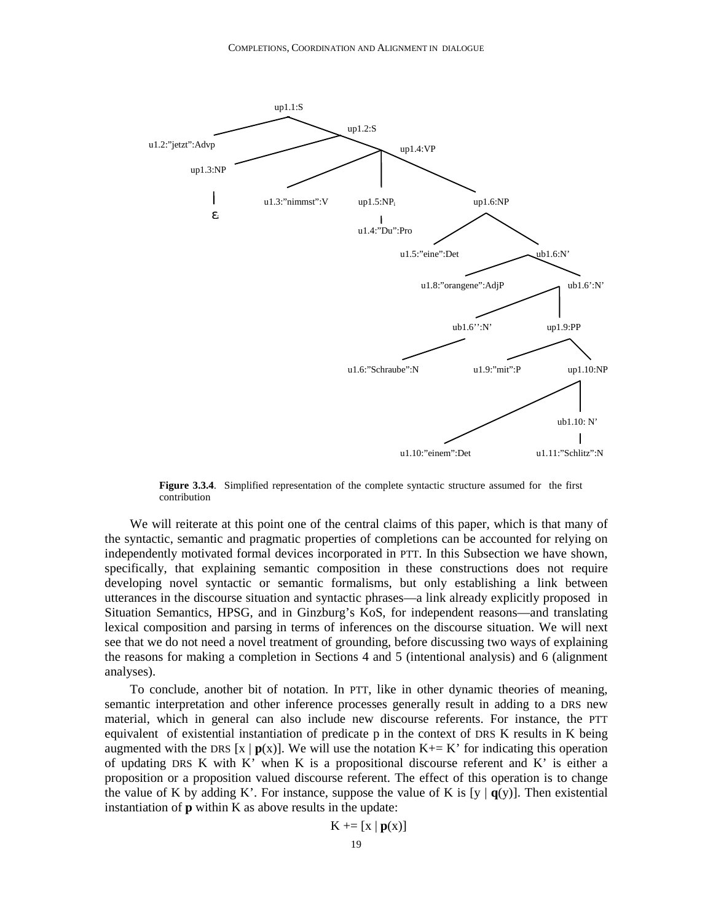

**Figure 3.3.4**. Simplified representation of the complete syntactic structure assumed for the first contribution

We will reiterate at this point one of the central claims of this paper, which is that many of the syntactic, semantic and pragmatic properties of completions can be accounted for relying on independently motivated formal devices incorporated in PTT. In this Subsection we have shown, specifically, that explaining semantic composition in these constructions does not require developing novel syntactic or semantic formalisms, but only establishing a link between utterances in the discourse situation and syntactic phrases—a link already explicitly proposed in Situation Semantics, HPSG, and in Ginzburg's KoS, for independent reasons—and translating lexical composition and parsing in terms of inferences on the discourse situation. We will next see that we do not need a novel treatment of grounding, before discussing two ways of explaining the reasons for making a completion in Sections 4 and 5 (intentional analysis) and 6 (alignment analyses).

To conclude, another bit of notation. In PTT, like in other dynamic theories of meaning, semantic interpretation and other inference processes generally result in adding to a DRS new material, which in general can also include new discourse referents. For instance, the PTT equivalent of existential instantiation of predicate p in the context of DRS K results in K being augmented with the DRS  $[x | p(x)]$ . We will use the notation K+= K' for indicating this operation of updating DRS  $K$  with  $K'$  when  $K$  is a propositional discourse referent and  $K'$  is either a proposition or a proposition valued discourse referent. The effect of this operation is to change the value of K by adding K'. For instance, suppose the value of K is [y  $|q(y)|$ . Then existential instantiation of **p** within K as above results in the update:

$$
K \mathrel{+}= [x \mid p(x)]
$$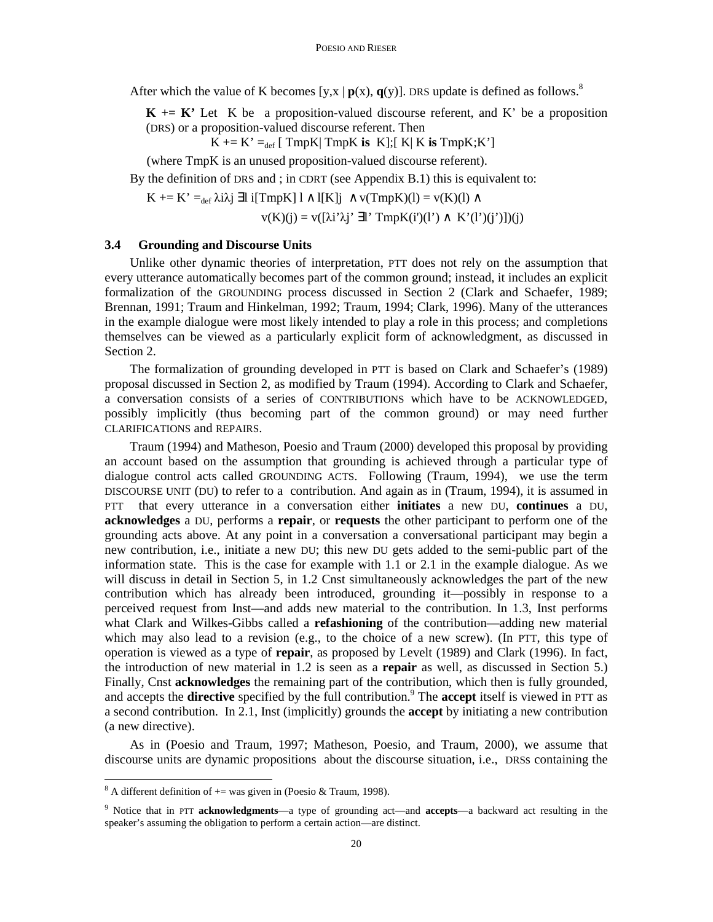After which the value of K becomes  $[y, x | p(x), q(y)]$ . DRS update is defined as follows.<sup>8</sup>

 $K \leftarrow K'$  Let K be a proposition-valued discourse referent, and K' be a proposition (DRS) or a proposition-valued discourse referent. Then

 $K == K' =_{def} [TmpK] TmpK$  **is**  $K$ ;  $[K|K]$  **is**  $TmpK;K'$ ]

(where TmpK is an unused proposition-valued discourse referent).

By the definition of DRS and ; in CDRT (see Appendix B.1) this is equivalent to:

$$
K \mathrel{+}= K' =_{def} \lambda i \lambda j \exists l \ i [TmpK] \ l \land l[K]j \ \land v(TmpK)(l) = v(K)(l) \land v(K)(j) = v([\lambda i' \lambda j' \ \exists l' TmpK(i')(l') \land K'(l')(j')])(j)
$$

#### **3.4 Grounding and Discourse Units**

Unlike other dynamic theories of interpretation, PTT does not rely on the assumption that every utterance automatically becomes part of the common ground; instead, it includes an explicit formalization of the GROUNDING process discussed in Section 2 (Clark and Schaefer, 1989; Brennan, 1991; Traum and Hinkelman, 1992; Traum, 1994; Clark, 1996). Many of the utterances in the example dialogue were most likely intended to play a role in this process; and completions themselves can be viewed as a particularly explicit form of acknowledgment, as discussed in Section 2.

The formalization of grounding developed in PTT is based on Clark and Schaefer's (1989) proposal discussed in Section 2, as modified by Traum (1994). According to Clark and Schaefer, a conversation consists of a series of CONTRIBUTIONS which have to be ACKNOWLEDGED, possibly implicitly (thus becoming part of the common ground) or may need further CLARIFICATIONS and REPAIRS.

Traum (1994) and Matheson, Poesio and Traum (2000) developed this proposal by providing an account based on the assumption that grounding is achieved through a particular type of dialogue control acts called GROUNDING ACTS. Following (Traum, 1994), we use the term DISCOURSE UNIT (DU) to refer to a contribution. And again as in (Traum, 1994), it is assumed in PTT that every utterance in a conversation either **initiates** a new DU, **continues** a DU, **acknowledges** a DU, performs a **repair**, or **requests** the other participant to perform one of the grounding acts above. At any point in a conversation a conversational participant may begin a new contribution, i.e., initiate a new DU; this new DU gets added to the semi-public part of the information state. This is the case for example with 1.1 or 2.1 in the example dialogue. As we will discuss in detail in Section 5, in 1.2 Cnst simultaneously acknowledges the part of the new contribution which has already been introduced, grounding it—possibly in response to a perceived request from Inst—and adds new material to the contribution. In 1.3, Inst performs what Clark and Wilkes-Gibbs called a **refashioning** of the contribution—adding new material which may also lead to a revision (e.g., to the choice of a new screw). (In PTT, this type of operation is viewed as a type of **repair**, as proposed by Levelt (1989) and Clark (1996). In fact, the introduction of new material in 1.2 is seen as a **repair** as well, as discussed in Section 5.) Finally, Cnst **acknowledges** the remaining part of the contribution, which then is fully grounded, and accepts the **directive** specified by the full contribution.<sup>9</sup> The **accept** itself is viewed in PTT as a second contribution. In 2.1, Inst (implicitly) grounds the **accept** by initiating a new contribution (a new directive).

As in (Poesio and Traum, 1997; Matheson, Poesio, and Traum, 2000), we assume that discourse units are dynamic propositions about the discourse situation, i.e., DRSs containing the

 $\overline{\text{A}}$  A different definition of  $+=$  was given in (Poesio & Traum, 1998).

<sup>9</sup> Notice that in PTT **acknowledgments**—a type of grounding act—and **accepts**—a backward act resulting in the speaker's assuming the obligation to perform a certain action—are distinct.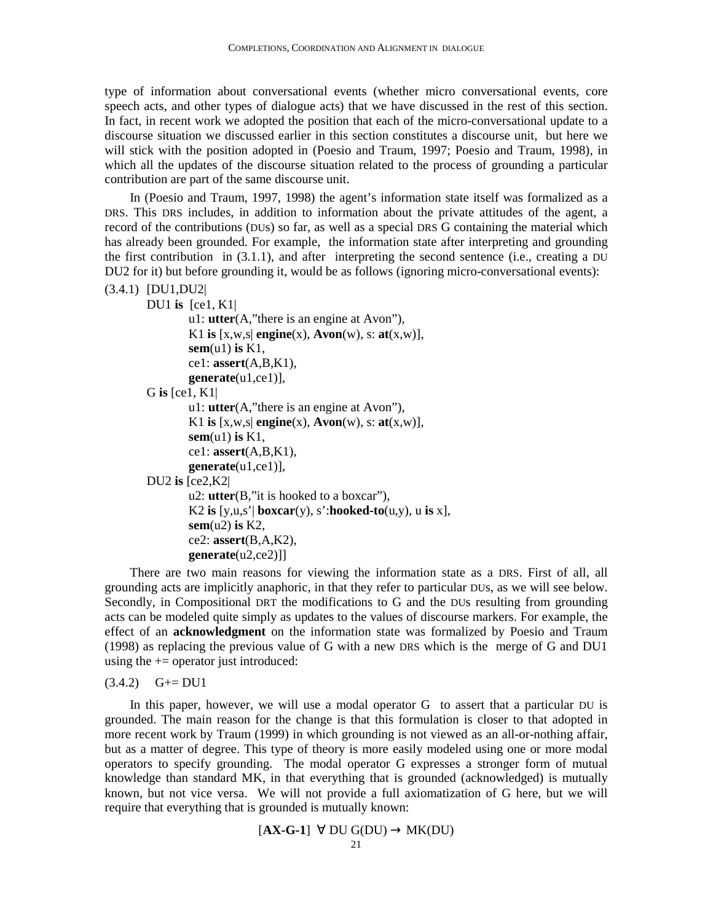type of information about conversational events (whether micro conversational events, core speech acts, and other types of dialogue acts) that we have discussed in the rest of this section. In fact, in recent work we adopted the position that each of the micro-conversational update to a discourse situation we discussed earlier in this section constitutes a discourse unit, but here we will stick with the position adopted in (Poesio and Traum, 1997; Poesio and Traum, 1998), in which all the updates of the discourse situation related to the process of grounding a particular contribution are part of the same discourse unit.

In (Poesio and Traum, 1997, 1998) the agent's information state itself was formalized as a DRS. This DRS includes, in addition to information about the private attitudes of the agent, a record of the contributions (DUs) so far, as well as a special DRS G containing the material which has already been grounded. For example, the information state after interpreting and grounding the first contribution in (3.1.1), and after interpreting the second sentence (i.e., creating a DU DU2 for it) but before grounding it, would be as follows (ignoring micro-conversational events):

```
(3.4.1) [DU1,DU2| 
       DU1 is [ce1, K1| 
                u1: utter(A,"there is an engine at Avon"), 
                K1 is [x, w, s] engine(x), Avon(w), s: at(x, w)],
```

```
sem(u1) is K1, 
        ce1: assert(A,B,K1), 
        generate(u1,ce1)], 
G is [ce1, K1| 
        u1: utter(A,"there is an engine at Avon"), 
        K1 is [x, w, s] engine(x), Avon(w), s: at(x, w)],
        sem(u1) is K1, 
        ce1: assert(A,B,K1), 
        generate(u1,ce1)], 
DU2 is [ce2,K2| 
        u2: utter(B,"it is hooked to a boxcar"),
```

```
K2 is [y, u, s'] boxcar(y), s':hooked-to(u, y), u is x],
sem(u2) is K2, 
ce2: assert(B,A,K2), 
generate(u2,ce2)]]
```
There are two main reasons for viewing the information state as a DRS. First of all, all grounding acts are implicitly anaphoric, in that they refer to particular DUs, as we will see below. Secondly, in Compositional DRT the modifications to G and the DUs resulting from grounding acts can be modeled quite simply as updates to the values of discourse markers. For example, the effect of an **acknowledgment** on the information state was formalized by Poesio and Traum (1998) as replacing the previous value of G with a new DRS which is the merge of G and DU1 using the  $+=$  operator just introduced:

 $(3.4.2)$   $G+=DU1$ 

In this paper, however, we will use a modal operator G to assert that a particular DU is grounded. The main reason for the change is that this formulation is closer to that adopted in more recent work by Traum (1999) in which grounding is not viewed as an all-or-nothing affair, but as a matter of degree. This type of theory is more easily modeled using one or more modal operators to specify grounding. The modal operator G expresses a stronger form of mutual knowledge than standard MK, in that everything that is grounded (acknowledged) is mutually known, but not vice versa. We will not provide a full axiomatization of G here, but we will require that everything that is grounded is mutually known:

$$
[AX-G-1] \quad \forall \quad DU \quad G(DU) \rightarrow MK(DU)
$$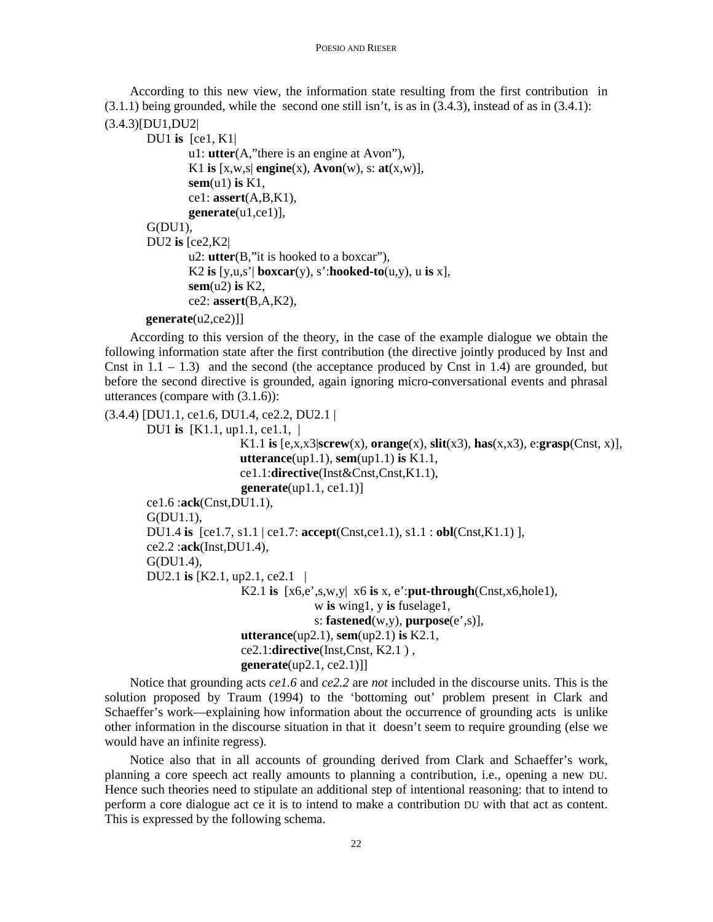According to this new view, the information state resulting from the first contribution in  $(3.1.1)$  being grounded, while the second one still isn't, is as in  $(3.4.3)$ , instead of as in  $(3.4.1)$ :

```
(3.4.3)[DU1,DU2|
```

```
DU1 is [ce1, K1| 
        u1: utter(A,"there is an engine at Avon"), 
        K1 is [x, w, s] engine(x), Avon(w), s: at(x, w)],
        sem(u1) is K1, 
        ce1: assert(A,B,K1), 
        generate(u1,ce1)], 
G(DU1),
DU2 is [ce2,K2| 
        u2: utter(B,"it is hooked to a boxcar"), 
        K2 is [y, u, s'] boxcar(y), s':hooked-to(u, y), u is x],
        sem(u2) is K2, 
        ce2: assert(B,A,K2),
```
 **generate**(u2,ce2)]]

According to this version of the theory, in the case of the example dialogue we obtain the following information state after the first contribution (the directive jointly produced by Inst and Cnst in  $1.1 - 1.3$ ) and the second (the acceptance produced by Cnst in 1.4) are grounded, but before the second directive is grounded, again ignoring micro-conversational events and phrasal utterances (compare with (3.1.6)):

```
(3.4.4) [DU1.1, ce1.6, DU1.4, ce2.2, DU2.1 |
        DU1 is [K1.1, up1.1, ce1.1, | 
                           K1.1 is [e, x, x]screw(x), orange(x), slit(x3), has(x, x3), e:grasp(Cnst, x)],
                            utterance(up1.1), sem(up1.1) is K1.1, 
                            ce1.1:directive(Inst&Cnst,Cnst,K1.1), 
                            generate(up1.1, ce1.1)] 
        ce1.6 :ack(Cnst,DU1.1), 
        G(DU1.1), 
        DU1.4 is [ce1.7, s1.1 | ce1.7: accept(Cnst,ce1.1), s1.1 : obl(Cnst,K1.1) ], 
        ce2.2 :ack(Inst,DU1.4), 
        G(DU1.4), 
        DU2.1 is [K2.1, up2.1, ce2.1 | 
                            K2.1 is [x6,e',s,w,y| x6 is x, e':put-through(Cnst,x6,hole1), 
                                          w is wing1, y is fuselage1, 
                                          s: fastened(w,y), purpose(e',s)], 
                            utterance(up2.1), sem(up2.1) is K2.1, 
                            ce2.1:directive(Inst,Cnst, K2.1 ) , 
                            generate(up2.1, ce2.1)]]
```
Notice that grounding acts *ce1.6* and *ce2.2* are *not* included in the discourse units. This is the solution proposed by Traum (1994) to the 'bottoming out' problem present in Clark and Schaeffer's work—explaining how information about the occurrence of grounding acts is unlike other information in the discourse situation in that it doesn't seem to require grounding (else we would have an infinite regress).

Notice also that in all accounts of grounding derived from Clark and Schaeffer's work, planning a core speech act really amounts to planning a contribution, i.e., opening a new DU. Hence such theories need to stipulate an additional step of intentional reasoning: that to intend to perform a core dialogue act ce it is to intend to make a contribution DU with that act as content. This is expressed by the following schema.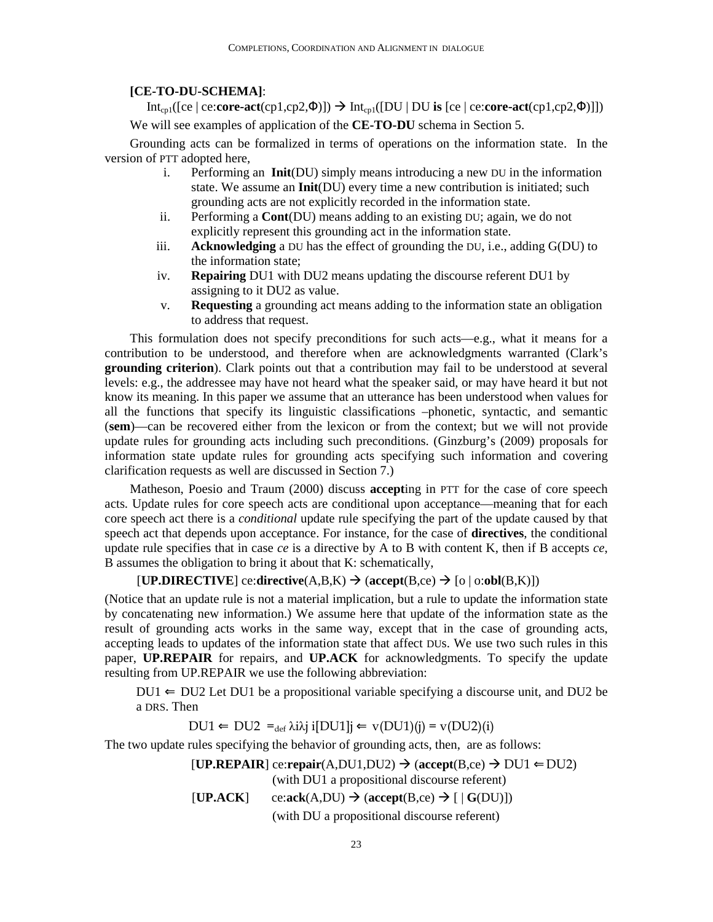#### **[CE-TO-DU-SCHEMA]**:

Int<sub>cp1</sub>([ce | ce:**core-act**(cp1,cp2, $\Phi$ )])  $\rightarrow$  Int<sub>cp1</sub>([DU | DU **is** [ce | ce:**core-act**(cp1,cp2, $\Phi$ )]]) We will see examples of application of the **CE-TO-DU** schema in Section 5.

Grounding acts can be formalized in terms of operations on the information state. In the version of PTT adopted here,

- i. Performing an **Init**(DU) simply means introducing a new DU in the information state. We assume an **Init**(DU) every time a new contribution is initiated; such grounding acts are not explicitly recorded in the information state.
- ii. Performing a **Cont**(DU) means adding to an existing DU; again, we do not explicitly represent this grounding act in the information state.
- iii. **Acknowledging** a DU has the effect of grounding the DU, i.e., adding G(DU) to the information state;
- iv. **Repairing** DU1 with DU2 means updating the discourse referent DU1 by assigning to it DU2 as value.
- v. **Requesting** a grounding act means adding to the information state an obligation to address that request.

This formulation does not specify preconditions for such acts—e.g., what it means for a contribution to be understood, and therefore when are acknowledgments warranted (Clark's **grounding criterion**). Clark points out that a contribution may fail to be understood at several levels: e.g., the addressee may have not heard what the speaker said, or may have heard it but not know its meaning. In this paper we assume that an utterance has been understood when values for all the functions that specify its linguistic classifications –phonetic, syntactic, and semantic (**sem**)—can be recovered either from the lexicon or from the context; but we will not provide update rules for grounding acts including such preconditions. (Ginzburg's (2009) proposals for information state update rules for grounding acts specifying such information and covering clarification requests as well are discussed in Section 7.)

Matheson, Poesio and Traum (2000) discuss **accept**ing in PTT for the case of core speech acts. Update rules for core speech acts are conditional upon acceptance—meaning that for each core speech act there is a *conditional* update rule specifying the part of the update caused by that speech act that depends upon acceptance. For instance, for the case of **directives**, the conditional update rule specifies that in case *ce* is a directive by A to B with content K, then if B accepts *ce*, B assumes the obligation to bring it about that K: schematically,

#### $[\mathbf{UP}.\mathbf{DIRECTIVE}]$  ce:directive $(A,B,K) \to (\mathbf{accept}(B,ce) \to [o \mid o:obI(B,K)])$

(Notice that an update rule is not a material implication, but a rule to update the information state by concatenating new information.) We assume here that update of the information state as the result of grounding acts works in the same way, except that in the case of grounding acts, accepting leads to updates of the information state that affect DUs. We use two such rules in this paper, **UP.REPAIR** for repairs, and **UP.ACK** for acknowledgments. To specify the update resulting from UP.REPAIR we use the following abbreviation:

 $DUI \leftarrow DU2$  Let DU1 be a propositional variable specifying a discourse unit, and DU2 be a DRS. Then

 $DU1 \leftarrow DU2 =_{def} \lambda i \lambda j$  i $[DU1]$ j $\leftarrow$  v $(DU1)(j) = v(DU2)(i)$ 

The two update rules specifying the behavior of grounding acts, then, are as follows:

 $[UP,REPAIR]$  ce:**repair**(A,DU1,DU2)  $\rightarrow$  (accept(B,ce)  $\rightarrow$  DU1  $\leftarrow$ DU2) (with DU1 a propositional discourse referent)  $[UP, ACK]$  ce: $ack(A,DU) \rightarrow (accept(B,ce) \rightarrow [G(DU)])$ (with DU a propositional discourse referent)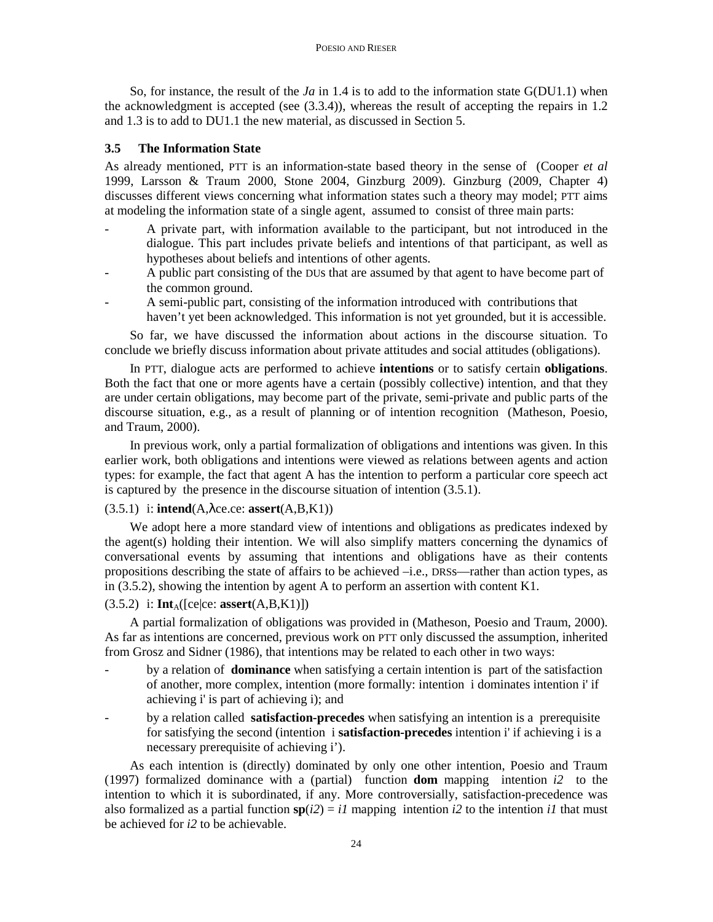So, for instance, the result of the *Ja* in 1.4 is to add to the information state G(DU1.1) when the acknowledgment is accepted (see (3.3.4)), whereas the result of accepting the repairs in 1.2 and 1.3 is to add to DU1.1 the new material, as discussed in Section 5.

#### **3.5 The Information State**

As already mentioned, PTT is an information-state based theory in the sense of (Cooper *et al* 1999, Larsson & Traum 2000, Stone 2004, Ginzburg 2009). Ginzburg (2009, Chapter 4) discusses different views concerning what information states such a theory may model; PTT aims at modeling the information state of a single agent, assumed to consist of three main parts:

- A private part, with information available to the participant, but not introduced in the dialogue. This part includes private beliefs and intentions of that participant, as well as hypotheses about beliefs and intentions of other agents.
- A public part consisting of the DUs that are assumed by that agent to have become part of the common ground.
- A semi-public part, consisting of the information introduced with contributions that haven't yet been acknowledged. This information is not yet grounded, but it is accessible.

So far, we have discussed the information about actions in the discourse situation. To conclude we briefly discuss information about private attitudes and social attitudes (obligations).

In PTT, dialogue acts are performed to achieve **intentions** or to satisfy certain **obligations**. Both the fact that one or more agents have a certain (possibly collective) intention, and that they are under certain obligations, may become part of the private, semi-private and public parts of the discourse situation, e.g., as a result of planning or of intention recognition (Matheson, Poesio, and Traum, 2000).

In previous work, only a partial formalization of obligations and intentions was given. In this earlier work, both obligations and intentions were viewed as relations between agents and action types: for example, the fact that agent A has the intention to perform a particular core speech act is captured by the presence in the discourse situation of intention (3.5.1).

## (3.5.1) i: **intend**(A,λce.ce: **assert**(A,B,K1))

We adopt here a more standard view of intentions and obligations as predicates indexed by the agent(s) holding their intention. We will also simplify matters concerning the dynamics of conversational events by assuming that intentions and obligations have as their contents propositions describing the state of affairs to be achieved –i.e., DRSs—rather than action types, as in (3.5.2), showing the intention by agent A to perform an assertion with content K1.

#### $(3.5.2)$  i:  $\text{Int}_{A}([\text{ce}|ce: assert(A,B,K1)])$

A partial formalization of obligations was provided in (Matheson, Poesio and Traum, 2000). As far as intentions are concerned, previous work on PTT only discussed the assumption, inherited from Grosz and Sidner (1986), that intentions may be related to each other in two ways:

- by a relation of **dominance** when satisfying a certain intention is part of the satisfaction of another, more complex, intention (more formally: intention i dominates intention i' if achieving i' is part of achieving i); and
- by a relation called **satisfaction-precedes** when satisfying an intention is a prerequisite for satisfying the second (intention i **satisfaction-precedes** intention i' if achieving i is a necessary prerequisite of achieving i').

As each intention is (directly) dominated by only one other intention, Poesio and Traum (1997) formalized dominance with a (partial) function **dom** mapping intention *i2* to the intention to which it is subordinated, if any. More controversially, satisfaction-precedence was also formalized as a partial function  $\mathbf{sp}(i2) = i1$  mapping intention *i2* to the intention *i1* that must be achieved for *i2* to be achievable.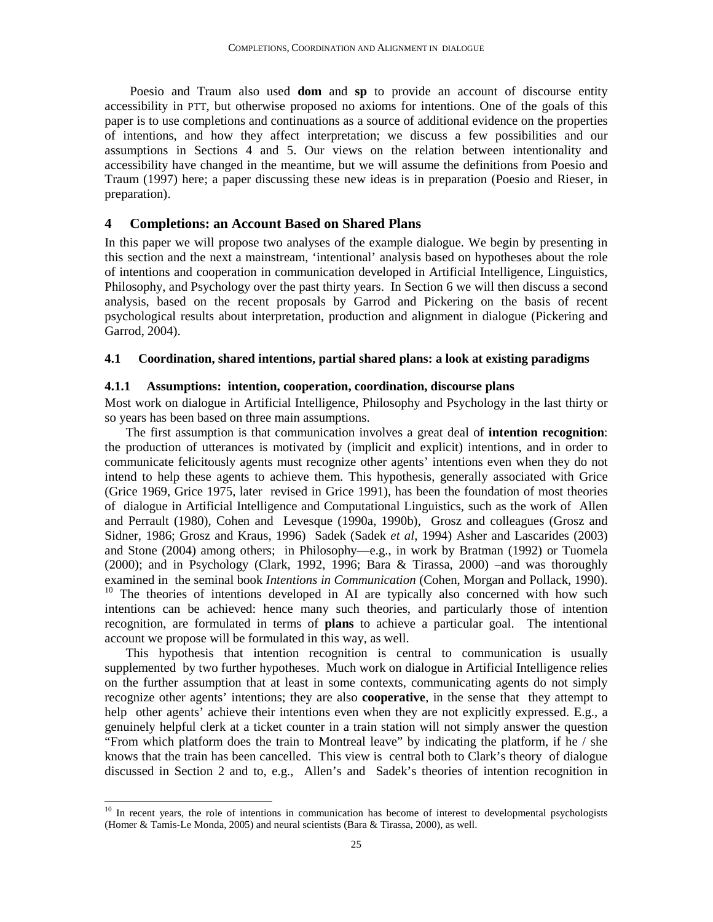Poesio and Traum also used **dom** and **sp** to provide an account of discourse entity accessibility in PTT, but otherwise proposed no axioms for intentions. One of the goals of this paper is to use completions and continuations as a source of additional evidence on the properties of intentions, and how they affect interpretation; we discuss a few possibilities and our assumptions in Sections 4 and 5. Our views on the relation between intentionality and accessibility have changed in the meantime, but we will assume the definitions from Poesio and Traum (1997) here; a paper discussing these new ideas is in preparation (Poesio and Rieser, in preparation).

## **4 Completions: an Account Based on Shared Plans**

In this paper we will propose two analyses of the example dialogue. We begin by presenting in this section and the next a mainstream, 'intentional' analysis based on hypotheses about the role of intentions and cooperation in communication developed in Artificial Intelligence, Linguistics, Philosophy, and Psychology over the past thirty years. In Section 6 we will then discuss a second analysis, based on the recent proposals by Garrod and Pickering on the basis of recent psychological results about interpretation, production and alignment in dialogue (Pickering and Garrod, 2004).

### **4.1 Coordination, shared intentions, partial shared plans: a look at existing paradigms**

#### **4.1.1 Assumptions: intention, cooperation, coordination, discourse plans**

Most work on dialogue in Artificial Intelligence, Philosophy and Psychology in the last thirty or so years has been based on three main assumptions.

The first assumption is that communication involves a great deal of **intention recognition**: the production of utterances is motivated by (implicit and explicit) intentions, and in order to communicate felicitously agents must recognize other agents' intentions even when they do not intend to help these agents to achieve them. This hypothesis, generally associated with Grice (Grice 1969, Grice 1975, later revised in Grice 1991), has been the foundation of most theories of dialogue in Artificial Intelligence and Computational Linguistics, such as the work of Allen and Perrault (1980), Cohen and Levesque (1990a, 1990b), Grosz and colleagues (Grosz and Sidner, 1986; Grosz and Kraus, 1996) Sadek (Sadek *et al*, 1994) Asher and Lascarides (2003) and Stone (2004) among others; in Philosophy—e.g., in work by Bratman (1992) or Tuomela (2000); and in Psychology (Clark, 1992, 1996; Bara & Tirassa, 2000) –and was thoroughly examined in the seminal book *Intentions in Communication* (Cohen, Morgan and Pollack, 1990). <sup>10</sup> The theories of intentions developed in AI are typically also concerned with how such intentions can be achieved: hence many such theories, and particularly those of intention recognition, are formulated in terms of **plans** to achieve a particular goal. The intentional account we propose will be formulated in this way, as well.

This hypothesis that intention recognition is central to communication is usually supplemented by two further hypotheses. Much work on dialogue in Artificial Intelligence relies on the further assumption that at least in some contexts, communicating agents do not simply recognize other agents' intentions; they are also **cooperative**, in the sense that they attempt to help other agents' achieve their intentions even when they are not explicitly expressed. E.g., a genuinely helpful clerk at a ticket counter in a train station will not simply answer the question "From which platform does the train to Montreal leave" by indicating the platform, if he / she knows that the train has been cancelled. This view is central both to Clark's theory of dialogue discussed in Section 2 and to, e.g., Allen's and Sadek's theories of intention recognition in

-

 $10$  In recent years, the role of intentions in communication has become of interest to developmental psychologists (Homer & Tamis-Le Monda, 2005) and neural scientists (Bara & Tirassa, 2000), as well.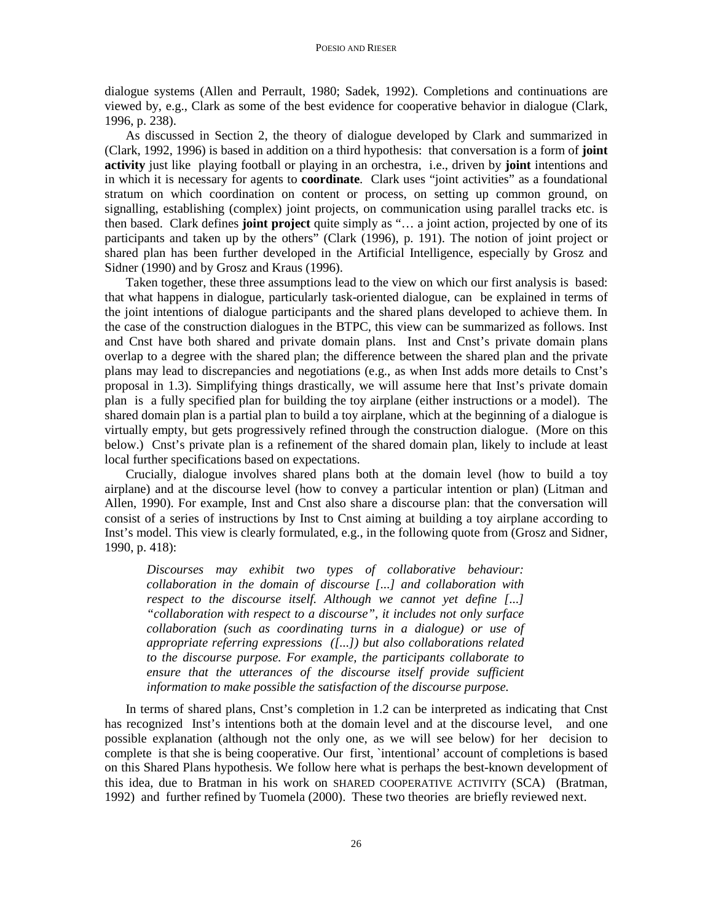dialogue systems (Allen and Perrault, 1980; Sadek, 1992). Completions and continuations are viewed by, e.g., Clark as some of the best evidence for cooperative behavior in dialogue (Clark, 1996, p. 238).

As discussed in Section 2, the theory of dialogue developed by Clark and summarized in (Clark, 1992, 1996) is based in addition on a third hypothesis: that conversation is a form of **joint activity** just like playing football or playing in an orchestra, i.e., driven by **joint** intentions and in which it is necessary for agents to **coordinate**. Clark uses "joint activities" as a foundational stratum on which coordination on content or process, on setting up common ground, on signalling, establishing (complex) joint projects, on communication using parallel tracks etc. is then based. Clark defines **joint project** quite simply as "… a joint action, projected by one of its participants and taken up by the others" (Clark (1996), p. 191). The notion of joint project or shared plan has been further developed in the Artificial Intelligence, especially by Grosz and Sidner (1990) and by Grosz and Kraus (1996).

Taken together, these three assumptions lead to the view on which our first analysis is based: that what happens in dialogue, particularly task-oriented dialogue, can be explained in terms of the joint intentions of dialogue participants and the shared plans developed to achieve them. In the case of the construction dialogues in the BTPC, this view can be summarized as follows. Inst and Cnst have both shared and private domain plans. Inst and Cnst's private domain plans overlap to a degree with the shared plan; the difference between the shared plan and the private plans may lead to discrepancies and negotiations (e.g., as when Inst adds more details to Cnst's proposal in 1.3). Simplifying things drastically, we will assume here that Inst's private domain plan is a fully specified plan for building the toy airplane (either instructions or a model). The shared domain plan is a partial plan to build a toy airplane, which at the beginning of a dialogue is virtually empty, but gets progressively refined through the construction dialogue. (More on this below.) Cnst's private plan is a refinement of the shared domain plan, likely to include at least local further specifications based on expectations.

Crucially, dialogue involves shared plans both at the domain level (how to build a toy airplane) and at the discourse level (how to convey a particular intention or plan) (Litman and Allen, 1990). For example, Inst and Cnst also share a discourse plan: that the conversation will consist of a series of instructions by Inst to Cnst aiming at building a toy airplane according to Inst's model. This view is clearly formulated, e.g., in the following quote from (Grosz and Sidner, 1990, p. 418):

*Discourses may exhibit two types of collaborative behaviour: collaboration in the domain of discourse [...] and collaboration with respect to the discourse itself. Although we cannot yet define [...] "collaboration with respect to a discourse", it includes not only surface collaboration (such as coordinating turns in a dialogue) or use of appropriate referring expressions ([...]) but also collaborations related to the discourse purpose. For example, the participants collaborate to ensure that the utterances of the discourse itself provide sufficient information to make possible the satisfaction of the discourse purpose.*

In terms of shared plans, Cnst's completion in 1.2 can be interpreted as indicating that Cnst has recognized Inst's intentions both at the domain level and at the discourse level, and one possible explanation (although not the only one, as we will see below) for her decision to complete is that she is being cooperative. Our first, `intentional' account of completions is based on this Shared Plans hypothesis. We follow here what is perhaps the best-known development of this idea, due to Bratman in his work on SHARED COOPERATIVE ACTIVITY (SCA) (Bratman, 1992) and further refined by Tuomela (2000). These two theories are briefly reviewed next.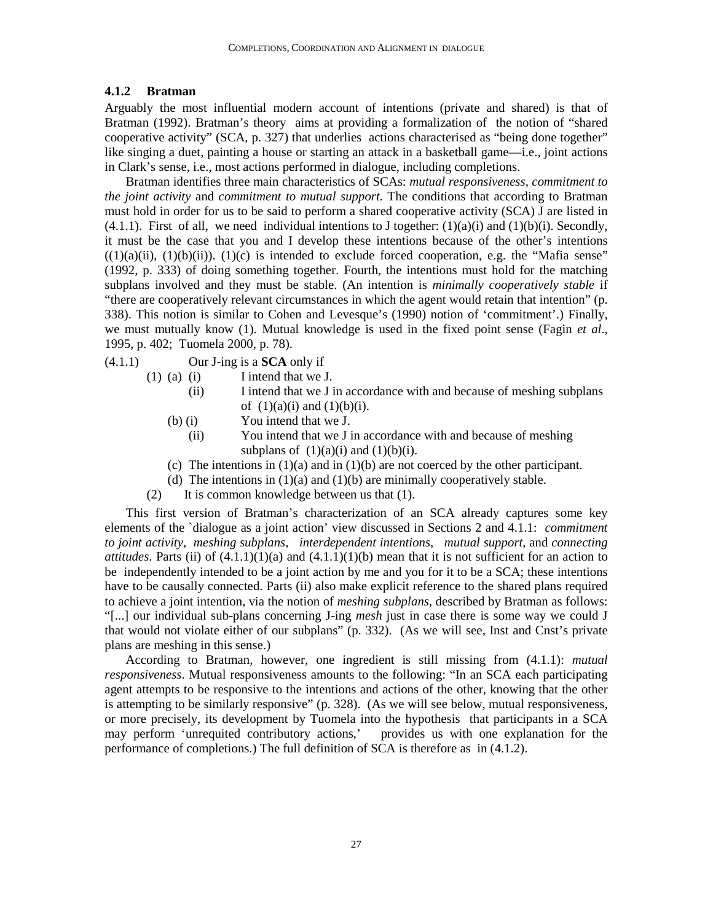#### **4.1.2 Bratman**

Arguably the most influential modern account of intentions (private and shared) is that of Bratman (1992). Bratman's theory aims at providing a formalization of the notion of "shared cooperative activity" (SCA, p. 327) that underlies actions characterised as "being done together" like singing a duet, painting a house or starting an attack in a basketball game—i.e., joint actions in Clark's sense, i.e., most actions performed in dialogue, including completions.

Bratman identifies three main characteristics of SCAs: *mutual responsiveness*, *commitment to the joint activity* and *commitment to mutual support*. The conditions that according to Bratman must hold in order for us to be said to perform a shared cooperative activity (SCA) J are listed in  $(4.1.1)$ . First of all, we need individual intentions to J together:  $(1)(a)(i)$  and  $(1)(b)(i)$ . Secondly, it must be the case that you and I develop these intentions because of the other's intentions  $((1)(a)(ii), (1)(b)(ii))$ .  $(1)(c)$  is intended to exclude forced cooperation, e.g. the "Mafia sense" (1992, p. 333) of doing something together. Fourth, the intentions must hold for the matching subplans involved and they must be stable. (An intention is *minimally cooperatively stable* if "there are cooperatively relevant circumstances in which the agent would retain that intention" (p. 338). This notion is similar to Cohen and Levesque's (1990) notion of 'commitment'.) Finally, we must mutually know (1). Mutual knowledge is used in the fixed point sense (Fagin *et al*., 1995, p. 402; Tuomela 2000, p. 78).

- (4.1.1) Our J-ing is a **SCA** only if
	- (1) (a) (i) I intend that we J.
		- (ii) I intend that we J in accordance with and because of meshing subplans of  $(1)(a)(i)$  and  $(1)(b)(i)$ .
		- (b) (i) You intend that we J.
			- (ii) You intend that we J in accordance with and because of meshing subplans of  $(1)(a)(i)$  and  $(1)(b)(i)$ .
		- (c) The intentions in (1)(a) and in (1)(b) are not coerced by the other participant.
		- (d) The intentions in  $(1)(a)$  and  $(1)(b)$  are minimally cooperatively stable.
	- (2) It is common knowledge between us that (1).

This first version of Bratman's characterization of an SCA already captures some key elements of the `dialogue as a joint action' view discussed in Sections 2 and 4.1.1: *commitment to joint activity*, *meshing subplans*, *interdependent intentions*, *mutual support*, and *connecting attitudes*. Parts (ii) of  $(4.1.1)(1)(a)$  and  $(4.1.1)(1)(b)$  mean that it is not sufficient for an action to be independently intended to be a joint action by me and you for it to be a SCA; these intentions have to be causally connected. Parts (ii) also make explicit reference to the shared plans required to achieve a joint intention, via the notion of *meshing subplans*, described by Bratman as follows: "[...] our individual sub-plans concerning J-ing *mesh* just in case there is some way we could J that would not violate either of our subplans" (p. 332). (As we will see, Inst and Cnst's private plans are meshing in this sense.)

According to Bratman, however, one ingredient is still missing from (4.1.1): *mutual responsiveness*. Mutual responsiveness amounts to the following: "In an SCA each participating agent attempts to be responsive to the intentions and actions of the other, knowing that the other is attempting to be similarly responsive" (p. 328). (As we will see below, mutual responsiveness, or more precisely, its development by Tuomela into the hypothesis that participants in a SCA may perform 'unrequited contributory actions,' provides us with one explanation for the performance of completions.) The full definition of SCA is therefore as in (4.1.2).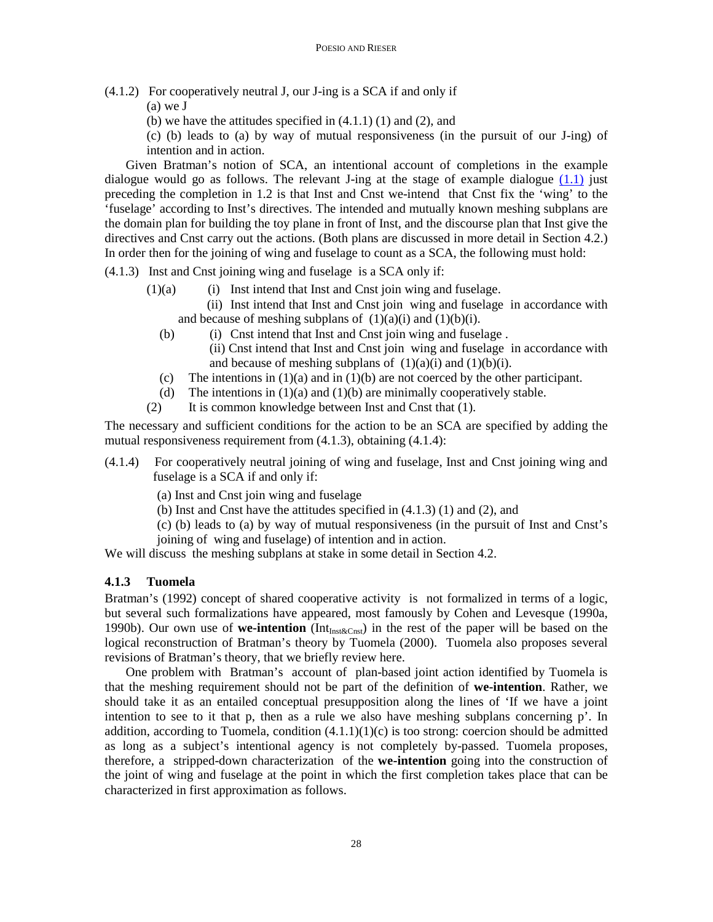- (4.1.2) For cooperatively neutral J, our J-ing is a SCA if and only if
	- (a) we J
	- (b) we have the attitudes specified in  $(4.1.1)$   $(1)$  and  $(2)$ , and

(c) (b) leads to (a) by way of mutual responsiveness (in the pursuit of our J-ing) of intention and in action.

Given Bratman's notion of SCA, an intentional account of completions in the example dialogue would go as follows. The relevant J-ing at the stage of example dialogue  $(1.1)$  just preceding the completion in 1.2 is that Inst and Cnst we-intend that Cnst fix the 'wing' to the 'fuselage' according to Inst's directives. The intended and mutually known meshing subplans are the domain plan for building the toy plane in front of Inst, and the discourse plan that Inst give the directives and Cnst carry out the actions. (Both plans are discussed in more detail in Section 4.2.) In order then for the joining of wing and fuselage to count as a SCA, the following must hold:

- (4.1.3) Inst and Cnst joining wing and fuselage is a SCA only if:
	- $(1)(a)$  (i) Inst intend that Inst and Cnst join wing and fuselage.

 (ii) Inst intend that Inst and Cnst join wing and fuselage in accordance with and because of meshing subplans of  $(1)(a)(i)$  and  $(1)(b)(i)$ .

- (b) (i) Cnst intend that Inst and Cnst join wing and fuselage . (ii) Cnst intend that Inst and Cnst join wing and fuselage in accordance with and because of meshing subplans of  $(1)(a)(i)$  and  $(1)(b)(i)$ .
- (c) The intentions in (1)(a) and in (1)(b) are not coerced by the other participant.
- (d) The intentions in  $(1)(a)$  and  $(1)(b)$  are minimally cooperatively stable.
- (2) It is common knowledge between Inst and Cnst that (1).

The necessary and sufficient conditions for the action to be an SCA are specified by adding the mutual responsiveness requirement from (4.1.3), obtaining (4.1.4):

- (4.1.4) For cooperatively neutral joining of wing and fuselage, Inst and Cnst joining wing and fuselage is a SCA if and only if:
	- (a) Inst and Cnst join wing and fuselage
	- (b) Inst and Cnst have the attitudes specified in (4.1.3) (1) and (2), and
	- (c) (b) leads to (a) by way of mutual responsiveness (in the pursuit of Inst and Cnst's
	- joining of wing and fuselage) of intention and in action.

We will discuss the meshing subplans at stake in some detail in Section 4.2.

## **4.1.3 Tuomela**

Bratman's (1992) concept of shared cooperative activity is not formalized in terms of a logic, but several such formalizations have appeared, most famously by Cohen and Levesque (1990a, 1990b). Our own use of **we-intention** ( $Int<sub>Inst&Cnst</sub>$ ) in the rest of the paper will be based on the logical reconstruction of Bratman's theory by Tuomela (2000). Tuomela also proposes several revisions of Bratman's theory, that we briefly review here.

One problem with Bratman's account of plan-based joint action identified by Tuomela is that the meshing requirement should not be part of the definition of **we-intention**. Rather, we should take it as an entailed conceptual presupposition along the lines of 'If we have a joint intention to see to it that p, then as a rule we also have meshing subplans concerning  $p'$ . In addition, according to Tuomela, condition  $(4.1.1)(1)(c)$  is too strong: coercion should be admitted as long as a subject's intentional agency is not completely by-passed. Tuomela proposes, therefore, a stripped-down characterization of the **we-intention** going into the construction of the joint of wing and fuselage at the point in which the first completion takes place that can be characterized in first approximation as follows.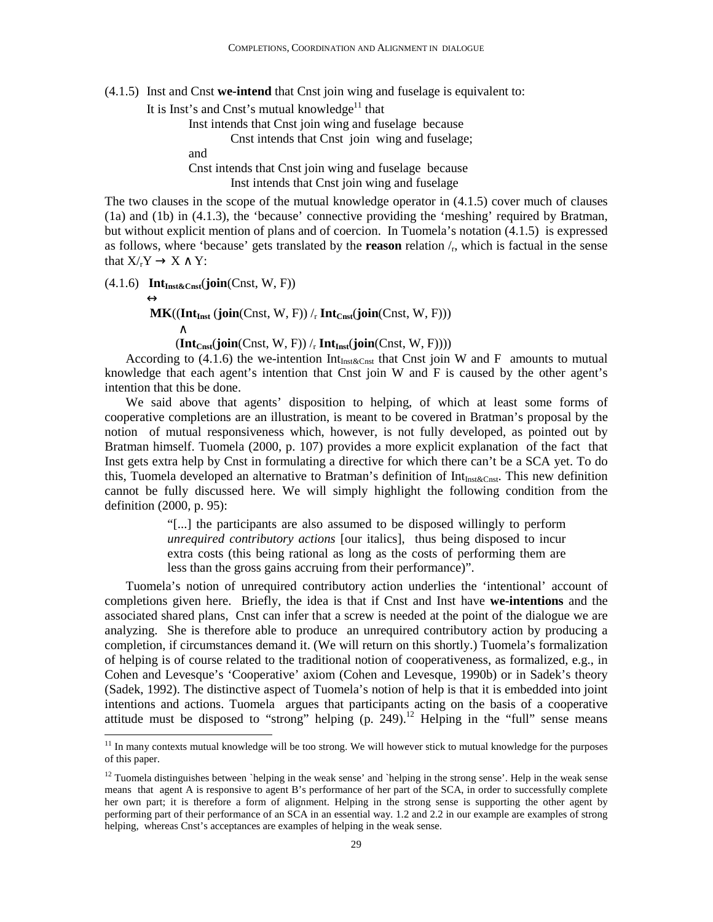(4.1.5) Inst and Cnst **we-intend** that Cnst join wing and fuselage is equivalent to:

It is Inst's and Cnst's mutual knowledge $11$  that

Inst intends that Cnst join wing and fuselage because

Cnst intends that Cnst join wing and fuselage;

and

 Cnst intends that Cnst join wing and fuselage because Inst intends that Cnst join wing and fuselage

The two clauses in the scope of the mutual knowledge operator in (4.1.5) cover much of clauses (1a) and (1b) in (4.1.3), the 'because' connective providing the 'meshing' required by Bratman, but without explicit mention of plans and of coercion. In Tuomela's notation (4.1.5) is expressed as follows, where 'because' gets translated by the **reason** relation /<sup>r</sup> , which is factual in the sense that  $X/Y \to X \wedge Y$ :

(4.1.6) **IntInst&Cnst**(**join**(Cnst, W, F))

<u>.</u>

 $\leftrightarrow$  $MK((Int_{Inst} (join(Const, W, F))/r Int_{Cns} (join(Const, W, F)))$ ∧

 $(\mathbf{Int}_{\mathbf{Const}}(\mathbf{join}(\mathbf{Const}, \mathbf{W}, \mathbf{F})) /_{r} \mathbf{Int}_{\mathbf{Inst}}(\mathbf{join}(\mathbf{Const}, \mathbf{W}, \mathbf{F})))$ 

According to (4.1.6) the we-intention  $Int_{Inst\&Cnst}$  that Cnst join W and F amounts to mutual knowledge that each agent's intention that Cnst join  $W$  and  $F$  is caused by the other agent's intention that this be done.

We said above that agents' disposition to helping, of which at least some forms of cooperative completions are an illustration, is meant to be covered in Bratman's proposal by the notion of mutual responsiveness which, however, is not fully developed, as pointed out by Bratman himself. Tuomela (2000, p. 107) provides a more explicit explanation of the fact that Inst gets extra help by Cnst in formulating a directive for which there can't be a SCA yet. To do this, Tuomela developed an alternative to Bratman's definition of  $Int<sub>Inst&Const</sub>$ . This new definition cannot be fully discussed here. We will simply highlight the following condition from the definition (2000, p. 95):

> "[...] the participants are also assumed to be disposed willingly to perform *unrequired contributory actions* [our italics], thus being disposed to incur extra costs (this being rational as long as the costs of performing them are less than the gross gains accruing from their performance)".

Tuomela's notion of unrequired contributory action underlies the 'intentional' account of completions given here. Briefly, the idea is that if Cnst and Inst have **we-intentions** and the associated shared plans, Cnst can infer that a screw is needed at the point of the dialogue we are analyzing. She is therefore able to produce an unrequired contributory action by producing a completion, if circumstances demand it. (We will return on this shortly.) Tuomela's formalization of helping is of course related to the traditional notion of cooperativeness, as formalized, e.g., in Cohen and Levesque's 'Cooperative' axiom (Cohen and Levesque, 1990b) or in Sadek's theory (Sadek, 1992). The distinctive aspect of Tuomela's notion of help is that it is embedded into joint intentions and actions. Tuomela argues that participants acting on the basis of a cooperative attitude must be disposed to "strong" helping  $(p. 249)$ .<sup>12</sup> Helping in the "full" sense means

<sup>&</sup>lt;sup>11</sup> In many contexts mutual knowledge will be too strong. We will however stick to mutual knowledge for the purposes of this paper.

 $12$  Tuomela distinguishes between `helping in the weak sense' and `helping in the strong sense'. Help in the weak sense means that agent A is responsive to agent B's performance of her part of the SCA, in order to successfully complete her own part; it is therefore a form of alignment. Helping in the strong sense is supporting the other agent by performing part of their performance of an SCA in an essential way. 1.2 and 2.2 in our example are examples of strong helping, whereas Cnst's acceptances are examples of helping in the weak sense.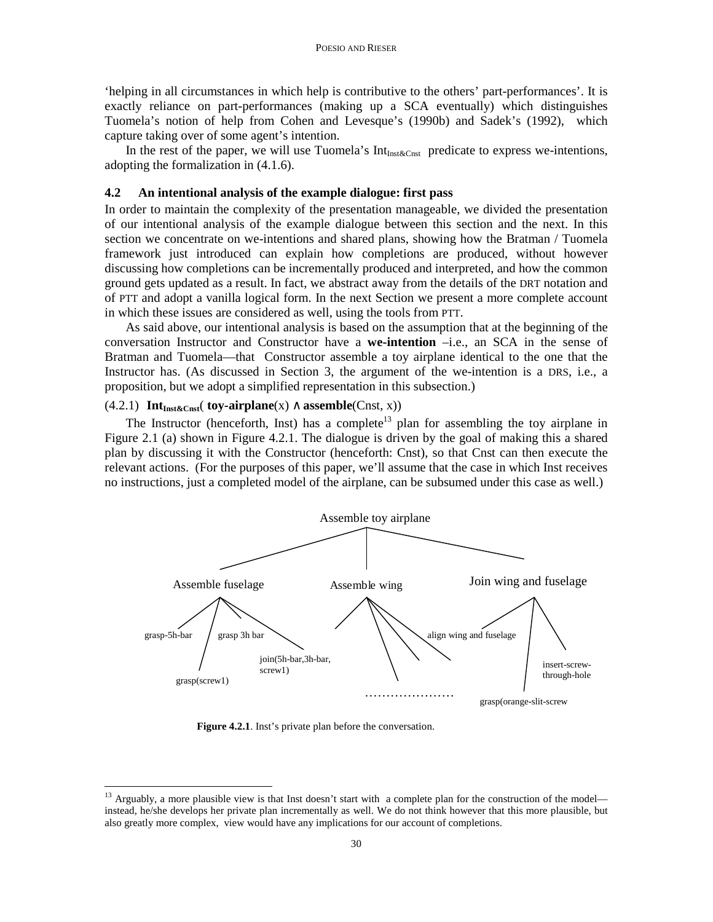'helping in all circumstances in which help is contributive to the others' part-performances'. It is exactly reliance on part-performances (making up a SCA eventually) which distinguishes Tuomela's notion of help from Cohen and Levesque's (1990b) and Sadek's (1992), which capture taking over of some agent's intention.

In the rest of the paper, we will use Tuomela's  $Int_{Inst\&Cnst}$  predicate to express we-intentions, adopting the formalization in (4.1.6).

## **4.2 An intentional analysis of the example dialogue: first pass**

In order to maintain the complexity of the presentation manageable, we divided the presentation of our intentional analysis of the example dialogue between this section and the next. In this section we concentrate on we-intentions and shared plans, showing how the Bratman / Tuomela framework just introduced can explain how completions are produced, without however discussing how completions can be incrementally produced and interpreted, and how the common ground gets updated as a result. In fact, we abstract away from the details of the DRT notation and of PTT and adopt a vanilla logical form. In the next Section we present a more complete account in which these issues are considered as well, using the tools from PTT.

As said above, our intentional analysis is based on the assumption that at the beginning of the conversation Instructor and Constructor have a **we-intention** –i.e., an SCA in the sense of Bratman and Tuomela—that Constructor assemble a toy airplane identical to the one that the Instructor has. (As discussed in Section 3, the argument of the we-intention is a DRS, i.e., a proposition, but we adopt a simplified representation in this subsection.)

#### (4.2.1) **IntInst&Cnst**( **toy-airplane**(x) ∧ **assemble**(Cnst, x))

The Instructor (henceforth, Inst) has a complete<sup>13</sup> plan for assembling the toy airplane in Figure 2.1 (a) shown in Figure 4.2.1. The dialogue is driven by the goal of making this a shared plan by discussing it with the Constructor (henceforth: Cnst), so that Cnst can then execute the relevant actions. (For the purposes of this paper, we'll assume that the case in which Inst receives no instructions, just a completed model of the airplane, can be subsumed under this case as well.)



**Figure 4.2.1**. Inst's private plan before the conversation.

-

<sup>&</sup>lt;sup>13</sup> Arguably, a more plausible view is that Inst doesn't start with a complete plan for the construction of the model instead, he/she develops her private plan incrementally as well. We do not think however that this more plausible, but also greatly more complex, view would have any implications for our account of completions.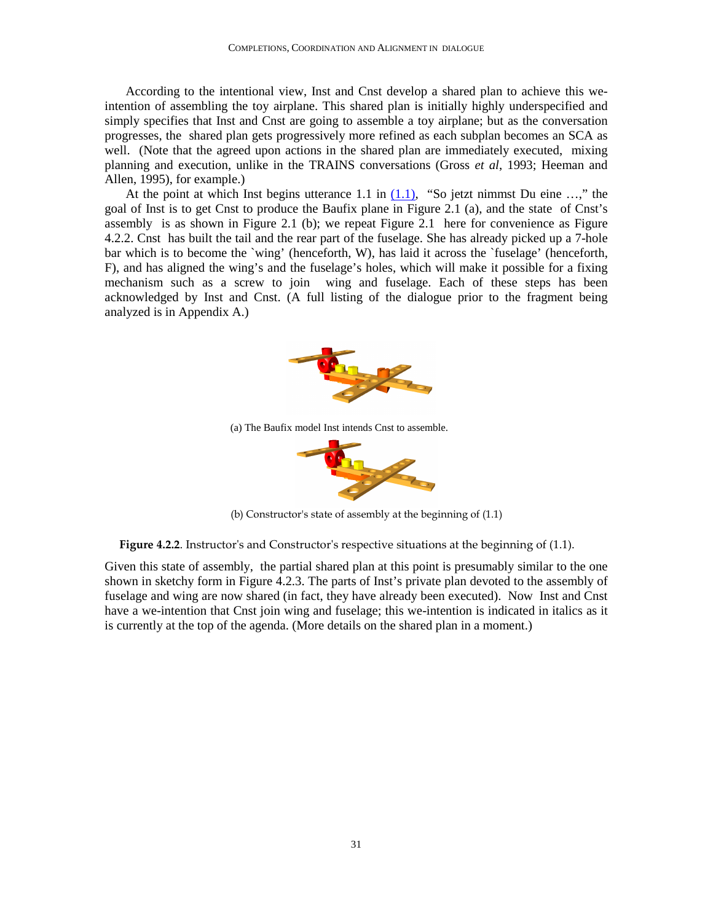According to the intentional view, Inst and Cnst develop a shared plan to achieve this weintention of assembling the toy airplane. This shared plan is initially highly underspecified and simply specifies that Inst and Cnst are going to assemble a toy airplane; but as the conversation progresses, the shared plan gets progressively more refined as each subplan becomes an SCA as well. (Note that the agreed upon actions in the shared plan are immediately executed, mixing planning and execution, unlike in the TRAINS conversations (Gross *et al*, 1993; Heeman and Allen, 1995), for example.)

At the point at which Inst begins utterance 1.1 in  $(1.1)$ , "So jetzt nimmst Du eine ...," the goal of Inst is to get Cnst to produce the Baufix plane in Figure 2.1 (a), and the state of Cnst's assembly is as shown in Figure 2.1 (b); we repeat Figure 2.1 here for convenience as Figure 4.2.2. Cnst has built the tail and the rear part of the fuselage. She has already picked up a 7-hole bar which is to become the `wing' (henceforth, W), has laid it across the `fuselage' (henceforth, F), and has aligned the wing's and the fuselage's holes, which will make it possible for a fixing mechanism such as a screw to join wing and fuselage. Each of these steps has been acknowledged by Inst and Cnst. (A full listing of the dialogue prior to the fragment being analyzed is in Appendix A.)



(a) The Baufix model Inst intends Cnst to assemble.



(b) Constructor's state of assembly at the beginning of (1.1)

Figure 4.2.2. Instructor's and Constructor's respective situations at the beginning of (1.1).

Given this state of assembly, the partial shared plan at this point is presumably similar to the one shown in sketchy form in Figure 4.2.3. The parts of Inst's private plan devoted to the assembly of fuselage and wing are now shared (in fact, they have already been executed). Now Inst and Cnst have a we-intention that Cnst join wing and fuselage; this we-intention is indicated in italics as it is currently at the top of the agenda. (More details on the shared plan in a moment.)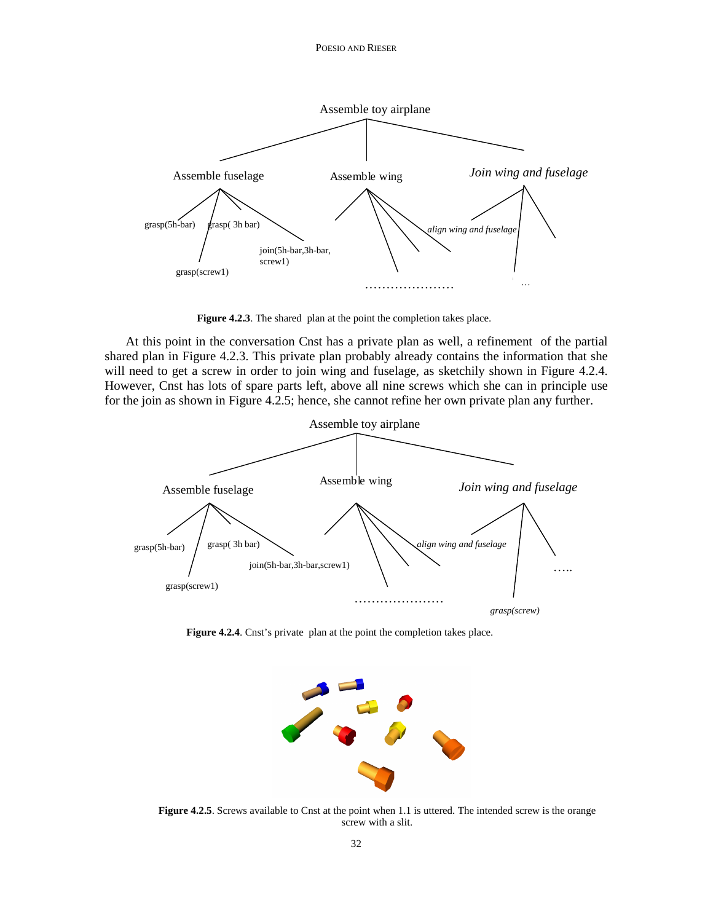POESIO AND RIESER



Figure 4.2.3. The shared plan at the point the completion takes place.

At this point in the conversation Cnst has a private plan as well, a refinement of the partial shared plan in Figure 4.2.3. This private plan probably already contains the information that she will need to get a screw in order to join wing and fuselage, as sketchily shown in Figure 4.2.4. However, Cnst has lots of spare parts left, above all nine screws which she can in principle use for the join as shown in Figure 4.2.5; hence, she cannot refine her own private plan any further.



**Figure 4.2.4**. Cnst's private plan at the point the completion takes place.



**Figure 4.2.5**. Screws available to Cnst at the point when 1.1 is uttered. The intended screw is the orange screw with a slit.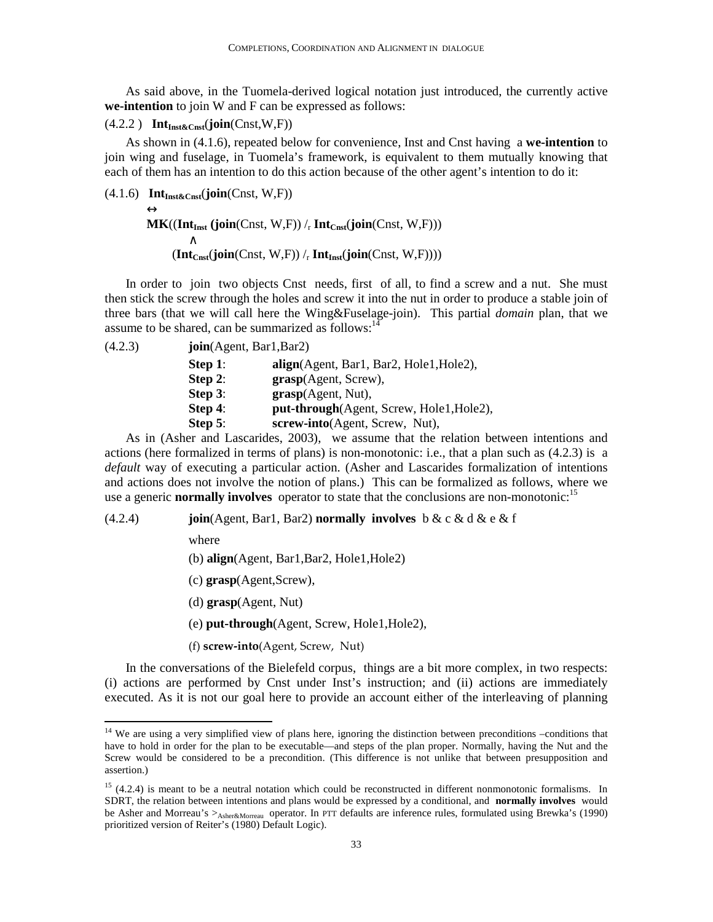As said above, in the Tuomela-derived logical notation just introduced, the currently active **we-intention** to join W and F can be expressed as follows:

#### (4.2.2 ) **IntInst&Cnst**(**join**(Cnst,W,F))

As shown in (4.1.6), repeated below for convenience, Inst and Cnst having a **we-intention** to join wing and fuselage, in Tuomela's framework, is equivalent to them mutually knowing that each of them has an intention to do this action because of the other agent's intention to do it:

 $(4.1.6)$  **Int** $_{\text{Inst\&Cnsf}}(\text{join}(Cnst, W, F))$ 

 $\leftrightarrow$  $MK((Int_{Inst} (join(Const, W, F))/<sub>r</sub> Int_{Const}(join(Const, W, F)))$  ∧  $(\textbf{Int}_{\text{Cnsf}}(\textbf{join}(\text{Const}, W, F)) /_{r} \text{Int}_{\text{Inst}}(\textbf{join}(\text{Const}, W, F))))$ 

In order to join two objects Cnst needs, first of all, to find a screw and a nut. She must then stick the screw through the holes and screw it into the nut in order to produce a stable join of three bars (that we will call here the Wing&Fuselage-join). This partial *domain* plan, that we assume to be shared, can be summarized as follows: $14$ 

| Step 1:    | align(Agent, Bar1, Bar2, Hole1, Hole2),  |
|------------|------------------------------------------|
| Step 2:    | grasp(Agent, Screw),                     |
| Step $3$ : | grasp(Agent, Nut),                       |
| Step $4$ : | put-through(Agent, Screw, Hole1, Hole2), |
| Step $5$ : | screw-into(Agent, Screw, Nut),           |

As in (Asher and Lascarides, 2003), we assume that the relation between intentions and actions (here formalized in terms of plans) is non-monotonic: i.e., that a plan such as (4.2.3) is a *default* way of executing a particular action. (Asher and Lascarides formalization of intentions and actions does not involve the notion of plans.) This can be formalized as follows, where we use a generic **normally involves** operator to state that the conclusions are non-monotonic:<sup>15</sup>

#### (4.2.4) **join**(Agent, Bar1, Bar2) **normally involves** b & c & d & e & f

where

 $\overline{a}$ 

(b) **align**(Agent, Bar1,Bar2, Hole1,Hole2)

- (c) **grasp**(Agent,Screw),
- (d) **grasp**(Agent, Nut)

(e) **put-through**(Agent, Screw, Hole1,Hole2),

(f) screw-into(Agent, Screw, Nut)

In the conversations of the Bielefeld corpus, things are a bit more complex, in two respects: (i) actions are performed by Cnst under Inst's instruction; and (ii) actions are immediately executed. As it is not our goal here to provide an account either of the interleaving of planning

<sup>&</sup>lt;sup>14</sup> We are using a very simplified view of plans here, ignoring the distinction between preconditions –conditions that have to hold in order for the plan to be executable—and steps of the plan proper. Normally, having the Nut and the Screw would be considered to be a precondition. (This difference is not unlike that between presupposition and assertion.)

 $15$  (4.2.4) is meant to be a neutral notation which could be reconstructed in different nonmonotonic formalisms. In SDRT, the relation between intentions and plans would be expressed by a conditional, and **normally involves** would be Asher and Morreau's > Asher&Morreau operator. In PTT defaults are inference rules, formulated using Brewka's (1990) prioritized version of Reiter's (1980) Default Logic).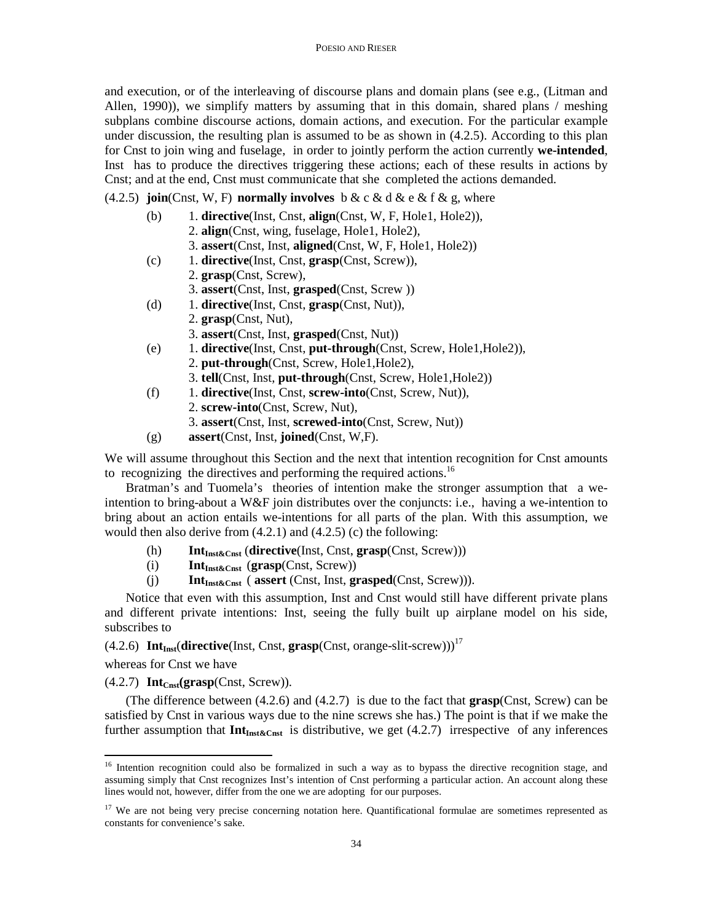and execution, or of the interleaving of discourse plans and domain plans (see e.g., (Litman and Allen, 1990)), we simplify matters by assuming that in this domain, shared plans / meshing subplans combine discourse actions, domain actions, and execution. For the particular example under discussion, the resulting plan is assumed to be as shown in (4.2.5). According to this plan for Cnst to join wing and fuselage, in order to jointly perform the action currently **we-intended**, Inst has to produce the directives triggering these actions; each of these results in actions by Cnst; and at the end, Cnst must communicate that she completed the actions demanded.

(4.2.5) **join**(Cnst, W, F) **normally involves** b & c & d & e & f & g, where

- (b) 1. **directive**(Inst, Cnst, **align**(Cnst, W, F, Hole1, Hole2)),
	- 2. **align**(Cnst, wing, fuselage, Hole1, Hole2),
	- 3. **assert**(Cnst, Inst, **aligned**(Cnst, W, F, Hole1, Hole2))
- (c) 1. **directive**(Inst, Cnst, **grasp**(Cnst, Screw)),
	- 2. **grasp**(Cnst, Screw),
	- 3. **assert**(Cnst, Inst, **grasped**(Cnst, Screw ))
- (d) 1. **directive**(Inst, Cnst, **grasp**(Cnst, Nut)),
	- 2. **grasp**(Cnst, Nut),
		- 3. **assert**(Cnst, Inst, **grasped**(Cnst, Nut))
- (e) 1. **directive**(Inst, Cnst, **put-through**(Cnst, Screw, Hole1,Hole2)),
	- 2. **put-through**(Cnst, Screw, Hole1,Hole2),
	- 3. **tell**(Cnst, Inst, **put-through**(Cnst, Screw, Hole1,Hole2))
- (f) 1. **directive**(Inst, Cnst, **screw-into**(Cnst, Screw, Nut)),
	- 2. **screw-into**(Cnst, Screw, Nut),
	- 3. **assert**(Cnst, Inst, **screwed-into**(Cnst, Screw, Nut))
- (g) **assert**(Cnst, Inst, **joined**(Cnst, W,F).

We will assume throughout this Section and the next that intention recognition for Cnst amounts to recognizing the directives and performing the required actions.<sup>16</sup>

Bratman's and Tuomela's theories of intention make the stronger assumption that a weintention to bring-about a W&F join distributes over the conjuncts: i.e., having a we-intention to bring about an action entails we-intentions for all parts of the plan. With this assumption, we would then also derive from (4.2.1) and (4.2.5) (c) the following:

- (h) **Int**<sub>Inst&Cnst</sub> (directive(Inst, Cnst, grasp(Cnst, Screw)))<br>(i) **Int**<sub>Inst&Cnst</sub> (grasp(Cnst, Screw))
- **Int**<sub>Inst&Cnst</sub> (grasp(Cnst, Screw))
- (j) **IntInst&Cnst** ( **assert** (Cnst, Inst, **grasped**(Cnst, Screw))).

Notice that even with this assumption, Inst and Cnst would still have different private plans and different private intentions: Inst, seeing the fully built up airplane model on his side, subscribes to

 $(4.2.6)$  **Int**<sub>Inst</sub>(directive(Inst, Cnst, grasp(Cnst, orange-slit-screw)))<sup>17</sup>

whereas for Cnst we have

 $\overline{a}$ 

 $(4.2.7)$  **Int**<sub>Cnst</sub>(grasp(Cnst, Screw)).

(The difference between (4.2.6) and (4.2.7) is due to the fact that **grasp**(Cnst, Screw) can be satisfied by Cnst in various ways due to the nine screws she has.) The point is that if we make the further assumption that  $Int_{Int\&Cnst}$  is distributive, we get (4.2.7) irrespective of any inferences

<sup>&</sup>lt;sup>16</sup> Intention recognition could also be formalized in such a way as to bypass the directive recognition stage, and assuming simply that Cnst recognizes Inst's intention of Cnst performing a particular action. An account along these lines would not, however, differ from the one we are adopting for our purposes.

 $17$  We are not being very precise concerning notation here. Quantificational formulae are sometimes represented as constants for convenience's sake.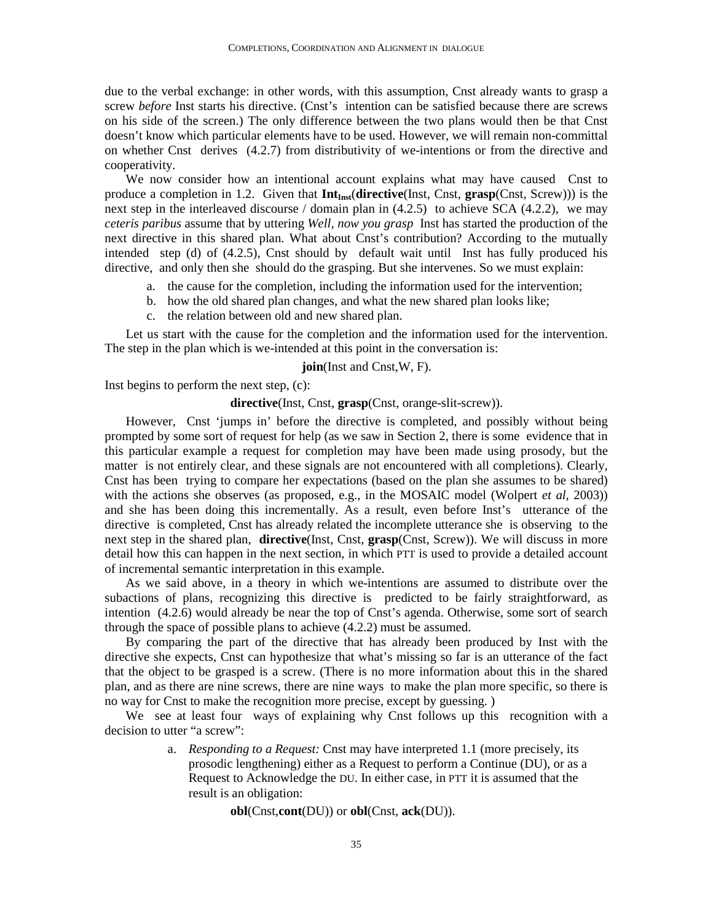due to the verbal exchange: in other words, with this assumption, Cnst already wants to grasp a screw *before* Inst starts his directive. (Cnst's intention can be satisfied because there are screws on his side of the screen.) The only difference between the two plans would then be that Cnst doesn't know which particular elements have to be used. However, we will remain non-committal on whether Cnst derives (4.2.7) from distributivity of we-intentions or from the directive and cooperativity.

We now consider how an intentional account explains what may have caused Cnst to produce a completion in 1.2. Given that **IntInst**(**directive**(Inst, Cnst, **grasp**(Cnst, Screw))) is the next step in the interleaved discourse / domain plan in (4.2.5) to achieve SCA (4.2.2), we may *ceteris paribus* assume that by uttering *Well, now you grasp* Inst has started the production of the next directive in this shared plan. What about Cnst's contribution? According to the mutually intended step (d) of (4.2.5), Cnst should by default wait until Inst has fully produced his directive, and only then she should do the grasping. But she intervenes. So we must explain:

- a. the cause for the completion, including the information used for the intervention;
- b. how the old shared plan changes, and what the new shared plan looks like;
- c. the relation between old and new shared plan.

Let us start with the cause for the completion and the information used for the intervention. The step in the plan which is we-intended at this point in the conversation is:

#### **join**(Inst and Cnst,W, F).

Inst begins to perform the next step,  $(c)$ :

## **directive**(Inst, Cnst, **grasp**(Cnst, orange-slit-screw)).

However, Cnst 'jumps in' before the directive is completed, and possibly without being prompted by some sort of request for help (as we saw in Section 2, there is some evidence that in this particular example a request for completion may have been made using prosody, but the matter is not entirely clear, and these signals are not encountered with all completions). Clearly, Cnst has been trying to compare her expectations (based on the plan she assumes to be shared) with the actions she observes (as proposed, e.g., in the MOSAIC model (Wolpert *et al*, 2003)) and she has been doing this incrementally. As a result, even before Inst's utterance of the directive is completed, Cnst has already related the incomplete utterance she is observing to the next step in the shared plan, **directive**(Inst, Cnst, **grasp**(Cnst, Screw)). We will discuss in more detail how this can happen in the next section, in which PTT is used to provide a detailed account of incremental semantic interpretation in this example.

As we said above, in a theory in which we-intentions are assumed to distribute over the subactions of plans, recognizing this directive is predicted to be fairly straightforward, as intention (4.2.6) would already be near the top of Cnst's agenda. Otherwise, some sort of search through the space of possible plans to achieve (4.2.2) must be assumed.

By comparing the part of the directive that has already been produced by Inst with the directive she expects, Cnst can hypothesize that what's missing so far is an utterance of the fact that the object to be grasped is a screw. (There is no more information about this in the shared plan, and as there are nine screws, there are nine ways to make the plan more specific, so there is no way for Cnst to make the recognition more precise, except by guessing. )

We see at least four ways of explaining why Cnst follows up this recognition with a decision to utter "a screw":

> a. *Responding to a Request:* Cnst may have interpreted 1.1 (more precisely, its prosodic lengthening) either as a Request to perform a Continue (DU), or as a Request to Acknowledge the DU. In either case, in PTT it is assumed that the result is an obligation:

#### **obl**(Cnst,**cont**(DU)) or **obl**(Cnst, **ack**(DU)).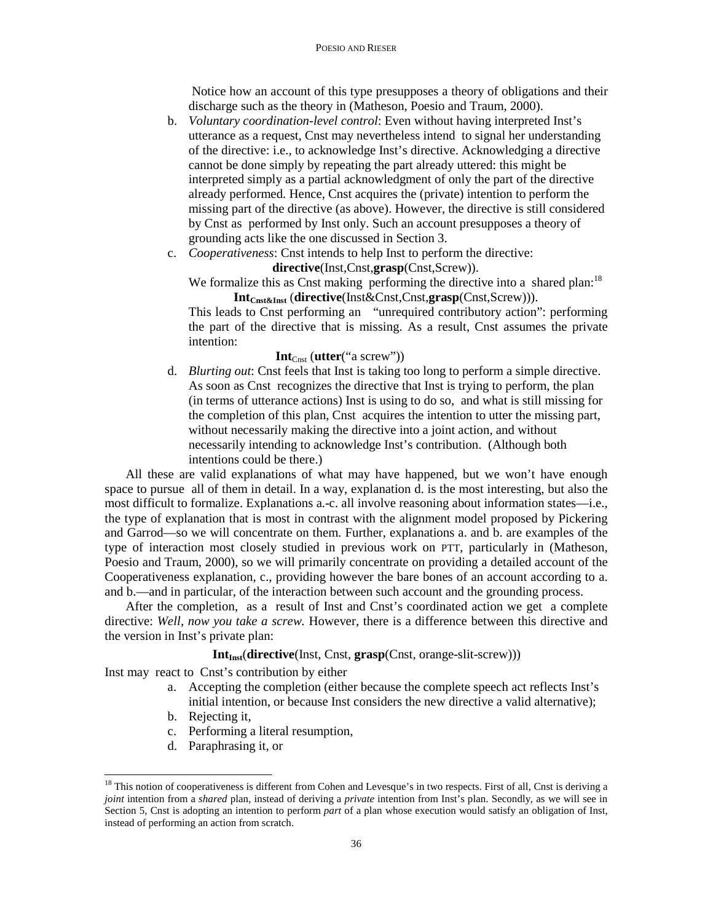Notice how an account of this type presupposes a theory of obligations and their discharge such as the theory in (Matheson, Poesio and Traum, 2000).

- b. *Voluntary coordination-level control*: Even without having interpreted Inst's utterance as a request, Cnst may nevertheless intend to signal her understanding of the directive: i.e., to acknowledge Inst's directive. Acknowledging a directive cannot be done simply by repeating the part already uttered: this might be interpreted simply as a partial acknowledgment of only the part of the directive already performed. Hence, Cnst acquires the (private) intention to perform the missing part of the directive (as above). However, the directive is still considered by Cnst as performed by Inst only. Such an account presupposes a theory of grounding acts like the one discussed in Section 3.
- c. *Cooperativeness*: Cnst intends to help Inst to perform the directive:

## **directive**(Inst,Cnst,**grasp**(Cnst,Screw)).

We formalize this as Cnst making performing the directive into a shared plan:<sup>18</sup> **IntCnst&Inst** (**directive**(Inst&Cnst,Cnst,**grasp**(Cnst,Screw))).

This leads to Cnst performing an "unrequired contributory action": performing the part of the directive that is missing. As a result, Cnst assumes the private intention:

#### **Int**<sub>Cnst</sub> (**utter**("a screw"))

d. *Blurting out*: Cnst feels that Inst is taking too long to perform a simple directive. As soon as Cnst recognizes the directive that Inst is trying to perform, the plan (in terms of utterance actions) Inst is using to do so, and what is still missing for the completion of this plan, Cnst acquires the intention to utter the missing part, without necessarily making the directive into a joint action, and without necessarily intending to acknowledge Inst's contribution. (Although both intentions could be there.)

All these are valid explanations of what may have happened, but we won't have enough space to pursue all of them in detail. In a way, explanation d. is the most interesting, but also the most difficult to formalize. Explanations a.-c. all involve reasoning about information states—i.e., the type of explanation that is most in contrast with the alignment model proposed by Pickering and Garrod—so we will concentrate on them. Further, explanations a. and b. are examples of the type of interaction most closely studied in previous work on PTT, particularly in (Matheson, Poesio and Traum, 2000), so we will primarily concentrate on providing a detailed account of the Cooperativeness explanation, c., providing however the bare bones of an account according to a. and b.—and in particular, of the interaction between such account and the grounding process.

After the completion, as a result of Inst and Cnst's coordinated action we get a complete directive: *Well, now you take a screw.* However, there is a difference between this directive and the version in Inst's private plan:

## **Int<sub>Inst</sub>**(**directive**(Inst, Cnst, **grasp**(Cnst, orange-slit-screw)))

Inst may react to Cnst's contribution by either

- a. Accepting the completion (either because the complete speech act reflects Inst's initial intention, or because Inst considers the new directive a valid alternative);
- b. Rejecting it,

 $\overline{a}$ 

- c. Performing a literal resumption,
- d. Paraphrasing it, or

<sup>&</sup>lt;sup>18</sup> This notion of cooperativeness is different from Cohen and Levesque's in two respects. First of all, Cnst is deriving a *joint* intention from a *shared* plan, instead of deriving a *private* intention from Inst's plan. Secondly, as we will see in Section 5, Cnst is adopting an intention to perform *part* of a plan whose execution would satisfy an obligation of Inst, instead of performing an action from scratch.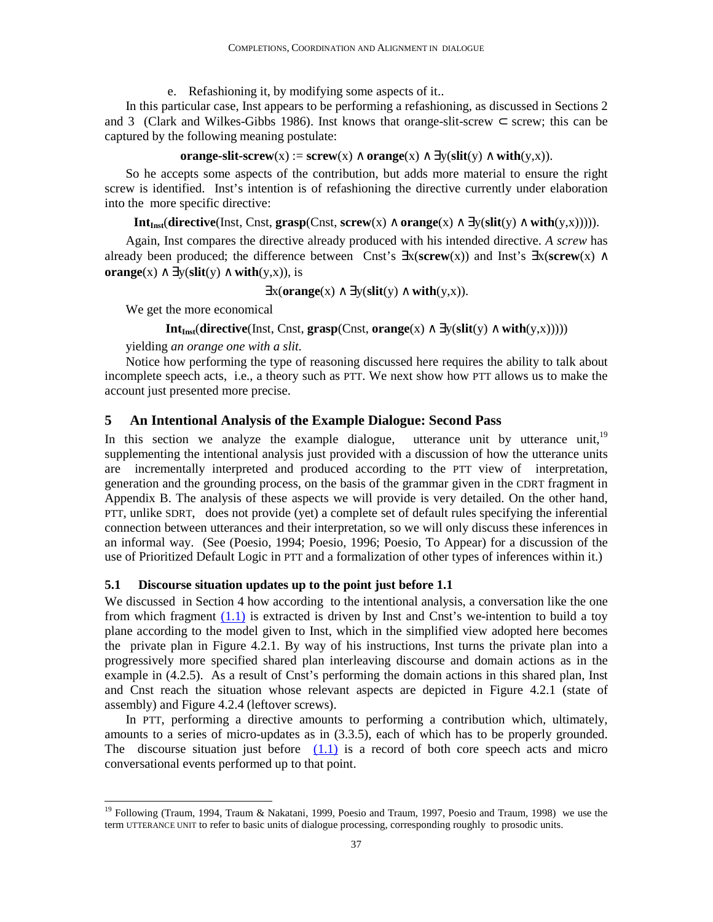e. Refashioning it, by modifying some aspects of it..

In this particular case, Inst appears to be performing a refashioning, as discussed in Sections 2 and 3 (Clark and Wilkes-Gibbs 1986). Inst knows that orange-slit-screw  $\subset$  screw; this can be captured by the following meaning postulate:

### **orange-slit-screw**(x) := **screw**(x) ∧ **orange**(x) ∧  $\exists y$ (**slit**(y) ∧ **with**(y,x)).

So he accepts some aspects of the contribution, but adds more material to ensure the right screw is identified. Inst's intention is of refashioning the directive currently under elaboration into the more specific directive:

**Int**<sub>Inst</sub>(**directive**(Inst, Cnst, **grasp**(Cnst, **screw**(x) ∧ **orange**(x) ∧ ∃y(**slit**(y) ∧ **with**(y,x))))).

Again, Inst compares the directive already produced with his intended directive. *A screw* has already been produced; the difference between Cnst's ∃x(**screw**(x)) and Inst's ∃x(**screw**(x) ∧ **orange**(x)  $\land \exists y$ (**slit**(y)  $\land$  **with**(y,x)), is

$$
\exists x(\text{orange}(x) \land \exists y(\text{slit}(y) \land \text{with}(y,x)).
$$

We get the more economical

 $\overline{a}$ 

### **Int**<sub>Inst</sub>(**directive**(Inst, Cnst, **grasp**(Cnst, **orange**(x) ∧ ∃y(**slit**(y) ∧ **with**(y,x)))))

yielding *an orange one with a slit.* 

Notice how performing the type of reasoning discussed here requires the ability to talk about incomplete speech acts, i.e., a theory such as PTT. We next show how PTT allows us to make the account just presented more precise.

### **5 An Intentional Analysis of the Example Dialogue: Second Pass**

In this section we analyze the example dialogue, utterance unit by utterance unit,  $19$ supplementing the intentional analysis just provided with a discussion of how the utterance units are incrementally interpreted and produced according to the PTT view of interpretation, generation and the grounding process, on the basis of the grammar given in the CDRT fragment in Appendix B. The analysis of these aspects we will provide is very detailed. On the other hand, PTT, unlike SDRT, does not provide (yet) a complete set of default rules specifying the inferential connection between utterances and their interpretation, so we will only discuss these inferences in an informal way. (See (Poesio, 1994; Poesio, 1996; Poesio, To Appear) for a discussion of the use of Prioritized Default Logic in PTT and a formalization of other types of inferences within it.)

### **5.1 Discourse situation updates up to the point just before 1.1**

We discussed in Section 4 how according to the intentional analysis, a conversation like the one from which fragment (1.1) is extracted is driven by Inst and Cnst's we-intention to build a toy plane according to the model given to Inst, which in the simplified view adopted here becomes the private plan in Figure 4.2.1. By way of his instructions, Inst turns the private plan into a progressively more specified shared plan interleaving discourse and domain actions as in the example in (4.2.5). As a result of Cnst's performing the domain actions in this shared plan, Inst and Cnst reach the situation whose relevant aspects are depicted in Figure 4.2.1 (state of assembly) and Figure 4.2.4 (leftover screws).

In PTT, performing a directive amounts to performing a contribution which, ultimately, amounts to a series of micro-updates as in (3.3.5), each of which has to be properly grounded. The discourse situation just before  $(1.1)$  is a record of both core speech acts and micro conversational events performed up to that point.

<sup>&</sup>lt;sup>19</sup> Following (Traum, 1994, Traum & Nakatani, 1999, Poesio and Traum, 1997, Poesio and Traum, 1998) we use the term UTTERANCE UNIT to refer to basic units of dialogue processing, corresponding roughly to prosodic units.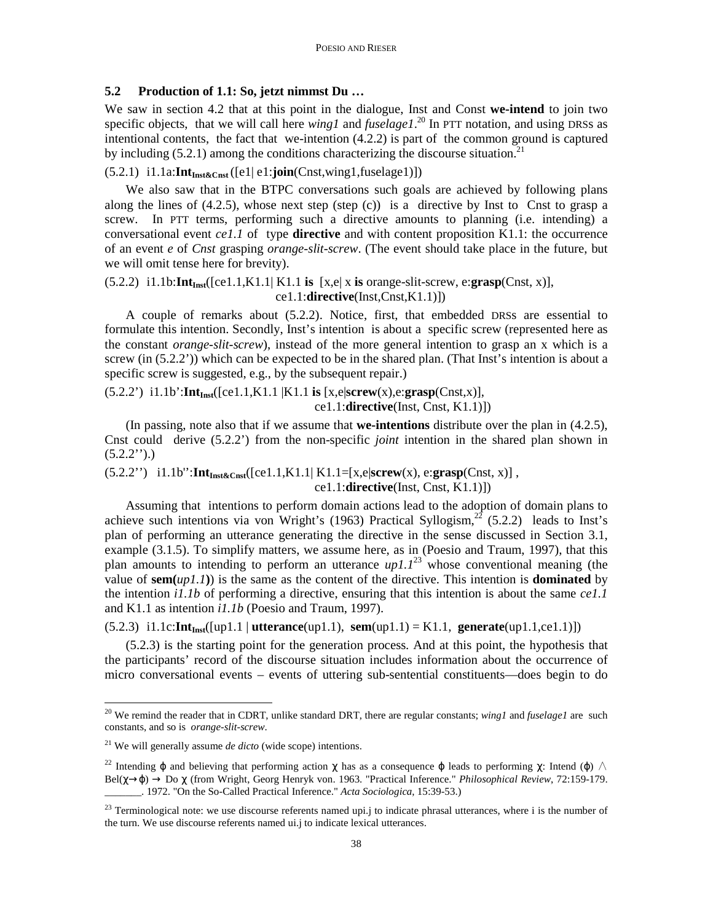### **5.2 Production of 1.1: So, jetzt nimmst Du …**

We saw in section 4.2 that at this point in the dialogue, Inst and Const **we-intend** to join two specific objects, that we will call here *wing1* and *fuselage1*. <sup>20</sup> In PTT notation, and using DRSs as intentional contents, the fact that we-intention (4.2.2) is part of the common ground is captured by including  $(5.2.1)$  among the conditions characterizing the discourse situation.<sup>21</sup>

# (5.2.1) i1.1a:**IntInst&Cnst** ([e1| e1:**join**(Cnst,wing1,fuselage1)])

We also saw that in the BTPC conversations such goals are achieved by following plans along the lines of  $(4.2.5)$ , whose next step (step  $(c)$ ) is a directive by Inst to Cnst to grasp a screw. In PTT terms, performing such a directive amounts to planning (i.e. intending) a conversational event *ce1.1* of type **directive** and with content proposition K1.1: the occurrence of an event *e* of *Cnst* grasping *orange-slit-screw*. (The event should take place in the future, but we will omit tense here for brevity).

# (5.2.2) i1.1b:**IntInst**([ce1.1,K1.1| K1.1 **is** [x,e| x **is** orange-slit-screw, e:**grasp**(Cnst, x)], ce1.1:**directive**(Inst,Cnst,K1.1)])

A couple of remarks about (5.2.2). Notice, first, that embedded DRSs are essential to formulate this intention. Secondly, Inst's intention is about a specific screw (represented here as the constant *orange-slit-screw*), instead of the more general intention to grasp an x which is a screw (in (5.2.2')) which can be expected to be in the shared plan. (That Inst's intention is about a specific screw is suggested, e.g., by the subsequent repair.)

### $(5.2.2')$  i1.1b': $Int<sub>Inst</sub>([ce1.1,K1.1|K1.1 is [x,e|screw(x),e:grasp(Cnst,x)],$ ce1.1:**directive**(Inst, Cnst, K1.1)])

(In passing, note also that if we assume that **we-intentions** distribute over the plan in (4.2.5), Cnst could derive (5.2.2') from the non-specific *joint* intention in the shared plan shown in  $(5.2.2'')$ .)

(5.2.2'') i1.1b'':**IntInst&Cnst**([ce1.1,K1.1| K1.1=[x,e|**screw**(x), e:**grasp**(Cnst, x)] , ce1.1:**directive**(Inst, Cnst, K1.1)])

Assuming that intentions to perform domain actions lead to the adoption of domain plans to achieve such intentions via von Wright's (1963) Practical Syllogism,<sup>22</sup> (5.2.2) leads to Inst's plan of performing an utterance generating the directive in the sense discussed in Section 3.1, example (3.1.5). To simplify matters, we assume here, as in (Poesio and Traum, 1997), that this plan amounts to intending to perform an utterance  $up1.1^{23}$  whose conventional meaning (the value of  $\textbf{sem}(\mu p1.1)$ ) is the same as the content of the directive. This intention is **dominated** by the intention *i1.1b* of performing a directive, ensuring that this intention is about the same *ce1.1* and K1.1 as intention *i1.1b* (Poesio and Traum, 1997).

# (5.2.3) i1.1c:**IntInst**([up1.1 | **utterance**(up1.1), **sem**(up1.1) = K1.1, **generate**(up1.1,ce1.1)])

(5.2.3) is the starting point for the generation process. And at this point, the hypothesis that the participants' record of the discourse situation includes information about the occurrence of micro conversational events – events of uttering sub-sentential constituents—does begin to do

 $\overline{a}$ 

<sup>20</sup> We remind the reader that in CDRT, unlike standard DRT, there are regular constants; *wing1* and *fuselage1* are such constants, and so is *orange-slit-screw*.

<sup>21</sup> We will generally assume *de dicto* (wide scope) intentions.

<sup>&</sup>lt;sup>22</sup> Intending  $\varphi$  and believing that performing action  $\chi$  has as a consequence  $\varphi$  leads to performing  $\chi$ : Intend ( $\varphi$ )  $\wedge$ Bel(χ→ϕ) → Do χ (from Wright, Georg Henryk von. 1963. "Practical Inference." *Philosophical Review*, 72:159-179. \_\_\_\_\_\_\_. 1972. "On the So-Called Practical Inference." *Acta Sociologica*, 15:39-53.)

<sup>&</sup>lt;sup>23</sup> Terminological note: we use discourse referents named upi.j to indicate phrasal utterances, where i is the number of the turn. We use discourse referents named ui.j to indicate lexical utterances.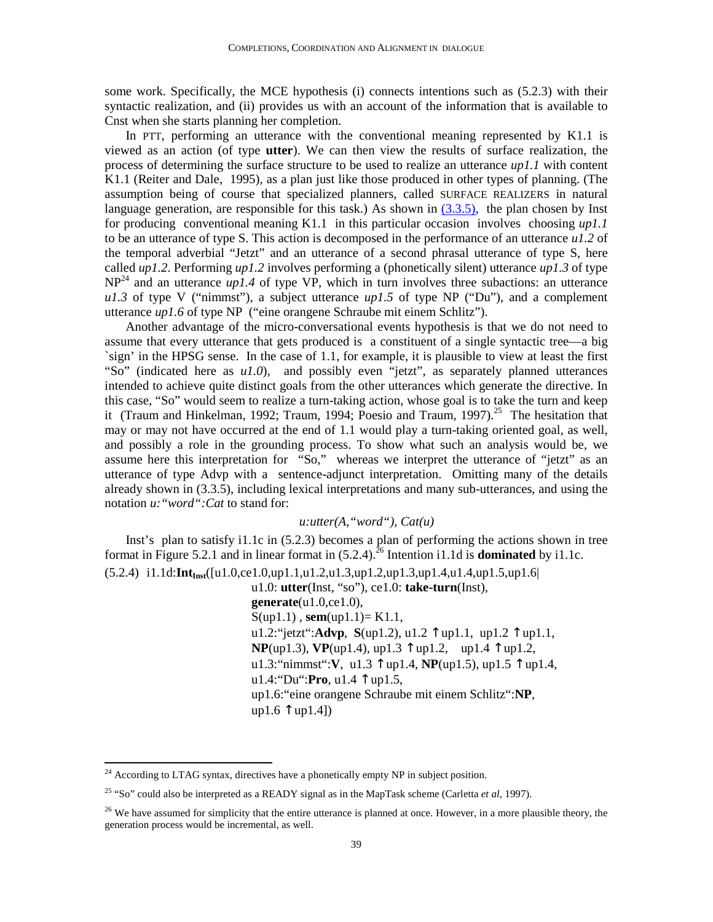some work. Specifically, the MCE hypothesis (i) connects intentions such as (5.2.3) with their syntactic realization, and (ii) provides us with an account of the information that is available to Cnst when she starts planning her completion.

In PTT, performing an utterance with the conventional meaning represented by K1.1 is viewed as an action (of type **utter**). We can then view the results of surface realization, the process of determining the surface structure to be used to realize an utterance *up1.1* with content K1.1 (Reiter and Dale, 1995), as a plan just like those produced in other types of planning. (The assumption being of course that specialized planners, called SURFACE REALIZERS in natural language generation, are responsible for this task.) As shown in  $(3.3.5)$ , the plan chosen by Inst for producing conventional meaning K1.1 in this particular occasion involves choosing *up1.1* to be an utterance of type S. This action is decomposed in the performance of an utterance  $u/2$  of the temporal adverbial "Jetzt" and an utterance of a second phrasal utterance of type S, here called *up1.2*. Performing *up1.2* involves performing a (phonetically silent) utterance *up1.3* of type  $NP<sup>24</sup>$  and an utterance  $up1.4$  of type VP, which in turn involves three subactions: an utterance  $u1.3$  of type V ("nimmst"), a subject utterance  $up1.5$  of type NP ("Du"), and a complement utterance *up1.6* of type NP ("eine orangene Schraube mit einem Schlitz").

Another advantage of the micro-conversational events hypothesis is that we do not need to assume that every utterance that gets produced is a constituent of a single syntactic tree—a big `sign' in the HPSG sense. In the case of 1.1, for example, it is plausible to view at least the first "So" (indicated here as *u1.0*), and possibly even "jetzt", as separately planned utterances intended to achieve quite distinct goals from the other utterances which generate the directive. In this case, "So" would seem to realize a turn-taking action, whose goal is to take the turn and keep it (Traum and Hinkelman, 1992; Traum, 1994; Poesio and Traum, 1997).<sup>25</sup> The hesitation that may or may not have occurred at the end of 1.1 would play a turn-taking oriented goal, as well, and possibly a role in the grounding process. To show what such an analysis would be, we assume here this interpretation for "So," whereas we interpret the utterance of "jetzt" as an utterance of type Advp with a sentence-adjunct interpretation. Omitting many of the details already shown in (3.3.5), including lexical interpretations and many sub-utterances, and using the notation *u:"word":Cat* to stand for:

# *u:utter(A,"word"), Cat(u)*

Inst's plan to satisfy i1.1c in (5.2.3) becomes a plan of performing the actions shown in tree format in Figure 5.2.1 and in linear format in  $(5.2.4)$ .<sup>26</sup> Intention i1.1d is **dominated** by i1.1c.

(5.2.4) i1.1d:**IntInst**([u1.0,ce1.0,up1.1,u1.2,u1.3,up1.2,up1.3,up1.4,u1.4,up1.5,up1.6| u1.0: **utter**(Inst, "so"), ce1.0: **take-turn**(Inst), **generate**(u1.0,ce1.0), S(up1.1) , **sem**(up1.1)= K1.1, u1.2:"jetzt":**Advp**, **S**(up1.2), u1.2 ↑ up1.1, up1.2 ↑ up1.1, **NP**(up1.3), **VP**(up1.4), up1.3 ↑ up1.2, up1.4 ↑ up1.2, u1.3:"nimmst":**V**, u1.3 ↑ up1.4, **NP**(up1.5), up1.5 ↑ up1.4, u1.4:"Du":**Pro**, u1.4 ↑ up1.5, up1.6:"eine orangene Schraube mit einem Schlitz":**NP**,  $up1.6$   $\uparrow$   $up1.4$ ])

 $\overline{a}$ 

 $24$  According to LTAG syntax, directives have a phonetically empty NP in subject position.

<sup>25</sup> "So" could also be interpreted as a READY signal as in the MapTask scheme (Carletta *et al*, 1997).

 $26$  We have assumed for simplicity that the entire utterance is planned at once. However, in a more plausible theory, the generation process would be incremental, as well.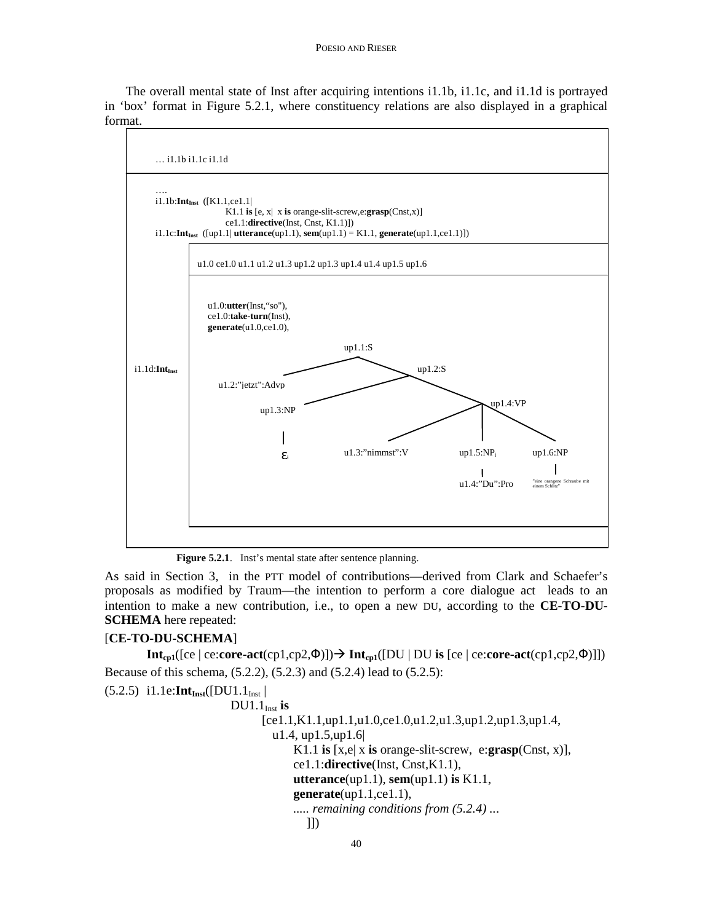### POESIO AND RIESER

The overall mental state of Inst after acquiring intentions i1.1b, i1.1c, and i1.1d is portrayed in 'box' format in Figure 5.2.1, where constituency relations are also displayed in a graphical format.



Figure 5.2.1. Inst's mental state after sentence planning.

As said in Section 3, in the PTT model of contributions—derived from Clark and Schaefer's proposals as modified by Traum—the intention to perform a core dialogue act leads to an intention to make a new contribution, i.e., to open a new DU, according to the **CE-TO-DU-SCHEMA** here repeated:

### [**CE-TO-DU-SCHEMA**]

**Int**<sub>cp1</sub>([ce | ce:**core-act**(cp1,cp2,Φ)])  $\rightarrow$  **Int**<sub>cp1</sub>([DU | DU **is** [ce | ce:**core-act**(cp1,cp2,Φ)]]) Because of this schema, (5.2.2), (5.2.3) and (5.2.4) lead to (5.2.5):

```
(5.2.5) i1.1e:Int_{Inst}([DU1.1_{Inst}]DU1.1<sub>Inst</sub> is
                               [ce1.1,K1.1,up1.1,u1.0,ce1.0,u1.2,u1.3,up1.2,up1.3,up1.4, 
                                 u1.4, up1.5,up1.6| 
                                     K1.1 is [x,e| x is orange-slit-screw, e:grasp(Cnst, x)], 
                                     ce1.1:directive(Inst, Cnst,K1.1), 
                                     utterance(up1.1), sem(up1.1) is K1.1, 
                                     generate(up1.1,ce1.1), 
                                     ..... remaining conditions from (5.2.4) ... 
\Box
```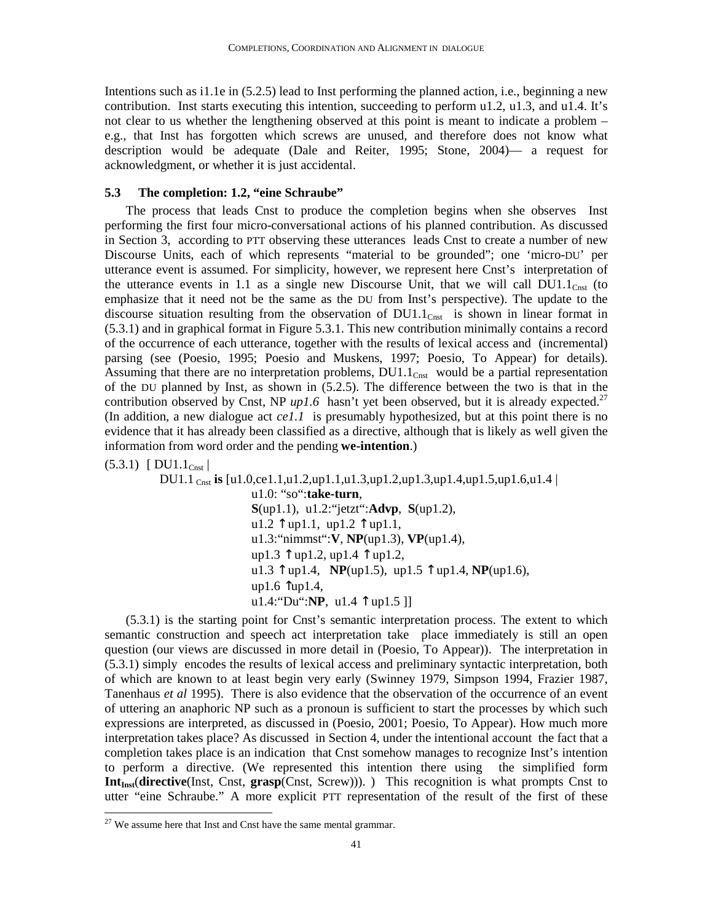Intentions such as i1.1e in (5.2.5) lead to Inst performing the planned action, i.e., beginning a new contribution. Inst starts executing this intention, succeeding to perform u1.2, u1.3, and u1.4. It's not clear to us whether the lengthening observed at this point is meant to indicate a problem – e.g., that Inst has forgotten which screws are unused, and therefore does not know what description would be adequate (Dale and Reiter, 1995; Stone, 2004)— a request for acknowledgment, or whether it is just accidental.

# **5.3 The completion: 1.2, "eine Schraube"**

The process that leads Cnst to produce the completion begins when she observes Inst performing the first four micro-conversational actions of his planned contribution. As discussed in Section 3, according to PTT observing these utterances leads Cnst to create a number of new Discourse Units, each of which represents "material to be grounded"; one 'micro-DU' per utterance event is assumed. For simplicity, however, we represent here Cnst's interpretation of the utterance events in 1.1 as a single new Discourse Unit, that we will call  $DU1.1<sub>Cnst</sub>$  (to emphasize that it need not be the same as the DU from Inst's perspective). The update to the discourse situation resulting from the observation of  $DU1.1<sub>Cnst</sub>$  is shown in linear format in (5.3.1) and in graphical format in Figure 5.3.1. This new contribution minimally contains a record of the occurrence of each utterance, together with the results of lexical access and (incremental) parsing (see (Poesio, 1995; Poesio and Muskens, 1997; Poesio, To Appear) for details). Assuming that there are no interpretation problems,  $DU1.1<sub>Cnst</sub>$  would be a partial representation of the DU planned by Inst, as shown in (5.2.5). The difference between the two is that in the contribution observed by Cnst, NP  $up1.6$  hasn't yet been observed, but it is already expected.<sup>27</sup> (In addition, a new dialogue act *ce1.1* is presumably hypothesized, but at this point there is no evidence that it has already been classified as a directive, although that is likely as well given the information from word order and the pending **we-intention**.)

 $(5.3.1)$  [ DU1.1<sub>Cnst</sub>]

 $\overline{a}$ 

 DU1.1 Cnst **is** [u1.0,ce1.1,u1.2,up1.1,u1.3,up1.2,up1.3,up1.4,up1.5,up1.6,u1.4 | u1.0: "so":**take-turn**, **S**(up1.1), u1.2:"jetzt":**Advp**, **S**(up1.2),  $u1.2 \text{ }\uparrow$  up1.1, up1.2  $\uparrow$  up1.1, u1.3:"nimmst":**V**, **NP**(up1.3), **VP**(up1.4), up1.3 ↑ up1.2, up1.4 ↑ up1.2, u1.3 ↑ up1.4, **NP**(up1.5), up1.5 ↑ up1.4, **NP**(up1.6), up1.6  $\hat{\uparrow}$ up1.4, u1.4:"Du":**NP**, u1.4 ↑ up1.5 ]]

(5.3.1) is the starting point for Cnst's semantic interpretation process. The extent to which semantic construction and speech act interpretation take place immediately is still an open question (our views are discussed in more detail in (Poesio, To Appear)). The interpretation in (5.3.1) simply encodes the results of lexical access and preliminary syntactic interpretation, both of which are known to at least begin very early (Swinney 1979, Simpson 1994, Frazier 1987, Tanenhaus *et al* 1995). There is also evidence that the observation of the occurrence of an event of uttering an anaphoric NP such as a pronoun is sufficient to start the processes by which such expressions are interpreted, as discussed in (Poesio, 2001; Poesio, To Appear). How much more interpretation takes place? As discussed in Section 4, under the intentional account the fact that a completion takes place is an indication that Cnst somehow manages to recognize Inst's intention to perform a directive. (We represented this intention there using the simplified form **Int<sub>Inst</sub>**(directive(Inst, Cnst, grasp(Cnst, Screw))). ) This recognition is what prompts Cnst to utter "eine Schraube." A more explicit PTT representation of the result of the first of these

 $27$  We assume here that Inst and Cnst have the same mental grammar.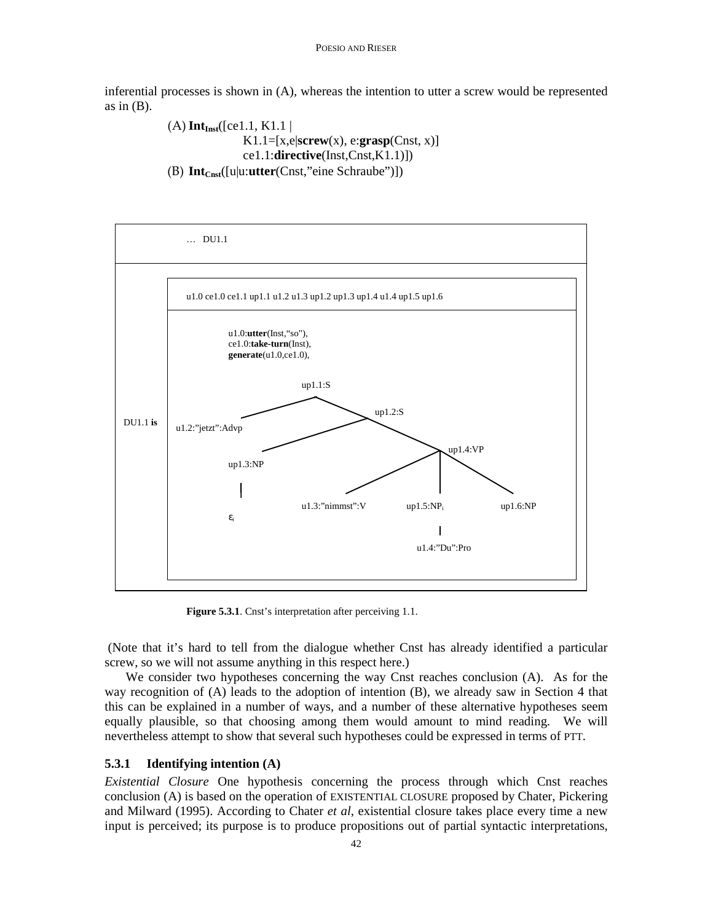inferential processes is shown in (A), whereas the intention to utter a screw would be represented as in  $(B)$ .

> $(A)$  **Int**<sub>Inst</sub>([ce1.1, K1.1 | K1.1=[x,e|**screw**(x), e:**grasp**(Cnst, x)] ce1.1:**directive**(Inst,Cnst,K1.1)]) (B) **IntCnst**([u|u:**utter**(Cnst,"eine Schraube")])



**Figure 5.3.1**. Cnst's interpretation after perceiving 1.1.

 (Note that it's hard to tell from the dialogue whether Cnst has already identified a particular screw, so we will not assume anything in this respect here.)

We consider two hypotheses concerning the way Cnst reaches conclusion (A). As for the way recognition of (A) leads to the adoption of intention (B), we already saw in Section 4 that this can be explained in a number of ways, and a number of these alternative hypotheses seem equally plausible, so that choosing among them would amount to mind reading. We will nevertheless attempt to show that several such hypotheses could be expressed in terms of PTT.

### **5.3.1 Identifying intention (A)**

*Existential Closure* One hypothesis concerning the process through which Cnst reaches conclusion (A) is based on the operation of EXISTENTIAL CLOSURE proposed by Chater, Pickering and Milward (1995). According to Chater *et al*, existential closure takes place every time a new input is perceived; its purpose is to produce propositions out of partial syntactic interpretations,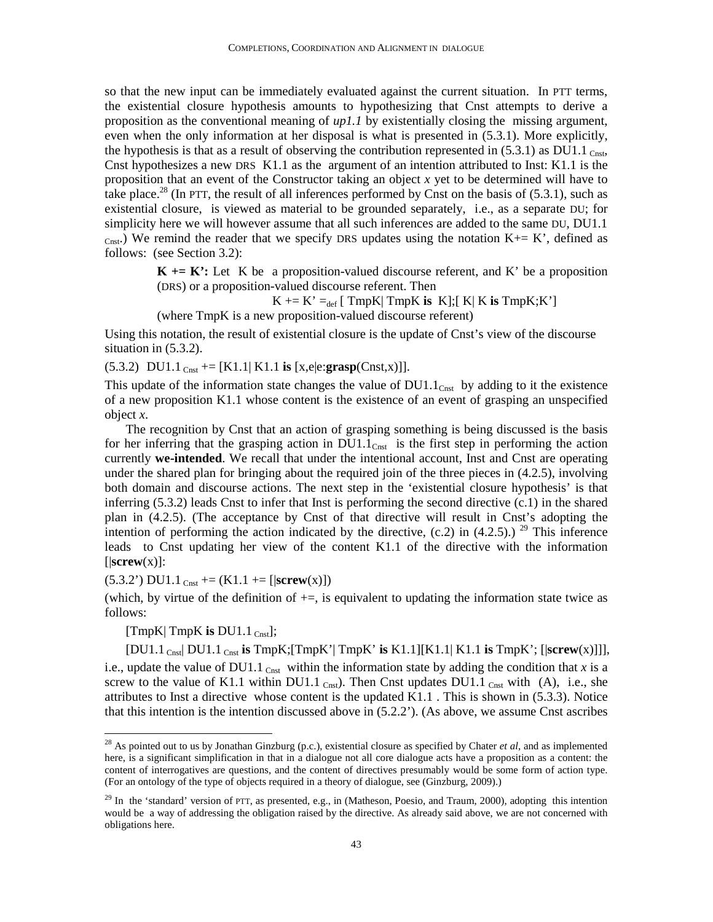so that the new input can be immediately evaluated against the current situation. In PTT terms, the existential closure hypothesis amounts to hypothesizing that Cnst attempts to derive a proposition as the conventional meaning of *up1.1* by existentially closing the missing argument, even when the only information at her disposal is what is presented in (5.3.1). More explicitly, the hypothesis is that as a result of observing the contribution represented in  $(5.3.1)$  as DU1.1  $_{\text{Crst}}$ Cnst hypothesizes a new DRS K1.1 as the argument of an intention attributed to Inst: K1.1 is the proposition that an event of the Constructor taking an object *x* yet to be determined will have to take place.<sup>28</sup> (In PTT, the result of all inferences performed by Cnst on the basis of (5.3.1), such as existential closure, is viewed as material to be grounded separately, i.e., as a separate DU; for simplicity here we will however assume that all such inferences are added to the same DU, DU1.1  $_{\text{Cast.}}$ ) We remind the reader that we specify DRS updates using the notation K+= K', defined as follows: (see Section 3.2):

> $K = K'$ : Let K be a proposition-valued discourse referent, and K' be a proposition (DRS) or a proposition-valued discourse referent. Then

$$
K \leftarrow K' =_{def} [TmpK] TmpK
$$
 is  $K$ ];  $K \leftarrow K$  is  $TmpK$ ;  $K'$ 

(where TmpK is a new proposition-valued discourse referent)

Using this notation, the result of existential closure is the update of Cnst's view of the discourse situation in (5.3.2).

 $(5.3.2) \text{ D}U1.1 \text{ C}_{\text{nst}} = [K1.1] K1.1 \text{ is } [x,e]e:\text{grasp}(C_{\text{nst}},x)]$ .

This update of the information state changes the value of  $DU1.1<sub>Cnst</sub>$  by adding to it the existence of a new proposition K1.1 whose content is the existence of an event of grasping an unspecified object *x*.

The recognition by Cnst that an action of grasping something is being discussed is the basis for her inferring that the grasping action in  $DUI.1<sub>Cnst</sub>$  is the first step in performing the action currently **we-intended**. We recall that under the intentional account, Inst and Cnst are operating under the shared plan for bringing about the required join of the three pieces in (4.2.5), involving both domain and discourse actions. The next step in the 'existential closure hypothesis' is that inferring (5.3.2) leads Cnst to infer that Inst is performing the second directive (c.1) in the shared plan in (4.2.5). (The acceptance by Cnst of that directive will result in Cnst's adopting the intention of performing the action indicated by the directive,  $(c.2)$  in  $(4.2.5)$ .) <sup>29</sup> This inference leads to Cnst updating her view of the content K1.1 of the directive with the information  $[|$ **screw** $(x)]$ :

 $(5.3.2')$  DU1.1 <sub>Cnst</sub> +=  $(K1.1$  += [ $|$ **screw** $(x)$ ])

(which, by virtue of the definition of  $+=$ , is equivalent to updating the information state twice as follows:

[ $TmpK$ ]  $TmpK$  **is**  $DUI.1$   $_{Cnst}$ ];

 $\overline{a}$ 

[DU1.1 Cnst| DU1.1 Cnst **is** TmpK;[TmpK'| TmpK' **is** K1.1][K1.1| K1.1 **is** TmpK'; [|**screw**(x)]]], i.e., update the value of DU1.1  $_{\text{Cnst}}$  within the information state by adding the condition that *x* is a screw to the value of K1.1 within DU1.1  $_{Cnst}$ ). Then Cnst updates DU1.1  $_{Cnst}$  with (A), i.e., she attributes to Inst a directive whose content is the updated K1.1 . This is shown in (5.3.3). Notice that this intention is the intention discussed above in (5.2.2'). (As above, we assume Cnst ascribes

<sup>28</sup> As pointed out to us by Jonathan Ginzburg (p.c.), existential closure as specified by Chater *et al*, and as implemented here, is a significant simplification in that in a dialogue not all core dialogue acts have a proposition as a content: the content of interrogatives are questions, and the content of directives presumably would be some form of action type. (For an ontology of the type of objects required in a theory of dialogue, see (Ginzburg, 2009).)

<sup>&</sup>lt;sup>29</sup> In the 'standard' version of PTT, as presented, e.g., in (Matheson, Poesio, and Traum, 2000), adopting this intention would be a way of addressing the obligation raised by the directive. As already said above, we are not concerned with obligations here.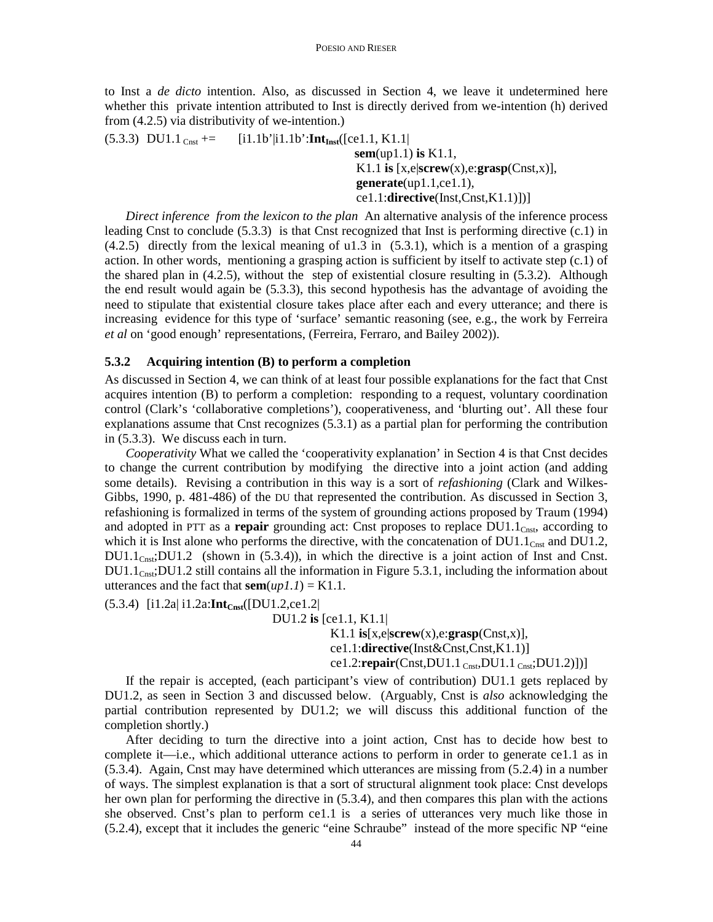to Inst a *de dicto* intention. Also, as discussed in Section 4, we leave it undetermined here whether this private intention attributed to Inst is directly derived from we-intention (h) derived from (4.2.5) via distributivity of we-intention.)

 $(5.3.3) \text{ D}U1.1 \text{ }_{\text{Cnst}} = [i1.1b' | i1.1b': \text{Int}_{\text{Inst}}([ce1.1, K1.1])]$  **sem**(up1.1) **is** K1.1, K1.1 **is** [x,e|**screw**(x),e:**grasp**(Cnst,x)], **generate**(up1.1,ce1.1), ce1.1:**directive**(Inst,Cnst,K1.1)])]

*Direct inference from the lexicon to the plan* An alternative analysis of the inference process leading Cnst to conclude (5.3.3) is that Cnst recognized that Inst is performing directive (c.1) in  $(4.2.5)$  directly from the lexical meaning of u1.3 in  $(5.3.1)$ , which is a mention of a grasping action. In other words, mentioning a grasping action is sufficient by itself to activate step (c.1) of the shared plan in (4.2.5), without the step of existential closure resulting in (5.3.2). Although the end result would again be (5.3.3), this second hypothesis has the advantage of avoiding the need to stipulate that existential closure takes place after each and every utterance; and there is increasing evidence for this type of 'surface' semantic reasoning (see, e.g., the work by Ferreira *et al* on 'good enough' representations, (Ferreira, Ferraro, and Bailey 2002)).

# **5.3.2 Acquiring intention (B) to perform a completion**

As discussed in Section 4, we can think of at least four possible explanations for the fact that Cnst acquires intention (B) to perform a completion: responding to a request, voluntary coordination control (Clark's 'collaborative completions'), cooperativeness, and 'blurting out'. All these four explanations assume that Cnst recognizes (5.3.1) as a partial plan for performing the contribution in (5.3.3). We discuss each in turn.

*Cooperativity* What we called the 'cooperativity explanation' in Section 4 is that Cnst decides to change the current contribution by modifying the directive into a joint action (and adding some details). Revising a contribution in this way is a sort of *refashioning* (Clark and Wilkes-Gibbs, 1990, p. 481-486) of the DU that represented the contribution. As discussed in Section 3, refashioning is formalized in terms of the system of grounding actions proposed by Traum (1994) and adopted in PTT as a **repair** grounding act: Cnst proposes to replace DU1.1<sub>Cnst</sub>, according to which it is Inst alone who performs the directive, with the concatenation of  $DU1.1<sub>Cnst</sub>$  and  $DU1.2$ ,  $DU1.1<sub>Cnsi</sub>DU1.2$  (shown in (5.3.4)), in which the directive is a joint action of Inst and Cnst.  $DU1.1<sub>C</sub>$ <sub>Cnst</sub>;DU1.2 still contains all the information in Figure 5.3.1, including the information about utterances and the fact that  $sem(up1.1) = K1.1$ .

(5.3.4) [i1.2a| i1.2a:**IntCnst**([DU1.2,ce1.2|

DU1.2 **is** [ce1.1, K1.1|

 K1.1 **is**[x,e|**screw**(x),e:**grasp**(Cnst,x)], ce1.1:**directive**(Inst&Cnst,Cnst,K1.1)] ce1.2:**repair**(Cnst,DU1.1 Cnst,DU1.1 Cnst;DU1.2)])]

If the repair is accepted, (each participant's view of contribution) DU1.1 gets replaced by DU1.2, as seen in Section 3 and discussed below. (Arguably, Cnst is *also* acknowledging the partial contribution represented by DU1.2; we will discuss this additional function of the completion shortly.)

After deciding to turn the directive into a joint action, Cnst has to decide how best to complete it—i.e., which additional utterance actions to perform in order to generate ce1.1 as in (5.3.4). Again, Cnst may have determined which utterances are missing from (5.2.4) in a number of ways. The simplest explanation is that a sort of structural alignment took place: Cnst develops her own plan for performing the directive in (5.3.4), and then compares this plan with the actions she observed. Cnst's plan to perform ce1.1 is a series of utterances very much like those in (5.2.4), except that it includes the generic "eine Schraube" instead of the more specific NP "eine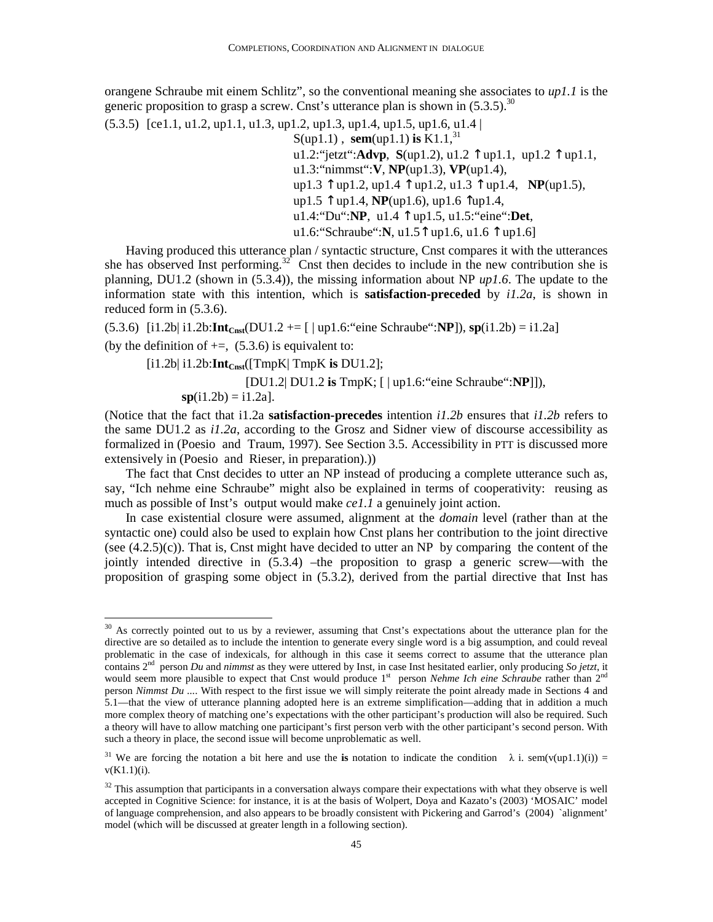orangene Schraube mit einem Schlitz", so the conventional meaning she associates to *up1.1* is the generic proposition to grasp a screw. Cnst's utterance plan is shown in  $(5.3.5)$ .<sup>30</sup>

(5.3.5) [ce1.1, u1.2, up1.1, u1.3, up1.2, up1.3, up1.4, up1.5, up1.6, u1.4 |  $S(up1.1)$ , **sem**(up1.1) **is** K1.1,<sup>31</sup> u1.2:"jetzt":**Advp**, **S**(up1.2), u1.2 ↑ up1.1, up1.2 ↑ up1.1, u1.3:"nimmst":**V**, **NP**(up1.3), **VP**(up1.4), up1.3 ↑ up1.2, up1.4 ↑ up1.2, u1.3 ↑ up1.4, **NP**(up1.5), up1.5 ↑ up1.4, **NP**(up1.6), up1.6 ↑up1.4, u1.4:"Du":**NP**, u1.4 ↑ up1.5, u1.5:"eine":**Det**, u1.6:"Schraube":**N**, u1.5↑ up1.6, u1.6 ↑ up1.6]

Having produced this utterance plan / syntactic structure, Cnst compares it with the utterances she has observed Inst performing.<sup>32</sup> Cnst then decides to include in the new contribution she is planning, DU1.2 (shown in (5.3.4)), the missing information about NP *up1.6*. The update to the information state with this intention, which is **satisfaction-preceded** by *i1.2a*, is shown in reduced form in (5.3.6).

 $(5.3.6)$  [i1.2b| i1.2b: $Int_{Cnst}(DU1.2 += [ | up1.6: "eine Schraube" : NP]),$   $sp(11.2b) = 11.2a]$ (by the definition of  $+=$ , (5.3.6) is equivalent to:

$$
[i1.2b| i1.2b: \text{Int}_{\text{Const}}([\text{TmpK} | \text{TmpK is DU1.2}];
$$

<u>.</u>

 [DU1.2| DU1.2 **is** TmpK; [ | up1.6:"eine Schraube":**NP**]]),  $s**p**(i1.2b) = i1.2a].$ 

(Notice that the fact that i1.2a **satisfaction-precedes** intention *i1.2b* ensures that *i1.2b* refers to the same DU1.2 as *i1.2a*, according to the Grosz and Sidner view of discourse accessibility as formalized in (Poesio and Traum, 1997). See Section 3.5. Accessibility in PTT is discussed more extensively in (Poesio and Rieser, in preparation).))

The fact that Cnst decides to utter an NP instead of producing a complete utterance such as, say, "Ich nehme eine Schraube" might also be explained in terms of cooperativity: reusing as much as possible of Inst's output would make *ce1.1* a genuinely joint action.

In case existential closure were assumed, alignment at the *domain* level (rather than at the syntactic one) could also be used to explain how Cnst plans her contribution to the joint directive (see  $(4.2.5)(c)$ ). That is, Cnst might have decided to utter an NP by comparing the content of the jointly intended directive in (5.3.4) –the proposition to grasp a generic screw—with the proposition of grasping some object in (5.3.2), derived from the partial directive that Inst has

 $30$  As correctly pointed out to us by a reviewer, assuming that Cnst's expectations about the utterance plan for the directive are so detailed as to include the intention to generate every single word is a big assumption, and could reveal problematic in the case of indexicals, for although in this case it seems correct to assume that the utterance plan contains 2nd person *Du* and *nimmst* as they were uttered by Inst, in case Inst hesitated earlier, only producing *So jetzt*, it would seem more plausible to expect that Cnst would produce 1<sup>st</sup> person *Nehme Ich eine Schraube* rather than 2<sup>nd</sup> person *Nimmst Du ...*. With respect to the first issue we will simply reiterate the point already made in Sections 4 and 5.1—that the view of utterance planning adopted here is an extreme simplification—adding that in addition a much more complex theory of matching one's expectations with the other participant's production will also be required. Such a theory will have to allow matching one participant's first person verb with the other participant's second person. With such a theory in place, the second issue will become unproblematic as well.

<sup>&</sup>lt;sup>31</sup> We are forcing the notation a bit here and use the **is** notation to indicate the condition  $\lambda$  i. sem(v(up1.1)(i)) =  $v(K1.1)(i)$ .

 $32$  This assumption that participants in a conversation always compare their expectations with what they observe is well accepted in Cognitive Science: for instance, it is at the basis of Wolpert, Doya and Kazato's (2003) 'MOSAIC' model of language comprehension, and also appears to be broadly consistent with Pickering and Garrod's (2004) `alignment' model (which will be discussed at greater length in a following section).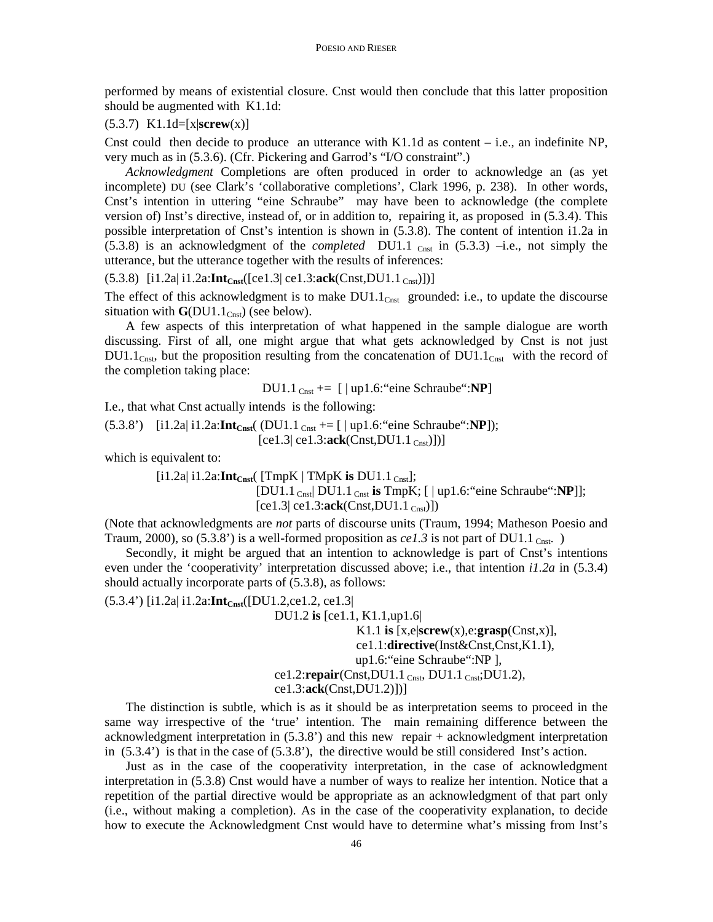performed by means of existential closure. Cnst would then conclude that this latter proposition should be augmented with K1.1d:

### (5.3.7) K1.1d=[x|**screw**(x)]

Cnst could then decide to produce an utterance with K1.1d as content – i.e., an indefinite NP, very much as in (5.3.6). (Cfr. Pickering and Garrod's "I/O constraint".)

*Acknowledgment* Completions are often produced in order to acknowledge an (as yet incomplete) DU (see Clark's 'collaborative completions', Clark 1996, p. 238). In other words, Cnst's intention in uttering "eine Schraube" may have been to acknowledge (the complete version of) Inst's directive, instead of, or in addition to, repairing it, as proposed in (5.3.4). This possible interpretation of Cnst's intention is shown in (5.3.8). The content of intention i1.2a in  $(5.3.8)$  is an acknowledgment of the *completed* DU1.1  $_{\text{Cast}}$  in  $(5.3.3)$  -i.e., not simply the utterance, but the utterance together with the results of inferences:

 $(5.3.8)$  [i1.2a| i1.2a: $Int_{Cnst}([ce1.3]$  ce1.3: $ack(Cnst,DU1.1_{Cnst})])$ ]

The effect of this acknowledgment is to make  $DUI.1<sub>Cnst</sub>$  grounded: i.e., to update the discourse situation with  $\mathbf{G}(\text{D} \text{U} 1.1_{\text{Cnst}})$  (see below).

A few aspects of this interpretation of what happened in the sample dialogue are worth discussing. First of all, one might argue that what gets acknowledged by Cnst is not just  $DU1.1_{Cnst}$ , but the proposition resulting from the concatenation of  $DU1.1_{Cnst}$  with the record of the completion taking place:

DU1.1 Cnst += [ | up1.6:"eine Schraube":**NP**]

I.e., that what Cnst actually intends is the following:

(5.3.8') [i1.2a| i1.2a:**IntCnst**( (DU1.1 Cnst += [ | up1.6:"eine Schraube":**NP**]);  $[ce1.3| ce1.3:ack(Const,DU1.1_{Cast})])]$ 

which is equivalent to:

 [i1.2a| i1.2a:**IntCnst**( [TmpK | TMpK **is** DU1.1 Cnst]; [DU1.1 Cnst| DU1.1 Cnst **is** TmpK; [ | up1.6:"eine Schraube":**NP**]];  $[ce1.3| ce1.3:ack(Const,DU1.1_{Cnst})])$ 

(Note that acknowledgments are *not* parts of discourse units (Traum, 1994; Matheson Poesio and Traum, 2000), so (5.3.8') is a well-formed proposition as  $ce1.3$  is not part of DU1.1 Cnst.

Secondly, it might be argued that an intention to acknowledge is part of Cnst's intentions even under the 'cooperativity' interpretation discussed above; i.e., that intention *i1.2a* in (5.3.4) should actually incorporate parts of (5.3.8), as follows:

(5.3.4') [i1.2a| i1.2a:**IntCnst**([DU1.2,ce1.2, ce1.3|

DU1.2 **is** [ce1.1, K1.1,up1.6|

```
 K1.1 is [x,e|screw(x),e:grasp(Cnst,x)], 
                 ce1.1:directive(Inst&Cnst,Cnst,K1.1), 
                 up1.6:"eine Schraube":NP ], 
 ce1.2:repair(Cnst,DU1.1 Cnst, DU1.1 Cnst;DU1.2),
```
ce1.3:**ack**(Cnst,DU1.2)])]

The distinction is subtle, which is as it should be as interpretation seems to proceed in the same way irrespective of the 'true' intention. The main remaining difference between the acknowledgment interpretation in (5.3.8') and this new repair + acknowledgment interpretation in  $(5.3.4)$  is that in the case of  $(5.3.8)$ , the directive would be still considered Inst's action.

Just as in the case of the cooperativity interpretation, in the case of acknowledgment interpretation in (5.3.8) Cnst would have a number of ways to realize her intention. Notice that a repetition of the partial directive would be appropriate as an acknowledgment of that part only (i.e., without making a completion). As in the case of the cooperativity explanation, to decide how to execute the Acknowledgment Cnst would have to determine what's missing from Inst's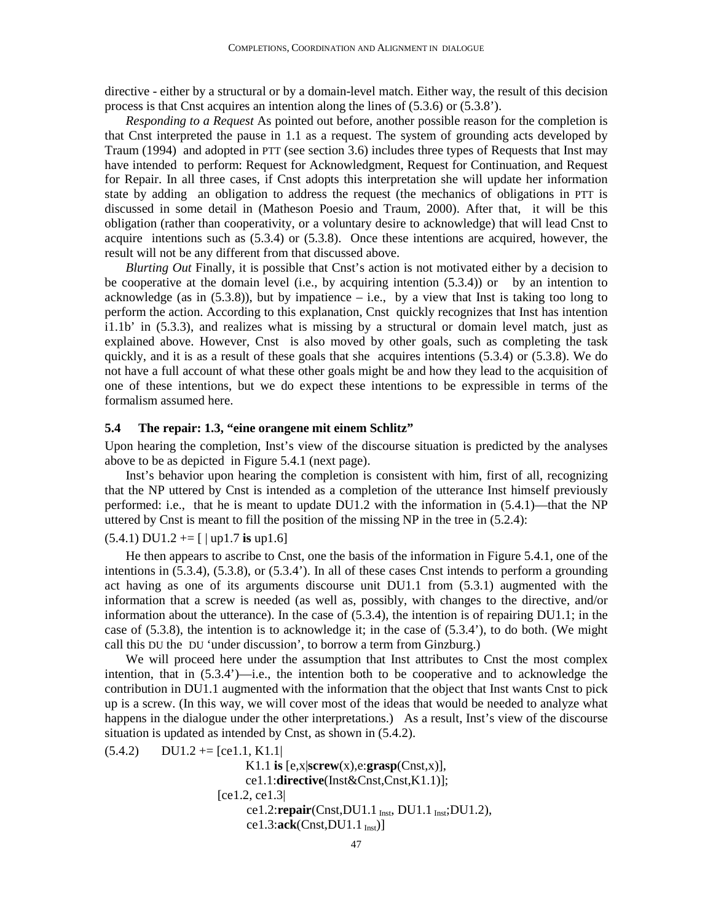directive - either by a structural or by a domain-level match. Either way, the result of this decision process is that Cnst acquires an intention along the lines of (5.3.6) or (5.3.8').

*Responding to a Request* As pointed out before, another possible reason for the completion is that Cnst interpreted the pause in 1.1 as a request. The system of grounding acts developed by Traum (1994) and adopted in PTT (see section 3.6) includes three types of Requests that Inst may have intended to perform: Request for Acknowledgment, Request for Continuation, and Request for Repair. In all three cases, if Cnst adopts this interpretation she will update her information state by adding an obligation to address the request (the mechanics of obligations in PTT is discussed in some detail in (Matheson Poesio and Traum, 2000). After that, it will be this obligation (rather than cooperativity, or a voluntary desire to acknowledge) that will lead Cnst to acquire intentions such as (5.3.4) or (5.3.8). Once these intentions are acquired, however, the result will not be any different from that discussed above.

*Blurting Out* Finally, it is possible that Cnst's action is not motivated either by a decision to be cooperative at the domain level (i.e., by acquiring intention (5.3.4)) or by an intention to acknowledge (as in  $(5.3.8)$ ), but by impatience – i.e., by a view that Inst is taking too long to perform the action. According to this explanation, Cnst quickly recognizes that Inst has intention i1.1b' in (5.3.3), and realizes what is missing by a structural or domain level match, just as explained above. However, Cnst is also moved by other goals, such as completing the task quickly, and it is as a result of these goals that she acquires intentions (5.3.4) or (5.3.8). We do not have a full account of what these other goals might be and how they lead to the acquisition of one of these intentions, but we do expect these intentions to be expressible in terms of the formalism assumed here.

### **5.4 The repair: 1.3, "eine orangene mit einem Schlitz"**

Upon hearing the completion, Inst's view of the discourse situation is predicted by the analyses above to be as depicted in Figure 5.4.1 (next page).

Inst's behavior upon hearing the completion is consistent with him, first of all, recognizing that the NP uttered by Cnst is intended as a completion of the utterance Inst himself previously performed: i.e., that he is meant to update DU1.2 with the information in (5.4.1)—that the NP uttered by Cnst is meant to fill the position of the missing NP in the tree in (5.2.4):

(5.4.1) DU1.2 += [ | up1.7 **is** up1.6]

He then appears to ascribe to Cnst, one the basis of the information in Figure 5.4.1, one of the intentions in (5.3.4), (5.3.8), or (5.3.4'). In all of these cases Cnst intends to perform a grounding act having as one of its arguments discourse unit DU1.1 from (5.3.1) augmented with the information that a screw is needed (as well as, possibly, with changes to the directive, and/or information about the utterance). In the case of (5.3.4), the intention is of repairing DU1.1; in the case of (5.3.8), the intention is to acknowledge it; in the case of (5.3.4'), to do both. (We might call this DU the DU 'under discussion', to borrow a term from Ginzburg.)

We will proceed here under the assumption that Inst attributes to Cnst the most complex intention, that in  $(5.3.4^{\prime})$ —i.e., the intention both to be cooperative and to acknowledge the contribution in DU1.1 augmented with the information that the object that Inst wants Cnst to pick up is a screw. (In this way, we will cover most of the ideas that would be needed to analyze what happens in the dialogue under the other interpretations.) As a result, Inst's view of the discourse situation is updated as intended by Cnst, as shown in (5.4.2).

 $(5.4.2)$  DU1.2 += [ce1.1, K1.1] K1.1 **is** [e,x|**screw**(x),e:**grasp**(Cnst,x)], ce1.1:**directive**(Inst&Cnst,Cnst,K1.1)]; [ce1.2, ce1.3| ce1.2:**repair**(Cnst,DU1.1 Inst, DU1.1 Inst;DU1.2), ce1.3:**ack**(Cnst,DU1.1 Inst)]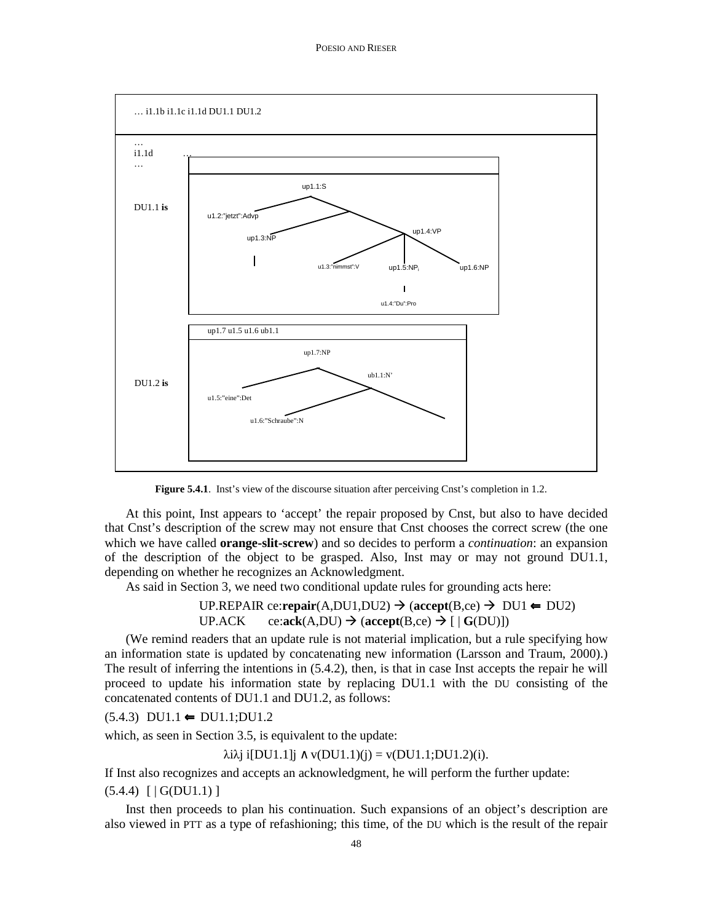

**Figure 5.4.1**. Inst's view of the discourse situation after perceiving Cnst's completion in 1.2.

At this point, Inst appears to 'accept' the repair proposed by Cnst, but also to have decided that Cnst's description of the screw may not ensure that Cnst chooses the correct screw (the one which we have called **orange-slit-screw**) and so decides to perform a *continuation*: an expansion of the description of the object to be grasped. Also, Inst may or may not ground DU1.1, depending on whether he recognizes an Acknowledgment.

As said in Section 3, we need two conditional update rules for grounding acts here:

UP.REPAIR ce:repair(A,DU1,DU2) 
$$
\rightarrow
$$
 (accept(B,ce)  $\rightarrow$  DU1  $\leftarrow$  DU2)  
UP.ACK   
ce:ack(A,DU)  $\rightarrow$  (accept(B,ce)  $\rightarrow$  [ | G(DU)])

(We remind readers that an update rule is not material implication, but a rule specifying how an information state is updated by concatenating new information (Larsson and Traum, 2000).) The result of inferring the intentions in (5.4.2), then, is that in case Inst accepts the repair he will proceed to update his information state by replacing DU1.1 with the DU consisting of the concatenated contents of DU1.1 and DU1.2, as follows:

 $(5.4.3) \text{ D}U1.1 \rightleftharpoons \text{D}U1.1; \text{D}U1.2$ 

which, as seen in Section 3.5, is equivalent to the update:

λiλj i[DU1.1]j ∧ v(DU1.1)(j) = v(DU1.1;DU1.2)(i).

If Inst also recognizes and accepts an acknowledgment, he will perform the further update:

 $(5.4.4)$   $\left[ \text{ }|\text{G(DU1.1)}|\right]$ 

Inst then proceeds to plan his continuation. Such expansions of an object's description are also viewed in PTT as a type of refashioning; this time, of the DU which is the result of the repair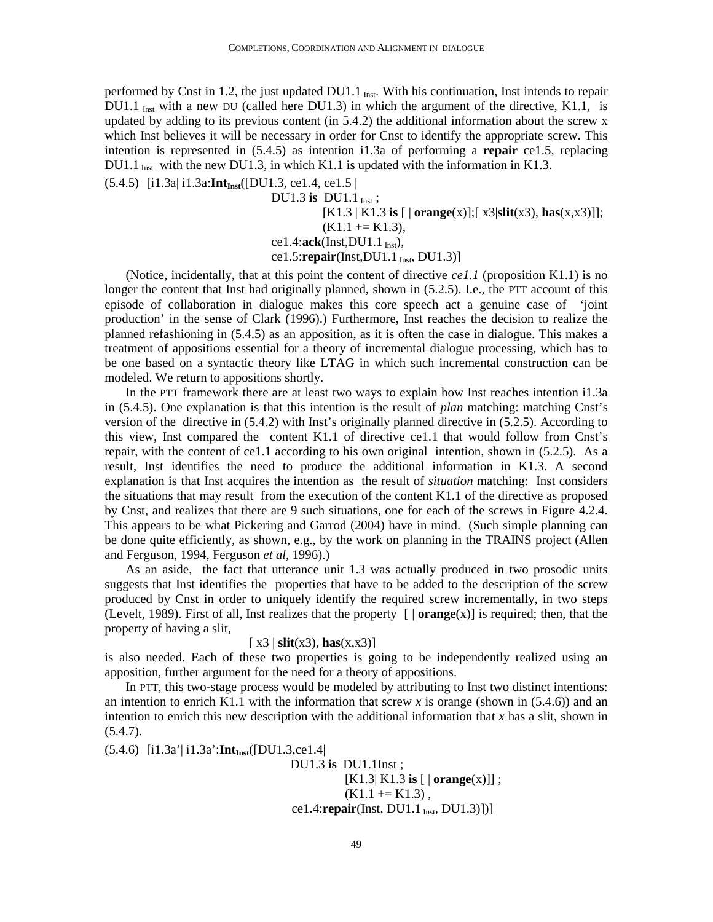performed by Cnst in 1.2, the just updated DU1.1 Inst. With his continuation, Inst intends to repair DU1.1  $_{\text{Inst}}$  with a new DU (called here DU1.3) in which the argument of the directive, K1.1, is updated by adding to its previous content (in 5.4.2) the additional information about the screw x which Inst believes it will be necessary in order for Cnst to identify the appropriate screw. This intention is represented in (5.4.5) as intention i1.3a of performing a **repair** ce1.5, replacing DU1.1  $_{\text{Inst}}$  with the new DU1.3, in which K1.1 is updated with the information in K1.3.

(5.4.5) [i1.3a| i1.3a:**IntInst**([DU1.3, ce1.4, ce1.5 |

DU1.3 **is** DU1.1 Inst; [K1.3 | K1.3 **is** [ | **orange**(x)];[ x3|**slit**(x3), **has**(x,x3)]];  $(K1.1 \leftarrow K1.3)$ ,  $ce1.4$ : $ack(Inst,DU1.1<sub>Inst</sub>),$ ce1.5: $\mathbf{repair}(\text{Inst},\text{DUI}.1_{\text{Inst}},\text{DUI}.3)]$ 

(Notice, incidentally, that at this point the content of directive *ce1.1* (proposition K1.1) is no longer the content that Inst had originally planned, shown in (5.2.5). I.e., the PTT account of this episode of collaboration in dialogue makes this core speech act a genuine case of 'joint production' in the sense of Clark (1996).) Furthermore, Inst reaches the decision to realize the planned refashioning in (5.4.5) as an apposition, as it is often the case in dialogue. This makes a treatment of appositions essential for a theory of incremental dialogue processing, which has to be one based on a syntactic theory like LTAG in which such incremental construction can be modeled. We return to appositions shortly.

In the PTT framework there are at least two ways to explain how Inst reaches intention i1.3a in (5.4.5). One explanation is that this intention is the result of *plan* matching: matching Cnst's version of the directive in (5.4.2) with Inst's originally planned directive in (5.2.5). According to this view, Inst compared the content K1.1 of directive ce1.1 that would follow from Cnst's repair, with the content of ce1.1 according to his own original intention, shown in (5.2.5). As a result, Inst identifies the need to produce the additional information in K1.3. A second explanation is that Inst acquires the intention as the result of *situation* matching: Inst considers the situations that may result from the execution of the content K1.1 of the directive as proposed by Cnst, and realizes that there are 9 such situations, one for each of the screws in Figure 4.2.4. This appears to be what Pickering and Garrod (2004) have in mind. (Such simple planning can be done quite efficiently, as shown, e.g., by the work on planning in the TRAINS project (Allen and Ferguson, 1994, Ferguson *et al*, 1996).)

As an aside, the fact that utterance unit 1.3 was actually produced in two prosodic units suggests that Inst identifies the properties that have to be added to the description of the screw produced by Cnst in order to uniquely identify the required screw incrementally, in two steps (Levelt, 1989). First of all, Inst realizes that the property  $\lceil \cdot \rceil$  **orange**(x)] is required; then, that the property of having a slit,

## $[x3 \mid \text{slit}(x3), \text{has}(x,x3)]$

is also needed. Each of these two properties is going to be independently realized using an apposition, further argument for the need for a theory of appositions.

In PTT, this two-stage process would be modeled by attributing to Inst two distinct intentions: an intention to enrich K1.1 with the information that screw x is orange (shown in  $(5.4.6)$ ) and an intention to enrich this new description with the additional information that  $x$  has a slit, shown in  $(5.4.7).$ 

(5.4.6) [i1.3a'| i1.3a':**IntInst**([DU1.3,ce1.4|

 DU1.3 **is** DU1.1Inst ; [K1.3| K1.3 **is** [ | **orange**(x)]] ;  $(K1.1 + K1.3)$ , ce1.4:**repair**(Inst, DU1.1 Inst, DU1.3)])]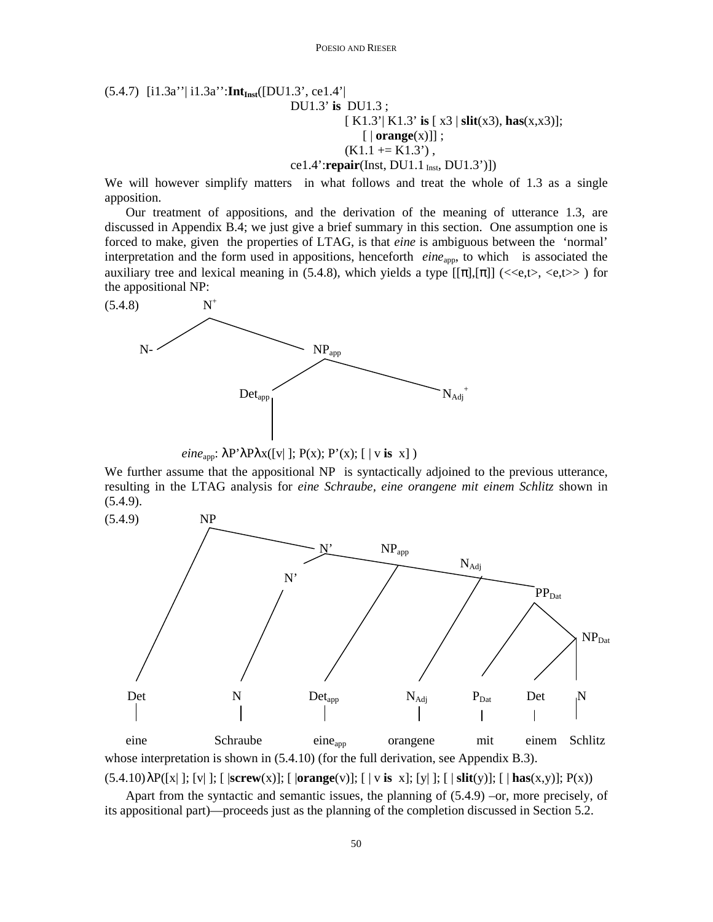# (5.4.7) [i1.3a''| i1.3a'':**IntInst**([DU1.3', ce1.4'| DU1.3' **is** DU1.3 ; [ K1.3'| K1.3' **is** [ x3 | **slit**(x3), **has**(x,x3)];  $\lceil | \text{orange}(x) | \rceil$ ;  $(K1.1 + K1.3)$ , ce1.4':**repair**(Inst, DU1.1<sub>Inst</sub>, DU1.3')])

We will however simplify matters in what follows and treat the whole of 1.3 as a single apposition.

Our treatment of appositions, and the derivation of the meaning of utterance 1.3, are discussed in Appendix B.4; we just give a brief summary in this section. One assumption one is forced to make, given the properties of LTAG, is that *eine* is ambiguous between the 'normal' interpretation and the form used in appositions, henceforth *eine*<sub>app</sub>, to which is associated the auxiliary tree and lexical meaning in (5.4.8), which yields a type  $[[\pi],[\pi]]$  (<<e,t>, <e,t>>) for the appositional NP:



 $eine<sub>app</sub>: \lambda P' \lambda P \lambda x([v]); P(x); P'(x); [ | v is x] )$ 

We further assume that the appositional NP is syntactically adjoined to the previous utterance, resulting in the LTAG analysis for *eine Schraube, eine orangene mit einem Schlitz* shown in  $(5.4.9).$ 



eine Schraube eine<sub>app</sub> orangene mit einem Schlitz whose interpretation is shown in  $(5.4.10)$  (for the full derivation, see Appendix B.3). (5.4.10) λP([x| ]; [v| ]; [ |**screw**(x)]; [ |**orange**(v)]; [ | v **is** x]; [y| ]; [ | **slit**(y)]; [ | **has**(x,y)]; P(x))

Apart from the syntactic and semantic issues, the planning of  $(5.4.9)$  –or, more precisely, of its appositional part)—proceeds just as the planning of the completion discussed in Section 5.2.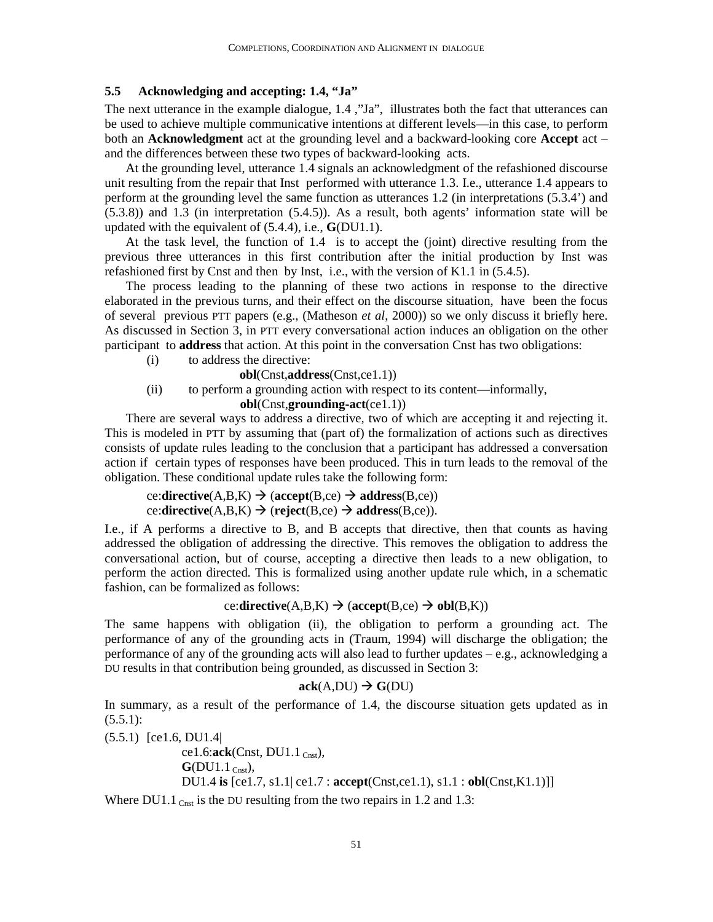# **5.5 Acknowledging and accepting: 1.4, "Ja"**

The next utterance in the example dialogue, 1.4 ,"Ja", illustrates both the fact that utterances can be used to achieve multiple communicative intentions at different levels—in this case, to perform both an **Acknowledgment** act at the grounding level and a backward-looking core **Accept** act – and the differences between these two types of backward-looking acts.

At the grounding level, utterance 1.4 signals an acknowledgment of the refashioned discourse unit resulting from the repair that Inst performed with utterance 1.3. I.e., utterance 1.4 appears to perform at the grounding level the same function as utterances 1.2 (in interpretations (5.3.4') and (5.3.8)) and 1.3 (in interpretation (5.4.5)). As a result, both agents' information state will be updated with the equivalent of (5.4.4), i.e., **G**(DU1.1).

At the task level, the function of 1.4 is to accept the (joint) directive resulting from the previous three utterances in this first contribution after the initial production by Inst was refashioned first by Cnst and then by Inst, i.e., with the version of K1.1 in (5.4.5).

The process leading to the planning of these two actions in response to the directive elaborated in the previous turns, and their effect on the discourse situation, have been the focus of several previous PTT papers (e.g., (Matheson *et al*, 2000)) so we only discuss it briefly here. As discussed in Section 3, in PTT every conversational action induces an obligation on the other participant to **address** that action. At this point in the conversation Cnst has two obligations:

(i) to address the directive:

**obl**(Cnst,**address**(Cnst,ce1.1))

(ii) to perform a grounding action with respect to its content—informally,

 **obl**(Cnst,**grounding-act**(ce1.1))

There are several ways to address a directive, two of which are accepting it and rejecting it. This is modeled in PTT by assuming that (part of) the formalization of actions such as directives consists of update rules leading to the conclusion that a participant has addressed a conversation action if certain types of responses have been produced. This in turn leads to the removal of the obligation. These conditional update rules take the following form:

```
ce:directive(A, B, K) \rightarrow (accept(B, ce)) \rightarrow address(B, ce))
ce:directive(A, B, K) \rightarrow (reject(B, ce) \rightarrow address(B, ce)).
```
I.e., if A performs a directive to B, and B accepts that directive, then that counts as having addressed the obligation of addressing the directive. This removes the obligation to address the conversational action, but of course, accepting a directive then leads to a new obligation, to perform the action directed. This is formalized using another update rule which, in a schematic fashion, can be formalized as follows:

# ce:**directive**( $A,B,K$ )  $\rightarrow$  ( $accept(B,ce)$   $\rightarrow$   $obl(B,K)$ )

The same happens with obligation (ii), the obligation to perform a grounding act. The performance of any of the grounding acts in (Traum, 1994) will discharge the obligation; the performance of any of the grounding acts will also lead to further updates – e.g., acknowledging a DU results in that contribution being grounded, as discussed in Section 3:

### $ack(A,DU) \rightarrow G(DU)$

In summary, as a result of the performance of 1.4, the discourse situation gets updated as in  $(5.5.1):$ 

(5.5.1) [ce1.6, DU1.4|

```
ce1.6:ack(Const, DUI.1_{Cnst}),
\mathbf{G}(\text{D} \text{U} 1.1 \text{ C}_{\text{nst}}), DU1.4 is [ce1.7, s1.1| ce1.7 : accept(Cnst,ce1.1), s1.1 : obl(Cnst,K1.1)]]
```
Where  $DU1.1$  Cnst is the DU resulting from the two repairs in 1.2 and 1.3: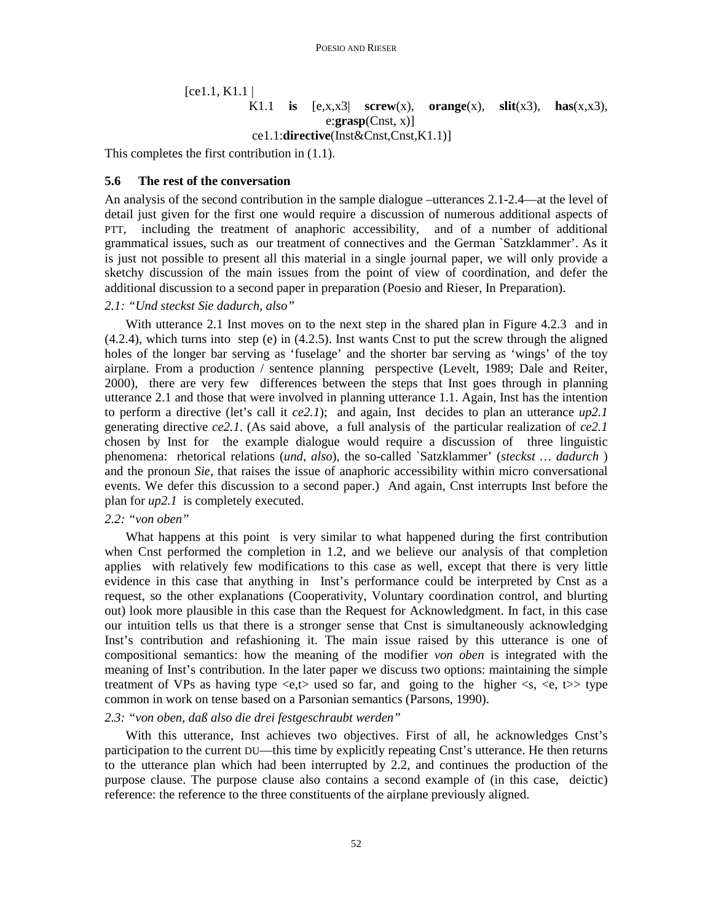$[ce1.1, K1.1]$ 

# K1.1 **is**  $[e, x, x3]$  **screw** $(x)$ , **orange** $(x)$ , **slit** $(x3)$ , **has** $(x, x3)$ , e:**grasp**(Cnst, x)]

ce1.1:**directive**(Inst&Cnst,Cnst,K1.1)]

This completes the first contribution in (1.1).

### **5.6 The rest of the conversation**

An analysis of the second contribution in the sample dialogue –utterances 2.1-2.4—at the level of detail just given for the first one would require a discussion of numerous additional aspects of PTT, including the treatment of anaphoric accessibility, and of a number of additional grammatical issues, such as our treatment of connectives and the German `Satzklammer'. As it is just not possible to present all this material in a single journal paper, we will only provide a sketchy discussion of the main issues from the point of view of coordination, and defer the additional discussion to a second paper in preparation (Poesio and Rieser, In Preparation).

### *2.1: "Und steckst Sie dadurch, also"*

With utterance 2.1 Inst moves on to the next step in the shared plan in Figure 4.2.3 and in (4.2.4), which turns into step (e) in (4.2.5). Inst wants Cnst to put the screw through the aligned holes of the longer bar serving as 'fuselage' and the shorter bar serving as 'wings' of the toy airplane. From a production / sentence planning perspective (Levelt, 1989; Dale and Reiter, 2000), there are very few differences between the steps that Inst goes through in planning utterance 2.1 and those that were involved in planning utterance 1.1. Again, Inst has the intention to perform a directive (let's call it *ce2.1*); and again, Inst decides to plan an utterance *up2.1* generating directive *ce2.1*. (As said above, a full analysis of the particular realization of *ce2.1* chosen by Inst for the example dialogue would require a discussion of three linguistic phenomena: rhetorical relations (*und, also*), the so-called `Satzklammer' (*steckst … dadurch* ) and the pronoun *Sie*, that raises the issue of anaphoric accessibility within micro conversational events. We defer this discussion to a second paper.) And again, Cnst interrupts Inst before the plan for *up2.1* is completely executed.

### *2.2: "von oben"*

What happens at this point is very similar to what happened during the first contribution when Cnst performed the completion in 1.2, and we believe our analysis of that completion applies with relatively few modifications to this case as well, except that there is very little evidence in this case that anything in Inst's performance could be interpreted by Cnst as a request, so the other explanations (Cooperativity, Voluntary coordination control, and blurting out) look more plausible in this case than the Request for Acknowledgment. In fact, in this case our intuition tells us that there is a stronger sense that Cnst is simultaneously acknowledging Inst's contribution and refashioning it. The main issue raised by this utterance is one of compositional semantics: how the meaning of the modifier *von oben* is integrated with the meaning of Inst's contribution. In the later paper we discuss two options: maintaining the simple treatment of VPs as having type  $\langle e, t \rangle$  used so far, and going to the higher  $\langle s, \langle e, t \rangle$  type common in work on tense based on a Parsonian semantics (Parsons, 1990).

### *2.3: "von oben, daß also die drei festgeschraubt werden"*

With this utterance, Inst achieves two objectives. First of all, he acknowledges Cnst's participation to the current DU—this time by explicitly repeating Cnst's utterance. He then returns to the utterance plan which had been interrupted by 2.2, and continues the production of the purpose clause. The purpose clause also contains a second example of (in this case, deictic) reference: the reference to the three constituents of the airplane previously aligned.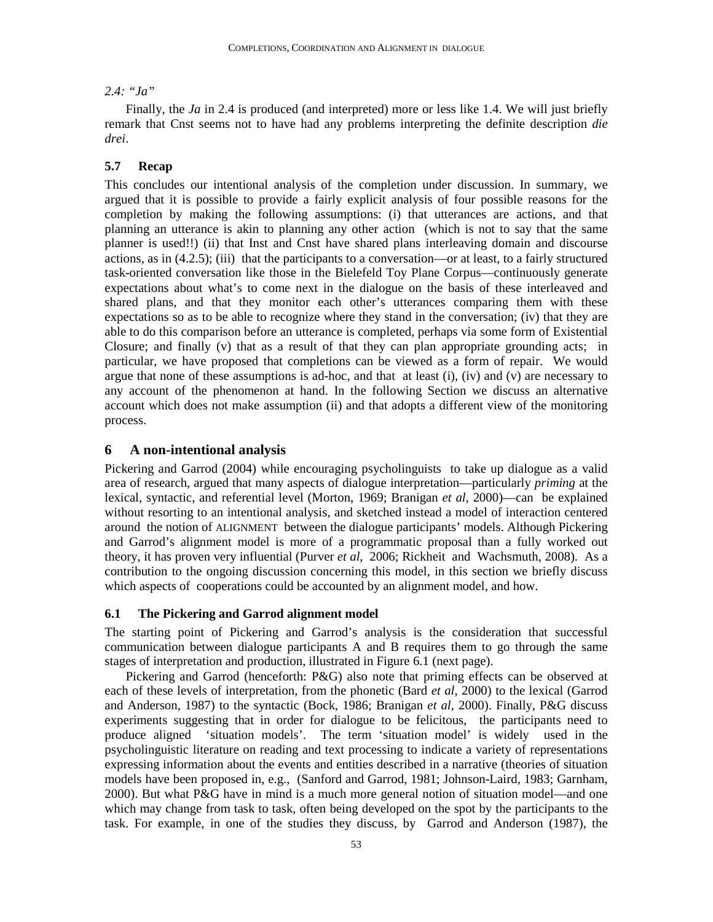# *2.4: "Ja"*

Finally, the *Ja* in 2.4 is produced (and interpreted) more or less like 1.4. We will just briefly remark that Cnst seems not to have had any problems interpreting the definite description *die drei*.

### **5.7 Recap**

This concludes our intentional analysis of the completion under discussion. In summary, we argued that it is possible to provide a fairly explicit analysis of four possible reasons for the completion by making the following assumptions: (i) that utterances are actions, and that planning an utterance is akin to planning any other action (which is not to say that the same planner is used!!) (ii) that Inst and Cnst have shared plans interleaving domain and discourse actions, as in (4.2.5); (iii) that the participants to a conversation—or at least, to a fairly structured task-oriented conversation like those in the Bielefeld Toy Plane Corpus—continuously generate expectations about what's to come next in the dialogue on the basis of these interleaved and shared plans, and that they monitor each other's utterances comparing them with these expectations so as to be able to recognize where they stand in the conversation; (iv) that they are able to do this comparison before an utterance is completed, perhaps via some form of Existential Closure; and finally (v) that as a result of that they can plan appropriate grounding acts; in particular, we have proposed that completions can be viewed as a form of repair. We would argue that none of these assumptions is ad-hoc, and that at least (i), (iv) and (v) are necessary to any account of the phenomenon at hand. In the following Section we discuss an alternative account which does not make assumption (ii) and that adopts a different view of the monitoring process.

## **6 A non-intentional analysis**

Pickering and Garrod (2004) while encouraging psycholinguists to take up dialogue as a valid area of research, argued that many aspects of dialogue interpretation—particularly *priming* at the lexical, syntactic, and referential level (Morton, 1969; Branigan *et al*, 2000)—can be explained without resorting to an intentional analysis, and sketched instead a model of interaction centered around the notion of ALIGNMENT between the dialogue participants' models. Although Pickering and Garrod's alignment model is more of a programmatic proposal than a fully worked out theory, it has proven very influential (Purver *et al*, 2006; Rickheit and Wachsmuth, 2008). As a contribution to the ongoing discussion concerning this model, in this section we briefly discuss which aspects of cooperations could be accounted by an alignment model, and how.

### **6.1 The Pickering and Garrod alignment model**

The starting point of Pickering and Garrod's analysis is the consideration that successful communication between dialogue participants A and B requires them to go through the same stages of interpretation and production, illustrated in Figure 6.1 (next page).

Pickering and Garrod (henceforth: P&G) also note that priming effects can be observed at each of these levels of interpretation, from the phonetic (Bard *et al*, 2000) to the lexical (Garrod and Anderson, 1987) to the syntactic (Bock, 1986; Branigan *et al*, 2000). Finally, P&G discuss experiments suggesting that in order for dialogue to be felicitous, the participants need to produce aligned 'situation models'. The term 'situation model' is widely used in the psycholinguistic literature on reading and text processing to indicate a variety of representations expressing information about the events and entities described in a narrative (theories of situation models have been proposed in, e.g., (Sanford and Garrod, 1981; Johnson-Laird, 1983; Garnham, 2000). But what P&G have in mind is a much more general notion of situation model—and one which may change from task to task, often being developed on the spot by the participants to the task. For example, in one of the studies they discuss, by Garrod and Anderson (1987), the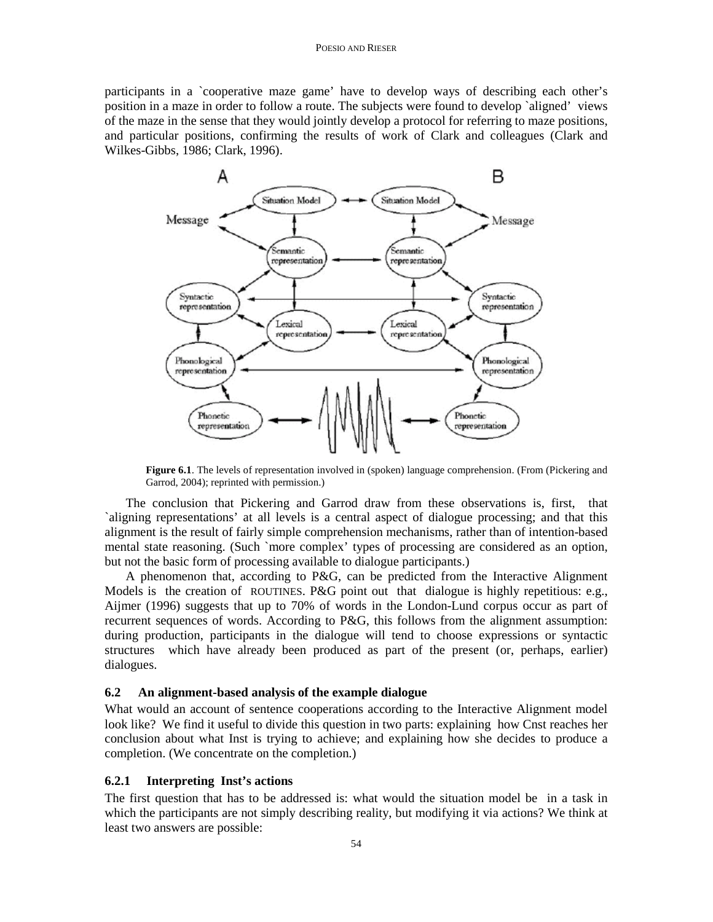### POESIO AND RIESER

participants in a `cooperative maze game' have to develop ways of describing each other's position in a maze in order to follow a route. The subjects were found to develop `aligned' views of the maze in the sense that they would jointly develop a protocol for referring to maze positions, and particular positions, confirming the results of work of Clark and colleagues (Clark and Wilkes-Gibbs, 1986; Clark, 1996).



**Figure 6.1**. The levels of representation involved in (spoken) language comprehension. (From (Pickering and Garrod, 2004); reprinted with permission.)

The conclusion that Pickering and Garrod draw from these observations is, first, that `aligning representations' at all levels is a central aspect of dialogue processing; and that this alignment is the result of fairly simple comprehension mechanisms, rather than of intention-based mental state reasoning. (Such `more complex' types of processing are considered as an option, but not the basic form of processing available to dialogue participants.)

A phenomenon that, according to P&G, can be predicted from the Interactive Alignment Models is the creation of ROUTINES. P&G point out that dialogue is highly repetitious: e.g., Aijmer (1996) suggests that up to 70% of words in the London-Lund corpus occur as part of recurrent sequences of words. According to P&G, this follows from the alignment assumption: during production, participants in the dialogue will tend to choose expressions or syntactic structures which have already been produced as part of the present (or, perhaps, earlier) dialogues.

### **6.2 An alignment-based analysis of the example dialogue**

What would an account of sentence cooperations according to the Interactive Alignment model look like? We find it useful to divide this question in two parts: explaining how Cnst reaches her conclusion about what Inst is trying to achieve; and explaining how she decides to produce a completion. (We concentrate on the completion.)

### **6.2.1 Interpreting Inst's actions**

The first question that has to be addressed is: what would the situation model be in a task in which the participants are not simply describing reality, but modifying it via actions? We think at least two answers are possible: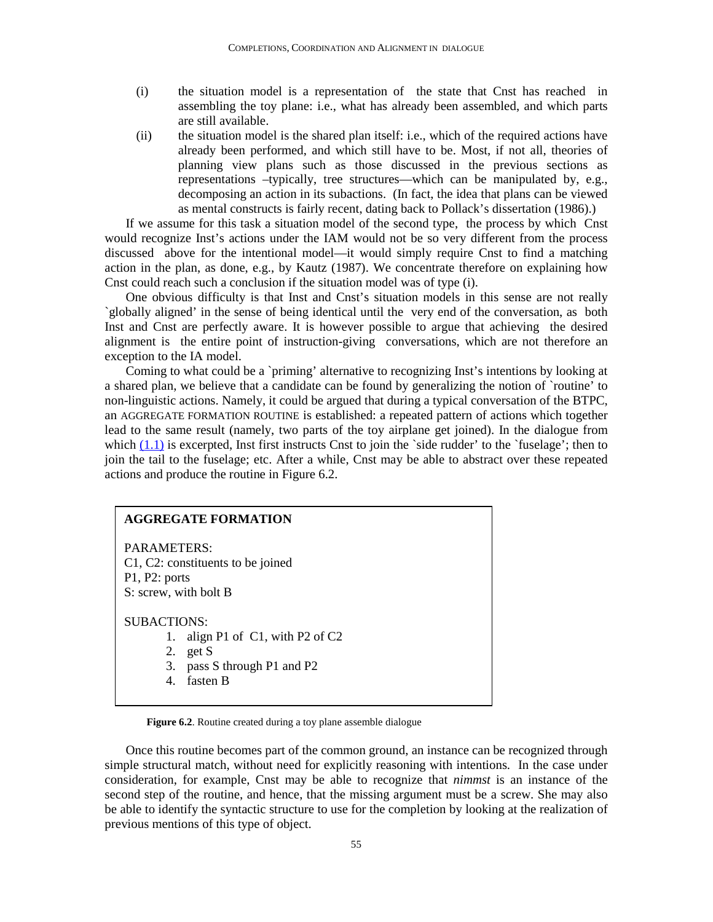- (i) the situation model is a representation of the state that Cnst has reached in assembling the toy plane: i.e., what has already been assembled, and which parts are still available.
- (ii) the situation model is the shared plan itself: i.e., which of the required actions have already been performed, and which still have to be. Most, if not all, theories of planning view plans such as those discussed in the previous sections as representations –typically, tree structures—which can be manipulated by, e.g., decomposing an action in its subactions. (In fact, the idea that plans can be viewed as mental constructs is fairly recent, dating back to Pollack's dissertation (1986).)

If we assume for this task a situation model of the second type, the process by which Cnst would recognize Inst's actions under the IAM would not be so very different from the process discussed above for the intentional model—it would simply require Cnst to find a matching action in the plan, as done, e.g., by Kautz (1987). We concentrate therefore on explaining how Cnst could reach such a conclusion if the situation model was of type (i).

One obvious difficulty is that Inst and Cnst's situation models in this sense are not really `globally aligned' in the sense of being identical until the very end of the conversation, as both Inst and Cnst are perfectly aware. It is however possible to argue that achieving the desired alignment is the entire point of instruction-giving conversations, which are not therefore an exception to the IA model.

Coming to what could be a `priming' alternative to recognizing Inst's intentions by looking at a shared plan, we believe that a candidate can be found by generalizing the notion of `routine' to non-linguistic actions. Namely, it could be argued that during a typical conversation of the BTPC, an AGGREGATE FORMATION ROUTINE is established: a repeated pattern of actions which together lead to the same result (namely, two parts of the toy airplane get joined). In the dialogue from which  $(1.1)$  is excerpted, Inst first instructs Cnst to join the `side rudder' to the `fuselage'; then to join the tail to the fuselage; etc. After a while, Cnst may be able to abstract over these repeated actions and produce the routine in Figure 6.2.

# **AGGREGATE FORMATION**  PARAMETERS: C1, C2: constituents to be joined P1, P2: ports S: screw, with bolt B SUBACTIONS: 1. align P1 of C1, with P2 of C2 2. get S 3. pass S through P1 and P2 4. fasten B

**Figure 6.2**. Routine created during a toy plane assemble dialogue

Once this routine becomes part of the common ground, an instance can be recognized through simple structural match, without need for explicitly reasoning with intentions. In the case under consideration, for example, Cnst may be able to recognize that *nimmst* is an instance of the second step of the routine, and hence, that the missing argument must be a screw. She may also be able to identify the syntactic structure to use for the completion by looking at the realization of previous mentions of this type of object.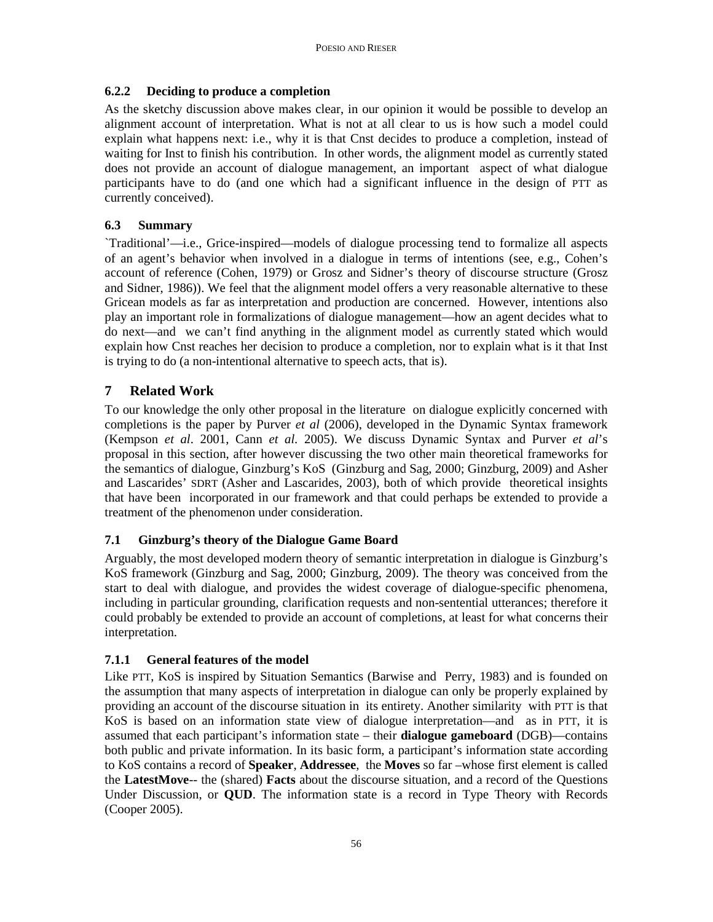# **6.2.2 Deciding to produce a completion**

As the sketchy discussion above makes clear, in our opinion it would be possible to develop an alignment account of interpretation. What is not at all clear to us is how such a model could explain what happens next: i.e., why it is that Cnst decides to produce a completion, instead of waiting for Inst to finish his contribution. In other words, the alignment model as currently stated does not provide an account of dialogue management, an important aspect of what dialogue participants have to do (and one which had a significant influence in the design of PTT as currently conceived).

# **6.3 Summary**

`Traditional'—i.e., Grice-inspired—models of dialogue processing tend to formalize all aspects of an agent's behavior when involved in a dialogue in terms of intentions (see, e.g., Cohen's account of reference (Cohen, 1979) or Grosz and Sidner's theory of discourse structure (Grosz and Sidner, 1986)). We feel that the alignment model offers a very reasonable alternative to these Gricean models as far as interpretation and production are concerned. However, intentions also play an important role in formalizations of dialogue management—how an agent decides what to do next—and we can't find anything in the alignment model as currently stated which would explain how Cnst reaches her decision to produce a completion, nor to explain what is it that Inst is trying to do (a non-intentional alternative to speech acts, that is).

# **7 Related Work**

To our knowledge the only other proposal in the literature on dialogue explicitly concerned with completions is the paper by Purver *et al* (2006), developed in the Dynamic Syntax framework (Kempson *et al*. 2001, Cann *et al.* 2005). We discuss Dynamic Syntax and Purver *et al*'s proposal in this section, after however discussing the two other main theoretical frameworks for the semantics of dialogue, Ginzburg's KoS (Ginzburg and Sag, 2000; Ginzburg, 2009) and Asher and Lascarides' SDRT (Asher and Lascarides, 2003), both of which provide theoretical insights that have been incorporated in our framework and that could perhaps be extended to provide a treatment of the phenomenon under consideration.

# **7.1 Ginzburg's theory of the Dialogue Game Board**

Arguably, the most developed modern theory of semantic interpretation in dialogue is Ginzburg's KoS framework (Ginzburg and Sag, 2000; Ginzburg, 2009). The theory was conceived from the start to deal with dialogue, and provides the widest coverage of dialogue-specific phenomena, including in particular grounding, clarification requests and non-sentential utterances; therefore it could probably be extended to provide an account of completions, at least for what concerns their interpretation.

# **7.1.1 General features of the model**

Like PTT, KoS is inspired by Situation Semantics (Barwise and Perry, 1983) and is founded on the assumption that many aspects of interpretation in dialogue can only be properly explained by providing an account of the discourse situation in its entirety. Another similarity with PTT is that KoS is based on an information state view of dialogue interpretation—and as in PTT, it is assumed that each participant's information state – their **dialogue gameboard** (DGB)—contains both public and private information. In its basic form, a participant's information state according to KoS contains a record of **Speaker**, **Addressee**, the **Moves** so far –whose first element is called the **LatestMove**-- the (shared) **Facts** about the discourse situation, and a record of the Questions Under Discussion, or **QUD**. The information state is a record in Type Theory with Records (Cooper 2005).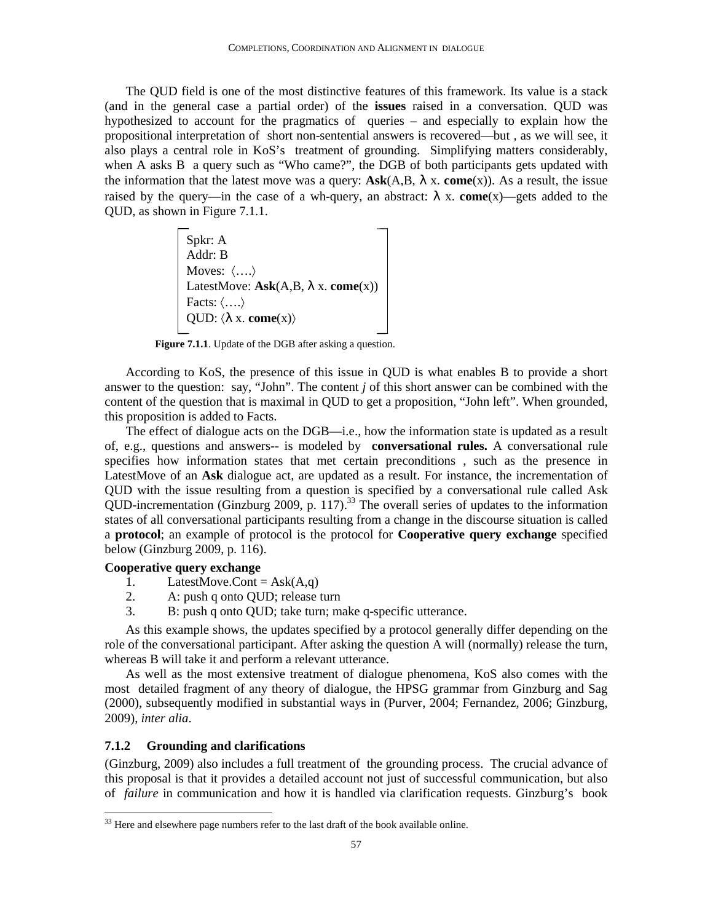The QUD field is one of the most distinctive features of this framework. Its value is a stack (and in the general case a partial order) of the **issues** raised in a conversation. QUD was hypothesized to account for the pragmatics of queries – and especially to explain how the propositional interpretation of short non-sentential answers is recovered—but , as we will see, it also plays a central role in KoS's treatment of grounding. Simplifying matters considerably, when A asks B a query such as "Who came?", the DGB of both participants gets updated with the information that the latest move was a query:  $\text{Ask}(A, B, \lambda x, \text{come}(x))$ . As a result, the issue raised by the query—in the case of a wh-query, an abstract:  $\lambda$  x. **come**(x)—gets added to the QUD, as shown in Figure 7.1.1.

> Spkr: A Addr: B Moves: 〈….〉 LatestMove: **Ask**(A,B, λ x. **come**(x)) Facts: 〈….〉 QUD:  $\langle \lambda x.$  **come** $\langle x \rangle$

**Figure 7.1.1**. Update of the DGB after asking a question.

According to KoS, the presence of this issue in QUD is what enables B to provide a short answer to the question: say, "John". The content *j* of this short answer can be combined with the content of the question that is maximal in QUD to get a proposition, "John left". When grounded, this proposition is added to Facts.

The effect of dialogue acts on the DGB—i.e., how the information state is updated as a result of, e.g., questions and answers-- is modeled by **conversational rules.** A conversational rule specifies how information states that met certain preconditions , such as the presence in LatestMove of an **Ask** dialogue act, are updated as a result. For instance, the incrementation of QUD with the issue resulting from a question is specified by a conversational rule called Ask QUD-incrementation (Ginzburg 2009, p. 117).<sup>33</sup> The overall series of updates to the information states of all conversational participants resulting from a change in the discourse situation is called a **protocol**; an example of protocol is the protocol for **Cooperative query exchange** specified below (Ginzburg 2009, p. 116).

### **Cooperative query exchange**

- 1. LatestMove.Cont =  $Ask(A,q)$ <br>2. A: push q onto OUD: release
- A: push q onto OUD; release turn
- 3. B: push q onto QUD; take turn; make q-specific utterance.

As this example shows, the updates specified by a protocol generally differ depending on the role of the conversational participant. After asking the question A will (normally) release the turn, whereas B will take it and perform a relevant utterance.

As well as the most extensive treatment of dialogue phenomena, KoS also comes with the most detailed fragment of any theory of dialogue, the HPSG grammar from Ginzburg and Sag (2000), subsequently modified in substantial ways in (Purver, 2004; Fernandez, 2006; Ginzburg, 2009), *inter alia*.

### **7.1.2 Grounding and clarifications**

 $\overline{a}$ 

(Ginzburg, 2009) also includes a full treatment of the grounding process. The crucial advance of this proposal is that it provides a detailed account not just of successful communication, but also of *failure* in communication and how it is handled via clarification requests. Ginzburg's book

 $33$  Here and elsewhere page numbers refer to the last draft of the book available online.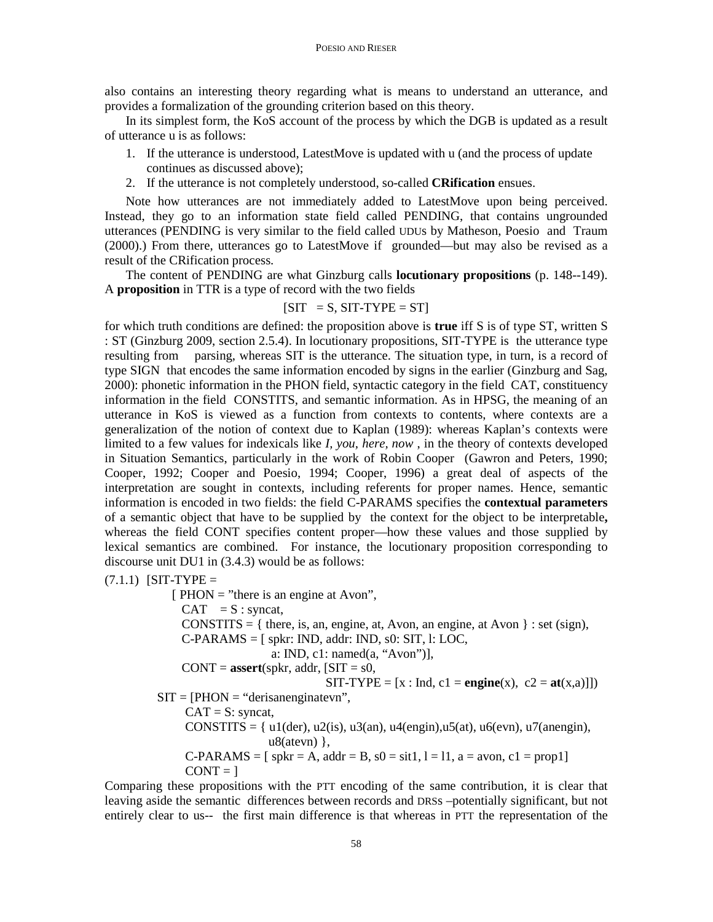also contains an interesting theory regarding what is means to understand an utterance, and provides a formalization of the grounding criterion based on this theory.

In its simplest form, the KoS account of the process by which the DGB is updated as a result of utterance u is as follows:

- 1. If the utterance is understood, LatestMove is updated with u (and the process of update continues as discussed above);
- 2. If the utterance is not completely understood, so-called **CRification** ensues.

Note how utterances are not immediately added to LatestMove upon being perceived. Instead, they go to an information state field called PENDING, that contains ungrounded utterances (PENDING is very similar to the field called UDUs by Matheson, Poesio and Traum (2000).) From there, utterances go to LatestMove if grounded—but may also be revised as a result of the CRification process.

The content of PENDING are what Ginzburg calls **locutionary propositions** (p. 148--149). A **proposition** in TTR is a type of record with the two fields

### $[SIT = S, SIT-TYPE = ST]$

for which truth conditions are defined: the proposition above is **true** iff S is of type ST, written S : ST (Ginzburg 2009, section 2.5.4). In locutionary propositions, SIT-TYPE is the utterance type resulting from parsing, whereas SIT is the utterance. The situation type, in turn, is a record of type SIGN that encodes the same information encoded by signs in the earlier (Ginzburg and Sag, 2000): phonetic information in the PHON field, syntactic category in the field CAT, constituency information in the field CONSTITS, and semantic information. As in HPSG, the meaning of an utterance in KoS is viewed as a function from contexts to contents, where contexts are a generalization of the notion of context due to Kaplan (1989): whereas Kaplan's contexts were limited to a few values for indexicals like *I, you, here, now* , in the theory of contexts developed in Situation Semantics, particularly in the work of Robin Cooper (Gawron and Peters, 1990; Cooper, 1992; Cooper and Poesio, 1994; Cooper, 1996) a great deal of aspects of the interpretation are sought in contexts, including referents for proper names. Hence, semantic information is encoded in two fields: the field C-PARAMS specifies the **contextual parameters**  of a semantic object that have to be supplied by the context for the object to be interpretable**,**  whereas the field CONT specifies content proper—how these values and those supplied by lexical semantics are combined. For instance, the locutionary proposition corresponding to discourse unit DU1 in (3.4.3) would be as follows:

 $(7.1.1)$  [SIT-TYPE =

[ $PHON = "there is an engine at Avon",$  $CAT = S : syncat,$ CONSTITS =  $\{$  there, is, an, engine, at, Avon, an engine, at Avon  $\}$  : set (sign),  $C-PARAMS = [spkr: IND, addr: IND, s0: SIT, 1: LOC,$  a: IND, c1: named(a, "Avon")],  $CONT = **assert**(spkr, addr,  $[SIT = s0]$ ,$  $SIT-TYPE = [x : Ind, c1 = \text{engine}(x), c2 = \text{at}(x,a)]$  $SIT = [PHON = "derisanenginatevn",$  $CAT = S:$  syncat, CONSTITS =  $\{ ul(der), ul(2(is), ul(3(an), ul(dengin), ul(3(at), ul(3(en), ul(3(en), ul(3(np,3(n+1))))\}$  $u8($ atevn $)$ },  $C-PARAMS = [spkr = A, addr = B, s0 = sit1, l = 11, a = avon, c1 = prop1]$  $CONT = 1$ 

Comparing these propositions with the PTT encoding of the same contribution, it is clear that leaving aside the semantic differences between records and DRSs –potentially significant, but not entirely clear to us-- the first main difference is that whereas in PTT the representation of the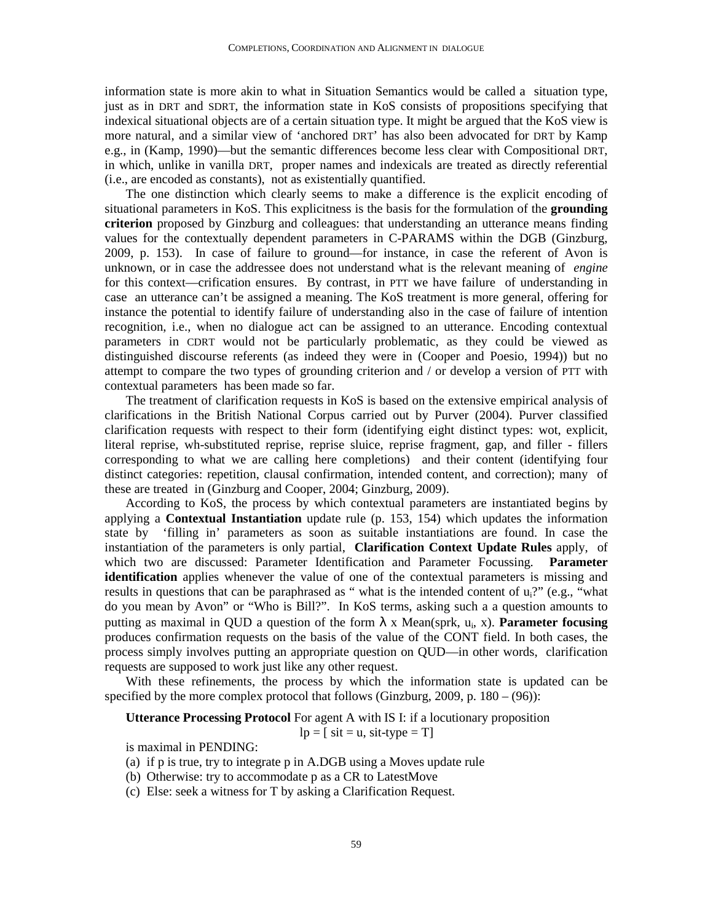information state is more akin to what in Situation Semantics would be called a situation type, just as in DRT and SDRT, the information state in KoS consists of propositions specifying that indexical situational objects are of a certain situation type. It might be argued that the KoS view is more natural, and a similar view of 'anchored DRT' has also been advocated for DRT by Kamp e.g., in (Kamp, 1990)—but the semantic differences become less clear with Compositional DRT, in which, unlike in vanilla DRT, proper names and indexicals are treated as directly referential (i.e., are encoded as constants), not as existentially quantified.

The one distinction which clearly seems to make a difference is the explicit encoding of situational parameters in KoS. This explicitness is the basis for the formulation of the **grounding criterion** proposed by Ginzburg and colleagues: that understanding an utterance means finding values for the contextually dependent parameters in C-PARAMS within the DGB (Ginzburg, 2009, p. 153). In case of failure to ground—for instance, in case the referent of Avon is unknown, or in case the addressee does not understand what is the relevant meaning of *engine* for this context—crification ensures. By contrast, in PTT we have failure of understanding in case an utterance can't be assigned a meaning. The KoS treatment is more general, offering for instance the potential to identify failure of understanding also in the case of failure of intention recognition, i.e., when no dialogue act can be assigned to an utterance. Encoding contextual parameters in CDRT would not be particularly problematic, as they could be viewed as distinguished discourse referents (as indeed they were in (Cooper and Poesio, 1994)) but no attempt to compare the two types of grounding criterion and / or develop a version of PTT with contextual parameters has been made so far.

The treatment of clarification requests in KoS is based on the extensive empirical analysis of clarifications in the British National Corpus carried out by Purver (2004). Purver classified clarification requests with respect to their form (identifying eight distinct types: wot, explicit, literal reprise, wh-substituted reprise, reprise sluice, reprise fragment, gap, and filler - fillers corresponding to what we are calling here completions) and their content (identifying four distinct categories: repetition, clausal confirmation, intended content, and correction); many of these are treated in (Ginzburg and Cooper, 2004; Ginzburg, 2009).

According to KoS, the process by which contextual parameters are instantiated begins by applying a **Contextual Instantiation** update rule (p. 153, 154) which updates the information state by 'filling in' parameters as soon as suitable instantiations are found. In case the instantiation of the parameters is only partial, **Clarification Context Update Rules** apply, of which two are discussed: Parameter Identification and Parameter Focussing. **Parameter identification** applies whenever the value of one of the contextual parameters is missing and results in questions that can be paraphrased as " what is the intended content of u<sub>i</sub>?" (e.g., "what do you mean by Avon" or "Who is Bill?". In KoS terms, asking such a a question amounts to putting as maximal in QUD a question of the form λ x Mean(sprk, u<sub>i</sub>, x). **Parameter focusing** produces confirmation requests on the basis of the value of the CONT field. In both cases, the process simply involves putting an appropriate question on QUD—in other words, clarification requests are supposed to work just like any other request.

With these refinements, the process by which the information state is updated can be specified by the more complex protocol that follows (Ginzburg, 2009, p.  $180 - (96)$ ):

**Utterance Processing Protocol** For agent A with IS I: if a locutionary proposition

 $lp = [$  sit = u, sit-type = T]

is maximal in PENDING:

- (a) if p is true, try to integrate p in A.DGB using a Moves update rule
- (b) Otherwise: try to accommodate p as a CR to LatestMove
- (c) Else: seek a witness for T by asking a Clarification Request.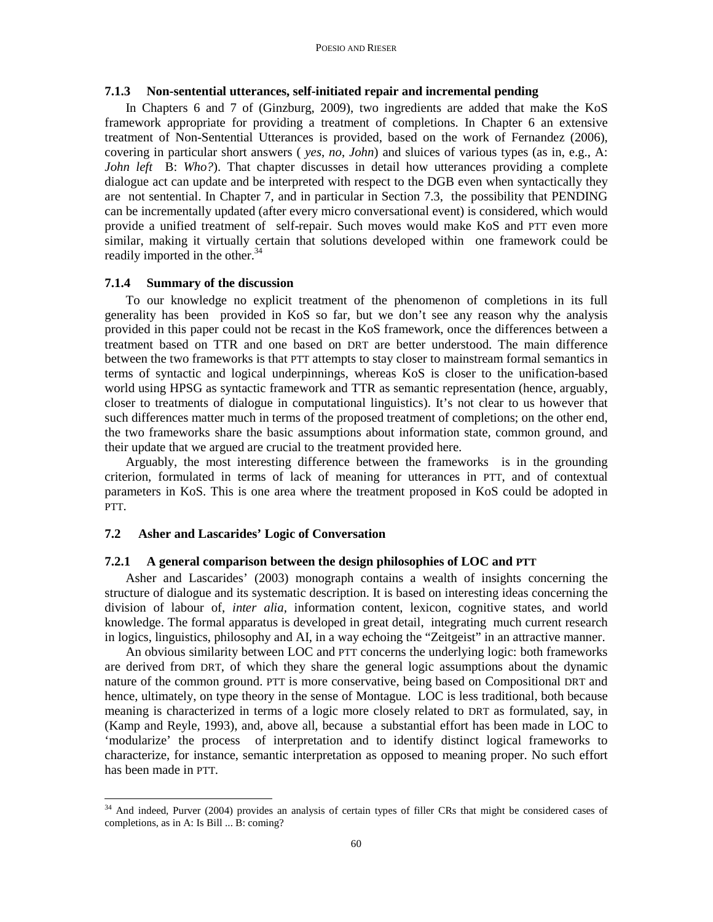### **7.1.3 Non-sentential utterances, self-initiated repair and incremental pending**

In Chapters 6 and 7 of (Ginzburg, 2009), two ingredients are added that make the KoS framework appropriate for providing a treatment of completions. In Chapter 6 an extensive treatment of Non-Sentential Utterances is provided, based on the work of Fernandez (2006), covering in particular short answers ( *yes*, *no*, *John*) and sluices of various types (as in, e.g., A: *John left* B: *Who?*). That chapter discusses in detail how utterances providing a complete dialogue act can update and be interpreted with respect to the DGB even when syntactically they are not sentential. In Chapter 7, and in particular in Section 7.3, the possibility that PENDING can be incrementally updated (after every micro conversational event) is considered, which would provide a unified treatment of self-repair. Such moves would make KoS and PTT even more similar, making it virtually certain that solutions developed within one framework could be readily imported in the other.<sup>34</sup>

### **7.1.4 Summary of the discussion**

To our knowledge no explicit treatment of the phenomenon of completions in its full generality has been provided in KoS so far, but we don't see any reason why the analysis provided in this paper could not be recast in the KoS framework, once the differences between a treatment based on TTR and one based on DRT are better understood. The main difference between the two frameworks is that PTT attempts to stay closer to mainstream formal semantics in terms of syntactic and logical underpinnings, whereas KoS is closer to the unification-based world using HPSG as syntactic framework and TTR as semantic representation (hence, arguably, closer to treatments of dialogue in computational linguistics). It's not clear to us however that such differences matter much in terms of the proposed treatment of completions; on the other end, the two frameworks share the basic assumptions about information state, common ground, and their update that we argued are crucial to the treatment provided here.

Arguably, the most interesting difference between the frameworks is in the grounding criterion, formulated in terms of lack of meaning for utterances in PTT, and of contextual parameters in KoS. This is one area where the treatment proposed in KoS could be adopted in PTT.

# **7.2 Asher and Lascarides' Logic of Conversation**

### **7.2.1 A general comparison between the design philosophies of LOC and PTT**

Asher and Lascarides' (2003) monograph contains a wealth of insights concerning the structure of dialogue and its systematic description. It is based on interesting ideas concerning the division of labour of, *inter alia,* information content, lexicon, cognitive states, and world knowledge. The formal apparatus is developed in great detail, integrating much current research in logics, linguistics, philosophy and AI, in a way echoing the "Zeitgeist" in an attractive manner.

An obvious similarity between LOC and PTT concerns the underlying logic: both frameworks are derived from DRT, of which they share the general logic assumptions about the dynamic nature of the common ground. PTT is more conservative, being based on Compositional DRT and hence, ultimately, on type theory in the sense of Montague. LOC is less traditional, both because meaning is characterized in terms of a logic more closely related to DRT as formulated, say, in (Kamp and Reyle, 1993), and, above all, because a substantial effort has been made in LOC to 'modularize' the process of interpretation and to identify distinct logical frameworks to characterize, for instance, semantic interpretation as opposed to meaning proper. No such effort has been made in PTT.

<sup>&</sup>lt;u>.</u> <sup>34</sup> And indeed, Purver (2004) provides an analysis of certain types of filler CRs that might be considered cases of completions, as in A: Is Bill ... B: coming?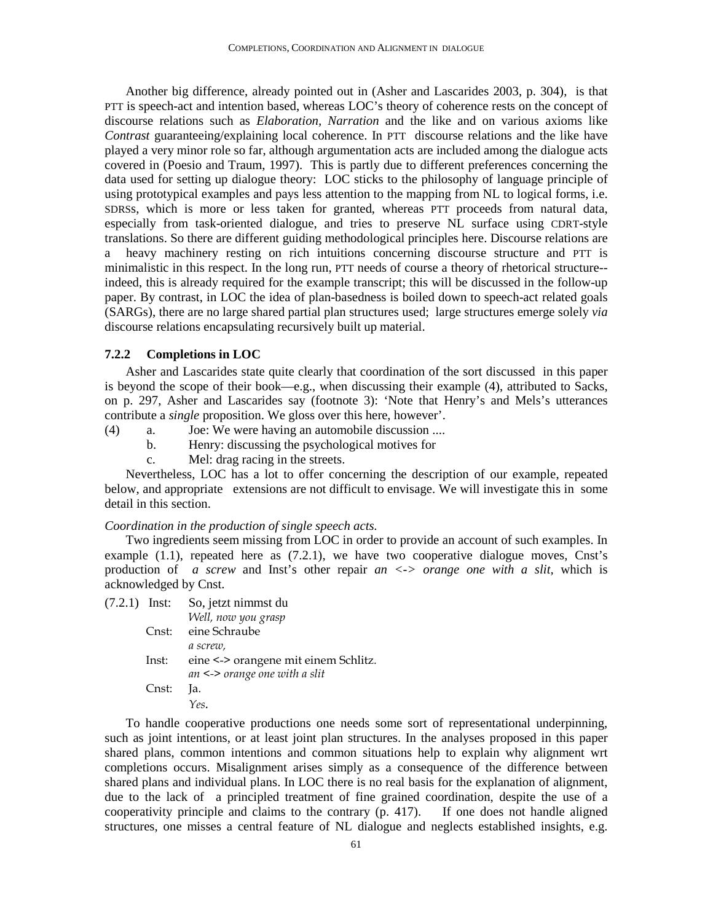Another big difference, already pointed out in (Asher and Lascarides 2003, p. 304), is that PTT is speech-act and intention based, whereas LOC's theory of coherence rests on the concept of discourse relations such as *Elaboration, Narration* and the like and on various axioms like *Contrast* guaranteeing/explaining local coherence. In PTT discourse relations and the like have played a very minor role so far, although argumentation acts are included among the dialogue acts covered in (Poesio and Traum, 1997). This is partly due to different preferences concerning the data used for setting up dialogue theory: LOC sticks to the philosophy of language principle of using prototypical examples and pays less attention to the mapping from NL to logical forms, i.e. SDRSs, which is more or less taken for granted, whereas PTT proceeds from natural data, especially from task-oriented dialogue, and tries to preserve NL surface using CDRT-style translations. So there are different guiding methodological principles here. Discourse relations are a heavy machinery resting on rich intuitions concerning discourse structure and PTT is minimalistic in this respect. In the long run, PTT needs of course a theory of rhetorical structure- indeed, this is already required for the example transcript; this will be discussed in the follow-up paper. By contrast, in LOC the idea of plan-basedness is boiled down to speech-act related goals (SARGs), there are no large shared partial plan structures used; large structures emerge solely *via* discourse relations encapsulating recursively built up material.

### **7.2.2 Completions in LOC**

Asher and Lascarides state quite clearly that coordination of the sort discussed in this paper is beyond the scope of their book—e.g., when discussing their example (4), attributed to Sacks, on p. 297, Asher and Lascarides say (footnote 3): 'Note that Henry's and Mels's utterances contribute a *single* proposition. We gloss over this here, however'.

- (4) a. Joe: We were having an automobile discussion ....
	- b. Henry: discussing the psychological motives for
	- c. Mel: drag racing in the streets.

Nevertheless, LOC has a lot to offer concerning the description of our example, repeated below, and appropriate extensions are not difficult to envisage. We will investigate this in some detail in this section.

### *Coordination in the production of single speech acts.*

Two ingredients seem missing from LOC in order to provide an account of such examples. In example  $(1.1)$ , repeated here as  $(7.2.1)$ , we have two cooperative dialogue moves, Cnst's production of *a screw* and Inst's other repair *an <-> orange one with a slit,* which is acknowledged by Cnst.

| $(7.2.1)$ Inst: |       | So, jetzt nimmst du                  |
|-----------------|-------|--------------------------------------|
|                 |       | Well, now you grasp                  |
|                 | Cnst: | eine Schraube                        |
|                 |       | a screw,                             |
|                 | Inst: | eine <-> orangene mit einem Schlitz. |
|                 |       | an $\le$ > orange one with a slit    |
|                 | Cnst: | la.                                  |
|                 |       | Yes.                                 |
|                 |       |                                      |

To handle cooperative productions one needs some sort of representational underpinning, such as joint intentions, or at least joint plan structures. In the analyses proposed in this paper shared plans, common intentions and common situations help to explain why alignment wrt completions occurs. Misalignment arises simply as a consequence of the difference between shared plans and individual plans. In LOC there is no real basis for the explanation of alignment, due to the lack of a principled treatment of fine grained coordination, despite the use of a cooperativity principle and claims to the contrary (p. 417). If one does not handle aligned structures, one misses a central feature of NL dialogue and neglects established insights, e.g.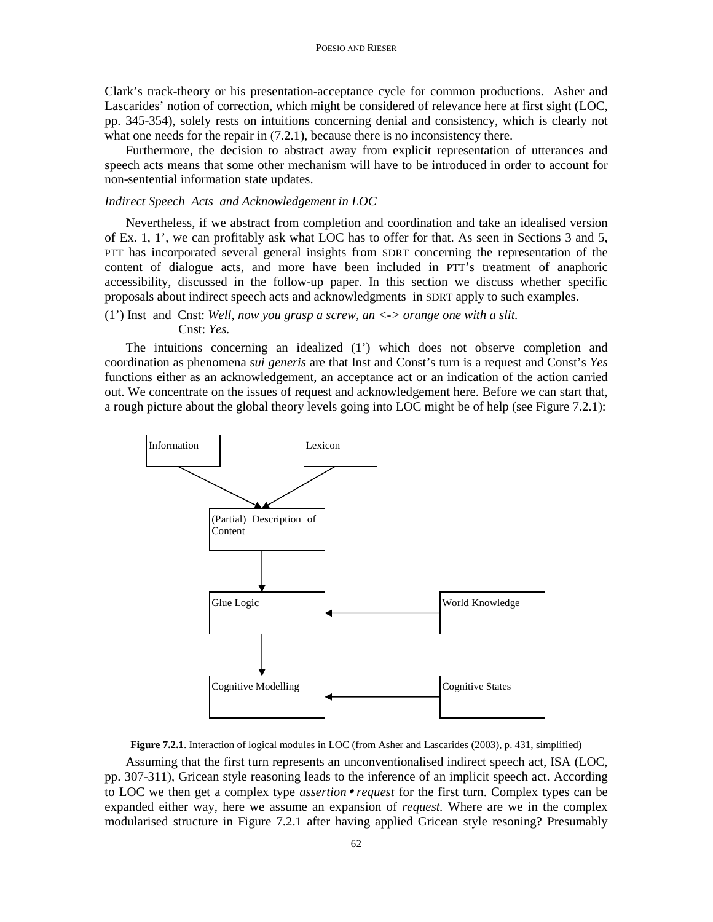Clark's track-theory or his presentation-acceptance cycle for common productions. Asher and Lascarides' notion of correction, which might be considered of relevance here at first sight (LOC, pp. 345-354), solely rests on intuitions concerning denial and consistency, which is clearly not what one needs for the repair in  $(7.2.1)$ , because there is no inconsistency there.

Furthermore, the decision to abstract away from explicit representation of utterances and speech acts means that some other mechanism will have to be introduced in order to account for non-sentential information state updates.

### *Indirect Speech Acts and Acknowledgement in LOC*

Nevertheless, if we abstract from completion and coordination and take an idealised version of Ex. 1, 1', we can profitably ask what LOC has to offer for that. As seen in Sections 3 and 5, PTT has incorporated several general insights from SDRT concerning the representation of the content of dialogue acts, and more have been included in PTT's treatment of anaphoric accessibility, discussed in the follow-up paper. In this section we discuss whether specific proposals about indirect speech acts and acknowledgments in SDRT apply to such examples.

# (1') Inst and Cnst: *Well, now you grasp a screw, an <-> orange one with a slit.* Cnst: *Yes.*

The intuitions concerning an idealized (1') which does not observe completion and coordination as phenomena *sui generis* are that Inst and Const's turn is a request and Const's *Yes* functions either as an acknowledgement, an acceptance act or an indication of the action carried out. We concentrate on the issues of request and acknowledgement here. Before we can start that, a rough picture about the global theory levels going into LOC might be of help (see Figure 7.2.1):



**Figure 7.2.1**. Interaction of logical modules in LOC (from Asher and Lascarides (2003), p. 431, simplified)

Assuming that the first turn represents an unconventionalised indirect speech act, ISA (LOC, pp. 307-311), Gricean style reasoning leads to the inference of an implicit speech act. According to LOC we then get a complex type *assertion*• *request* for the first turn. Complex types can be expanded either way, here we assume an expansion of *request.* Where are we in the complex modularised structure in Figure 7.2.1 after having applied Gricean style resoning? Presumably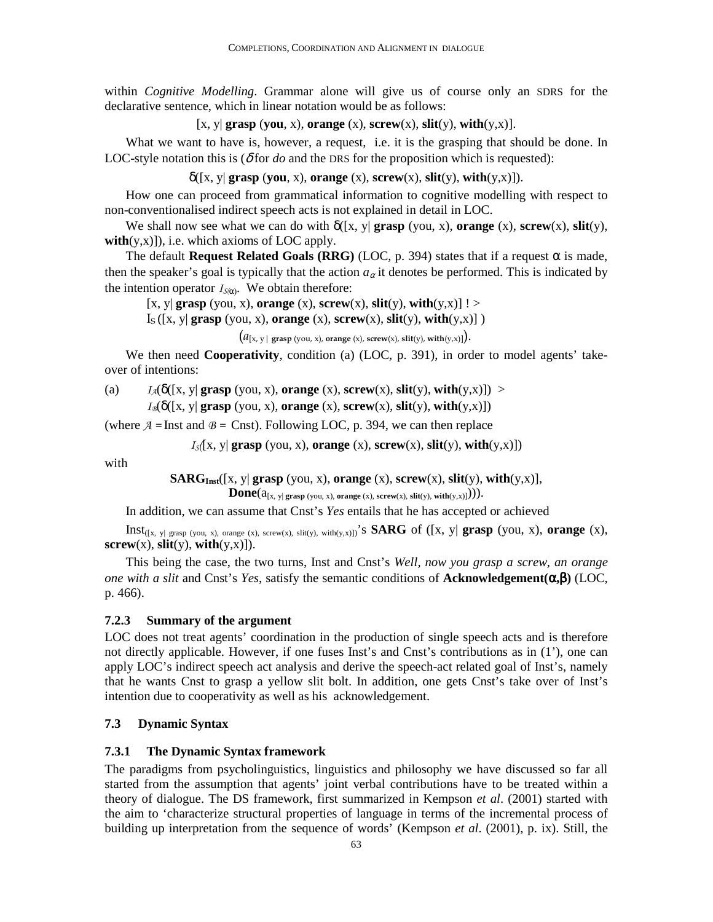within *Cognitive Modelling*. Grammar alone will give us of course only an SDRS for the declarative sentence, which in linear notation would be as follows:

[x, y] **grasp** (you, x), **orange** (x), **screw**(x), **slit**(y), **with**(y,x)].

What we want to have is, however, a request, i.e. it is the grasping that should be done. In LOC-style notation this is  $(\delta$  for *do* and the DRS for the proposition which is requested):

 $\delta([x, y] \text{ grasp (you, x)}, \text{orange (x)}, \text{ screw}(x), \text{slit}(y), \text{with}(y, x)]$ .

How one can proceed from grammatical information to cognitive modelling with respect to non-conventionalised indirect speech acts is not explained in detail in LOC.

We shall now see what we can do with  $\delta(fx, y)$  **grasp** (you, x), **orange** (x), **screw**(x), **slit**(y),  $with(y,x)$ ]), i.e. which axioms of LOC apply.

The default **Request Related Goals (RRG)** (LOC, p. 394) states that if a request  $\alpha$  is made, then the speaker's goal is typically that the action  $a_{\alpha}$  it denotes be performed. This is indicated by the intention operator  $I_{S(\alpha)}$ . We obtain therefore:

 $[x, y]$  **grasp** (you, x), **orange** (x), **screw** $(x)$ , **slit** $(y)$ , **with** $(y, x)$ ] ! >

 $I_S([x, y] \text{ grasp (you, x), orange (x), screw(x), slit(y), with(y, x)]$ )

 $(a_{[x, y] \text{ grasp (you, x), orange (x), screw(x), slit(y), with (y, x)}).$ 

We then need **Cooperativity**, condition (a) (LOC, p. 391), in order to model agents' takeover of intentions:

(a)  $I_A(\delta([x, y] \text{ grasp (you, x), orange (x), screw(x), slit(y), with(y, x)]) >$ 

 $I_{\mathcal{B}}(\delta([x, y] \text{ grasp (you, x), orange (x), screw(x), slit(y), with(y, x)])$ 

(where  $A =$  Inst and  $B =$  Cnst). Following LOC, p. 394, we can then replace

 $I_{S}([x, y] \text{ grasp (you, x), orange (x), screw(x), slit(y), with(y, x)])$ 

with

**SARG**<sub>Inst</sub>([x, y| **grasp** (you, x), **orange** (x), **screw**(x), **slit**(y), **with**(y,x)],

 $\textbf{Done}(a_{[x, y] \text{ grasp (you, x), orange (x), screw(x), slit(y), with(y, x)})).$ 

In addition, we can assume that Cnst's *Yes* entails that he has accepted or achieved

Inst([x, y| grasp (you, x), orange (x), screw(x), slit(y), with(y,x)])'s **SARG** of ([x, y| **grasp** (you, x), **orange** (x),  $\textbf{server}(x)$ ,  $\textbf{slit}(y)$ ,  $\textbf{with}(y,x)$ ]).

This being the case, the two turns, Inst and Cnst's *Well, now you grasp a screw, an orange one with a slit* and Cnst's *Yes*, satisfy the semantic conditions of **Acknowledgement(**α**,**β**)** (LOC, p. 466).

### **7.2.3 Summary of the argument**

LOC does not treat agents' coordination in the production of single speech acts and is therefore not directly applicable. However, if one fuses Inst's and Cnst's contributions as in (1'), one can apply LOC's indirect speech act analysis and derive the speech-act related goal of Inst's, namely that he wants Cnst to grasp a yellow slit bolt. In addition, one gets Cnst's take over of Inst's intention due to cooperativity as well as his acknowledgement.

# **7.3 Dynamic Syntax**

### **7.3.1 The Dynamic Syntax framework**

The paradigms from psycholinguistics, linguistics and philosophy we have discussed so far all started from the assumption that agents' joint verbal contributions have to be treated within a theory of dialogue. The DS framework, first summarized in Kempson *et al*. (2001) started with the aim to 'characterize structural properties of language in terms of the incremental process of building up interpretation from the sequence of words' (Kempson *et al*. (2001), p. ix). Still, the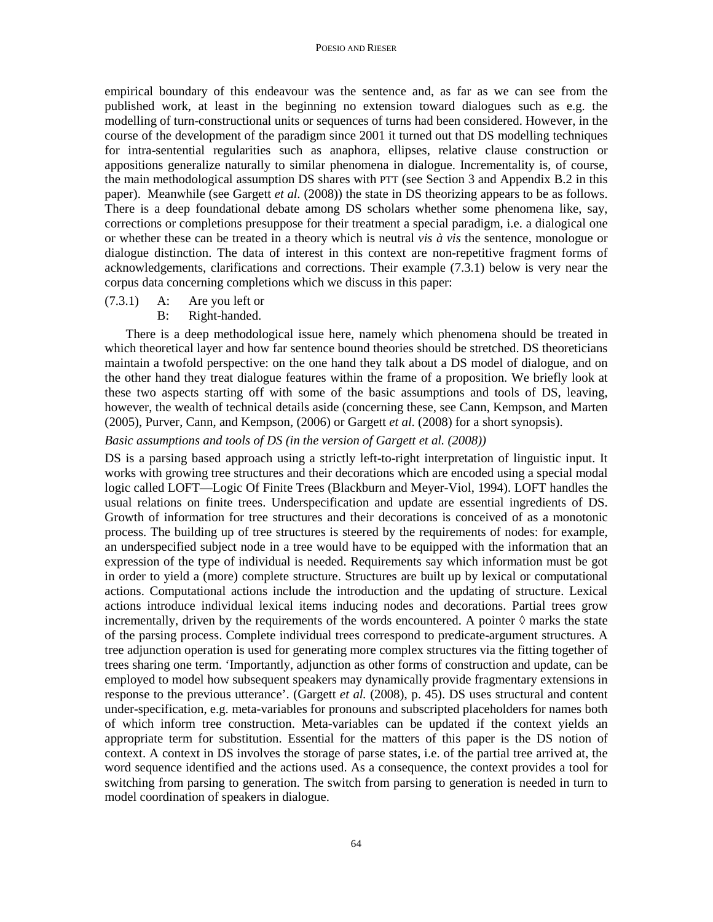empirical boundary of this endeavour was the sentence and, as far as we can see from the published work, at least in the beginning no extension toward dialogues such as e.g. the modelling of turn-constructional units or sequences of turns had been considered. However, in the course of the development of the paradigm since 2001 it turned out that DS modelling techniques for intra-sentential regularities such as anaphora, ellipses, relative clause construction or appositions generalize naturally to similar phenomena in dialogue. Incrementality is, of course, the main methodological assumption DS shares with PTT (see Section 3 and Appendix B.2 in this paper). Meanwhile (see Gargett *et al.* (2008)) the state in DS theorizing appears to be as follows. There is a deep foundational debate among DS scholars whether some phenomena like, say, corrections or completions presuppose for their treatment a special paradigm, i.e. a dialogical one or whether these can be treated in a theory which is neutral *vis à vis* the sentence, monologue or dialogue distinction. The data of interest in this context are non-repetitive fragment forms of acknowledgements, clarifications and corrections. Their example (7.3.1) below is very near the corpus data concerning completions which we discuss in this paper:

- (7.3.1) A: Are you left or
	- B: Right-handed.

There is a deep methodological issue here, namely which phenomena should be treated in which theoretical layer and how far sentence bound theories should be stretched. DS theoreticians maintain a twofold perspective: on the one hand they talk about a DS model of dialogue, and on the other hand they treat dialogue features within the frame of a proposition. We briefly look at these two aspects starting off with some of the basic assumptions and tools of DS, leaving, however, the wealth of technical details aside (concerning these, see Cann, Kempson, and Marten (2005), Purver, Cann, and Kempson, (2006) or Gargett *et al.* (2008) for a short synopsis).

### *Basic assumptions and tools of DS (in the version of Gargett et al. (2008))*

DS is a parsing based approach using a strictly left-to-right interpretation of linguistic input. It works with growing tree structures and their decorations which are encoded using a special modal logic called LOFT—Logic Of Finite Trees (Blackburn and Meyer-Viol, 1994). LOFT handles the usual relations on finite trees. Underspecification and update are essential ingredients of DS. Growth of information for tree structures and their decorations is conceived of as a monotonic process. The building up of tree structures is steered by the requirements of nodes: for example, an underspecified subject node in a tree would have to be equipped with the information that an expression of the type of individual is needed. Requirements say which information must be got in order to yield a (more) complete structure. Structures are built up by lexical or computational actions. Computational actions include the introduction and the updating of structure. Lexical actions introduce individual lexical items inducing nodes and decorations. Partial trees grow incrementally, driven by the requirements of the words encountered. A pointer  $\Diamond$  marks the state of the parsing process. Complete individual trees correspond to predicate-argument structures. A tree adjunction operation is used for generating more complex structures via the fitting together of trees sharing one term. 'Importantly, adjunction as other forms of construction and update, can be employed to model how subsequent speakers may dynamically provide fragmentary extensions in response to the previous utterance'. (Gargett *et al.* (2008), p. 45). DS uses structural and content under-specification, e.g. meta-variables for pronouns and subscripted placeholders for names both of which inform tree construction. Meta-variables can be updated if the context yields an appropriate term for substitution. Essential for the matters of this paper is the DS notion of context. A context in DS involves the storage of parse states, i.e. of the partial tree arrived at, the word sequence identified and the actions used. As a consequence, the context provides a tool for switching from parsing to generation. The switch from parsing to generation is needed in turn to model coordination of speakers in dialogue.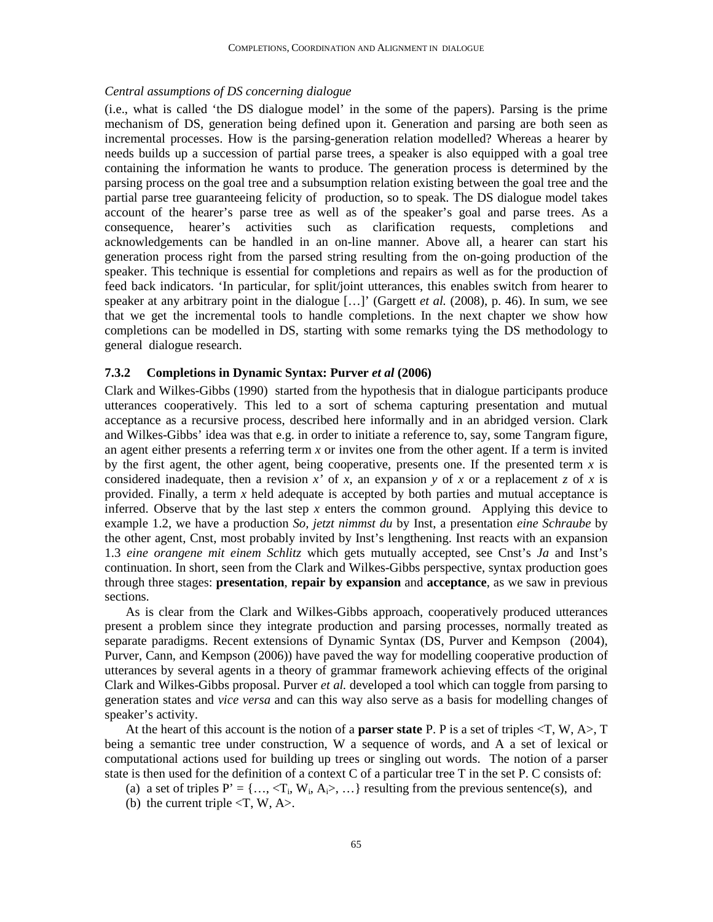# *Central assumptions of DS concerning dialogue*

(i.e., what is called 'the DS dialogue model' in the some of the papers). Parsing is the prime mechanism of DS, generation being defined upon it. Generation and parsing are both seen as incremental processes. How is the parsing-generation relation modelled? Whereas a hearer by needs builds up a succession of partial parse trees, a speaker is also equipped with a goal tree containing the information he wants to produce. The generation process is determined by the parsing process on the goal tree and a subsumption relation existing between the goal tree and the partial parse tree guaranteeing felicity of production, so to speak. The DS dialogue model takes account of the hearer's parse tree as well as of the speaker's goal and parse trees. As a consequence, hearer's activities such as clarification requests, completions and acknowledgements can be handled in an on-line manner. Above all, a hearer can start his generation process right from the parsed string resulting from the on-going production of the speaker. This technique is essential for completions and repairs as well as for the production of feed back indicators. 'In particular, for split/joint utterances, this enables switch from hearer to speaker at any arbitrary point in the dialogue […]' (Gargett *et al.* (2008), p. 46). In sum, we see that we get the incremental tools to handle completions. In the next chapter we show how completions can be modelled in DS, starting with some remarks tying the DS methodology to general dialogue research.

## **7.3.2 Completions in Dynamic Syntax: Purver** *et al* **(2006)**

Clark and Wilkes-Gibbs (1990) started from the hypothesis that in dialogue participants produce utterances cooperatively. This led to a sort of schema capturing presentation and mutual acceptance as a recursive process, described here informally and in an abridged version. Clark and Wilkes-Gibbs' idea was that e.g. in order to initiate a reference to, say, some Tangram figure, an agent either presents a referring term *x* or invites one from the other agent. If a term is invited by the first agent, the other agent, being cooperative, presents one. If the presented term  $x$  is considered inadequate, then a revision  $x'$  of  $\overline{x}$ , an expansion  $y$  of  $x$  or a replacement  $\overline{z}$  of  $x$  is provided. Finally, a term *x* held adequate is accepted by both parties and mutual acceptance is inferred. Observe that by the last step *x* enters the common ground. Applying this device to example 1.2, we have a production *So, jetzt nimmst du* by Inst, a presentation *eine Schraube* by the other agent, Cnst, most probably invited by Inst's lengthening. Inst reacts with an expansion 1.3 *eine orangene mit einem Schlitz* which gets mutually accepted, see Cnst's *Ja* and Inst's continuation. In short, seen from the Clark and Wilkes-Gibbs perspective, syntax production goes through three stages: **presentation**, **repair by expansion** and **acceptance**, as we saw in previous sections.

As is clear from the Clark and Wilkes-Gibbs approach, cooperatively produced utterances present a problem since they integrate production and parsing processes, normally treated as separate paradigms. Recent extensions of Dynamic Syntax (DS, Purver and Kempson (2004), Purver, Cann, and Kempson (2006)) have paved the way for modelling cooperative production of utterances by several agents in a theory of grammar framework achieving effects of the original Clark and Wilkes-Gibbs proposal. Purver *et al.* developed a tool which can toggle from parsing to generation states and *vice versa* and can this way also serve as a basis for modelling changes of speaker's activity.

At the heart of this account is the notion of a **parser state** P. P is a set of triples <T, W, A>, T being a semantic tree under construction, W a sequence of words, and A a set of lexical or computational actions used for building up trees or singling out words. The notion of a parser state is then used for the definition of a context C of a particular tree T in the set P. C consists of:

- (a) a set of triples  $P' = \{..., \langle T_i, W_i, A_i \rangle, ...\}$  resulting from the previous sentence(s), and
- (b) the current triple  $\langle T, W, A \rangle$ .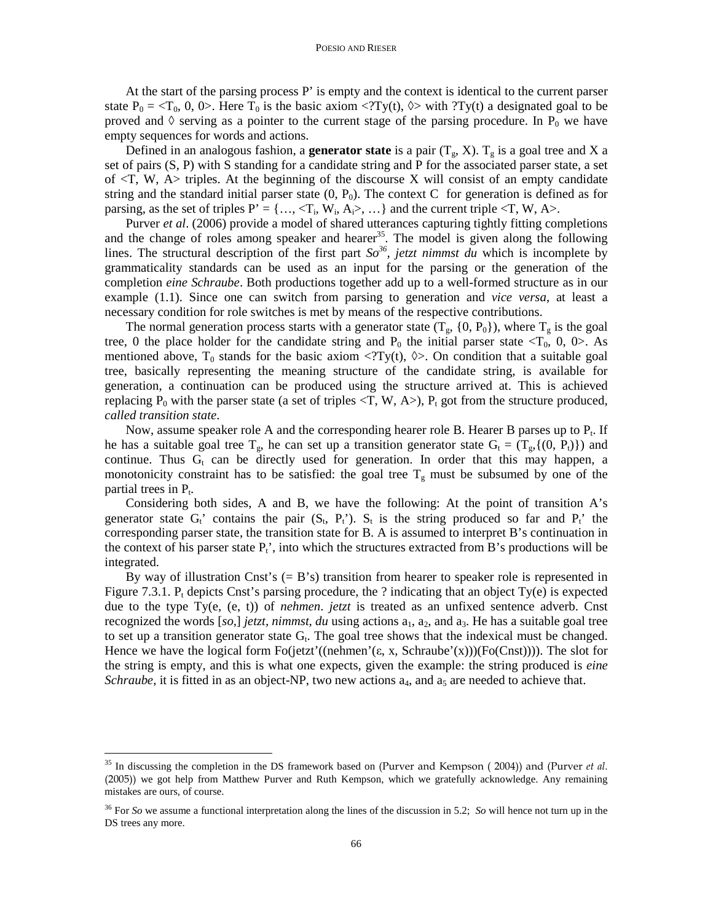At the start of the parsing process P' is empty and the context is identical to the current parser state  $P_0 = \langle T_0, 0, 0 \rangle$ . Here  $T_0$  is the basic axiom  $\langle T y(t), 0 \rangle$  with  $\langle T y(t) \rangle$  a designated goal to be proved and  $\Diamond$  serving as a pointer to the current stage of the parsing procedure. In P<sub>0</sub> we have empty sequences for words and actions.

Defined in an analogous fashion, a **generator state** is a pair  $(T_g, X)$ .  $T_g$  is a goal tree and X a set of pairs (S, P) with S standing for a candidate string and P for the associated parser state, a set of  $\langle T, W, A \rangle$  triples. At the beginning of the discourse X will consist of an empty candidate string and the standard initial parser state  $(0, P_0)$ . The context C for generation is defined as for parsing, as the set of triples  $P' = \{..., \langle T_i, W_i, A_i \rangle, ...\}$  and the current triple  $\langle T, W, A \rangle$ .

Purver *et al*. (2006) provide a model of shared utterances capturing tightly fitting completions and the change of roles among speaker and hearer<sup>35</sup>. The model is given along the following lines. The structural description of the first part *So<sup>36</sup>, jetzt nimmst du* which is incomplete by grammaticality standards can be used as an input for the parsing or the generation of the completion *eine Schraube*. Both productions together add up to a well-formed structure as in our example (1.1). Since one can switch from parsing to generation and *vice versa*, at least a necessary condition for role switches is met by means of the respective contributions.

The normal generation process starts with a generator state  $(T_s, \{0, P_0\})$ , where  $T_s$  is the goal tree, 0 the place holder for the candidate string and  $P_0$  the initial parser state  $\langle T_0, 0, 0 \rangle$ . As mentioned above, T<sub>0</sub> stands for the basic axiom  $\langle$ ?Ty(t),  $\langle \rangle$ . On condition that a suitable goal tree, basically representing the meaning structure of the candidate string, is available for generation, a continuation can be produced using the structure arrived at. This is achieved replacing  $P_0$  with the parser state (a set of triples  $\langle T, W, A \rangle$ ),  $P_t$  got from the structure produced, *called transition state*.

Now, assume speaker role A and the corresponding hearer role B. Hearer B parses up to  $P_t$ . If he has a suitable goal tree  $T_g$ , he can set up a transition generator state  $G_t = (T_g, \{(0, P_t)\})$  and continue. Thus  $G_t$  can be directly used for generation. In order that this may happen, a monotonicity constraint has to be satisfied: the goal tree  $T<sub>g</sub>$  must be subsumed by one of the partial trees in  $P_t$ .

Considering both sides, A and B, we have the following: At the point of transition A's generator state  $G_t$ ' contains the pair  $(S_t, P_t)$ .  $S_t$  is the string produced so far and  $P_t$ ' the corresponding parser state, the transition state for B. A is assumed to interpret B's continuation in the context of his parser state  $P_t'$ , into which the structures extracted from B's productions will be integrated.

By way of illustration Cnst's  $(= B's)$  transition from hearer to speaker role is represented in Figure 7.3.1.  $P_t$  depicts Cnst's parsing procedure, the ? indicating that an object Ty(e) is expected due to the type Ty(e, (e, t)) of *nehmen*. *jetzt* is treated as an unfixed sentence adverb. Cnst recognized the words  $[so]$  *jetzt, nimmst, du* using actions  $a_1$ ,  $a_2$ , and  $a_3$ . He has a suitable goal tree to set up a transition generator state  $G_t$ . The goal tree shows that the indexical must be changed. Hence we have the logical form  $Fo(\text{jetzt'}((\text{nehmen'}(\varepsilon, x, Schraube'(x)))(Fo(Cnst))))$ . The slot for the string is empty, and this is what one expects, given the example: the string produced is *eine Schraube*, it is fitted in as an object-NP, two new actions  $a_4$ , and  $a_5$  are needed to achieve that.

-

<sup>&</sup>lt;sup>35</sup> In discussing the completion in the DS framework based on (Purver and Kempson (2004)) and (Purver et al. (2005)) we got help from Matthew Purver and Ruth Kempson, which we gratefully acknowledge. Any remaining mistakes are ours, of course.

<sup>36</sup> For *So* we assume a functional interpretation along the lines of the discussion in 5.2; *So* will hence not turn up in the DS trees any more.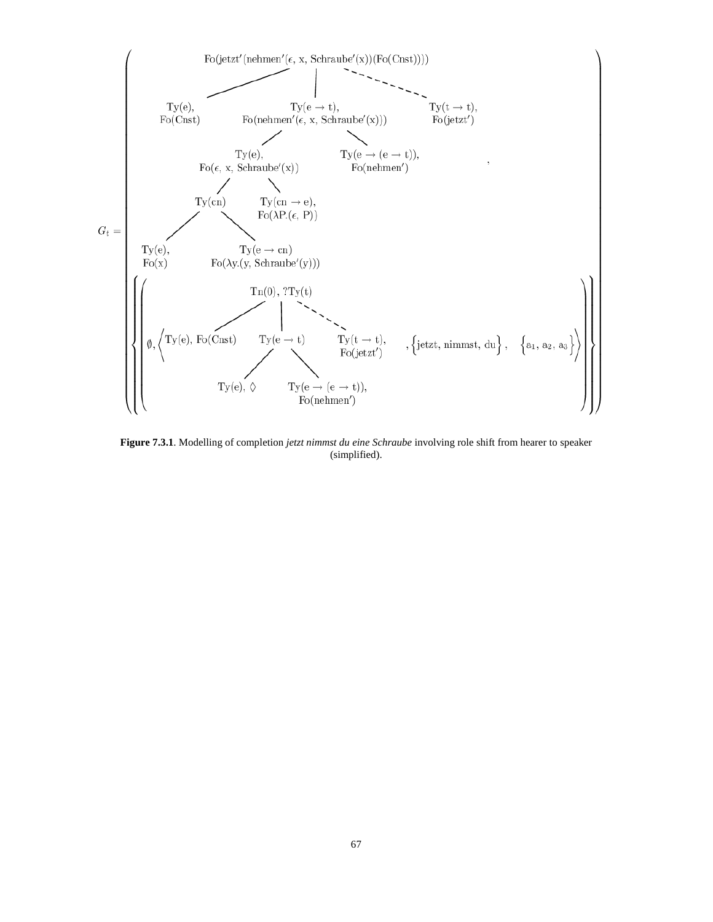

**Figure 7.3.1**. Modelling of completion *jetzt nimmst du eine Schraube* involving role shift from hearer to speaker (simplified).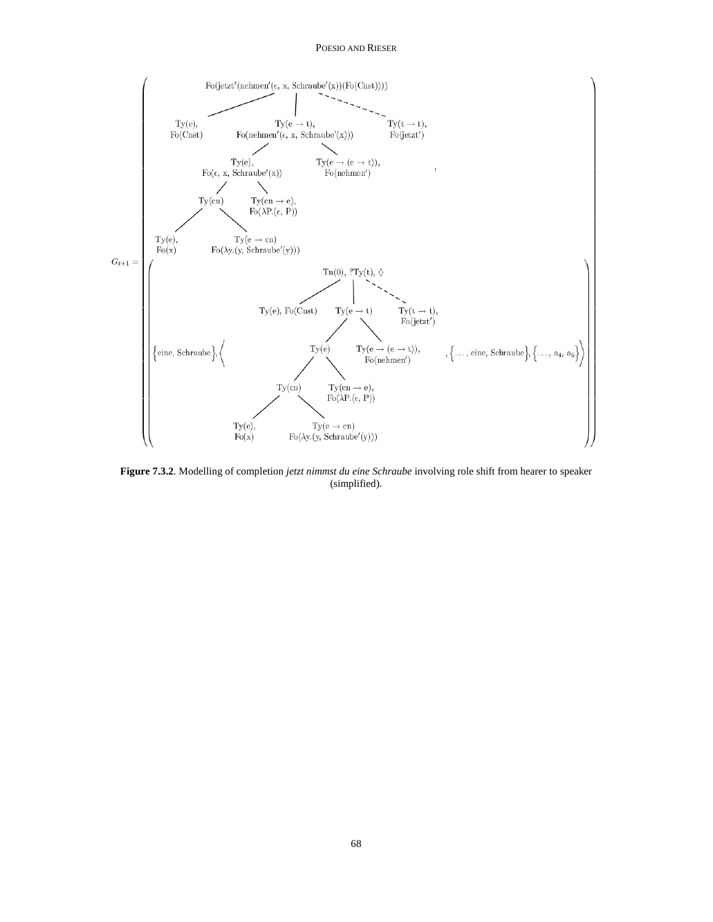#### POESIO AND RIESER



**Figure 7.3.2**. Modelling of completion *jetzt nimmst du eine Schraube* involving role shift from hearer to speaker (simplified).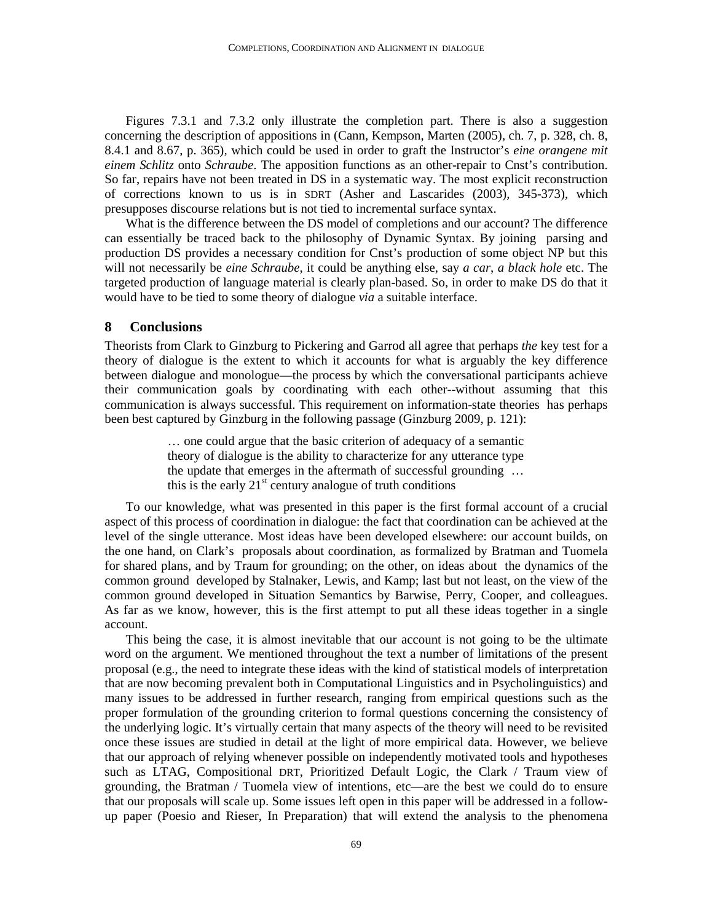Figures 7.3.1 and 7.3.2 only illustrate the completion part. There is also a suggestion concerning the description of appositions in (Cann, Kempson, Marten (2005), ch. 7, p. 328, ch. 8, 8.4.1 and 8.67, p. 365), which could be used in order to graft the Instructor's *eine orangene mit einem Schlitz* onto *Schraube*. The apposition functions as an other-repair to Cnst's contribution. So far, repairs have not been treated in DS in a systematic way. The most explicit reconstruction of corrections known to us is in SDRT (Asher and Lascarides (2003), 345-373), which presupposes discourse relations but is not tied to incremental surface syntax.

What is the difference between the DS model of completions and our account? The difference can essentially be traced back to the philosophy of Dynamic Syntax. By joining parsing and production DS provides a necessary condition for Cnst's production of some object NP but this will not necessarily be *eine Schraube*, it could be anything else, say *a car*, *a black hole* etc. The targeted production of language material is clearly plan-based. So, in order to make DS do that it would have to be tied to some theory of dialogue *via* a suitable interface.

### **8 Conclusions**

Theorists from Clark to Ginzburg to Pickering and Garrod all agree that perhaps *the* key test for a theory of dialogue is the extent to which it accounts for what is arguably the key difference between dialogue and monologue—the process by which the conversational participants achieve their communication goals by coordinating with each other--without assuming that this communication is always successful. This requirement on information-state theories has perhaps been best captured by Ginzburg in the following passage (Ginzburg 2009, p. 121):

> … one could argue that the basic criterion of adequacy of a semantic theory of dialogue is the ability to characterize for any utterance type the update that emerges in the aftermath of successful grounding … this is the early  $21<sup>st</sup>$  century analogue of truth conditions

To our knowledge, what was presented in this paper is the first formal account of a crucial aspect of this process of coordination in dialogue: the fact that coordination can be achieved at the level of the single utterance. Most ideas have been developed elsewhere: our account builds, on the one hand, on Clark's proposals about coordination, as formalized by Bratman and Tuomela for shared plans, and by Traum for grounding; on the other, on ideas about the dynamics of the common ground developed by Stalnaker, Lewis, and Kamp; last but not least, on the view of the common ground developed in Situation Semantics by Barwise, Perry, Cooper, and colleagues. As far as we know, however, this is the first attempt to put all these ideas together in a single account.

This being the case, it is almost inevitable that our account is not going to be the ultimate word on the argument. We mentioned throughout the text a number of limitations of the present proposal (e.g., the need to integrate these ideas with the kind of statistical models of interpretation that are now becoming prevalent both in Computational Linguistics and in Psycholinguistics) and many issues to be addressed in further research, ranging from empirical questions such as the proper formulation of the grounding criterion to formal questions concerning the consistency of the underlying logic. It's virtually certain that many aspects of the theory will need to be revisited once these issues are studied in detail at the light of more empirical data. However, we believe that our approach of relying whenever possible on independently motivated tools and hypotheses such as LTAG, Compositional DRT, Prioritized Default Logic, the Clark / Traum view of grounding, the Bratman / Tuomela view of intentions, etc—are the best we could do to ensure that our proposals will scale up. Some issues left open in this paper will be addressed in a followup paper (Poesio and Rieser, In Preparation) that will extend the analysis to the phenomena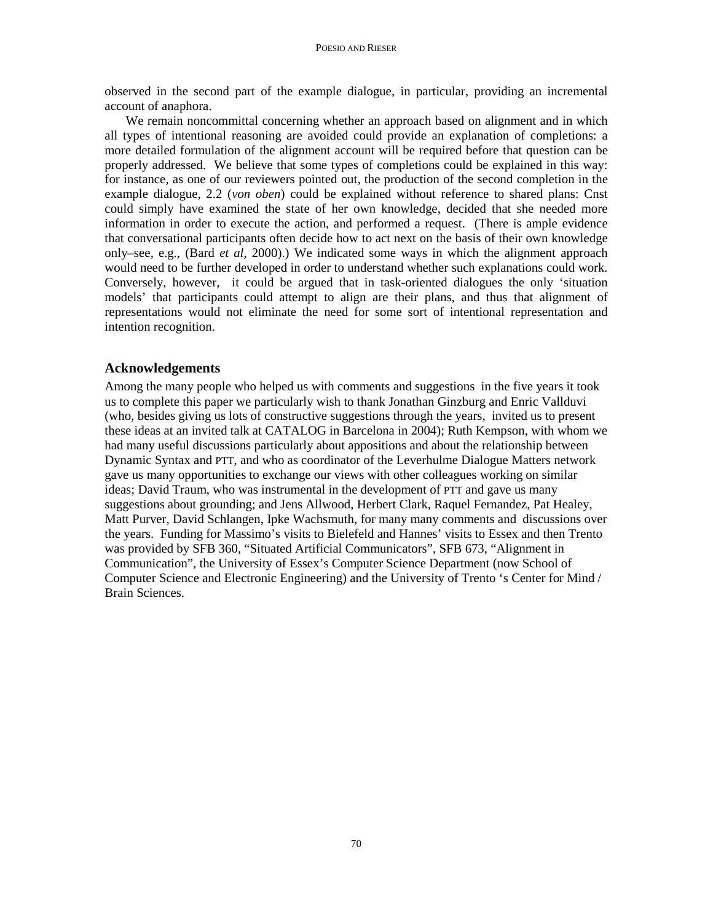observed in the second part of the example dialogue, in particular, providing an incremental account of anaphora.

We remain noncommittal concerning whether an approach based on alignment and in which all types of intentional reasoning are avoided could provide an explanation of completions: a more detailed formulation of the alignment account will be required before that question can be properly addressed. We believe that some types of completions could be explained in this way: for instance, as one of our reviewers pointed out, the production of the second completion in the example dialogue, 2.2 (*von oben*) could be explained without reference to shared plans: Cnst could simply have examined the state of her own knowledge, decided that she needed more information in order to execute the action, and performed a request. (There is ample evidence that conversational participants often decide how to act next on the basis of their own knowledge only–see, e.g., (Bard *et al*, 2000).) We indicated some ways in which the alignment approach would need to be further developed in order to understand whether such explanations could work. Conversely, however, it could be argued that in task-oriented dialogues the only 'situation models' that participants could attempt to align are their plans, and thus that alignment of representations would not eliminate the need for some sort of intentional representation and intention recognition.

### **Acknowledgements**

Among the many people who helped us with comments and suggestions in the five years it took us to complete this paper we particularly wish to thank Jonathan Ginzburg and Enric Vallduvi (who, besides giving us lots of constructive suggestions through the years, invited us to present these ideas at an invited talk at CATALOG in Barcelona in 2004); Ruth Kempson, with whom we had many useful discussions particularly about appositions and about the relationship between Dynamic Syntax and PTT, and who as coordinator of the Leverhulme Dialogue Matters network gave us many opportunities to exchange our views with other colleagues working on similar ideas; David Traum, who was instrumental in the development of PTT and gave us many suggestions about grounding; and Jens Allwood, Herbert Clark, Raquel Fernandez, Pat Healey, Matt Purver, David Schlangen, Ipke Wachsmuth, for many many comments and discussions over the years. Funding for Massimo's visits to Bielefeld and Hannes' visits to Essex and then Trento was provided by SFB 360, "Situated Artificial Communicators", SFB 673, "Alignment in Communication", the University of Essex's Computer Science Department (now School of Computer Science and Electronic Engineering) and the University of Trento 's Center for Mind / Brain Sciences.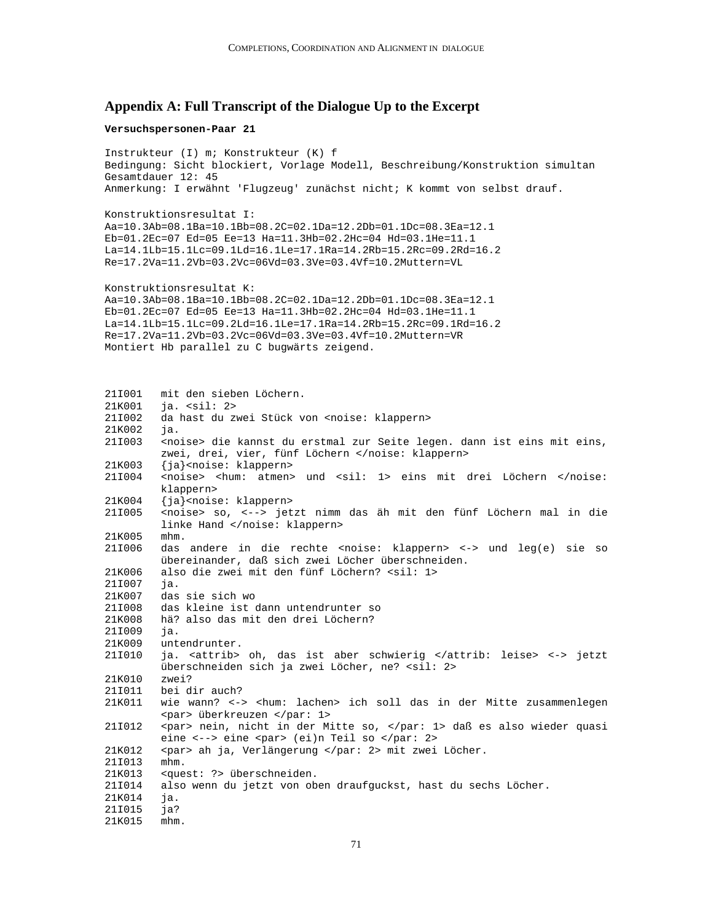### **Appendix A: Full Transcript of the Dialogue Up to the Excerpt**

### **Versuchspersonen-Paar 21**

```
Instrukteur (I) m; Konstrukteur (K) f 
Bedingung: Sicht blockiert, Vorlage Modell, Beschreibung/Konstruktion simultan 
Gesamtdauer 12: 45 
Anmerkung: I erwähnt 'Flugzeug' zunächst nicht; K kommt von selbst drauf. 
Konstruktionsresultat I: 
Aa=10.3Ab=08.1Ba=10.1Bb=08.2C=02.1Da=12.2Db=01.1Dc=08.3Ea=12.1 
Eb=01.2Ec=07 Ed=05 Ee=13 Ha=11.3Hb=02.2Hc=04 Hd=03.1He=11.1 
La=14.1Lb=15.1Lc=09.1Ld=16.1Le=17.1Ra=14.2Rb=15.2Rc=09.2Rd=16.2 
Re=17.2Va=11.2Vb=03.2Vc=06Vd=03.3Ve=03.4Vf=10.2Muttern=VL 
Konstruktionsresultat K: 
Aa=10.3Ab=08.1Ba=10.1Bb=08.2C=02.1Da=12.2Db=01.1Dc=08.3Ea=12.1 
Eb=01.2Ec=07 Ed=05 Ee=13 Ha=11.3Hb=02.2Hc=04 Hd=03.1He=11.1 
La=14.1Lb=15.1Lc=09.2Ld=16.1Le=17.1Ra=14.2Rb=15.2Rc=09.1Rd=16.2 
Re=17.2Va=11.2Vb=03.2Vc=06Vd=03.3Ve=03.4Vf=10.2Muttern=VR 
Montiert Hb parallel zu C bugwärts zeigend. 
21I001 mit den sieben Löchern. 
21K001 ja. <sil: 2> 
21I002 da hast du zwei Stück von <noise: klappern> 
21K002 ja. 
21I003 <noise> die kannst du erstmal zur Seite legen. dann ist eins mit eins, 
        zwei, drei, vier, fünf Löchern </noise: klappern> 
21K003 {ja}<noise: klappern> 
21I004 <noise> <hum: atmen> und <sil: 1> eins mit drei Löchern </noise: 
        klappern> 
21K004 {ja}<noise: klappern> 
21I005 <noise> so, <--> jetzt nimm das äh mit den fünf Löchern mal in die 
        linke Hand </noise: klappern> 
21K005 mhm. 
21I006 das andere in die rechte <noise: klappern> <-> und leg(e) sie so 
        übereinander, daß sich zwei Löcher überschneiden. 
21K006 also die zwei mit den fünf Löchern? <sil: 1>
21I007 ja. 
21K007 das sie sich wo 
21I008 das kleine ist dann untendrunter so 
21K008 hä? also das mit den drei Löchern? 
21I009 ja. 
21K009 untendrunter. 
21I010 ja. <attrib> oh, das ist aber schwierig </attrib: leise> <-> jetzt 
        überschneiden sich ja zwei Löcher, ne? <sil: 2> 
21K010 zwei? 
21I011 bei dir auch? 
21K011 wie wann? <-> <hum: lachen> ich soll das in der Mitte zusammenlegen 
        <par> überkreuzen </par: 1> 
21I012 <par> nein, nicht in der Mitte so, </par: 1> daß es also wieder quasi 
        eine <--> eine <par> (ei)n Teil so </par: 2>
21K012 <par> ah ja, Verlängerung </par: 2> mit zwei Löcher. 
21I013 mhm. 
21K013 <quest: ?> überschneiden. 
21I014 also wenn du jetzt von oben draufguckst, hast du sechs Löcher. 
21K014 ja. 
21I015 ja? 
21K015 mhm.
```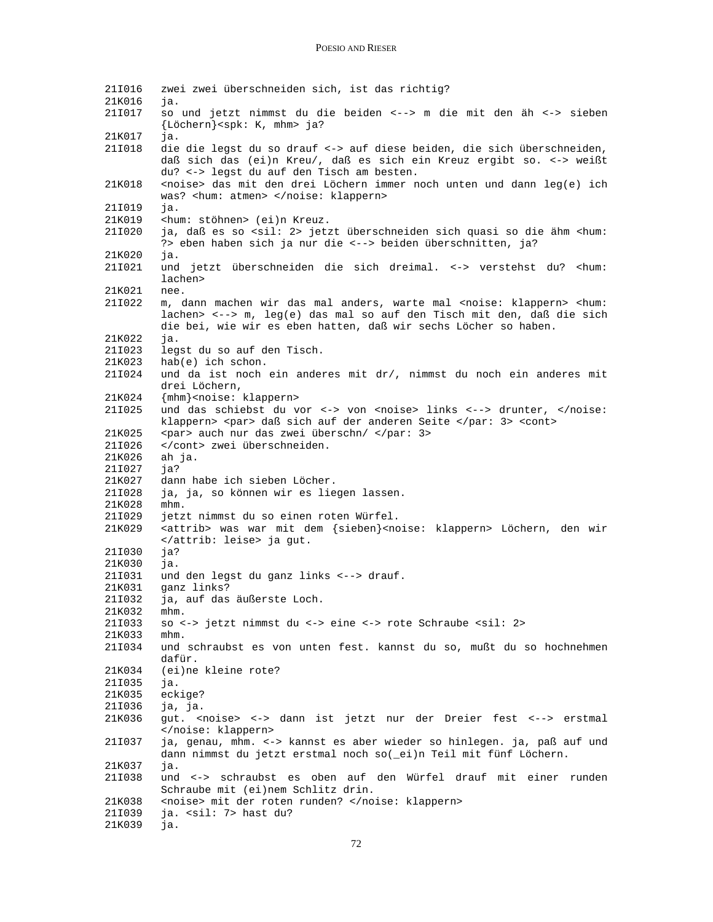21I016 zwei zwei überschneiden sich, ist das richtig? 21K016 ja. 21I017 so und jetzt nimmst du die beiden <--> m die mit den äh <-> sieben {Löchern}<spk: K, mhm> ja? 21K017 ja. die die legst du so drauf <-> auf diese beiden, die sich überschneiden, daß sich das (ei)n Kreu/, daß es sich ein Kreuz ergibt so. <-> weißt du? <-> legst du auf den Tisch am besten. 21K018 <noise> das mit den drei Löchern immer noch unten und dann leg(e) ich was? <hum: atmen> </noise: klappern> 21I019 ja. 21K019 <hum: stöhnen> (ei)n Kreuz. 21I020 ja, daß es so <sil: 2> jetzt überschneiden sich quasi so die ähm <hum: ?> eben haben sich ja nur die <--> beiden überschnitten, ja? 21K020 ja. 21I021 und jetzt überschneiden die sich dreimal. <-> verstehst du? <hum: lachen> 21K021 nee. 21I022 m, dann machen wir das mal anders, warte mal <noise: klappern> <hum: lachen> <--> m, leg(e) das mal so auf den Tisch mit den, daß die sich die bei, wie wir es eben hatten, daß wir sechs Löcher so haben. 21K022 ja. 21I023 legst du so auf den Tisch. 21K023 hab(e) ich schon. 21I024 und da ist noch ein anderes mit dr/, nimmst du noch ein anderes mit drei Löchern, 21K024 {mhm}<noise: klappern> 21I025 und das schiebst du vor <-> von <noise> links <--> drunter, </noise: klappern> <par> daß sich auf der anderen Seite </par: 3> <cont> 21K025 <par> auch nur das zwei überschn/ </par: 3> 21I026 </cont> zwei überschneiden. 21K026 ah ja. 21I027 ja? 21K027 dann habe ich sieben Löcher. 21I028 ja, ja, so können wir es liegen lassen. 21K028 mhm. 21I029 jetzt nimmst du so einen roten Würfel. 21K029 <attrib> was war mit dem {sieben}<noise: klappern> Löchern, den wir </attrib: leise> ja gut. 21I030 ja? 21K030 ja. 21I031 und den legst du ganz links <--> drauf. 21K031 ganz links? 21I032 ja, auf das äußerste Loch. 21K032 mhm. 21I033 so <-> jetzt nimmst du <-> eine <-> rote Schraube <sil: 2> 21K033 mhm. 21I034 und schraubst es von unten fest. kannst du so, mußt du so hochnehmen dafür. 21K034 (ei)ne kleine rote? 21I035 ja. 21K035 eckige? 21I036 ja, ja. 21K036 gut. <noise> <-> dann ist jetzt nur der Dreier fest <--> erstmal </noise: klappern> 21I037 ja, genau, mhm. <-> kannst es aber wieder so hinlegen. ja, paß auf und dann nimmst du jetzt erstmal noch so(\_ei)n Teil mit fünf Löchern. 21K037 ja. 21I038 und <-> schraubst es oben auf den Würfel drauf mit einer runden Schraube mit (ei)nem Schlitz drin. 21K038 <noise> mit der roten runden? </noise: klappern> 21I039 ja. <sil: 7> hast du? 21K039 ja.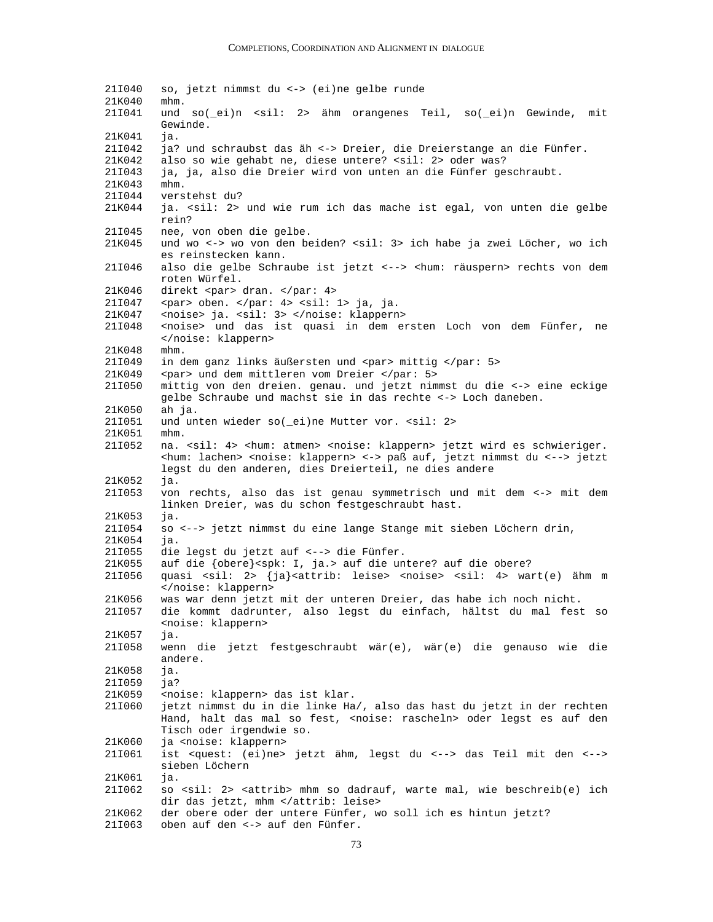21I040 so, jetzt nimmst du <-> (ei)ne gelbe runde 21K040 mhm. 21I041 und so(\_ei)n <sil: 2> ähm orangenes Teil, so(\_ei)n Gewinde, mit Gewinde. 21K041 ja. 21I042 ja? und schraubst das äh <-> Dreier, die Dreierstange an die Fünfer. 21K042 also so wie gehabt ne, diese untere? <sil: 2> oder was? 21I043 ja, ja, also die Dreier wird von unten an die Fünfer geschraubt. 21K043 mhm. 21I044 verstehst du? 21K044 ja. <sil: 2> und wie rum ich das mache ist egal, von unten die gelbe rein? 21I045 nee, von oben die gelbe. 21K045 und wo <-> wo von den beiden? <sil: 3> ich habe ja zwei Löcher, wo ich es reinstecken kann. 21I046 also die gelbe Schraube ist jetzt <--> <hum: räuspern> rechts von dem roten Würfel. 21K046 direkt <par> dran. </par: 4> 21I047 <par> oben. </par: 4> <sil: 1> ja, ja. 21K047 <noise> ja. <sil: 3> </noise: klappern><br>21I048 <noise> und das ist quasi in dem e: <noise> und das ist quasi in dem ersten Loch von dem Fünfer, ne </noise: klappern> 21K048 mhm. 21I049 in dem ganz links äußersten und <par> mittig </par: 5> 21K049 <par> und dem mittleren vom Dreier </par: 5> 21I050 mittig von den dreien. genau. und jetzt nimmst du die <-> eine eckige gelbe Schraube und machst sie in das rechte <-> Loch daneben. 21K050 ah ja. 21I051 und unten wieder so(\_ei)ne Mutter vor. <sil: 2> 21K051 mhm. 21I052 na. <sil: 4> <hum: atmen> <noise: klappern> jetzt wird es schwieriger. <hum: lachen> <noise: klappern> <-> paß auf, jetzt nimmst du <--> jetzt legst du den anderen, dies Dreierteil, ne dies andere 21K052 ja. 21I053 von rechts, also das ist genau symmetrisch und mit dem <-> mit dem linken Dreier, was du schon festgeschraubt hast. 21K053 ja. 21I054 so <--> jetzt nimmst du eine lange Stange mit sieben Löchern drin, 21K054 ja. 21I055 die legst du jetzt auf <--> die Fünfer. 21K055 auf die {obere}<spk: I, ja.> auf die untere? auf die obere? 21I056 quasi <sil: 2> {ja}<attrib: leise> <noise> <sil: 4> wart(e) ähm m </noise: klappern> 21K056 was war denn jetzt mit der unteren Dreier, das habe ich noch nicht. 21I057 die kommt dadrunter, also legst du einfach, hältst du mal fest so <noise: klappern> 21K057 ja. 21I058 wenn die jetzt festgeschraubt wär(e), wär(e) die genauso wie die andere. 21K058 ja. 21I059 ja? 21K059 <noise: klappern> das ist klar. 21I060 jetzt nimmst du in die linke Ha/, also das hast du jetzt in der rechten Hand, halt das mal so fest, <noise: rascheln> oder legst es auf den Tisch oder irgendwie so. 21K060 ja <noise: klappern> 21I061 ist <quest: (ei)ne> jetzt ähm, legst du <--> das Teil mit den <--> sieben Löchern 21K061 ja. 21I062 so <sil: 2> <attrib> mhm so dadrauf, warte mal, wie beschreib(e) ich dir das jetzt, mhm </attrib: leise> 21K062 der obere oder der untere Fünfer, wo soll ich es hintun jetzt? 21I063 oben auf den <-> auf den Fünfer.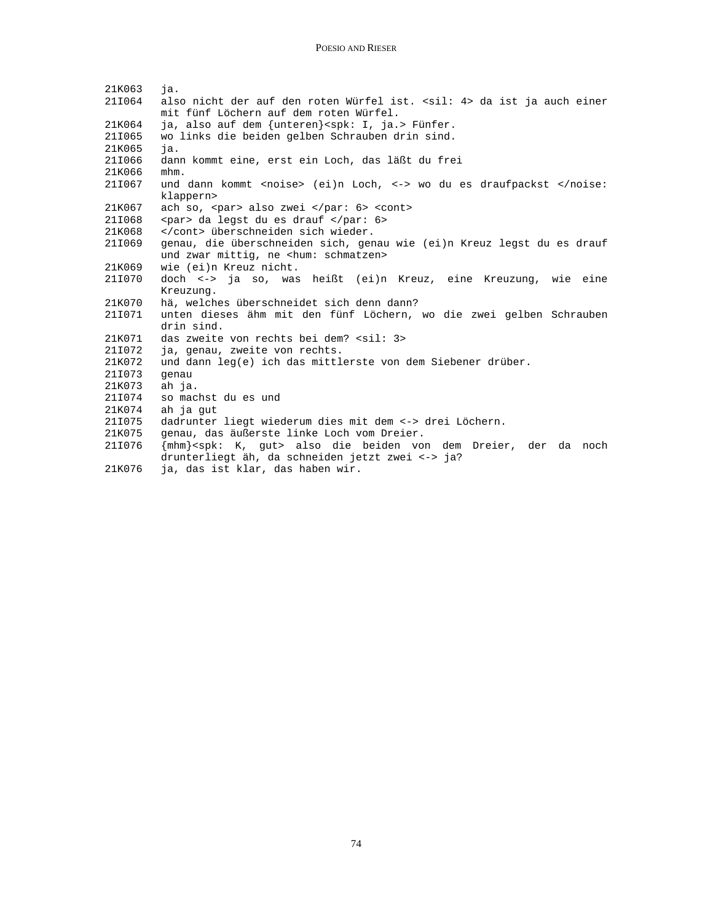| 21K063      | jа.                                                                                         |
|-------------|---------------------------------------------------------------------------------------------|
| 21I064      | also nicht der auf den roten Würfel ist. < sil: 4> da ist ja auch einer                     |
|             | mit fünf Löchern auf dem roten Würfel.                                                      |
| 21K064      | ja, also auf dem {unteren} <spk: i,="" ja.=""> Fünfer.</spk:>                               |
| 21I065      | wo links die beiden gelben Schrauben drin sind.                                             |
| 21K065      | ja.                                                                                         |
| 21I066      | dann kommt eine, erst ein Loch, das läßt du frei                                            |
| 21K066      | mhm.                                                                                        |
| 211067      | und dann kommt <noise> (ei)n Loch, &lt;-&gt; wo du es draufpackst </noise>                  |
|             | klappern>                                                                                   |
| 21K067      | ach so, <par> also zwei  <cont></cont></par>                                                |
| 21I068      | <par> da legst du es drauf </par>                                                           |
| 21K068      | überschneiden sich wieder.                                                                  |
| 21I069      | genau, die überschneiden sich, genau wie (ei)n Kreuz legst du es drauf                      |
|             | und zwar mittig, ne <hum: schmatzen=""></hum:>                                              |
| 21K069      | wie (ei)n Kreuz nicht.                                                                      |
| 21I070      | doch <-> ja so, was heißt (ei)n Kreuz, eine Kreuzung, wie eine                              |
|             | Kreuzung.                                                                                   |
| 21K070      | hä, welches überschneidet sich denn dann?                                                   |
| 21I071      | unten dieses ähm mit den fünf Löchern, wo die zwei gelben Schrauben                         |
|             | drin sind.                                                                                  |
| 21K071      | das zweite von rechts bei dem? <sil: 3=""></sil:>                                           |
| 21I072      | ja, genau, zweite von rechts.                                                               |
| 21K072      | und dann leg(e) ich das mittlerste von dem Siebener drüber.                                 |
| 21I073      | qenau                                                                                       |
| 21K073      | ah ja.                                                                                      |
| 21I074      | so machst du es und                                                                         |
| 21K074      | ah ja gut                                                                                   |
| 21I075      | dadrunter liegt wiederum dies mit dem <-> drei Löchern.                                     |
| 21K075      | genau, das äußerste linke Loch vom Dreier.                                                  |
| 211076      | {mhm} <spk: k,="" qut=""> also die beiden von dem Dreier, der da noch</spk:>                |
| $21 V 0 76$ | drunterliegt äh, da schneiden jetzt zwei <-> ja?<br>$\frac{1}{2}$ decist kler des behen wir |
|             |                                                                                             |

21K076 ja, das ist klar, das haben wir.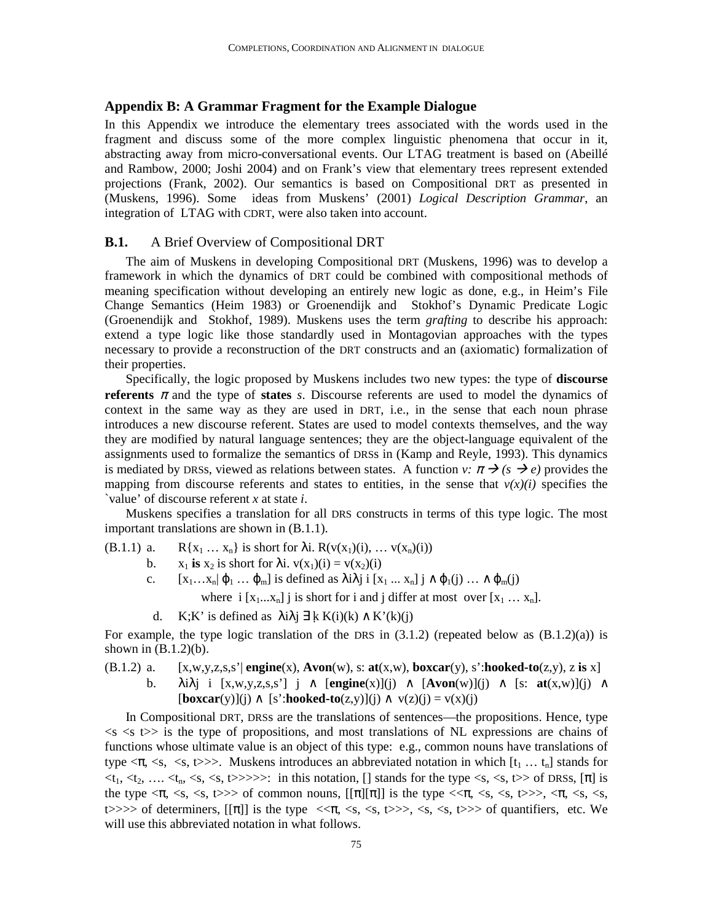#### **Appendix B: A Grammar Fragment for the Example Dialogue**

In this Appendix we introduce the elementary trees associated with the words used in the fragment and discuss some of the more complex linguistic phenomena that occur in it, abstracting away from micro-conversational events. Our LTAG treatment is based on (Abeillé and Rambow, 2000; Joshi 2004) and on Frank's view that elementary trees represent extended projections (Frank, 2002). Our semantics is based on Compositional DRT as presented in (Muskens, 1996). Some ideas from Muskens' (2001) *Logical Description Grammar*, an integration of LTAG with CDRT, were also taken into account.

# **B.1.** A Brief Overview of Compositional DRT

The aim of Muskens in developing Compositional DRT (Muskens, 1996) was to develop a framework in which the dynamics of DRT could be combined with compositional methods of meaning specification without developing an entirely new logic as done, e.g., in Heim's File Change Semantics (Heim 1983) or Groenendijk and Stokhof's Dynamic Predicate Logic (Groenendijk and Stokhof, 1989). Muskens uses the term *grafting* to describe his approach: extend a type logic like those standardly used in Montagovian approaches with the types necessary to provide a reconstruction of the DRT constructs and an (axiomatic) formalization of their properties.

Specifically, the logic proposed by Muskens includes two new types: the type of **discourse referents**  $\pi$  and the type of **states** *s*. Discourse referents are used to model the dynamics of context in the same way as they are used in DRT, i.e., in the sense that each noun phrase introduces a new discourse referent. States are used to model contexts themselves, and the way they are modified by natural language sentences; they are the object-language equivalent of the assignments used to formalize the semantics of DRSs in (Kamp and Reyle, 1993). This dynamics is mediated by DRSs, viewed as relations between states. A function *v:*  $\pi \rightarrow (s \rightarrow e)$  provides the mapping from discourse referents and states to entities, in the sense that  $v(x)(i)$  specifies the `value' of discourse referent *x* at state *i*.

Muskens specifies a translation for all DRS constructs in terms of this type logic. The most important translations are shown in (B.1.1).

(B.1.1) a.  $R\{x_1 ... x_n\}$  is short for  $\lambda$ i.  $R(v(x_1)(i), ... v(x_n)(i))$ 

- b.  $x_1$  is  $x_2$  is short for  $\lambda i$ .  $v(x_1)(i) = v(x_2)(i)$
- c.  $[x_1...x_n]\varphi_1...\varphi_m]$  is defined as  $\lambda i\lambda j$  i  $[x_1...x_n]$  j  $\wedge \varphi_1(j) ... \wedge \varphi_m(j)$

where  $i [x_1...x_n]$  j is short for i and j differ at most over  $[x_1...x_n]$ .

d. K;K' is defined as  $\lambda i \lambda j \exists k K(i)(k) \wedge K'(k)(j)$ 

For example, the type logic translation of the DRS in  $(3.1.2)$  (repeated below as  $(B.1.2)(a)$ ) is shown in  $(B.1.2)(b)$ .

- $[0,1.2)$  a.  $[x,w,y,z,s,s']$  **engine** $(x)$ ,  $\bf{Avon}(w)$ ,  $s: \bf{at}(x,w)$ ,  $\bf{boxcar}(y)$ ,  $s':\bf{hooked-to}(z,y)$ ,  $z \bf{ is } x$ ]
	- b. λiλj i [x,w,y,z,s,s'] j ∧ [**engine**(x)](j) ∧ [**Avon**(w)](j) ∧ [s: **at**(x,w)](j) ∧  $\text{[boxcar(v)]}(i) \wedge \text{[s':hooked-to(z,v)]}(i) \wedge \text{v(z)}(i) = \text{v(x)}(i)$

In Compositional DRT, DRSs are the translations of sentences—the propositions. Hence, type  $\langle s \rangle$   $\langle s \rangle$  is the type of propositions, and most translations of NL expressions are chains of functions whose ultimate value is an object of this type: e.g., common nouns have translations of type  $\langle \pi, \langle s, \langle s \rangle \rangle$ . Muskens introduces an abbreviated notation in which  $[t_1 \dots t_n]$  stands for  $\langle t_1, t_2, \ldots, t_n, \langle s, \langle s \rangle \rangle \rangle$ : in this notation, [] stands for the type  $\langle s, \langle s \rangle \rangle$  of DRSs, [ $\pi$ ] is the type <π, <s, <s, t>>> of common nouns, [[π][π]] is the type <<π, <s, <s, t>>>, <π, <s, <s, t>>>> of determiners,  $[[\pi]]$  is the type  $\langle \langle \pi, \langle s, \langle s, \langle s \rangle \rangle \rangle, \langle s, \langle s, \langle s \rangle \rangle \rangle)$  of quantifiers, etc. We will use this abbreviated notation in what follows.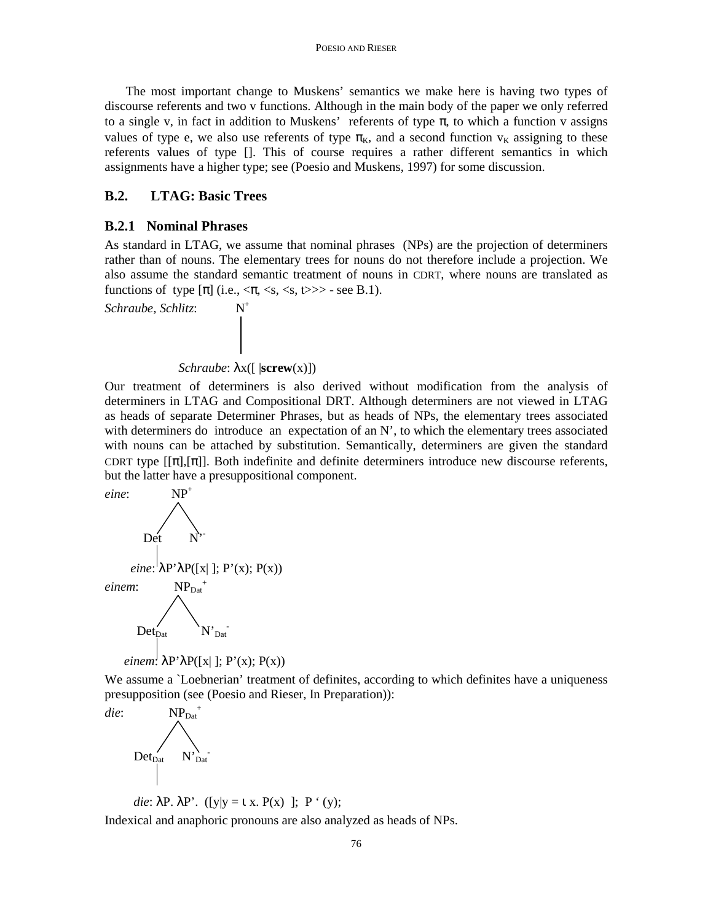The most important change to Muskens' semantics we make here is having two types of discourse referents and two v functions. Although in the main body of the paper we only referred to a single v, in fact in addition to Muskens' referents of type  $\pi$ , to which a function v assigns values of type e, we also use referents of type  $\pi_{K}$ , and a second function  $v_{K}$  assigning to these referents values of type []. This of course requires a rather different semantics in which assignments have a higher type; see (Poesio and Muskens, 1997) for some discussion.

# **B.2. LTAG: Basic Trees**

#### **B.2.1 Nominal Phrases**

As standard in LTAG, we assume that nominal phrases (NPs) are the projection of determiners rather than of nouns. The elementary trees for nouns do not therefore include a projection. We also assume the standard semantic treatment of nouns in CDRT, where nouns are translated as functions of type  $[\pi]$  (i.e.,  $\langle \pi, \langle s, \langle s, t \rangle \rangle$ ) - see B.1).

*Schraube, Schlitz*: N<sup>+</sup>



Our treatment of determiners is also derived without modification from the analysis of determiners in LTAG and Compositional DRT. Although determiners are not viewed in LTAG as heads of separate Determiner Phrases, but as heads of NPs, the elementary trees associated with determiners do introduce an expectation of an N', to which the elementary trees associated with nouns can be attached by substitution. Semantically, determiners are given the standard CDRT type  $[[\pi],[\pi]]$ . Both indefinite and definite determiners introduce new discourse referents, but the latter have a presuppositional component.



We assume a `Loebnerian' treatment of definites, according to which definites have a uniqueness presupposition (see (Poesio and Rieser, In Preparation)):



die:  $\lambda P$ .  $\lambda P'$ . ([y|y = 1 x. P(x)]; P<sup>'</sup> (y); Indexical and anaphoric pronouns are also analyzed as heads of NPs.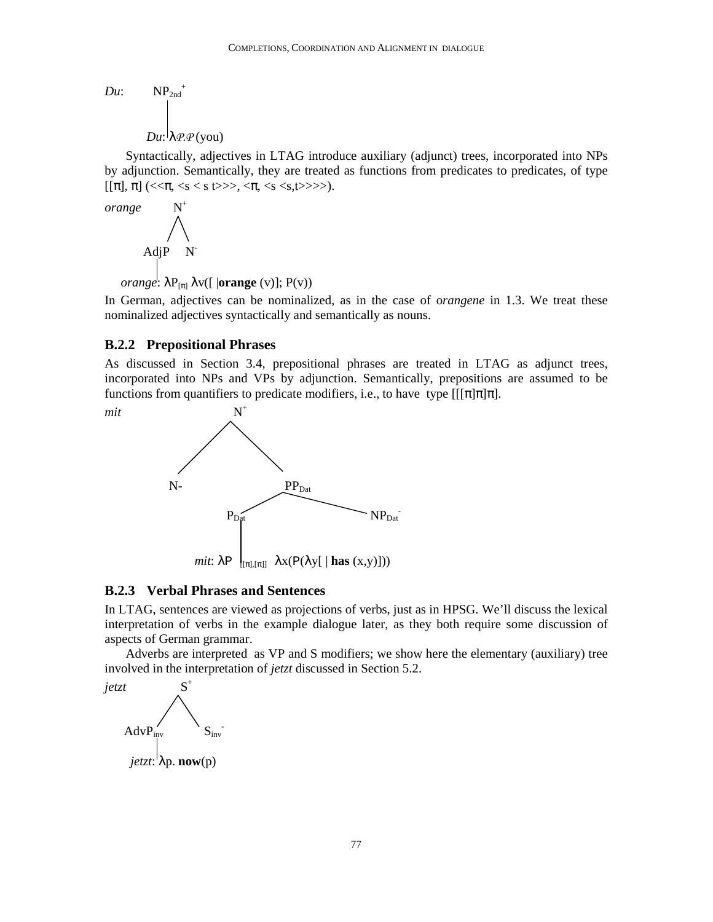*Du*: 
$$
NP_{2nd}^+
$$
  
 $Du: \lambda \mathcal{P} \cdot \mathcal{P}(\text{you})$ 

Syntactically, adjectives in LTAG introduce auxiliary (adjunct) trees, incorporated into NPs by adjunction. Semantically, they are treated as functions from predicates to predicates, of type  $[[\pi], \pi]$  (<< $\pi$ , <s < s t>>>, < $\pi$ , <s <s, t>>>).

$$
orange \quad N^+
$$
\n
$$
AdjP \quad N^-
$$
\n
$$
orange: λP_{[π]} λv([|orange(v)]; P(v))
$$

In German, adjectives can be nominalized, as in the case of o*rangene* in 1.3. We treat these nominalized adjectives syntactically and semantically as nouns.

#### **B.2.2 Prepositional Phrases**

As discussed in Section 3.4, prepositional phrases are treated in LTAG as adjunct trees, incorporated into NPs and VPs by adjunction. Semantically, prepositions are assumed to be functions from quantifiers to predicate modifiers, i.e., to have type  $[[\pi]\pi]\pi]$ .



#### **B.2.3 Verbal Phrases and Sentences**

In LTAG, sentences are viewed as projections of verbs, just as in HPSG. We'll discuss the lexical interpretation of verbs in the example dialogue later, as they both require some discussion of aspects of German grammar.

Adverbs are interpreted as VP and S modifiers; we show here the elementary (auxiliary) tree involved in the interpretation of *jetzt* discussed in Section 5.2.

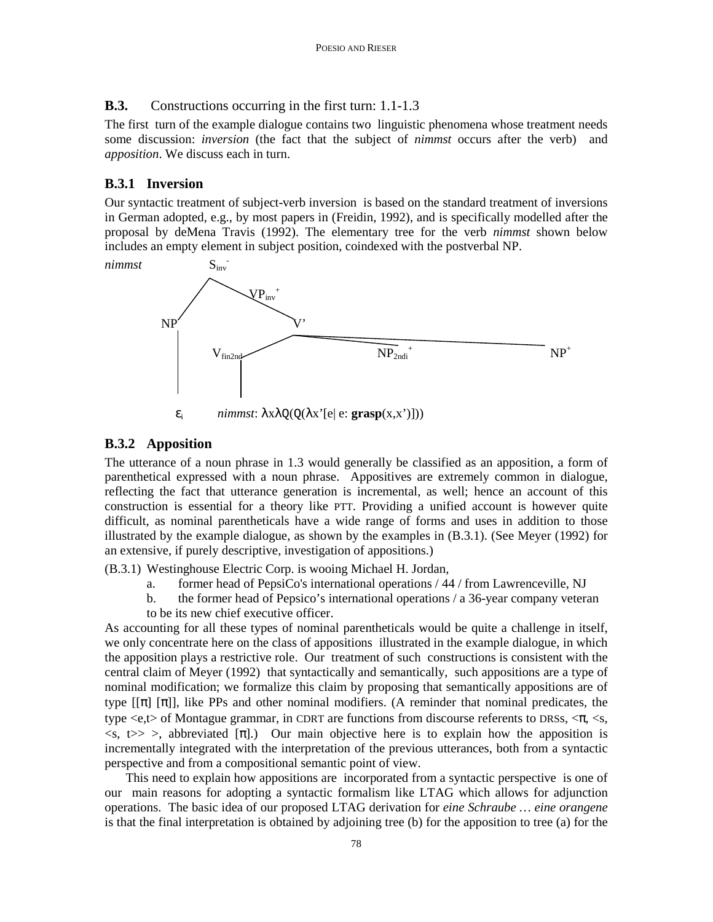## **B.3.** Constructions occurring in the first turn: 1.1-1.3

The first turn of the example dialogue contains two linguistic phenomena whose treatment needs some discussion: *inversion* (the fact that the subject of *nimmst* occurs after the verb) and *apposition*. We discuss each in turn.

# **B.3.1 Inversion**

Our syntactic treatment of subject-verb inversion is based on the standard treatment of inversions in German adopted, e.g., by most papers in (Freidin, 1992), and is specifically modelled after the proposal by deMena Travis (1992). The elementary tree for the verb *nimmst* shown below includes an empty element in subject position, coindexed with the postverbal NP.



 $\varepsilon_i$  *nimmst*:  $\lambda x \lambda Q(Q(\lambda x^{\prime}[e|e: \mathbf{grasp}(x, x^{\prime})]))$ 

# **B.3.2 Apposition**

The utterance of a noun phrase in 1.3 would generally be classified as an apposition, a form of parenthetical expressed with a noun phrase. Appositives are extremely common in dialogue, reflecting the fact that utterance generation is incremental, as well; hence an account of this construction is essential for a theory like PTT. Providing a unified account is however quite difficult, as nominal parentheticals have a wide range of forms and uses in addition to those illustrated by the example dialogue, as shown by the examples in (B.3.1). (See Meyer (1992) for an extensive, if purely descriptive, investigation of appositions.)

(B.3.1) Westinghouse Electric Corp. is wooing Michael H. Jordan,

- a. former head of PepsiCo's international operations / 44 / from Lawrenceville, NJ
- b. the former head of Pepsico's international operations / a 36-year company veteran
- to be its new chief executive officer.

As accounting for all these types of nominal parentheticals would be quite a challenge in itself, we only concentrate here on the class of appositions illustrated in the example dialogue, in which the apposition plays a restrictive role. Our treatment of such constructions is consistent with the central claim of Meyer (1992) that syntactically and semantically, such appositions are a type of nominal modification; we formalize this claim by proposing that semantically appositions are of type  $[[\pi] \cdot [\pi]]$ , like PPs and other nominal modifiers. (A reminder that nominal predicates, the type  $\langle e,t \rangle$  of Montague grammar, in CDRT are functions from discourse referents to DRSs,  $\langle \pi, \langle s, \rangle$  $\langle s, t \rangle > \rangle$ , abbreviated [π].) Our main objective here is to explain how the apposition is incrementally integrated with the interpretation of the previous utterances, both from a syntactic perspective and from a compositional semantic point of view.

This need to explain how appositions are incorporated from a syntactic perspective is one of our main reasons for adopting a syntactic formalism like LTAG which allows for adjunction operations. The basic idea of our proposed LTAG derivation for *eine Schraube … eine orangene* is that the final interpretation is obtained by adjoining tree (b) for the apposition to tree (a) for the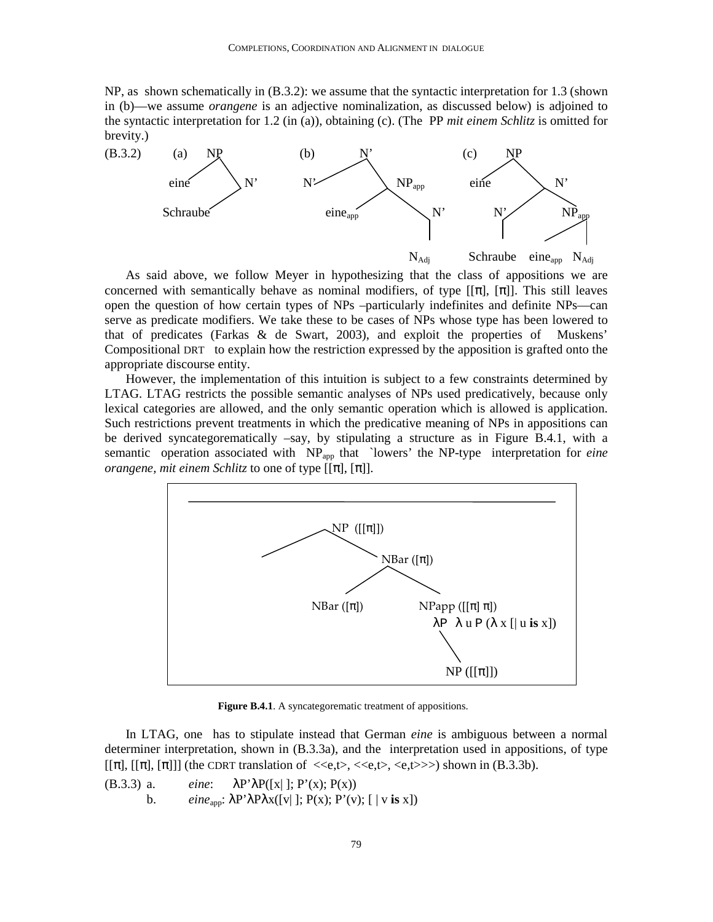NP, as shown schematically in (B.3.2): we assume that the syntactic interpretation for 1.3 (shown in (b)—we assume *orangene* is an adjective nominalization, as discussed below) is adjoined to the syntactic interpretation for 1.2 (in (a)), obtaining (c). (The PP *mit einem Schlitz* is omitted for brevity.)



As said above, we follow Meyer in hypothesizing that the class of appositions we are concerned with semantically behave as nominal modifiers, of type  $[[\pi], [\pi]]$ . This still leaves open the question of how certain types of NPs –particularly indefinites and definite NPs—can serve as predicate modifiers. We take these to be cases of NPs whose type has been lowered to that of predicates (Farkas & de Swart, 2003), and exploit the properties of Muskens' Compositional DRT to explain how the restriction expressed by the apposition is grafted onto the appropriate discourse entity.

However, the implementation of this intuition is subject to a few constraints determined by LTAG. LTAG restricts the possible semantic analyses of NPs used predicatively, because only lexical categories are allowed, and the only semantic operation which is allowed is application. Such restrictions prevent treatments in which the predicative meaning of NPs in appositions can be derived syncategorematically –say, by stipulating a structure as in Figure B.4.1, with a semantic operation associated with NP<sub>app</sub> that `lowers' the NP-type interpretation for *eine orangene, mit einem Schlitz* to one of type  $[[\pi], [\pi]]$ .



Figure B.4.1. A syncategorematic treatment of appositions.

In LTAG, one has to stipulate instead that German *eine* is ambiguous between a normal determiner interpretation, shown in (B.3.3a), and the interpretation used in appositions, of type  $[[\pi], [[\pi], [\pi]]]$  (the CDRT translation of  $\langle\langle e,t\rangle,\langle\langle e,t\rangle\rangle\langle\langle e,t\rangle\rangle)$  shown in (B.3.3b).

(B.3.3) a. *eine*: λP'λP([x| ]; P'(x); P(x)) b. *eine*app: λP'λPλx([v| ]; P(x); P'(v); [ | v **is** x])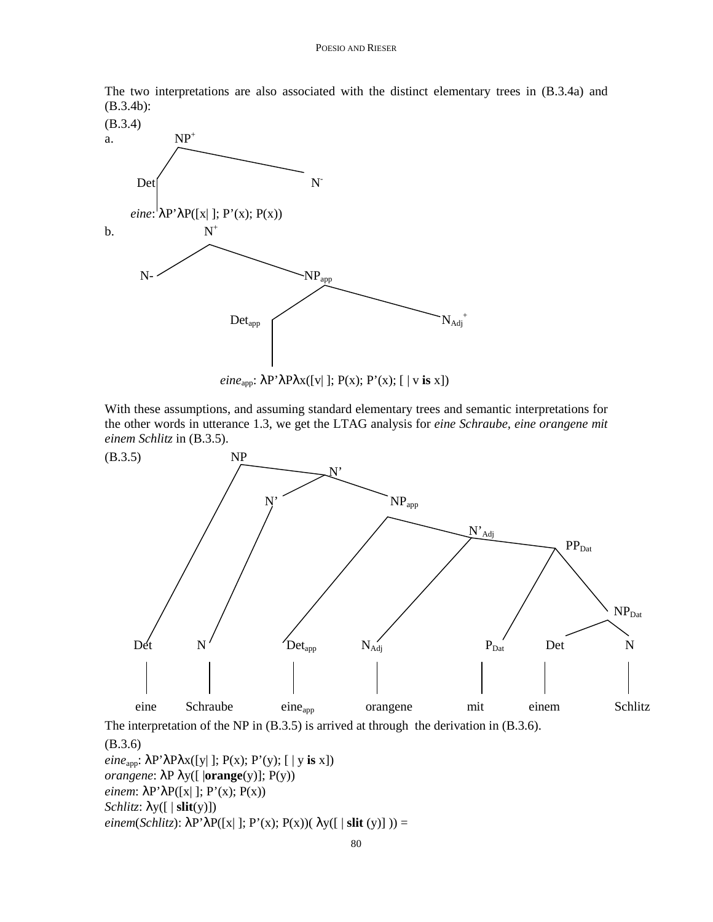The two interpretations are also associated with the distinct elementary trees in (B.3.4a) and (B.3.4b):





With these assumptions, and assuming standard elementary trees and semantic interpretations for the other words in utterance 1.3, we get the LTAG analysis for *eine Schraube, eine orangene mit einem Schlitz* in (B.3.5).



The interpretation of the NP in (B.3.5) is arrived at through the derivation in (B.3.6).

(B.3.6) *eine*app: λP'λPλx([y| ]; P(x); P'(y); [ | y **is** x]) *orangene*: λP λy([ |**orange**(y)]; P(y)) *einem*:  $\lambda$ P' $\lambda$ P([x| ]; P'(x); P(x)) *Schlitz*: λy([ | **slit**(y)])  $einem(Schlitz): \lambda P' \lambda P([x]]; P'(x); P(x))(\lambda y([ \mid slit(y)])) =$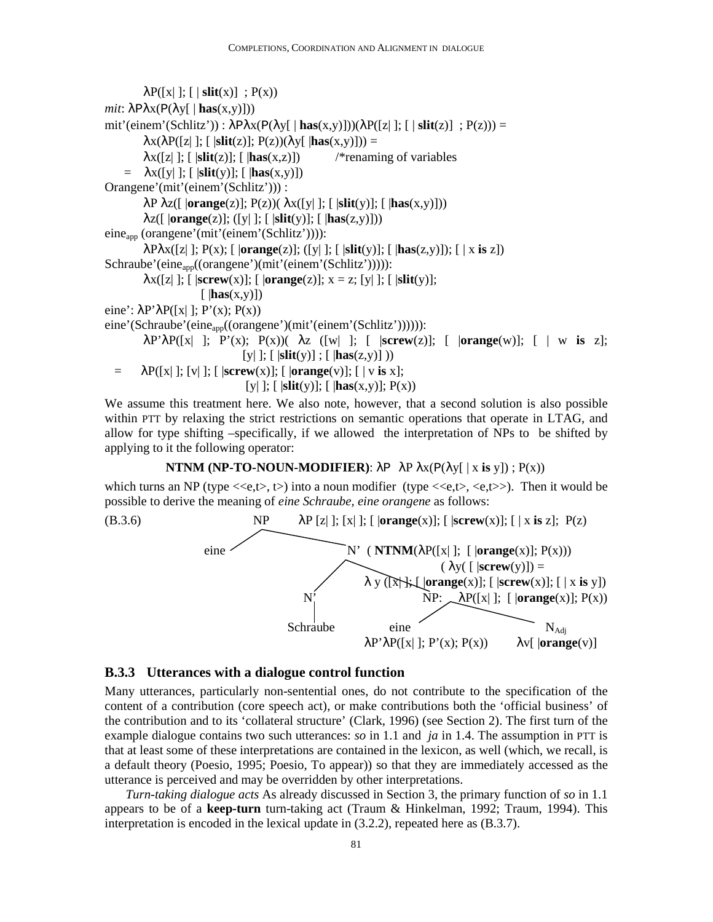```
\lambda P([x] |; [ slit(x) ] ; P(x))mit: \lambda P \lambda x (P(\lambda y[ | \mathbf{has}(x, y)]))mit'(einem'(Schlitz')) : λPλx(P(λy[ | has(x,y)]))(λP([z| ]; [ | slit(z)] ; P(z))) = 
         \lambdax(\lambdaP([z| ]; [ |slit(z)]; P(z))(\lambday[ |has(x,y)])) =
         \lambda x([z]; [ |\textbf{slit}(z)|; [ |\textbf{has}(x,z)|) /*renaming of variables
    = \lambda x([y]]; [|\textbf{slit}(y)]; [|\textbf{has}(x,y)]]Orangene'(mit'(einem'(Schlitz'))) : 
          λP λz([ |orange(z)]; P(z))( λx([y| ]; [ |slit(y)]; [ |has(x,y)])) 
          λz([ |orange(z)]; ([y| ]; [ |slit(y)]; [ |has(z,y)])) 
eine<sub>app</sub> (orangene'(mit'(einem'(Schlitz')))):
          λPλx([z| ]; P(x); [ |orange(z)]; ([y| ]; [ |slit(y)]; [ |has(z,y)]); [ | x is z]) 
Schraube'(eine<sub>app</sub>((orangene')(mit'(einem'(Schlitz'))))):
         \lambda x([z]; [ \, \text{screw}(x); [ \, \text{orange}(z)]; x = z; [y]; [ \, \text{slit}(y)];
                        [|has(x,y)])
eine': \lambda P' \lambda P([x] |; P'(x); P(x))eine'(Schraube'(eine<sub>app</sub>((orangene')(mit'(einem'(Schlitz')))))):
          λP'λP([x| ]; P'(x); P(x))( λz ([w| ]; [ |screw(z)]; [ |orange(w)]; [ | w is z]; 
                                    [y| ]; [ |slit(y)] ; [ |has(z,y)] )) 
  = \lambda P([x] ; [v] ; [ \, | \, \text{screen}(x)] ; [ \, | \, \text{orange}(v)] ; [ \, | \, v \, \text{is} \, x]; [y| ]; [ |slit(y)]; [ |has(x,y)]; P(x))
```
We assume this treatment here. We also note, however, that a second solution is also possible within PTT by relaxing the strict restrictions on semantic operations that operate in LTAG, and allow for type shifting –specifically, if we allowed the interpretation of NPs to be shifted by applying to it the following operator:

#### **NTNM (NP-TO-NOUN-MODIFIER):**  $\lambda P \lambda x (P(\lambda y \mid x \text{ is } y))$ ;  $P(x)$ )

which turns an NP (type  $\langle\langle e,t\rangle, t\rangle$ ) into a noun modifier (type  $\langle\langle e,t\rangle, \langle e,t\rangle\rangle$ ). Then it would be possible to derive the meaning of *eine Schraube, eine orangene* as follows:



#### **B.3.3 Utterances with a dialogue control function**

Many utterances, particularly non-sentential ones, do not contribute to the specification of the content of a contribution (core speech act), or make contributions both the 'official business' of the contribution and to its 'collateral structure' (Clark, 1996) (see Section 2). The first turn of the example dialogue contains two such utterances: *so* in 1.1 and *ja* in 1.4. The assumption in PTT is that at least some of these interpretations are contained in the lexicon, as well (which, we recall, is a default theory (Poesio, 1995; Poesio, To appear)) so that they are immediately accessed as the utterance is perceived and may be overridden by other interpretations.

*Turn-taking dialogue acts* As already discussed in Section 3, the primary function of *so* in 1.1 appears to be of a **keep-turn** turn-taking act (Traum & Hinkelman, 1992; Traum, 1994). This interpretation is encoded in the lexical update in (3.2.2), repeated here as (B.3.7).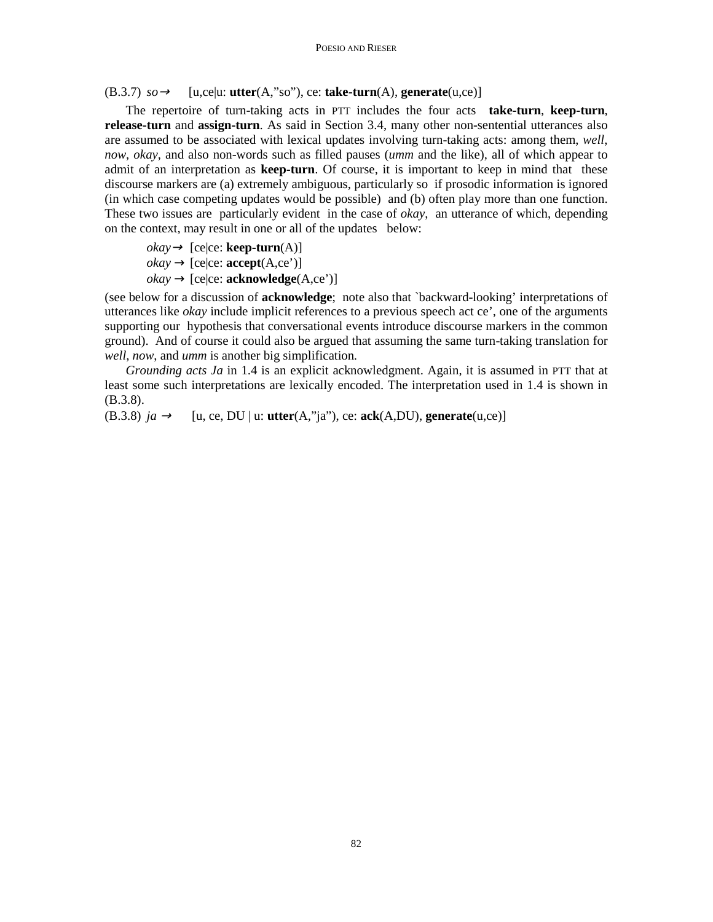$(B.3.7)$   $so \rightarrow$  [u,ce|u: **utter** $(A,$ "so"), ce: **take-turn** $(A)$ , **generate** $(u,ce)$ ]

The repertoire of turn-taking acts in PTT includes the four acts **take-turn**, **keep-turn**, **release-turn** and **assign-turn**. As said in Section 3.4, many other non-sentential utterances also are assumed to be associated with lexical updates involving turn-taking acts: among them, *well*, *now*, *okay*, and also non-words such as filled pauses (*umm* and the like), all of which appear to admit of an interpretation as **keep-turn**. Of course, it is important to keep in mind that these discourse markers are (a) extremely ambiguous, particularly so if prosodic information is ignored (in which case competing updates would be possible) and (b) often play more than one function. These two issues are particularly evident in the case of *okay*, an utterance of which, depending on the context, may result in one or all of the updates below:

 $okay \rightarrow [ce|ce: \mathbf{keep-turn}(A)]$  $okay \rightarrow [ce|ce: **accept**(A,ce')]$  $okay \rightarrow [ce|ce: **acknowledge**(A,ce')]$ 

(see below for a discussion of **acknowledge**; note also that `backward-looking' interpretations of utterances like *okay* include implicit references to a previous speech act ce', one of the arguments supporting our hypothesis that conversational events introduce discourse markers in the common ground). And of course it could also be argued that assuming the same turn-taking translation for *well*, *now*, and *umm* is another big simplification*.*

*Grounding acts Ja* in 1.4 is an explicit acknowledgment. Again, it is assumed in PTT that at least some such interpretations are lexically encoded. The interpretation used in 1.4 is shown in (B.3.8).

(B.3.8)  $ja \rightarrow$  [u, ce, DU | u: **utter**(A,"ja"), ce: **ack**(A,DU), **generate**(u,ce)]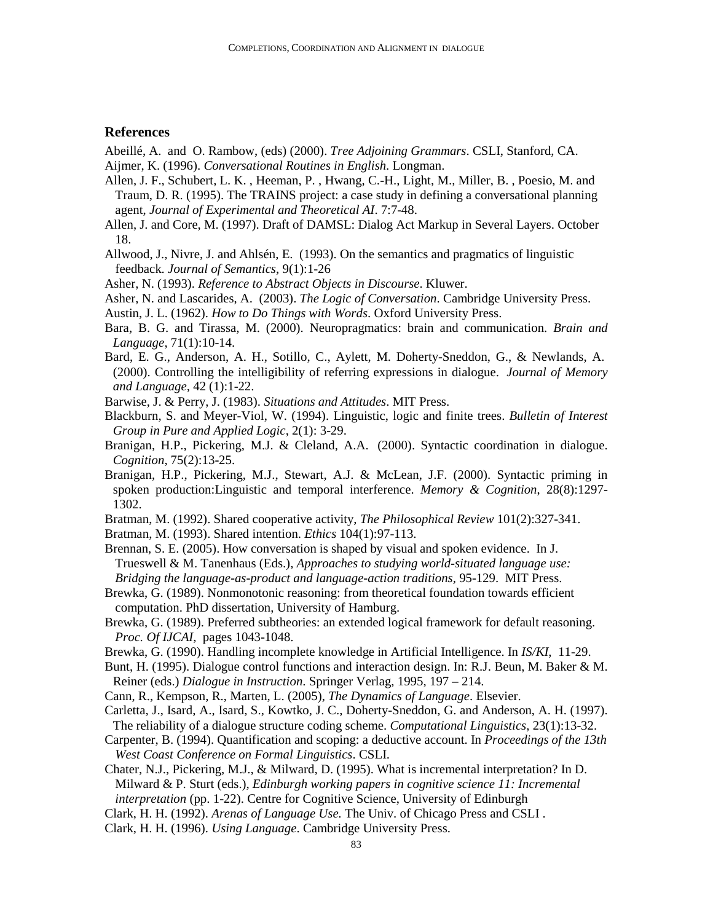#### **References**

- Abeillé, A. and O. Rambow, (eds) (2000). *Tree Adjoining Grammars*. CSLI, Stanford, CA.
- Aijmer, K. (1996). *Conversational Routines in English*. Longman.
- Allen, J. F., Schubert, L. K. , Heeman, P. , Hwang, C.-H., Light, M., Miller, B. , Poesio, M. and Traum, D. R. (1995). The TRAINS project: a case study in defining a conversational planning agent, *Journal of Experimental and Theoretical AI*. 7:7-48.
- Allen, J. and Core, M. (1997). Draft of DAMSL: Dialog Act Markup in Several Layers. October 18.
- Allwood, J., Nivre, J. and Ahlsén, E. (1993). On the semantics and pragmatics of linguistic feedback. *Journal of Semantics*, 9(1):1-26
- Asher, N. (1993). *Reference to Abstract Objects in Discourse*. Kluwer.

Asher, N. and Lascarides, A. (2003). *The Logic of Conversation*. Cambridge University Press.

Austin, J. L. (1962). *How to Do Things with Words*. Oxford University Press.

- Bara, B. G. and Tirassa, M. (2000). Neuropragmatics: brain and communication. *Brain and Language*, 71(1):10-14.
- Bard, E. G., Anderson, A. H., Sotillo, C., Aylett, M. Doherty-Sneddon, G., & Newlands, A. (2000). Controlling the intelligibility of referring expressions in dialogue. *Journal of Memory and Language,* 42 (1):1-22.
- Barwise, J. & Perry, J. (1983). *Situations and Attitudes*. MIT Press.
- Blackburn, S. and Meyer-Viol, W. (1994). Linguistic, logic and finite trees. *Bulletin of Interest Group in Pure and Applied Logic*, 2(1): 3-29.
- Branigan, H.P., Pickering, M.J. & Cleland, A.A. (2000). Syntactic coordination in dialogue. *Cognition*, 75(2):13-25.
- Branigan, H.P., Pickering, M.J., Stewart, A.J. & McLean, J.F. (2000). Syntactic priming in spoken production:Linguistic and temporal interference. *Memory & Cognition*, 28(8):1297- 1302.
- Bratman, M. (1992). Shared cooperative activity, *The Philosophical Review* 101(2):327-341.

Bratman, M. (1993). Shared intention. *Ethics* 104(1):97-113.

- Brennan, S. E. (2005). How conversation is shaped by visual and spoken evidence. In J. Trueswell & M. Tanenhaus (Eds.), *Approaches to studying world-situated language use: Bridging the language-as-product and language-action traditions,* 95-129. MIT Press.
- Brewka, G. (1989). Nonmonotonic reasoning: from theoretical foundation towards efficient computation. PhD dissertation, University of Hamburg.
- Brewka, G. (1989). Preferred subtheories: an extended logical framework for default reasoning. *Proc. Of IJCAI*, pages 1043-1048.
- Brewka, G. (1990). Handling incomplete knowledge in Artificial Intelligence. In *IS/KI*, 11-29.
- Bunt, H. (1995). Dialogue control functions and interaction design. In: R.J. Beun, M. Baker & M. Reiner (eds.) *Dialogue in Instruction*. Springer Verlag, 1995, 197 – 214.
- Cann, R., Kempson, R., Marten, L. (2005), *The Dynamics of Language*. Elsevier.
- Carletta, J., Isard, A., Isard, S., Kowtko, J. C., Doherty-Sneddon, G. and Anderson, A. H. (1997). The reliability of a dialogue structure coding scheme. *Computational Linguistics*, 23(1):13-32.
- Carpenter, B. (1994). Quantification and scoping: a deductive account. In *Proceedings of the 13th West Coast Conference on Formal Linguistics*. CSLI.
- Chater, N.J., Pickering, M.J., & Milward, D. (1995). What is incremental interpretation? In D. Milward & P. Sturt (eds.), *Edinburgh working papers in cognitive science 11: Incremental interpretation* (pp. 1-22). Centre for Cognitive Science, University of Edinburgh
- Clark, H. H. (1992). *Arenas of Language Use.* The Univ. of Chicago Press and CSLI .
- Clark, H. H. (1996). *Using Language*. Cambridge University Press.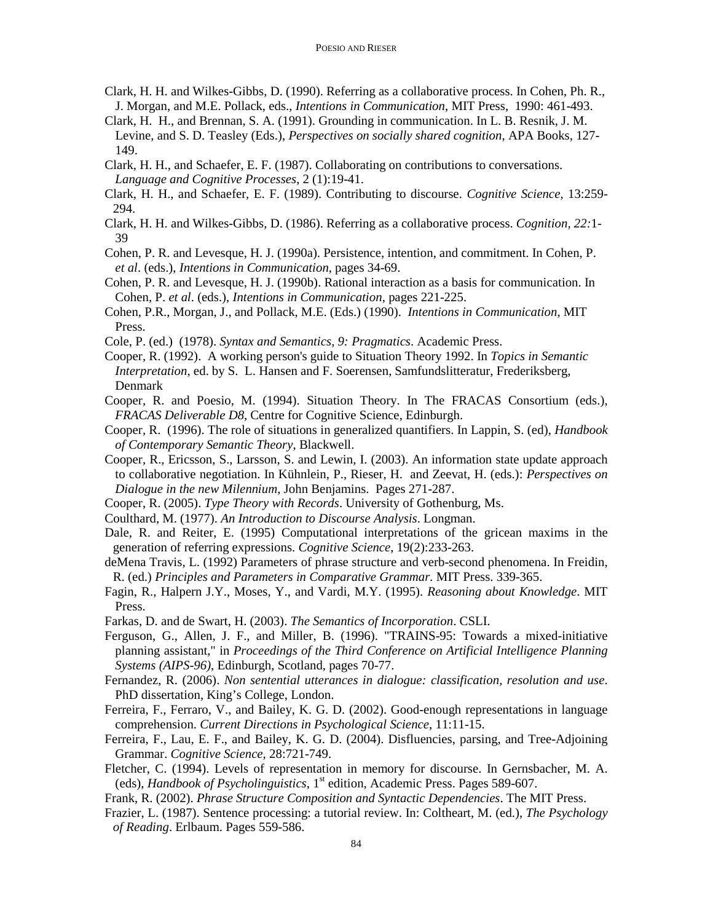- Clark, H. H. and Wilkes-Gibbs, D. (1990). Referring as a collaborative process. In Cohen, Ph. R., J. Morgan, and M.E. Pollack, eds., *Intentions in Communication*, MIT Press, 1990: 461-493.
- Clark, H. H., and Brennan, S. A. (1991). Grounding in communication. In L. B. Resnik, J. M. Levine, and S. D. Teasley (Eds.), *Perspectives on socially shared cognition*, APA Books, 127- 149.
- Clark, H. H., and Schaefer, E. F. (1987). Collaborating on contributions to conversations. *Language and Cognitive Processes*, 2 (1):19-41.
- Clark, H. H., and Schaefer, E. F. (1989). Contributing to discourse. *Cognitive Science*, 13:259- 294.
- Clark, H. H. and Wilkes-Gibbs, D. (1986). Referring as a collaborative process. *Cognition, 22:*1- 39
- Cohen, P. R. and Levesque, H. J. (1990a). Persistence, intention, and commitment. In Cohen, P. *et al*. (eds.), *Intentions in Communication*, pages 34-69.
- Cohen, P. R. and Levesque, H. J. (1990b). Rational interaction as a basis for communication. In Cohen, P. *et al*. (eds.), *Intentions in Communication*, pages 221-225.
- Cohen, P.R., Morgan, J., and Pollack, M.E. (Eds.) (1990). *Intentions in Communication*, MIT Press.
- Cole, P. (ed.) (1978). *Syntax and Semantics, 9: Pragmatics*. Academic Press.
- Cooper, R. (1992). A working person's guide to Situation Theory 1992. In *Topics in Semantic Interpretation*, ed. by S. L. Hansen and F. Soerensen, Samfundslitteratur, Frederiksberg, Denmark
- Cooper, R. and Poesio, M. (1994). Situation Theory. In The FRACAS Consortium (eds.), *FRACAS Deliverable D8*, Centre for Cognitive Science, Edinburgh.
- Cooper, R. (1996). The role of situations in generalized quantifiers. In Lappin, S. (ed), *Handbook of Contemporary Semantic Theory*, Blackwell.
- Cooper, R., Ericsson, S., Larsson, S. and Lewin, I. (2003). An information state update approach to collaborative negotiation. In Kühnlein, P., Rieser, H. and Zeevat, H. (eds.): *Perspectives on Dialogue in the new Milennium*, John Benjamins. Pages 271-287.
- Cooper, R. (2005). *Type Theory with Records*. University of Gothenburg, Ms.
- Coulthard, M. (1977). *An Introduction to Discourse Analysis*. Longman.
- Dale, R. and Reiter, E. (1995) Computational interpretations of the gricean maxims in the generation of referring expressions. *Cognitive Science*, 19(2):233-263.
- deMena Travis, L. (1992) Parameters of phrase structure and verb-second phenomena. In Freidin, R. (ed.) *Principles and Parameters in Comparative Grammar.* MIT Press. 339-365.
- Fagin, R., Halpern J.Y., Moses, Y., and Vardi, M.Y. (1995). *Reasoning about Knowledge*. MIT Press.
- Farkas, D. and de Swart, H. (2003). *The Semantics of Incorporation*. CSLI.
- Ferguson, G., Allen, J. F., and Miller, B. (1996). "TRAINS-95: Towards a mixed-initiative planning assistant," in *Proceedings of the Third Conference on Artificial Intelligence Planning Systems (AIPS-96)*, Edinburgh, Scotland, pages 70-77.
- Fernandez, R. (2006). *Non sentential utterances in dialogue: classification, resolution and use*. PhD dissertation, King's College, London.
- Ferreira, F., Ferraro, V., and Bailey, K. G. D. (2002). Good-enough representations in language comprehension. *Current Directions in Psychological Science*, 11:11-15.
- Ferreira, F., Lau, E. F., and Bailey, K. G. D. (2004). Disfluencies, parsing, and Tree-Adjoining Grammar. *Cognitive Science*, 28:721-749.
- Fletcher, C. (1994). Levels of representation in memory for discourse. In Gernsbacher, M. A. (eds), *Handbook of Psycholinguistics*, 1st edition, Academic Press. Pages 589-607.
- Frank, R. (2002). *Phrase Structure Composition and Syntactic Dependencies*. The MIT Press.
- Frazier, L. (1987). Sentence processing: a tutorial review. In: Coltheart, M. (ed.), *The Psychology of Reading*. Erlbaum. Pages 559-586.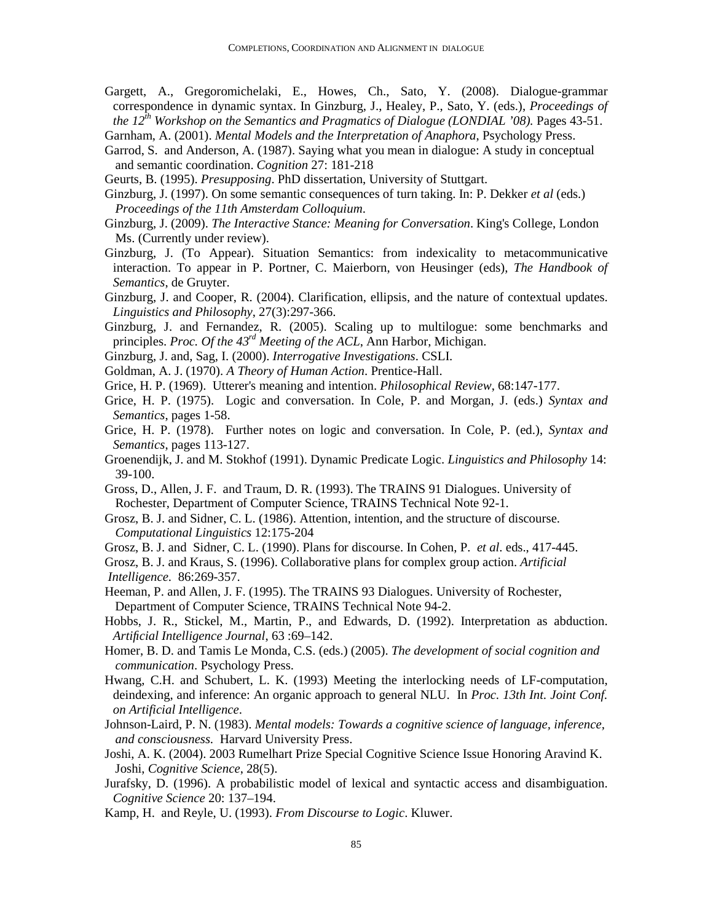Gargett, A., Gregoromichelaki, E., Howes, Ch., Sato, Y. (2008). Dialogue-grammar correspondence in dynamic syntax. In Ginzburg, J., Healey, P., Sato, Y. (eds.), *Proceedings of the 12th Workshop on the Semantics and Pragmatics of Dialogue (LONDIAL '08).* Pages 43-51.

Garnham, A. (2001). *Mental Models and the Interpretation of Anaphora*, Psychology Press.

- Garrod, S. and Anderson, A. (1987). Saying what you mean in dialogue: A study in conceptual and semantic coordination. *Cognition* 27: 181-218
- Geurts, B. (1995). *Presupposing*. PhD dissertation, University of Stuttgart.
- Ginzburg, J. (1997). On some semantic consequences of turn taking. In: P. Dekker *et al* (eds.) *Proceedings of the 11th Amsterdam Colloquium*.
- Ginzburg, J. (2009). *The Interactive Stance: Meaning for Conversation*. King's College, London Ms. (Currently under review).
- Ginzburg, J. (To Appear). Situation Semantics: from indexicality to metacommunicative interaction. To appear in P. Portner, C. Maierborn, von Heusinger (eds), *The Handbook of Semantics*, de Gruyter.
- Ginzburg, J. and Cooper, R. (2004). Clarification, ellipsis, and the nature of contextual updates. *Linguistics and Philosophy*, 27(3):297-366.
- Ginzburg, J. and Fernandez, R. (2005). Scaling up to multilogue: some benchmarks and principles. *Proc. Of the 43rd Meeting of the ACL*, Ann Harbor, Michigan.
- Ginzburg, J. and, Sag, I. (2000). *Interrogative Investigations*. CSLI.
- Goldman, A. J. (1970). *A Theory of Human Action*. Prentice-Hall.
- Grice, H. P. (1969). Utterer's meaning and intention. *Philosophical Review*, 68:147-177.
- Grice, H. P. (1975). Logic and conversation. In Cole, P. and Morgan, J. (eds.) *Syntax and Semantics*, pages 1-58.
- Grice, H. P. (1978). Further notes on logic and conversation. In Cole, P. (ed.), *Syntax and Semantics*, pages 113-127.
- Groenendijk, J. and M. Stokhof (1991). Dynamic Predicate Logic. *Linguistics and Philosophy* 14: 39-100.
- Gross, D., Allen, J. F. and Traum, D. R. (1993). The TRAINS 91 Dialogues. University of Rochester, Department of Computer Science, TRAINS Technical Note 92-1.
- Grosz, B. J. and Sidner, C. L. (1986). Attention, intention, and the structure of discourse. *Computational Linguistics* 12:175-204
- Grosz, B. J. and Sidner, C. L. (1990). Plans for discourse. In Cohen, P. *et al*. eds., 417-445.
- Grosz, B. J. and Kraus, S. (1996). Collaborative plans for complex group action. *Artificial Intelligence.* 86:269-357.
- Heeman, P. and Allen, J. F. (1995). The TRAINS 93 Dialogues. University of Rochester, Department of Computer Science, TRAINS Technical Note 94-2.
- Hobbs, J. R., Stickel, M., Martin, P., and Edwards, D. (1992). Interpretation as abduction. *Artificial Intelligence Journal*, 63 :69–142.
- Homer, B. D. and Tamis Le Monda, C.S. (eds.) (2005). *The development of social cognition and communication*. Psychology Press.
- Hwang, C.H. and Schubert, L. K. (1993) Meeting the interlocking needs of LF-computation, deindexing, and inference: An organic approach to general NLU. In *Proc. 13th Int. Joint Conf. on Artificial Intelligence*.
- Johnson-Laird, P. N. (1983). *Mental models: Towards a cognitive science of language, inference, and consciousness.* Harvard University Press.
- Joshi, A. K. (2004). 2003 Rumelhart Prize Special Cognitive Science Issue Honoring Aravind K. Joshi, *Cognitive Science*, 28(5).
- Jurafsky, D. (1996). A probabilistic model of lexical and syntactic access and disambiguation. *Cognitive Science* 20: 137–194.
- Kamp, H. and Reyle, U. (1993). *From Discourse to Logic*. Kluwer.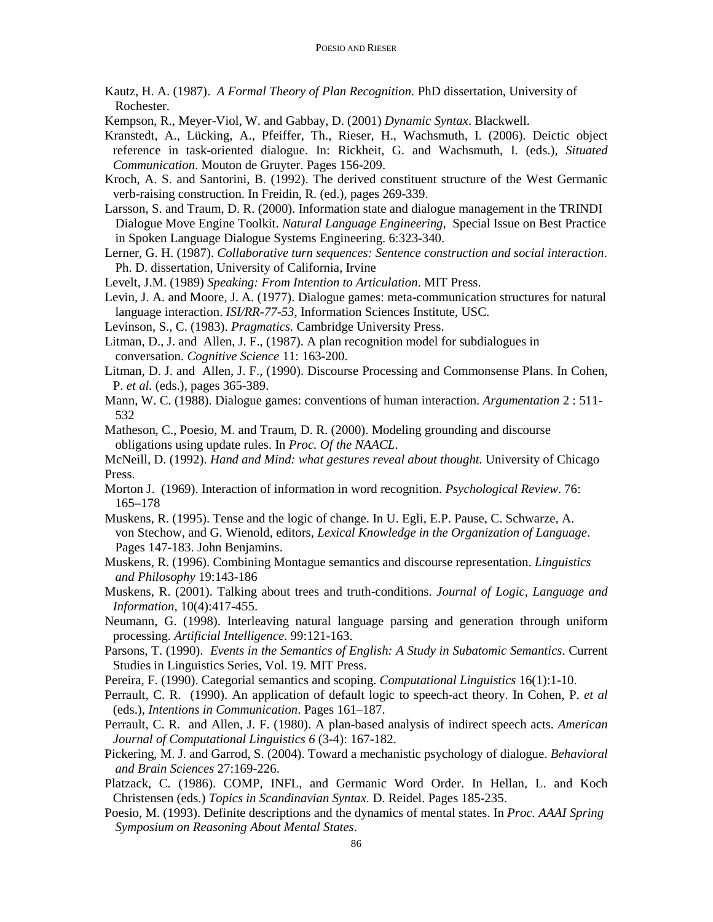- Kautz, H. A. (1987). *A Formal Theory of Plan Recognition.* PhD dissertation, University of Rochester.
- Kempson, R., Meyer-Viol, W. and Gabbay, D. (2001) *Dynamic Syntax*. Blackwell.
- Kranstedt, A., Lücking, A., Pfeiffer, Th., Rieser, H., Wachsmuth, I. (2006). Deictic object reference in task-oriented dialogue. In: Rickheit, G. and Wachsmuth, I. (eds.), *Situated Communication*. Mouton de Gruyter. Pages 156-209.
- Kroch, A. S. and Santorini, B. (1992). The derived constituent structure of the West Germanic verb-raising construction. In Freidin, R. (ed.), pages 269-339.
- Larsson, S. and Traum, D. R. (2000). Information state and dialogue management in the TRINDI Dialogue Move Engine Toolkit. *Natural Language Engineering,* Special Issue on Best Practice in Spoken Language Dialogue Systems Engineering. 6:323-340.
- Lerner, G. H. (1987). *Collaborative turn sequences: Sentence construction and social interaction*. Ph. D. dissertation, University of California, Irvine

Levelt, J.M. (1989) *Speaking: From Intention to Articulation*. MIT Press.

- Levin, J. A. and Moore, J. A. (1977). Dialogue games: meta-communication structures for natural language interaction. *ISI/RR-77-53*, Information Sciences Institute, USC.
- Levinson, S., C. (1983). *Pragmatics.* Cambridge University Press.
- Litman, D., J. and Allen, J. F., (1987). A plan recognition model for subdialogues in conversation. *Cognitive Science* 11: 163-200.
- Litman, D. J. and Allen, J. F., (1990). Discourse Processing and Commonsense Plans. In Cohen, P. *et al.* (eds.), pages 365-389.
- Mann, W. C. (1988). Dialogue games: conventions of human interaction. *Argumentation* 2 : 511- 532
- Matheson, C., Poesio, M. and Traum, D. R. (2000). Modeling grounding and discourse obligations using update rules. In *Proc. Of the NAACL*.

McNeill, D. (1992). *Hand and Mind: what gestures reveal about thought.* University of Chicago Press.

- Morton J. (1969). Interaction of information in word recognition. *Psychological Review*. 76: 165–178
- Muskens, R. (1995). Tense and the logic of change. In U. Egli, E.P. Pause, C. Schwarze, A. von Stechow, and G. Wienold, editors, *Lexical Knowledge in the Organization of Language*. Pages 147-183. John Benjamins.
- Muskens, R. (1996). Combining Montague semantics and discourse representation. *Linguistics and Philosophy* 19:143-186
- Muskens, R. (2001). Talking about trees and truth-conditions. *Journal of Logic, Language and Information*, 10(4):417-455.
- Neumann, G. (1998). Interleaving natural language parsing and generation through uniform processing. *Artificial Intelligence.* 99:121-163.
- Parsons, T. (1990). *Events in the Semantics of English: A Study in Subatomic Semantics*. Current Studies in Linguistics Series, Vol. 19. MIT Press.
- Pereira, F. (1990). Categorial semantics and scoping. *Computational Linguistics* 16(1):1-10.
- Perrault, C. R. (1990). An application of default logic to speech-act theory. In Cohen, P. *et al* (eds.), *Intentions in Communication*. Pages 161–187.
- Perrault, C. R. and Allen, J. F. (1980). A plan-based analysis of indirect speech acts. *American Journal of Computational Linguistics 6* (3-4): 167-182.
- Pickering, M. J. and Garrod, S. (2004). Toward a mechanistic psychology of dialogue. *Behavioral and Brain Sciences* 27:169-226.
- Platzack, C. (1986). COMP, INFL, and Germanic Word Order. In Hellan, L. and Koch Christensen (eds.) *Topics in Scandinavian Syntax.* D. Reidel. Pages 185-235.
- Poesio, M. (1993). Definite descriptions and the dynamics of mental states. In *Proc. AAAI Spring Symposium on Reasoning About Mental States*.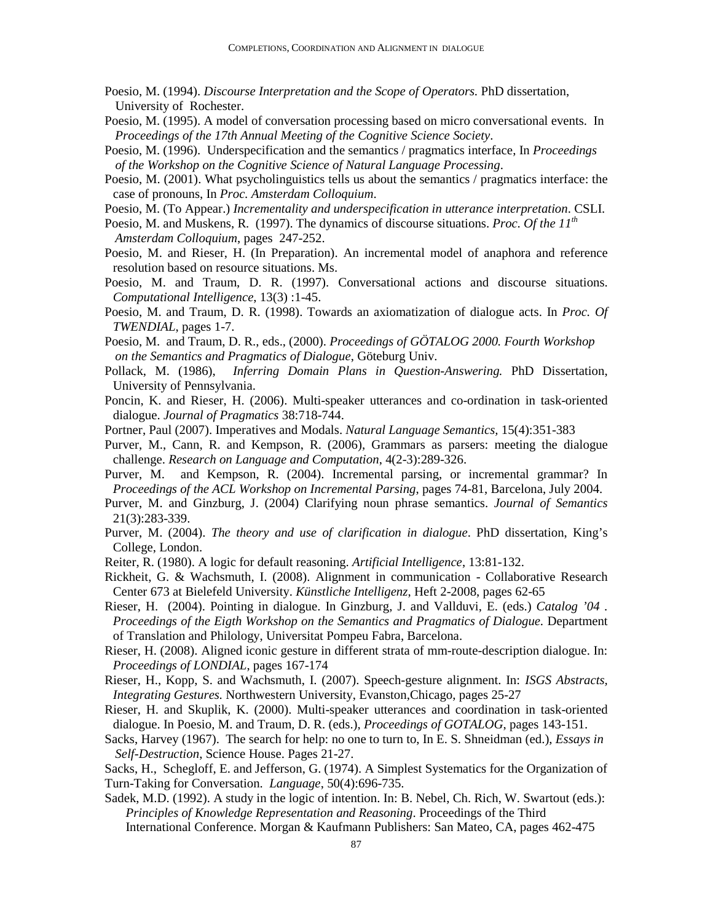- Poesio, M. (1994). *Discourse Interpretation and the Scope of Operators.* PhD dissertation, University of Rochester.
- Poesio, M. (1995). A model of conversation processing based on micro conversational events. In *Proceedings of the 17th Annual Meeting of the Cognitive Science Society*.
- Poesio, M. (1996). Underspecification and the semantics / pragmatics interface, In *Proceedings of the Workshop on the Cognitive Science of Natural Language Processing*.
- Poesio, M. (2001). What psycholinguistics tells us about the semantics / pragmatics interface: the case of pronouns, In *Proc. Amsterdam Colloquium*.
- Poesio, M. (To Appear.) *Incrementality and underspecification in utterance interpretation*. CSLI.
- Poesio, M. and Muskens, R. (1997). The dynamics of discourse situations. *Proc. Of the 11th Amsterdam Colloquium*, pages 247-252.
- Poesio, M. and Rieser, H. (In Preparation). An incremental model of anaphora and reference resolution based on resource situations. Ms.
- Poesio, M. and Traum, D. R. (1997). Conversational actions and discourse situations. *Computational Intelligence*, 13(3) :1-45.
- Poesio, M. and Traum, D. R. (1998). Towards an axiomatization of dialogue acts. In *Proc. Of TWENDIAL*, pages 1-7.
- Poesio, M. and Traum, D. R., eds., (2000). *Proceedings of GÖTALOG 2000. Fourth Workshop on the Semantics and Pragmatics of Dialogue*, Göteburg Univ.
- Pollack, M. (1986), *Inferring Domain Plans in Question-Answering.* PhD Dissertation, University of Pennsylvania.
- Poncin, K. and Rieser, H. (2006). Multi-speaker utterances and co-ordination in task-oriented dialogue. *Journal of Pragmatics* 38:718-744.
- Portner, Paul (2007). Imperatives and Modals. *Natural Language Semantics,* 15(4):351-383
- Purver, M., Cann, R. and Kempson, R. (2006), Grammars as parsers: meeting the dialogue challenge. *Research on Language and Computation*, 4(2-3):289-326.
- Purver, M. and Kempson, R. (2004). Incremental parsing, or incremental grammar? In *Proceedings of the ACL Workshop on Incremental Parsing*, pages 74-81, Barcelona, July 2004.
- Purver, M. and Ginzburg, J. (2004) Clarifying noun phrase semantics. *Journal of Semantics* 21(3):283-339.
- Purver, M. (2004). *The theory and use of clarification in dialogue*. PhD dissertation, King's College, London.
- Reiter, R. (1980). A logic for default reasoning. *Artificial Intelligence*, 13:81-132.
- Rickheit, G. & Wachsmuth, I. (2008). Alignment in communication Collaborative Research Center 673 at Bielefeld University. *Künstliche Intelligenz*, Heft 2-2008, pages 62-65
- Rieser, H. (2004). Pointing in dialogue. In Ginzburg, J. and Vallduvi, E. (eds.) *Catalog '04 . Proceedings of the Eigth Workshop on the Semantics and Pragmatics of Dialogue.* Department of Translation and Philology, Universitat Pompeu Fabra, Barcelona.
- Rieser, H. (2008). Aligned iconic gesture in different strata of mm-route-description dialogue. In: *Proceedings of LONDIAL*, pages 167-174
- Rieser, H., Kopp, S. and Wachsmuth, I. (2007). Speech-gesture alignment. In: *ISGS Abstracts, Integrating Gestures.* Northwestern University, Evanston,Chicago, pages 25-27
- Rieser, H. and Skuplik, K. (2000). Multi-speaker utterances and coordination in task-oriented dialogue. In Poesio, M. and Traum, D. R. (eds.), *Proceedings of GOTALOG*, pages 143-151.
- Sacks, Harvey (1967). The search for help: no one to turn to, In E. S. Shneidman (ed.), *Essays in Self-Destruction*, Science House. Pages 21-27.

Sacks, H., Schegloff, E. and Jefferson, G. (1974). A Simplest Systematics for the Organization of Turn-Taking for Conversation. *Language*, 50(4):696-735.

Sadek, M.D. (1992). A study in the logic of intention. In: B. Nebel, Ch. Rich, W. Swartout (eds.): *Principles of Knowledge Representation and Reasoning*. Proceedings of the Third International Conference. Morgan & Kaufmann Publishers: San Mateo, CA, pages 462-475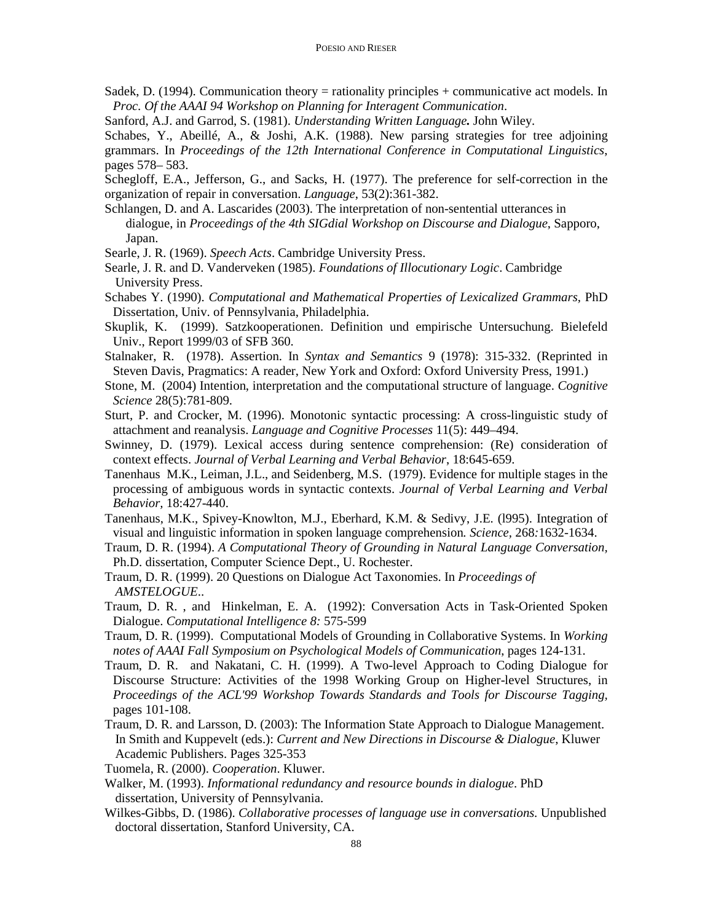- Sadek, D. (1994). Communication theory = rationality principles + communicative act models. In *Proc. Of the AAAI 94 Workshop on Planning for Interagent Communication*.
- Sanford, A.J. and Garrod, S. (1981). *Understanding Written Language.* John Wiley.

Schabes, Y., Abeillé, A., & Joshi, A.K. (1988). New parsing strategies for tree adjoining grammars. In *Proceedings of the 12th International Conference in Computational Linguistics*, pages 578– 583.

Schegloff, E.A., Jefferson, G., and Sacks, H. (1977). The preference for self-correction in the organization of repair in conversation. *Language*, 53(2):361-382.

Schlangen, D. and A. Lascarides (2003). The interpretation of non-sentential utterances in dialogue, in *Proceedings of the 4th SIGdial Workshop on Discourse and Dialogue*, Sapporo, Japan.

Searle, J. R. (1969). *Speech Acts*. Cambridge University Press.

- Searle, J. R. and D. Vanderveken (1985). *Foundations of Illocutionary Logic*. Cambridge University Press.
- Schabes Y. (1990). *Computational and Mathematical Properties of Lexicalized Grammars,* PhD Dissertation, Univ. of Pennsylvania, Philadelphia.
- Skuplik, K. (1999). Satzkooperationen. Definition und empirische Untersuchung. Bielefeld Univ., Report 1999/03 of SFB 360.
- Stalnaker, R. (1978). Assertion. In *Syntax and Semantics* 9 (1978): 315-332. (Reprinted in Steven Davis, Pragmatics: A reader, New York and Oxford: Oxford University Press, 1991.)
- Stone, M. (2004) Intention, interpretation and the computational structure of language. *Cognitive Science* 28(5):781-809.
- Sturt, P. and Crocker, M. (1996). Monotonic syntactic processing: A cross-linguistic study of attachment and reanalysis. *Language and Cognitive Processes* 11(5): 449–494.
- Swinney, D. (1979). Lexical access during sentence comprehension: (Re) consideration of context effects. *Journal of Verbal Learning and Verbal Behavior*, 18:645-659.
- Tanenhaus M.K., Leiman, J.L., and Seidenberg, M.S. (1979). Evidence for multiple stages in the processing of ambiguous words in syntactic contexts. *Journal of Verbal Learning and Verbal Behavior,* 18:427-440.
- Tanenhaus, M.K., Spivey-Knowlton, M.J., Eberhard, K.M. & Sedivy, J.E. (l995). Integration of visual and linguistic information in spoken language comprehension*. Science,* 268*:*1632-1634.
- Traum, D. R. (1994). *A Computational Theory of Grounding in Natural Language Conversation,* Ph.D. dissertation, Computer Science Dept., U. Rochester.
- Traum, D. R. (1999). 20 Questions on Dialogue Act Taxonomies. In *Proceedings of AMSTELOGUE*..
- Traum, D. R. , and Hinkelman, E. A. (1992): Conversation Acts in Task-Oriented Spoken Dialogue. *Computational Intelligence 8:* 575-599
- Traum, D. R. (1999). Computational Models of Grounding in Collaborative Systems. In *Working notes of AAAI Fall Symposium on Psychological Models of Communication*, pages 124-131.
- Traum, D. R. and Nakatani, C. H. (1999). A Two-level Approach to Coding Dialogue for Discourse Structure: Activities of the 1998 Working Group on Higher-level Structures, in *Proceedings of the ACL'99 Workshop Towards Standards and Tools for Discourse Tagging,* pages 101-108.
- Traum, D. R. and Larsson, D. (2003): The Information State Approach to Dialogue Management. In Smith and Kuppevelt (eds.): *Current and New Directions in Discourse & Dialogue*, Kluwer Academic Publishers. Pages 325-353
- Tuomela, R. (2000). *Cooperation*. Kluwer.
- Walker, M. (1993). *Informational redundancy and resource bounds in dialogue*. PhD dissertation, University of Pennsylvania.
- Wilkes-Gibbs, D. (1986). *Collaborative processes of language use in conversations.* Unpublished doctoral dissertation, Stanford University, CA.